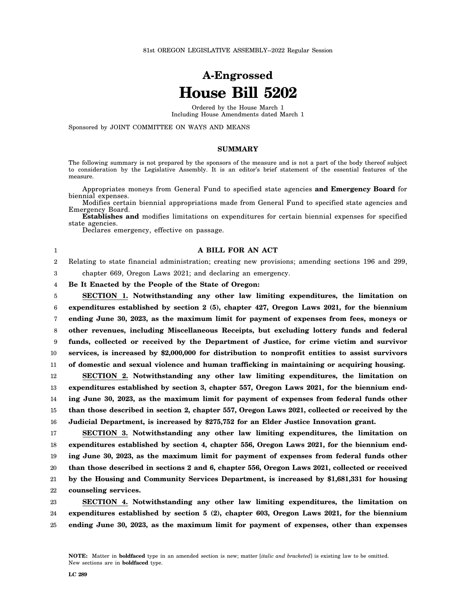# **A-Engrossed House Bill 5202**

Ordered by the House March 1 Including House Amendments dated March 1

Sponsored by JOINT COMMITTEE ON WAYS AND MEANS

# **SUMMARY**

The following summary is not prepared by the sponsors of the measure and is not a part of the body thereof subject to consideration by the Legislative Assembly. It is an editor's brief statement of the essential features of the measure.

Appropriates moneys from General Fund to specified state agencies **and Emergency Board** for biennial expenses.

Modifies certain biennial appropriations made from General Fund to specified state agencies and Emergency Board.

**Establishes and** modifies limitations on expenditures for certain biennial expenses for specified state agencies.

Declares emergency, effective on passage.

# 1 2

3

16

**A BILL FOR AN ACT** Relating to state financial administration; creating new provisions; amending sections 196 and 299,

chapter 669, Oregon Laws 2021; and declaring an emergency.

4 **Be It Enacted by the People of the State of Oregon:**

5 6 7 8 9 10 11 12 13 14 15 **SECTION 1. Notwithstanding any other law limiting expenditures, the limitation on expenditures established by section 2 (5), chapter 427, Oregon Laws 2021, for the biennium ending June 30, 2023, as the maximum limit for payment of expenses from fees, moneys or other revenues, including Miscellaneous Receipts, but excluding lottery funds and federal funds, collected or received by the Department of Justice, for crime victim and survivor services, is increased by \$2,000,000 for distribution to nonprofit entities to assist survivors of domestic and sexual violence and human trafficking in maintaining or acquiring housing. SECTION 2. Notwithstanding any other law limiting expenditures, the limitation on expenditures established by section 3, chapter 557, Oregon Laws 2021, for the biennium ending June 30, 2023, as the maximum limit for payment of expenses from federal funds other than those described in section 2, chapter 557, Oregon Laws 2021, collected or received by the**

17 18 19 20 21 22 **SECTION 3. Notwithstanding any other law limiting expenditures, the limitation on expenditures established by section 4, chapter 556, Oregon Laws 2021, for the biennium ending June 30, 2023, as the maximum limit for payment of expenses from federal funds other than those described in sections 2 and 6, chapter 556, Oregon Laws 2021, collected or received by the Housing and Community Services Department, is increased by \$1,681,331 for housing counseling services.**

**Judicial Department, is increased by \$275,752 for an Elder Justice Innovation grant.**

23 24 25 **SECTION 4. Notwithstanding any other law limiting expenditures, the limitation on expenditures established by section 5 (2), chapter 603, Oregon Laws 2021, for the biennium ending June 30, 2023, as the maximum limit for payment of expenses, other than expenses**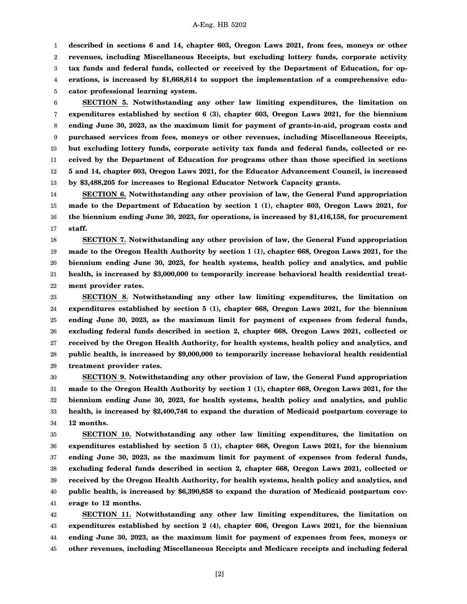1 2 3 4 5 **described in sections 6 and 14, chapter 603, Oregon Laws 2021, from fees, moneys or other revenues, including Miscellaneous Receipts, but excluding lottery funds, corporate activity tax funds and federal funds, collected or received by the Department of Education, for operations, is increased by \$1,668,814 to support the implementation of a comprehensive educator professional learning system.**

6 7 8 9 10 11 12 13 **SECTION 5. Notwithstanding any other law limiting expenditures, the limitation on expenditures established by section 6 (3), chapter 603, Oregon Laws 2021, for the biennium ending June 30, 2023, as the maximum limit for payment of grants-in-aid, program costs and purchased services from fees, moneys or other revenues, including Miscellaneous Receipts, but excluding lottery funds, corporate activity tax funds and federal funds, collected or received by the Department of Education for programs other than those specified in sections 5 and 14, chapter 603, Oregon Laws 2021, for the Educator Advancement Council, is increased by \$3,488,205 for increases to Regional Educator Network Capacity grants.**

14 15 16 17 **SECTION 6. Notwithstanding any other provision of law, the General Fund appropriation made to the Department of Education by section 1 (1), chapter 603, Oregon Laws 2021, for the biennium ending June 30, 2023, for operations, is increased by \$1,416,158, for procurement staff.**

18 19 20 21 22 **SECTION 7. Notwithstanding any other provision of law, the General Fund appropriation made to the Oregon Health Authority by section 1 (1), chapter 668, Oregon Laws 2021, for the biennium ending June 30, 2023, for health systems, health policy and analytics, and public health, is increased by \$3,000,000 to temporarily increase behavioral health residential treatment provider rates.**

23 24 25 26 27 28 29 **SECTION 8. Notwithstanding any other law limiting expenditures, the limitation on expenditures established by section 5 (1), chapter 668, Oregon Laws 2021, for the biennium ending June 30, 2023, as the maximum limit for payment of expenses from federal funds, excluding federal funds described in section 2, chapter 668, Oregon Laws 2021, collected or received by the Oregon Health Authority, for health systems, health policy and analytics, and public health, is increased by \$9,000,000 to temporarily increase behavioral health residential treatment provider rates.**

30 31 32 33 34 **SECTION 9. Notwithstanding any other provision of law, the General Fund appropriation made to the Oregon Health Authority by section 1 (1), chapter 668, Oregon Laws 2021, for the biennium ending June 30, 2023, for health systems, health policy and analytics, and public health, is increased by \$2,400,746 to expand the duration of Medicaid postpartum coverage to 12 months.**

35 36 37 38 39 40 41 **SECTION 10. Notwithstanding any other law limiting expenditures, the limitation on expenditures established by section 5 (1), chapter 668, Oregon Laws 2021, for the biennium ending June 30, 2023, as the maximum limit for payment of expenses from federal funds, excluding federal funds described in section 2, chapter 668, Oregon Laws 2021, collected or received by the Oregon Health Authority, for health systems, health policy and analytics, and public health, is increased by \$6,390,858 to expand the duration of Medicaid postpartum coverage to 12 months.**

42 43 44 45 **SECTION 11. Notwithstanding any other law limiting expenditures, the limitation on expenditures established by section 2 (4), chapter 606, Oregon Laws 2021, for the biennium ending June 30, 2023, as the maximum limit for payment of expenses from fees, moneys or other revenues, including Miscellaneous Receipts and Medicare receipts and including federal**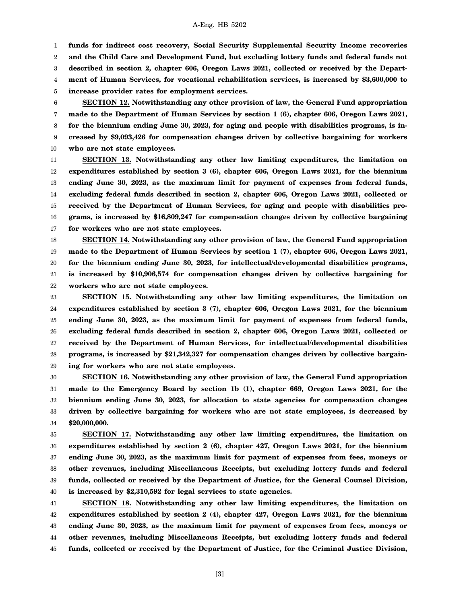1

**funds for indirect cost recovery, Social Security Supplemental Security Income recoveries**

2 **and the Child Care and Development Fund, but excluding lottery funds and federal funds not**

3 4 5 **described in section 2, chapter 606, Oregon Laws 2021, collected or received by the Department of Human Services, for vocational rehabilitation services, is increased by \$3,600,000 to increase provider rates for employment services.**

6 7 8 9 10 **SECTION 12. Notwithstanding any other provision of law, the General Fund appropriation made to the Department of Human Services by section 1 (6), chapter 606, Oregon Laws 2021, for the biennium ending June 30, 2023, for aging and people with disabilities programs, is increased by \$9,093,426 for compensation changes driven by collective bargaining for workers who are not state employees.**

11 12 13 14 15 16 17 **SECTION 13. Notwithstanding any other law limiting expenditures, the limitation on expenditures established by section 3 (6), chapter 606, Oregon Laws 2021, for the biennium ending June 30, 2023, as the maximum limit for payment of expenses from federal funds, excluding federal funds described in section 2, chapter 606, Oregon Laws 2021, collected or received by the Department of Human Services, for aging and people with disabilities programs, is increased by \$16,809,247 for compensation changes driven by collective bargaining for workers who are not state employees.**

18 19 20 21 22 **SECTION 14. Notwithstanding any other provision of law, the General Fund appropriation made to the Department of Human Services by section 1 (7), chapter 606, Oregon Laws 2021, for the biennium ending June 30, 2023, for intellectual/developmental disabilities programs, is increased by \$10,906,574 for compensation changes driven by collective bargaining for workers who are not state employees.**

23 24 25 26 27 28 29 **SECTION 15. Notwithstanding any other law limiting expenditures, the limitation on expenditures established by section 3 (7), chapter 606, Oregon Laws 2021, for the biennium ending June 30, 2023, as the maximum limit for payment of expenses from federal funds, excluding federal funds described in section 2, chapter 606, Oregon Laws 2021, collected or received by the Department of Human Services, for intellectual/developmental disabilities programs, is increased by \$21,342,327 for compensation changes driven by collective bargaining for workers who are not state employees.**

30 31 32 33 34 **SECTION 16. Notwithstanding any other provision of law, the General Fund appropriation made to the Emergency Board by section 1b (1), chapter 669, Oregon Laws 2021, for the biennium ending June 30, 2023, for allocation to state agencies for compensation changes driven by collective bargaining for workers who are not state employees, is decreased by \$20,000,000.**

35 36 37 38 39 40 **SECTION 17. Notwithstanding any other law limiting expenditures, the limitation on expenditures established by section 2 (6), chapter 427, Oregon Laws 2021, for the biennium ending June 30, 2023, as the maximum limit for payment of expenses from fees, moneys or other revenues, including Miscellaneous Receipts, but excluding lottery funds and federal funds, collected or received by the Department of Justice, for the General Counsel Division, is increased by \$2,310,592 for legal services to state agencies.**

41 42 43 44 45 **SECTION 18. Notwithstanding any other law limiting expenditures, the limitation on expenditures established by section 2 (4), chapter 427, Oregon Laws 2021, for the biennium ending June 30, 2023, as the maximum limit for payment of expenses from fees, moneys or other revenues, including Miscellaneous Receipts, but excluding lottery funds and federal funds, collected or received by the Department of Justice, for the Criminal Justice Division,**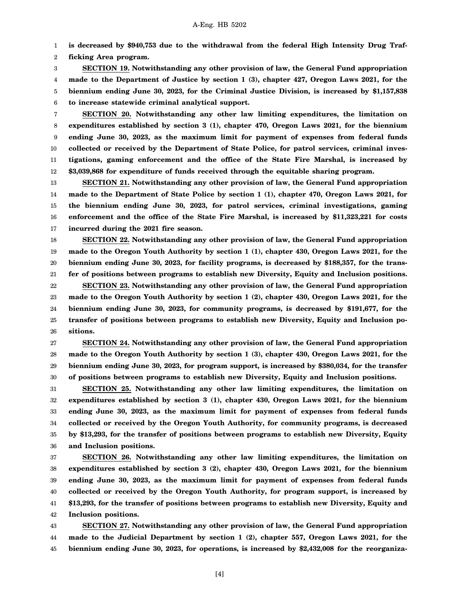1 **is decreased by \$940,753 due to the withdrawal from the federal High Intensity Drug Traf-**

2 **ficking Area program.**

3 4 5 6 **SECTION 19. Notwithstanding any other provision of law, the General Fund appropriation made to the Department of Justice by section 1 (3), chapter 427, Oregon Laws 2021, for the biennium ending June 30, 2023, for the Criminal Justice Division, is increased by \$1,157,838 to increase statewide criminal analytical support.**

7 8 9 10 11 12 **SECTION 20. Notwithstanding any other law limiting expenditures, the limitation on expenditures established by section 3 (1), chapter 470, Oregon Laws 2021, for the biennium ending June 30, 2023, as the maximum limit for payment of expenses from federal funds collected or received by the Department of State Police, for patrol services, criminal investigations, gaming enforcement and the office of the State Fire Marshal, is increased by \$3,039,868 for expenditure of funds received through the equitable sharing program.**

13 14 15 16 17 **SECTION 21. Notwithstanding any other provision of law, the General Fund appropriation made to the Department of State Police by section 1 (1), chapter 470, Oregon Laws 2021, for the biennium ending June 30, 2023, for patrol services, criminal investigations, gaming enforcement and the office of the State Fire Marshal, is increased by \$11,323,221 for costs incurred during the 2021 fire season.**

18 19 20 21 22 23 24 25 26 **SECTION 22. Notwithstanding any other provision of law, the General Fund appropriation made to the Oregon Youth Authority by section 1 (1), chapter 430, Oregon Laws 2021, for the biennium ending June 30, 2023, for facility programs, is decreased by \$188,357, for the transfer of positions between programs to establish new Diversity, Equity and Inclusion positions. SECTION 23. Notwithstanding any other provision of law, the General Fund appropriation made to the Oregon Youth Authority by section 1 (2), chapter 430, Oregon Laws 2021, for the biennium ending June 30, 2023, for community programs, is decreased by \$191,677, for the transfer of positions between programs to establish new Diversity, Equity and Inclusion positions.**

27 28 29 30 **SECTION 24. Notwithstanding any other provision of law, the General Fund appropriation made to the Oregon Youth Authority by section 1 (3), chapter 430, Oregon Laws 2021, for the biennium ending June 30, 2023, for program support, is increased by \$380,034, for the transfer of positions between programs to establish new Diversity, Equity and Inclusion positions.**

31 32 33 34 35 36 **SECTION 25. Notwithstanding any other law limiting expenditures, the limitation on expenditures established by section 3 (1), chapter 430, Oregon Laws 2021, for the biennium ending June 30, 2023, as the maximum limit for payment of expenses from federal funds collected or received by the Oregon Youth Authority, for community programs, is decreased by \$13,293, for the transfer of positions between programs to establish new Diversity, Equity and Inclusion positions.**

37 38 39 40 41 42 **SECTION 26. Notwithstanding any other law limiting expenditures, the limitation on expenditures established by section 3 (2), chapter 430, Oregon Laws 2021, for the biennium ending June 30, 2023, as the maximum limit for payment of expenses from federal funds collected or received by the Oregon Youth Authority, for program support, is increased by \$13,293, for the transfer of positions between programs to establish new Diversity, Equity and Inclusion positions.**

43 44 45 **SECTION 27. Notwithstanding any other provision of law, the General Fund appropriation made to the Judicial Department by section 1 (2), chapter 557, Oregon Laws 2021, for the biennium ending June 30, 2023, for operations, is increased by \$2,432,008 for the reorganiza-**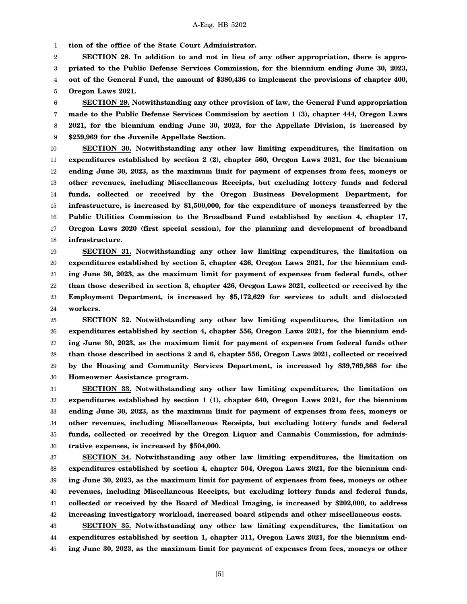1 **tion of the office of the State Court Administrator.**

2 3 4 5 **SECTION 28. In addition to and not in lieu of any other appropriation, there is appropriated to the Public Defense Services Commission, for the biennium ending June 30, 2023, out of the General Fund, the amount of \$380,436 to implement the provisions of chapter 400, Oregon Laws 2021.**

6 7 8 9 **SECTION 29. Notwithstanding any other provision of law, the General Fund appropriation made to the Public Defense Services Commission by section 1 (3), chapter 444, Oregon Laws 2021, for the biennium ending June 30, 2023, for the Appellate Division, is increased by \$259,969 for the Juvenile Appellate Section.**

10 11 12 13 14 15 16 17 18 **SECTION 30. Notwithstanding any other law limiting expenditures, the limitation on expenditures established by section 2 (2), chapter 560, Oregon Laws 2021, for the biennium ending June 30, 2023, as the maximum limit for payment of expenses from fees, moneys or other revenues, including Miscellaneous Receipts, but excluding lottery funds and federal funds, collected or received by the Oregon Business Development Department, for infrastructure, is increased by \$1,500,000, for the expenditure of moneys transferred by the Public Utilities Commission to the Broadband Fund established by section 4, chapter 17, Oregon Laws 2020 (first special session), for the planning and development of broadband infrastructure.**

19 20 21 22 23 24 **SECTION 31. Notwithstanding any other law limiting expenditures, the limitation on expenditures established by section 5, chapter 426, Oregon Laws 2021, for the biennium ending June 30, 2023, as the maximum limit for payment of expenses from federal funds, other than those described in section 3, chapter 426, Oregon Laws 2021, collected or received by the Employment Department, is increased by \$5,172,629 for services to adult and dislocated workers.**

25 26 27 28 29 30 **SECTION 32. Notwithstanding any other law limiting expenditures, the limitation on expenditures established by section 4, chapter 556, Oregon Laws 2021, for the biennium ending June 30, 2023, as the maximum limit for payment of expenses from federal funds other than those described in sections 2 and 6, chapter 556, Oregon Laws 2021, collected or received by the Housing and Community Services Department, is increased by \$39,769,368 for the Homeowner Assistance program.**

31 32 33 34 35 36 **SECTION 33. Notwithstanding any other law limiting expenditures, the limitation on expenditures established by section 1 (1), chapter 640, Oregon Laws 2021, for the biennium ending June 30, 2023, as the maximum limit for payment of expenses from fees, moneys or other revenues, including Miscellaneous Receipts, but excluding lottery funds and federal funds, collected or received by the Oregon Liquor and Cannabis Commission, for administrative expenses, is increased by \$504,000.**

37 38 39 40 41 42 **SECTION 34. Notwithstanding any other law limiting expenditures, the limitation on expenditures established by section 4, chapter 504, Oregon Laws 2021, for the biennium ending June 30, 2023, as the maximum limit for payment of expenses from fees, moneys or other revenues, including Miscellaneous Receipts, but excluding lottery funds and federal funds, collected or received by the Board of Medical Imaging, is increased by \$202,000, to address increasing investigatory workload, increased board stipends and other miscellaneous costs.**

43 44 45 **SECTION 35. Notwithstanding any other law limiting expenditures, the limitation on expenditures established by section 1, chapter 311, Oregon Laws 2021, for the biennium ending June 30, 2023, as the maximum limit for payment of expenses from fees, moneys or other**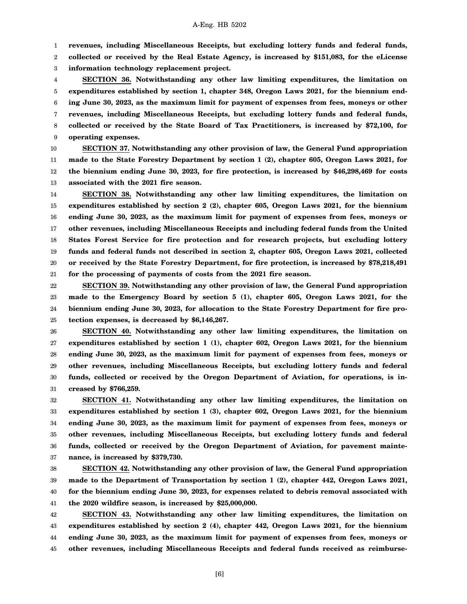1 **revenues, including Miscellaneous Receipts, but excluding lottery funds and federal funds,**

2 3 **collected or received by the Real Estate Agency, is increased by \$151,083, for the eLicense information technology replacement project.**

4 5 6 7 8 9 **SECTION 36. Notwithstanding any other law limiting expenditures, the limitation on expenditures established by section 1, chapter 348, Oregon Laws 2021, for the biennium ending June 30, 2023, as the maximum limit for payment of expenses from fees, moneys or other revenues, including Miscellaneous Receipts, but excluding lottery funds and federal funds, collected or received by the State Board of Tax Practitioners, is increased by \$72,100, for operating expenses.**

10 11 12 13 **SECTION 37. Notwithstanding any other provision of law, the General Fund appropriation made to the State Forestry Department by section 1 (2), chapter 605, Oregon Laws 2021, for the biennium ending June 30, 2023, for fire protection, is increased by \$46,298,469 for costs associated with the 2021 fire season.**

14 15 16 17 18 19 20 21 **SECTION 38. Notwithstanding any other law limiting expenditures, the limitation on expenditures established by section 2 (2), chapter 605, Oregon Laws 2021, for the biennium ending June 30, 2023, as the maximum limit for payment of expenses from fees, moneys or other revenues, including Miscellaneous Receipts and including federal funds from the United States Forest Service for fire protection and for research projects, but excluding lottery funds and federal funds not described in section 2, chapter 605, Oregon Laws 2021, collected or received by the State Forestry Department, for fire protection, is increased by \$78,218,491 for the processing of payments of costs from the 2021 fire season.**

22 23 24 25 **SECTION 39. Notwithstanding any other provision of law, the General Fund appropriation made to the Emergency Board by section 5 (1), chapter 605, Oregon Laws 2021, for the biennium ending June 30, 2023, for allocation to the State Forestry Department for fire protection expenses, is decreased by \$6,146,267.**

26 27 28 29 30 31 **SECTION 40. Notwithstanding any other law limiting expenditures, the limitation on expenditures established by section 1 (1), chapter 602, Oregon Laws 2021, for the biennium ending June 30, 2023, as the maximum limit for payment of expenses from fees, moneys or other revenues, including Miscellaneous Receipts, but excluding lottery funds and federal funds, collected or received by the Oregon Department of Aviation, for operations, is increased by \$766,259.**

32 33 34 35 36 37 **SECTION 41. Notwithstanding any other law limiting expenditures, the limitation on expenditures established by section 1 (3), chapter 602, Oregon Laws 2021, for the biennium ending June 30, 2023, as the maximum limit for payment of expenses from fees, moneys or other revenues, including Miscellaneous Receipts, but excluding lottery funds and federal funds, collected or received by the Oregon Department of Aviation, for pavement maintenance, is increased by \$379,730.**

38 39 40 41 **SECTION 42. Notwithstanding any other provision of law, the General Fund appropriation made to the Department of Transportation by section 1 (2), chapter 442, Oregon Laws 2021, for the biennium ending June 30, 2023, for expenses related to debris removal associated with the 2020 wildfire season, is increased by \$25,000,000.**

42 43 44 45 **SECTION 43. Notwithstanding any other law limiting expenditures, the limitation on expenditures established by section 2 (4), chapter 442, Oregon Laws 2021, for the biennium ending June 30, 2023, as the maximum limit for payment of expenses from fees, moneys or other revenues, including Miscellaneous Receipts and federal funds received as reimburse-**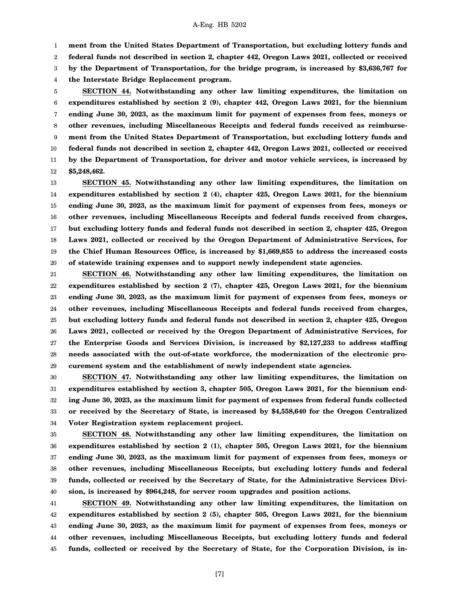1 **ment from the United States Department of Transportation, but excluding lottery funds and**

2 **federal funds not described in section 2, chapter 442, Oregon Laws 2021, collected or received**

3 **by the Department of Transportation, for the bridge program, is increased by \$3,636,767 for**

4 **the Interstate Bridge Replacement program.**

5 6 7 8 9 10 11 12 **SECTION 44. Notwithstanding any other law limiting expenditures, the limitation on expenditures established by section 2 (9), chapter 442, Oregon Laws 2021, for the biennium ending June 30, 2023, as the maximum limit for payment of expenses from fees, moneys or other revenues, including Miscellaneous Receipts and federal funds received as reimbursement from the United States Department of Transportation, but excluding lottery funds and federal funds not described in section 2, chapter 442, Oregon Laws 2021, collected or received by the Department of Transportation, for driver and motor vehicle services, is increased by \$5,248,462.**

13 14 15 16 17 18 19 20 **SECTION 45. Notwithstanding any other law limiting expenditures, the limitation on expenditures established by section 2 (4), chapter 425, Oregon Laws 2021, for the biennium ending June 30, 2023, as the maximum limit for payment of expenses from fees, moneys or other revenues, including Miscellaneous Receipts and federal funds received from charges, but excluding lottery funds and federal funds not described in section 2, chapter 425, Oregon Laws 2021, collected or received by the Oregon Department of Administrative Services, for the Chief Human Resources Office, is increased by \$1,669,855 to address the increased costs of statewide training expenses and to support newly independent state agencies.**

21 22 23 24 25 26 27 28 29 **SECTION 46. Notwithstanding any other law limiting expenditures, the limitation on expenditures established by section 2 (7), chapter 425, Oregon Laws 2021, for the biennium ending June 30, 2023, as the maximum limit for payment of expenses from fees, moneys or other revenues, including Miscellaneous Receipts and federal funds received from charges, but excluding lottery funds and federal funds not described in section 2, chapter 425, Oregon Laws 2021, collected or received by the Oregon Department of Administrative Services, for the Enterprise Goods and Services Division, is increased by \$2,127,233 to address staffing needs associated with the out-of-state workforce, the modernization of the electronic procurement system and the establishment of newly independent state agencies.**

30 31 32 33 34 **SECTION 47. Notwithstanding any other law limiting expenditures, the limitation on expenditures established by section 3, chapter 505, Oregon Laws 2021, for the biennium ending June 30, 2023, as the maximum limit for payment of expenses from federal funds collected or received by the Secretary of State, is increased by \$4,558,640 for the Oregon Centralized Voter Registration system replacement project.**

35 36 37 38 39 40 **SECTION 48. Notwithstanding any other law limiting expenditures, the limitation on expenditures established by section 2 (1), chapter 505, Oregon Laws 2021, for the biennium ending June 30, 2023, as the maximum limit for payment of expenses from fees, moneys or other revenues, including Miscellaneous Receipts, but excluding lottery funds and federal funds, collected or received by the Secretary of State, for the Administrative Services Division, is increased by \$964,248, for server room upgrades and position actions.**

41 42 43 44 45 **SECTION 49. Notwithstanding any other law limiting expenditures, the limitation on expenditures established by section 2 (5), chapter 505, Oregon Laws 2021, for the biennium ending June 30, 2023, as the maximum limit for payment of expenses from fees, moneys or other revenues, including Miscellaneous Receipts, but excluding lottery funds and federal funds, collected or received by the Secretary of State, for the Corporation Division, is in-**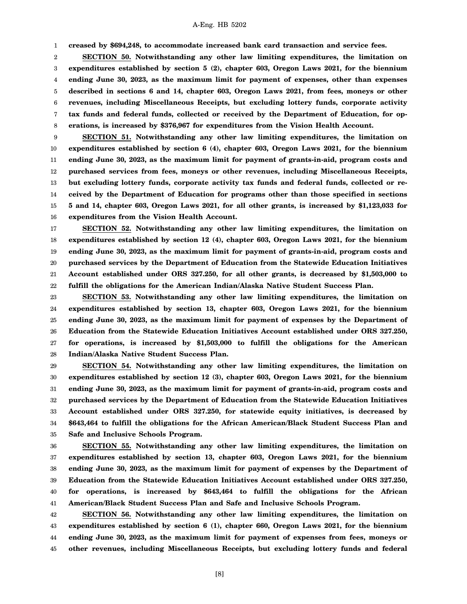**creased by \$694,248, to accommodate increased bank card transaction and service fees.**

1

2 3 4 5 6 7 8 **SECTION 50. Notwithstanding any other law limiting expenditures, the limitation on expenditures established by section 5 (2), chapter 603, Oregon Laws 2021, for the biennium ending June 30, 2023, as the maximum limit for payment of expenses, other than expenses described in sections 6 and 14, chapter 603, Oregon Laws 2021, from fees, moneys or other revenues, including Miscellaneous Receipts, but excluding lottery funds, corporate activity tax funds and federal funds, collected or received by the Department of Education, for operations, is increased by \$376,967 for expenditures from the Vision Health Account.**

9 10 11 12 13 14 15 16 **SECTION 51. Notwithstanding any other law limiting expenditures, the limitation on expenditures established by section 6 (4), chapter 603, Oregon Laws 2021, for the biennium ending June 30, 2023, as the maximum limit for payment of grants-in-aid, program costs and purchased services from fees, moneys or other revenues, including Miscellaneous Receipts, but excluding lottery funds, corporate activity tax funds and federal funds, collected or received by the Department of Education for programs other than those specified in sections 5 and 14, chapter 603, Oregon Laws 2021, for all other grants, is increased by \$1,123,033 for expenditures from the Vision Health Account.**

17 18 19 20 21 22 **SECTION 52. Notwithstanding any other law limiting expenditures, the limitation on expenditures established by section 12 (4), chapter 603, Oregon Laws 2021, for the biennium ending June 30, 2023, as the maximum limit for payment of grants-in-aid, program costs and purchased services by the Department of Education from the Statewide Education Initiatives Account established under ORS 327.250, for all other grants, is decreased by \$1,503,000 to fulfill the obligations for the American Indian/Alaska Native Student Success Plan.**

23 24 25 26 27 28 **SECTION 53. Notwithstanding any other law limiting expenditures, the limitation on expenditures established by section 13, chapter 603, Oregon Laws 2021, for the biennium ending June 30, 2023, as the maximum limit for payment of expenses by the Department of Education from the Statewide Education Initiatives Account established under ORS 327.250, for operations, is increased by \$1,503,000 to fulfill the obligations for the American Indian/Alaska Native Student Success Plan.**

29 30 31 32 33 34 35 **SECTION 54. Notwithstanding any other law limiting expenditures, the limitation on expenditures established by section 12 (3), chapter 603, Oregon Laws 2021, for the biennium ending June 30, 2023, as the maximum limit for payment of grants-in-aid, program costs and purchased services by the Department of Education from the Statewide Education Initiatives Account established under ORS 327.250, for statewide equity initiatives, is decreased by \$643,464 to fulfill the obligations for the African American/Black Student Success Plan and Safe and Inclusive Schools Program.**

36 37 38 39 40 41 **SECTION 55. Notwithstanding any other law limiting expenditures, the limitation on expenditures established by section 13, chapter 603, Oregon Laws 2021, for the biennium ending June 30, 2023, as the maximum limit for payment of expenses by the Department of Education from the Statewide Education Initiatives Account established under ORS 327.250, for operations, is increased by \$643,464 to fulfill the obligations for the African American/Black Student Success Plan and Safe and Inclusive Schools Program.**

42 43 44 45 **SECTION 56. Notwithstanding any other law limiting expenditures, the limitation on expenditures established by section 6 (1), chapter 660, Oregon Laws 2021, for the biennium ending June 30, 2023, as the maximum limit for payment of expenses from fees, moneys or other revenues, including Miscellaneous Receipts, but excluding lottery funds and federal**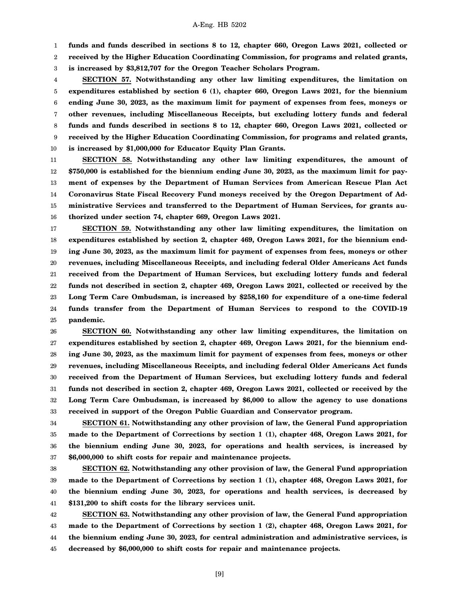1 **funds and funds described in sections 8 to 12, chapter 660, Oregon Laws 2021, collected or**

2 **received by the Higher Education Coordinating Commission, for programs and related grants,**

3 **is increased by \$3,812,707 for the Oregon Teacher Scholars Program.**

4 5 6 7 8 9 10 **SECTION 57. Notwithstanding any other law limiting expenditures, the limitation on expenditures established by section 6 (1), chapter 660, Oregon Laws 2021, for the biennium ending June 30, 2023, as the maximum limit for payment of expenses from fees, moneys or other revenues, including Miscellaneous Receipts, but excluding lottery funds and federal funds and funds described in sections 8 to 12, chapter 660, Oregon Laws 2021, collected or received by the Higher Education Coordinating Commission, for programs and related grants, is increased by \$1,000,000 for Educator Equity Plan Grants.**

11 12 13 14 15 16 **SECTION 58. Notwithstanding any other law limiting expenditures, the amount of \$750,000 is established for the biennium ending June 30, 2023, as the maximum limit for payment of expenses by the Department of Human Services from American Rescue Plan Act Coronavirus State Fiscal Recovery Fund moneys received by the Oregon Department of Administrative Services and transferred to the Department of Human Services, for grants authorized under section 74, chapter 669, Oregon Laws 2021.**

17 18 19 20 21 22 23 24 25 **SECTION 59. Notwithstanding any other law limiting expenditures, the limitation on expenditures established by section 2, chapter 469, Oregon Laws 2021, for the biennium ending June 30, 2023, as the maximum limit for payment of expenses from fees, moneys or other revenues, including Miscellaneous Receipts, and including federal Older Americans Act funds received from the Department of Human Services, but excluding lottery funds and federal funds not described in section 2, chapter 469, Oregon Laws 2021, collected or received by the Long Term Care Ombudsman, is increased by \$258,160 for expenditure of a one-time federal funds transfer from the Department of Human Services to respond to the COVID-19 pandemic.**

26 27 28 29 30 31 32 33 **SECTION 60. Notwithstanding any other law limiting expenditures, the limitation on expenditures established by section 2, chapter 469, Oregon Laws 2021, for the biennium ending June 30, 2023, as the maximum limit for payment of expenses from fees, moneys or other revenues, including Miscellaneous Receipts, and including federal Older Americans Act funds received from the Department of Human Services, but excluding lottery funds and federal funds not described in section 2, chapter 469, Oregon Laws 2021, collected or received by the Long Term Care Ombudsman, is increased by \$6,000 to allow the agency to use donations received in support of the Oregon Public Guardian and Conservator program.**

34 35 36 37 **SECTION 61. Notwithstanding any other provision of law, the General Fund appropriation made to the Department of Corrections by section 1 (1), chapter 468, Oregon Laws 2021, for the biennium ending June 30, 2023, for operations and health services, is increased by \$6,000,000 to shift costs for repair and maintenance projects.**

38 39 40 41 **SECTION 62. Notwithstanding any other provision of law, the General Fund appropriation made to the Department of Corrections by section 1 (1), chapter 468, Oregon Laws 2021, for the biennium ending June 30, 2023, for operations and health services, is decreased by \$131,200 to shift costs for the library services unit.**

42 43 44 45 **SECTION 63. Notwithstanding any other provision of law, the General Fund appropriation made to the Department of Corrections by section 1 (2), chapter 468, Oregon Laws 2021, for the biennium ending June 30, 2023, for central administration and administrative services, is decreased by \$6,000,000 to shift costs for repair and maintenance projects.**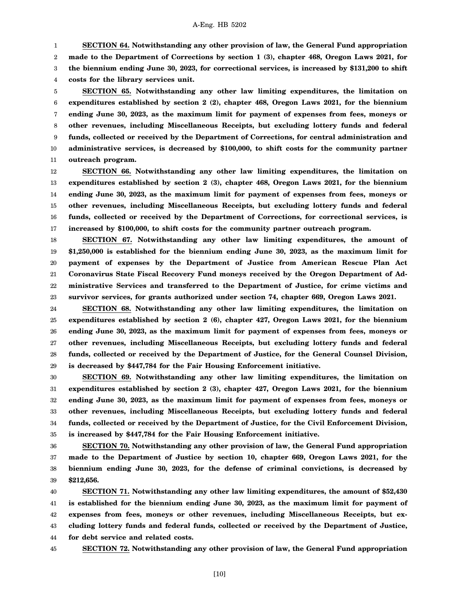1 2 3 4 **SECTION 64. Notwithstanding any other provision of law, the General Fund appropriation made to the Department of Corrections by section 1 (3), chapter 468, Oregon Laws 2021, for the biennium ending June 30, 2023, for correctional services, is increased by \$131,200 to shift costs for the library services unit.**

5 6 7 8 9 10 11 **SECTION 65. Notwithstanding any other law limiting expenditures, the limitation on expenditures established by section 2 (2), chapter 468, Oregon Laws 2021, for the biennium ending June 30, 2023, as the maximum limit for payment of expenses from fees, moneys or other revenues, including Miscellaneous Receipts, but excluding lottery funds and federal funds, collected or received by the Department of Corrections, for central administration and administrative services, is decreased by \$100,000, to shift costs for the community partner outreach program.**

12 13 14 15 16 17 **SECTION 66. Notwithstanding any other law limiting expenditures, the limitation on expenditures established by section 2 (3), chapter 468, Oregon Laws 2021, for the biennium ending June 30, 2023, as the maximum limit for payment of expenses from fees, moneys or other revenues, including Miscellaneous Receipts, but excluding lottery funds and federal funds, collected or received by the Department of Corrections, for correctional services, is increased by \$100,000, to shift costs for the community partner outreach program.**

18 19 20 21 22 23 **SECTION 67. Notwithstanding any other law limiting expenditures, the amount of \$1,250,000 is established for the biennium ending June 30, 2023, as the maximum limit for payment of expenses by the Department of Justice from American Rescue Plan Act Coronavirus State Fiscal Recovery Fund moneys received by the Oregon Department of Administrative Services and transferred to the Department of Justice, for crime victims and survivor services, for grants authorized under section 74, chapter 669, Oregon Laws 2021.**

24 25 26 27 28 29 **SECTION 68. Notwithstanding any other law limiting expenditures, the limitation on expenditures established by section 2 (6), chapter 427, Oregon Laws 2021, for the biennium ending June 30, 2023, as the maximum limit for payment of expenses from fees, moneys or other revenues, including Miscellaneous Receipts, but excluding lottery funds and federal funds, collected or received by the Department of Justice, for the General Counsel Division, is decreased by \$447,784 for the Fair Housing Enforcement initiative.**

30 31 32 33 34 35 **SECTION 69. Notwithstanding any other law limiting expenditures, the limitation on expenditures established by section 2 (3), chapter 427, Oregon Laws 2021, for the biennium ending June 30, 2023, as the maximum limit for payment of expenses from fees, moneys or other revenues, including Miscellaneous Receipts, but excluding lottery funds and federal funds, collected or received by the Department of Justice, for the Civil Enforcement Division, is increased by \$447,784 for the Fair Housing Enforcement initiative.**

36 37 38 39 **SECTION 70. Notwithstanding any other provision of law, the General Fund appropriation made to the Department of Justice by section 10, chapter 669, Oregon Laws 2021, for the biennium ending June 30, 2023, for the defense of criminal convictions, is decreased by \$212,656.**

40 41 42 43 44 **SECTION 71. Notwithstanding any other law limiting expenditures, the amount of \$52,430 is established for the biennium ending June 30, 2023, as the maximum limit for payment of expenses from fees, moneys or other revenues, including Miscellaneous Receipts, but excluding lottery funds and federal funds, collected or received by the Department of Justice, for debt service and related costs.**

45

**SECTION 72. Notwithstanding any other provision of law, the General Fund appropriation**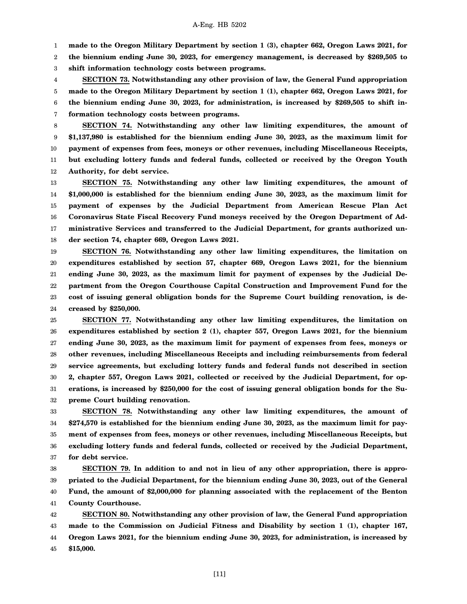1 **made to the Oregon Military Department by section 1 (3), chapter 662, Oregon Laws 2021, for**

2 3 **the biennium ending June 30, 2023, for emergency management, is decreased by \$269,505 to shift information technology costs between programs.**

4 5 6 7 **SECTION 73. Notwithstanding any other provision of law, the General Fund appropriation made to the Oregon Military Department by section 1 (1), chapter 662, Oregon Laws 2021, for the biennium ending June 30, 2023, for administration, is increased by \$269,505 to shift information technology costs between programs.**

8 9 10 11 12 **SECTION 74. Notwithstanding any other law limiting expenditures, the amount of \$1,137,980 is established for the biennium ending June 30, 2023, as the maximum limit for payment of expenses from fees, moneys or other revenues, including Miscellaneous Receipts, but excluding lottery funds and federal funds, collected or received by the Oregon Youth Authority, for debt service.**

13 14 15 16 17 18 **SECTION 75. Notwithstanding any other law limiting expenditures, the amount of \$1,000,000 is established for the biennium ending June 30, 2023, as the maximum limit for payment of expenses by the Judicial Department from American Rescue Plan Act Coronavirus State Fiscal Recovery Fund moneys received by the Oregon Department of Administrative Services and transferred to the Judicial Department, for grants authorized under section 74, chapter 669, Oregon Laws 2021.**

19 20 21 22 23 24 **SECTION 76. Notwithstanding any other law limiting expenditures, the limitation on expenditures established by section 57, chapter 669, Oregon Laws 2021, for the biennium ending June 30, 2023, as the maximum limit for payment of expenses by the Judicial Department from the Oregon Courthouse Capital Construction and Improvement Fund for the cost of issuing general obligation bonds for the Supreme Court building renovation, is decreased by \$250,000.**

25 26 27 28 29 30 31 32 **SECTION 77. Notwithstanding any other law limiting expenditures, the limitation on expenditures established by section 2 (1), chapter 557, Oregon Laws 2021, for the biennium ending June 30, 2023, as the maximum limit for payment of expenses from fees, moneys or other revenues, including Miscellaneous Receipts and including reimbursements from federal service agreements, but excluding lottery funds and federal funds not described in section 2, chapter 557, Oregon Laws 2021, collected or received by the Judicial Department, for operations, is increased by \$250,000 for the cost of issuing general obligation bonds for the Supreme Court building renovation.**

33 34 35 36 37 **SECTION 78. Notwithstanding any other law limiting expenditures, the amount of \$274,570 is established for the biennium ending June 30, 2023, as the maximum limit for payment of expenses from fees, moneys or other revenues, including Miscellaneous Receipts, but excluding lottery funds and federal funds, collected or received by the Judicial Department, for debt service.**

38 39 40 41 **SECTION 79. In addition to and not in lieu of any other appropriation, there is appropriated to the Judicial Department, for the biennium ending June 30, 2023, out of the General Fund, the amount of \$2,000,000 for planning associated with the replacement of the Benton County Courthouse.**

42 43 44 45 **SECTION 80. Notwithstanding any other provision of law, the General Fund appropriation made to the Commission on Judicial Fitness and Disability by section 1 (1), chapter 167, Oregon Laws 2021, for the biennium ending June 30, 2023, for administration, is increased by \$15,000.**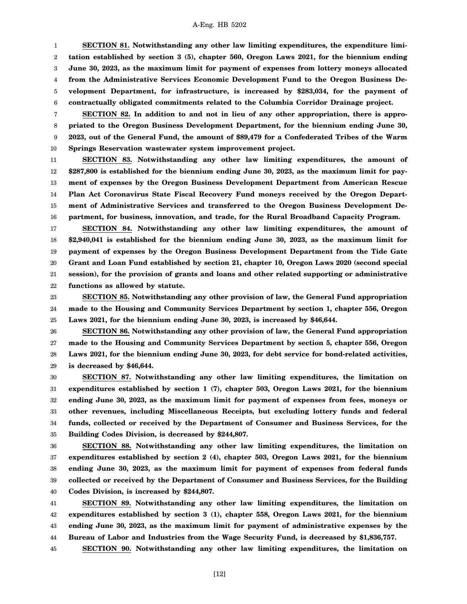1 2 3 4 5 6 **SECTION 81. Notwithstanding any other law limiting expenditures, the expenditure limitation established by section 3 (5), chapter 560, Oregon Laws 2021, for the biennium ending June 30, 2023, as the maximum limit for payment of expenses from lottery moneys allocated from the Administrative Services Economic Development Fund to the Oregon Business Development Department, for infrastructure, is increased by \$283,034, for the payment of contractually obligated commitments related to the Columbia Corridor Drainage project.**

7 8 9 10 **SECTION 82. In addition to and not in lieu of any other appropriation, there is appropriated to the Oregon Business Development Department, for the biennium ending June 30, 2023, out of the General Fund, the amount of \$89,479 for a Confederated Tribes of the Warm Springs Reservation wastewater system improvement project.**

11 12 13 14 15 16 **SECTION 83. Notwithstanding any other law limiting expenditures, the amount of \$287,800 is established for the biennium ending June 30, 2023, as the maximum limit for payment of expenses by the Oregon Business Development Department from American Rescue Plan Act Coronavirus State Fiscal Recovery Fund moneys received by the Oregon Department of Administrative Services and transferred to the Oregon Business Development Department, for business, innovation, and trade, for the Rural Broadband Capacity Program.**

17 18 19 20 21 22 **SECTION 84. Notwithstanding any other law limiting expenditures, the amount of \$2,940,041 is established for the biennium ending June 30, 2023, as the maximum limit for payment of expenses by the Oregon Business Development Department from the Tide Gate Grant and Loan Fund established by section 21, chapter 10, Oregon Laws 2020 (second special session), for the provision of grants and loans and other related supporting or administrative functions as allowed by statute.**

23 24 25 **SECTION 85. Notwithstanding any other provision of law, the General Fund appropriation made to the Housing and Community Services Department by section 1, chapter 556, Oregon Laws 2021, for the biennium ending June 30, 2023, is increased by \$46,644.**

26 27 28 29 **SECTION 86. Notwithstanding any other provision of law, the General Fund appropriation made to the Housing and Community Services Department by section 5, chapter 556, Oregon Laws 2021, for the biennium ending June 30, 2023, for debt service for bond-related activities, is decreased by \$46,644.**

30 31 32 33 34 35 **SECTION 87. Notwithstanding any other law limiting expenditures, the limitation on expenditures established by section 1 (7), chapter 503, Oregon Laws 2021, for the biennium ending June 30, 2023, as the maximum limit for payment of expenses from fees, moneys or other revenues, including Miscellaneous Receipts, but excluding lottery funds and federal funds, collected or received by the Department of Consumer and Business Services, for the Building Codes Division, is decreased by \$244,807.**

36 37 38 39 40 **SECTION 88. Notwithstanding any other law limiting expenditures, the limitation on expenditures established by section 2 (4), chapter 503, Oregon Laws 2021, for the biennium ending June 30, 2023, as the maximum limit for payment of expenses from federal funds collected or received by the Department of Consumer and Business Services, for the Building Codes Division, is increased by \$244,807.**

41 42 43 44 **SECTION 89. Notwithstanding any other law limiting expenditures, the limitation on expenditures established by section 3 (1), chapter 558, Oregon Laws 2021, for the biennium ending June 30, 2023, as the maximum limit for payment of administrative expenses by the Bureau of Labor and Industries from the Wage Security Fund, is decreased by \$1,836,757.**

45 **SECTION 90. Notwithstanding any other law limiting expenditures, the limitation on**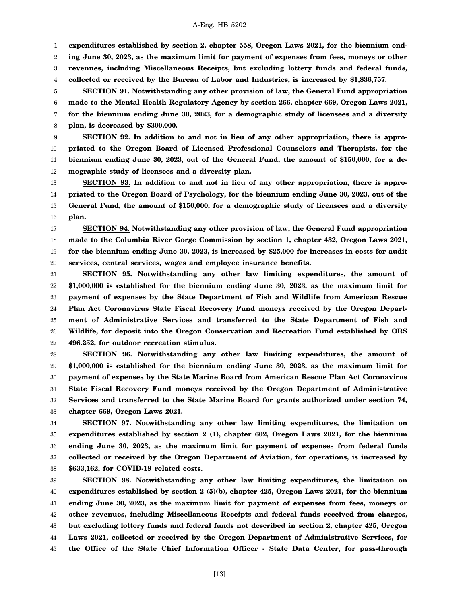1 **expenditures established by section 2, chapter 558, Oregon Laws 2021, for the biennium end-**

2 **ing June 30, 2023, as the maximum limit for payment of expenses from fees, moneys or other**

3 **revenues, including Miscellaneous Receipts, but excluding lottery funds and federal funds,**

4 **collected or received by the Bureau of Labor and Industries, is increased by \$1,836,757.**

5 6 7 8 **SECTION 91. Notwithstanding any other provision of law, the General Fund appropriation made to the Mental Health Regulatory Agency by section 266, chapter 669, Oregon Laws 2021, for the biennium ending June 30, 2023, for a demographic study of licensees and a diversity plan, is decreased by \$300,000.**

9 10 11 12 **SECTION 92. In addition to and not in lieu of any other appropriation, there is appropriated to the Oregon Board of Licensed Professional Counselors and Therapists, for the biennium ending June 30, 2023, out of the General Fund, the amount of \$150,000, for a demographic study of licensees and a diversity plan.**

13 14 15 16 **SECTION 93. In addition to and not in lieu of any other appropriation, there is appropriated to the Oregon Board of Psychology, for the biennium ending June 30, 2023, out of the General Fund, the amount of \$150,000, for a demographic study of licensees and a diversity plan.**

17 18 19 20 **SECTION 94. Notwithstanding any other provision of law, the General Fund appropriation made to the Columbia River Gorge Commission by section 1, chapter 432, Oregon Laws 2021, for the biennium ending June 30, 2023, is increased by \$25,000 for increases in costs for audit services, central services, wages and employee insurance benefits.**

21 22 23 24 25 26 27 **SECTION 95. Notwithstanding any other law limiting expenditures, the amount of \$1,000,000 is established for the biennium ending June 30, 2023, as the maximum limit for payment of expenses by the State Department of Fish and Wildlife from American Rescue Plan Act Coronavirus State Fiscal Recovery Fund moneys received by the Oregon Department of Administrative Services and transferred to the State Department of Fish and Wildlife, for deposit into the Oregon Conservation and Recreation Fund established by ORS 496.252, for outdoor recreation stimulus.**

28 29 30 31 32 33 **SECTION 96. Notwithstanding any other law limiting expenditures, the amount of \$1,000,000 is established for the biennium ending June 30, 2023, as the maximum limit for payment of expenses by the State Marine Board from American Rescue Plan Act Coronavirus State Fiscal Recovery Fund moneys received by the Oregon Department of Administrative Services and transferred to the State Marine Board for grants authorized under section 74, chapter 669, Oregon Laws 2021.**

34 35 36 37 38 **SECTION 97. Notwithstanding any other law limiting expenditures, the limitation on expenditures established by section 2 (1), chapter 602, Oregon Laws 2021, for the biennium ending June 30, 2023, as the maximum limit for payment of expenses from federal funds collected or received by the Oregon Department of Aviation, for operations, is increased by \$633,162, for COVID-19 related costs.**

39 40 41 42 43 44 45 **SECTION 98. Notwithstanding any other law limiting expenditures, the limitation on expenditures established by section 2 (5)(b), chapter 425, Oregon Laws 2021, for the biennium ending June 30, 2023, as the maximum limit for payment of expenses from fees, moneys or other revenues, including Miscellaneous Receipts and federal funds received from charges, but excluding lottery funds and federal funds not described in section 2, chapter 425, Oregon Laws 2021, collected or received by the Oregon Department of Administrative Services, for the Office of the State Chief Information Officer - State Data Center, for pass-through**

[13]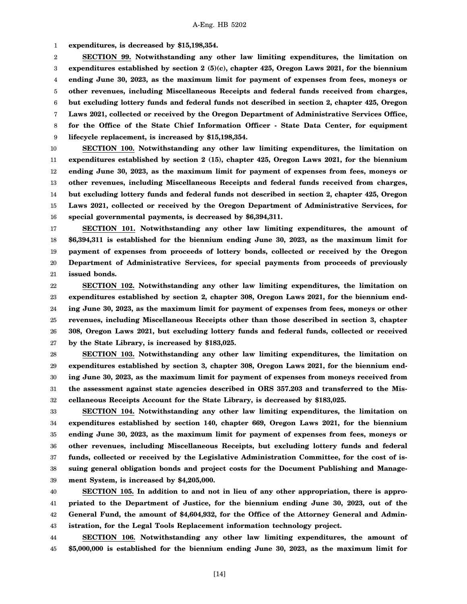1 **expenditures, is decreased by \$15,198,354.**

2 3 4 5 6 7 8 9 **SECTION 99. Notwithstanding any other law limiting expenditures, the limitation on expenditures established by section 2 (5)(c), chapter 425, Oregon Laws 2021, for the biennium ending June 30, 2023, as the maximum limit for payment of expenses from fees, moneys or other revenues, including Miscellaneous Receipts and federal funds received from charges, but excluding lottery funds and federal funds not described in section 2, chapter 425, Oregon Laws 2021, collected or received by the Oregon Department of Administrative Services Office, for the Office of the State Chief Information Officer - State Data Center, for equipment lifecycle replacement, is increased by \$15,198,354.**

10 11 12 13 14 15 16 **SECTION 100. Notwithstanding any other law limiting expenditures, the limitation on expenditures established by section 2 (15), chapter 425, Oregon Laws 2021, for the biennium ending June 30, 2023, as the maximum limit for payment of expenses from fees, moneys or other revenues, including Miscellaneous Receipts and federal funds received from charges, but excluding lottery funds and federal funds not described in section 2, chapter 425, Oregon Laws 2021, collected or received by the Oregon Department of Administrative Services, for special governmental payments, is decreased by \$6,394,311.**

17 18 19 20 21 **SECTION 101. Notwithstanding any other law limiting expenditures, the amount of \$6,394,311 is established for the biennium ending June 30, 2023, as the maximum limit for payment of expenses from proceeds of lottery bonds, collected or received by the Oregon Department of Administrative Services, for special payments from proceeds of previously issued bonds.**

22 23 24 25 26 27 **SECTION 102. Notwithstanding any other law limiting expenditures, the limitation on expenditures established by section 2, chapter 308, Oregon Laws 2021, for the biennium ending June 30, 2023, as the maximum limit for payment of expenses from fees, moneys or other revenues, including Miscellaneous Receipts other than those described in section 3, chapter 308, Oregon Laws 2021, but excluding lottery funds and federal funds, collected or received by the State Library, is increased by \$183,025.**

28 29 30 31 32 **SECTION 103. Notwithstanding any other law limiting expenditures, the limitation on expenditures established by section 3, chapter 308, Oregon Laws 2021, for the biennium ending June 30, 2023, as the maximum limit for payment of expenses from moneys received from the assessment against state agencies described in ORS 357.203 and transferred to the Miscellaneous Receipts Account for the State Library, is decreased by \$183,025.**

33 34 35 36 37 38 39 **SECTION 104. Notwithstanding any other law limiting expenditures, the limitation on expenditures established by section 140, chapter 669, Oregon Laws 2021, for the biennium ending June 30, 2023, as the maximum limit for payment of expenses from fees, moneys or other revenues, including Miscellaneous Receipts, but excluding lottery funds and federal funds, collected or received by the Legislative Administration Committee, for the cost of issuing general obligation bonds and project costs for the Document Publishing and Management System, is increased by \$4,205,000.**

40 41 42 43 **SECTION 105. In addition to and not in lieu of any other appropriation, there is appropriated to the Department of Justice, for the biennium ending June 30, 2023, out of the General Fund, the amount of \$4,604,932, for the Office of the Attorney General and Administration, for the Legal Tools Replacement information technology project.**

44 45 **SECTION 106. Notwithstanding any other law limiting expenditures, the amount of \$5,000,000 is established for the biennium ending June 30, 2023, as the maximum limit for**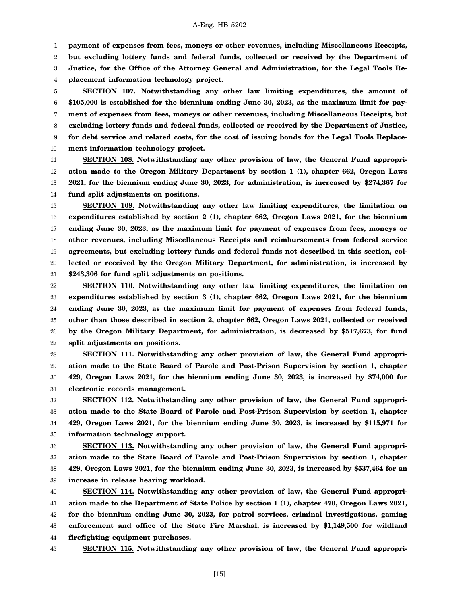1 **payment of expenses from fees, moneys or other revenues, including Miscellaneous Receipts,**

2 **but excluding lottery funds and federal funds, collected or received by the Department of**

3 **Justice, for the Office of the Attorney General and Administration, for the Legal Tools Re-**

4 **placement information technology project.**

5 6 7 8 9 10 **SECTION 107. Notwithstanding any other law limiting expenditures, the amount of \$105,000 is established for the biennium ending June 30, 2023, as the maximum limit for payment of expenses from fees, moneys or other revenues, including Miscellaneous Receipts, but excluding lottery funds and federal funds, collected or received by the Department of Justice, for debt service and related costs, for the cost of issuing bonds for the Legal Tools Replacement information technology project.**

11 12 13 14 **SECTION 108. Notwithstanding any other provision of law, the General Fund appropriation made to the Oregon Military Department by section 1 (1), chapter 662, Oregon Laws 2021, for the biennium ending June 30, 2023, for administration, is increased by \$274,367 for fund split adjustments on positions.**

15 16 17 18 19 20 21 **SECTION 109. Notwithstanding any other law limiting expenditures, the limitation on expenditures established by section 2 (1), chapter 662, Oregon Laws 2021, for the biennium ending June 30, 2023, as the maximum limit for payment of expenses from fees, moneys or other revenues, including Miscellaneous Receipts and reimbursements from federal service agreements, but excluding lottery funds and federal funds not described in this section, collected or received by the Oregon Military Department, for administration, is increased by \$243,306 for fund split adjustments on positions.**

22 23 24 25 26 27 **SECTION 110. Notwithstanding any other law limiting expenditures, the limitation on expenditures established by section 3 (1), chapter 662, Oregon Laws 2021, for the biennium ending June 30, 2023, as the maximum limit for payment of expenses from federal funds, other than those described in section 2, chapter 662, Oregon Laws 2021, collected or received by the Oregon Military Department, for administration, is decreased by \$517,673, for fund split adjustments on positions.**

28 29 30 31 **SECTION 111. Notwithstanding any other provision of law, the General Fund appropriation made to the State Board of Parole and Post-Prison Supervision by section 1, chapter 429, Oregon Laws 2021, for the biennium ending June 30, 2023, is increased by \$74,000 for electronic records management.**

32 33 34 35 **SECTION 112. Notwithstanding any other provision of law, the General Fund appropriation made to the State Board of Parole and Post-Prison Supervision by section 1, chapter 429, Oregon Laws 2021, for the biennium ending June 30, 2023, is increased by \$115,971 for information technology support.**

36 37 38 39 **SECTION 113. Notwithstanding any other provision of law, the General Fund appropriation made to the State Board of Parole and Post-Prison Supervision by section 1, chapter 429, Oregon Laws 2021, for the biennium ending June 30, 2023, is increased by \$537,464 for an increase in release hearing workload.**

40 41 42 43 44 **SECTION 114. Notwithstanding any other provision of law, the General Fund appropriation made to the Department of State Police by section 1 (1), chapter 470, Oregon Laws 2021, for the biennium ending June 30, 2023, for patrol services, criminal investigations, gaming enforcement and office of the State Fire Marshal, is increased by \$1,149,500 for wildland firefighting equipment purchases.**

45

**SECTION 115. Notwithstanding any other provision of law, the General Fund appropri-**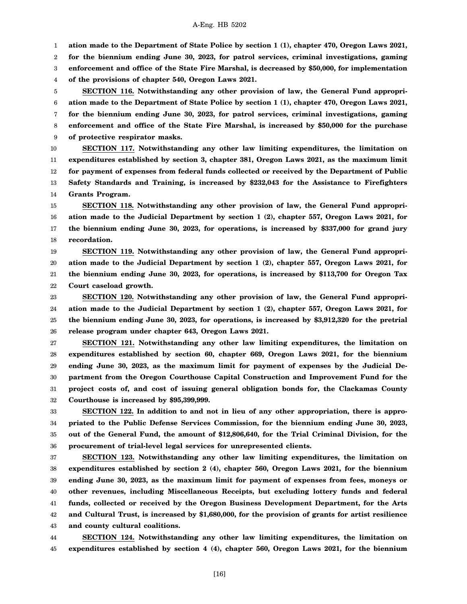1 **ation made to the Department of State Police by section 1 (1), chapter 470, Oregon Laws 2021,**

2 **for the biennium ending June 30, 2023, for patrol services, criminal investigations, gaming**

3 **enforcement and office of the State Fire Marshal, is decreased by \$50,000, for implementation**

4 **of the provisions of chapter 540, Oregon Laws 2021.**

5 6 7 8 9 **SECTION 116. Notwithstanding any other provision of law, the General Fund appropriation made to the Department of State Police by section 1 (1), chapter 470, Oregon Laws 2021, for the biennium ending June 30, 2023, for patrol services, criminal investigations, gaming enforcement and office of the State Fire Marshal, is increased by \$50,000 for the purchase of protective respirator masks.**

10 11 12 13 14 **SECTION 117. Notwithstanding any other law limiting expenditures, the limitation on expenditures established by section 3, chapter 381, Oregon Laws 2021, as the maximum limit for payment of expenses from federal funds collected or received by the Department of Public Safety Standards and Training, is increased by \$232,043 for the Assistance to Firefighters Grants Program.**

15 16 17 18 **SECTION 118. Notwithstanding any other provision of law, the General Fund appropriation made to the Judicial Department by section 1 (2), chapter 557, Oregon Laws 2021, for the biennium ending June 30, 2023, for operations, is increased by \$337,000 for grand jury recordation.**

19 20 21 22 **SECTION 119. Notwithstanding any other provision of law, the General Fund appropriation made to the Judicial Department by section 1 (2), chapter 557, Oregon Laws 2021, for the biennium ending June 30, 2023, for operations, is increased by \$113,700 for Oregon Tax Court caseload growth.**

23 24 25 26 **SECTION 120. Notwithstanding any other provision of law, the General Fund appropriation made to the Judicial Department by section 1 (2), chapter 557, Oregon Laws 2021, for the biennium ending June 30, 2023, for operations, is increased by \$3,912,320 for the pretrial release program under chapter 643, Oregon Laws 2021.**

27 28 29 30 31 32 **SECTION 121. Notwithstanding any other law limiting expenditures, the limitation on expenditures established by section 60, chapter 669, Oregon Laws 2021, for the biennium ending June 30, 2023, as the maximum limit for payment of expenses by the Judicial Department from the Oregon Courthouse Capital Construction and Improvement Fund for the project costs of, and cost of issuing general obligation bonds for, the Clackamas County Courthouse is increased by \$95,399,999.**

33 34 35 36 **SECTION 122. In addition to and not in lieu of any other appropriation, there is appropriated to the Public Defense Services Commission, for the biennium ending June 30, 2023, out of the General Fund, the amount of \$12,806,640, for the Trial Criminal Division, for the procurement of trial-level legal services for unrepresented clients.**

37 38 39 40 41 42 43 **SECTION 123. Notwithstanding any other law limiting expenditures, the limitation on expenditures established by section 2 (4), chapter 560, Oregon Laws 2021, for the biennium ending June 30, 2023, as the maximum limit for payment of expenses from fees, moneys or other revenues, including Miscellaneous Receipts, but excluding lottery funds and federal funds, collected or received by the Oregon Business Development Department, for the Arts and Cultural Trust, is increased by \$1,680,000, for the provision of grants for artist resilience and county cultural coalitions.**

44 45 **SECTION 124. Notwithstanding any other law limiting expenditures, the limitation on expenditures established by section 4 (4), chapter 560, Oregon Laws 2021, for the biennium**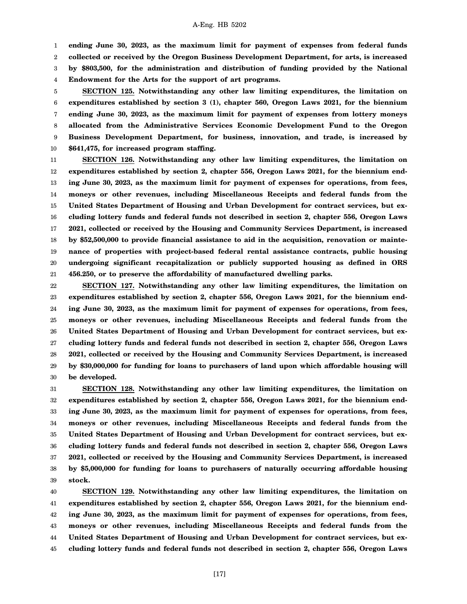**ending June 30, 2023, as the maximum limit for payment of expenses from federal funds**

2 **collected or received by the Oregon Business Development Department, for arts, is increased**

3 **by \$803,500, for the administration and distribution of funding provided by the National**

4 **Endowment for the Arts for the support of art programs.**

1

5 6 7 8 9 10 **SECTION 125. Notwithstanding any other law limiting expenditures, the limitation on expenditures established by section 3 (1), chapter 560, Oregon Laws 2021, for the biennium ending June 30, 2023, as the maximum limit for payment of expenses from lottery moneys allocated from the Administrative Services Economic Development Fund to the Oregon Business Development Department, for business, innovation, and trade, is increased by \$641,475, for increased program staffing.**

11 12 13 14 15 16 17 18 19 20 21 **SECTION 126. Notwithstanding any other law limiting expenditures, the limitation on expenditures established by section 2, chapter 556, Oregon Laws 2021, for the biennium ending June 30, 2023, as the maximum limit for payment of expenses for operations, from fees, moneys or other revenues, including Miscellaneous Receipts and federal funds from the United States Department of Housing and Urban Development for contract services, but excluding lottery funds and federal funds not described in section 2, chapter 556, Oregon Laws 2021, collected or received by the Housing and Community Services Department, is increased by \$52,500,000 to provide financial assistance to aid in the acquisition, renovation or maintenance of properties with project-based federal rental assistance contracts, public housing undergoing significant recapitalization or publicly supported housing as defined in ORS 456.250, or to preserve the affordability of manufactured dwelling parks.**

22 23 24 25 26 27 28 29 30 **SECTION 127. Notwithstanding any other law limiting expenditures, the limitation on expenditures established by section 2, chapter 556, Oregon Laws 2021, for the biennium ending June 30, 2023, as the maximum limit for payment of expenses for operations, from fees, moneys or other revenues, including Miscellaneous Receipts and federal funds from the United States Department of Housing and Urban Development for contract services, but excluding lottery funds and federal funds not described in section 2, chapter 556, Oregon Laws 2021, collected or received by the Housing and Community Services Department, is increased by \$30,000,000 for funding for loans to purchasers of land upon which affordable housing will be developed.**

31 32 33 34 35 36 37 38 39 **SECTION 128. Notwithstanding any other law limiting expenditures, the limitation on expenditures established by section 2, chapter 556, Oregon Laws 2021, for the biennium ending June 30, 2023, as the maximum limit for payment of expenses for operations, from fees, moneys or other revenues, including Miscellaneous Receipts and federal funds from the United States Department of Housing and Urban Development for contract services, but excluding lottery funds and federal funds not described in section 2, chapter 556, Oregon Laws 2021, collected or received by the Housing and Community Services Department, is increased by \$5,000,000 for funding for loans to purchasers of naturally occurring affordable housing stock.**

40 41 42 43 44 45 **SECTION 129. Notwithstanding any other law limiting expenditures, the limitation on expenditures established by section 2, chapter 556, Oregon Laws 2021, for the biennium ending June 30, 2023, as the maximum limit for payment of expenses for operations, from fees, moneys or other revenues, including Miscellaneous Receipts and federal funds from the United States Department of Housing and Urban Development for contract services, but excluding lottery funds and federal funds not described in section 2, chapter 556, Oregon Laws**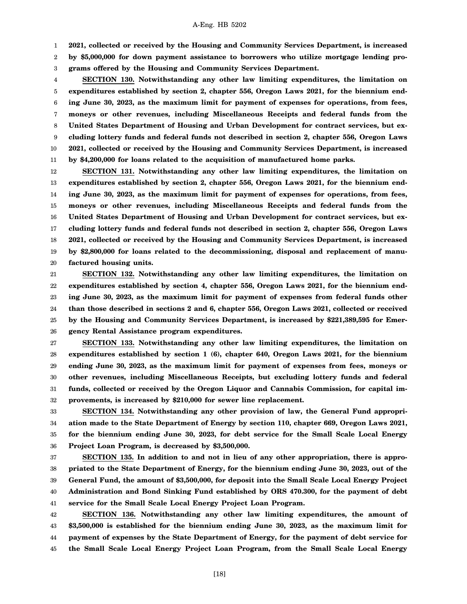1 **2021, collected or received by the Housing and Community Services Department, is increased**

2 3 **by \$5,000,000 for down payment assistance to borrowers who utilize mortgage lending programs offered by the Housing and Community Services Department.**

4 5 6 7 8 9 10 11 **SECTION 130. Notwithstanding any other law limiting expenditures, the limitation on expenditures established by section 2, chapter 556, Oregon Laws 2021, for the biennium ending June 30, 2023, as the maximum limit for payment of expenses for operations, from fees, moneys or other revenues, including Miscellaneous Receipts and federal funds from the United States Department of Housing and Urban Development for contract services, but excluding lottery funds and federal funds not described in section 2, chapter 556, Oregon Laws 2021, collected or received by the Housing and Community Services Department, is increased by \$4,200,000 for loans related to the acquisition of manufactured home parks.**

12 13 14 15 16 17 18 19 20 **SECTION 131. Notwithstanding any other law limiting expenditures, the limitation on expenditures established by section 2, chapter 556, Oregon Laws 2021, for the biennium ending June 30, 2023, as the maximum limit for payment of expenses for operations, from fees, moneys or other revenues, including Miscellaneous Receipts and federal funds from the United States Department of Housing and Urban Development for contract services, but excluding lottery funds and federal funds not described in section 2, chapter 556, Oregon Laws 2021, collected or received by the Housing and Community Services Department, is increased by \$2,800,000 for loans related to the decommissioning, disposal and replacement of manufactured housing units.**

21 22 23 24 25 26 **SECTION 132. Notwithstanding any other law limiting expenditures, the limitation on expenditures established by section 4, chapter 556, Oregon Laws 2021, for the biennium ending June 30, 2023, as the maximum limit for payment of expenses from federal funds other than those described in sections 2 and 6, chapter 556, Oregon Laws 2021, collected or received by the Housing and Community Services Department, is increased by \$221,389,595 for Emergency Rental Assistance program expenditures.**

27 28 29 30 31 32 **SECTION 133. Notwithstanding any other law limiting expenditures, the limitation on expenditures established by section 1 (6), chapter 640, Oregon Laws 2021, for the biennium ending June 30, 2023, as the maximum limit for payment of expenses from fees, moneys or other revenues, including Miscellaneous Receipts, but excluding lottery funds and federal funds, collected or received by the Oregon Liquor and Cannabis Commission, for capital improvements, is increased by \$210,000 for sewer line replacement.**

33 34 35 36 **SECTION 134. Notwithstanding any other provision of law, the General Fund appropriation made to the State Department of Energy by section 110, chapter 669, Oregon Laws 2021, for the biennium ending June 30, 2023, for debt service for the Small Scale Local Energy Project Loan Program, is decreased by \$3,500,000.**

37 38 39 40 41 **SECTION 135. In addition to and not in lieu of any other appropriation, there is appropriated to the State Department of Energy, for the biennium ending June 30, 2023, out of the General Fund, the amount of \$3,500,000, for deposit into the Small Scale Local Energy Project Administration and Bond Sinking Fund established by ORS 470.300, for the payment of debt service for the Small Scale Local Energy Project Loan Program.**

42 43 44 45 **SECTION 136. Notwithstanding any other law limiting expenditures, the amount of \$3,500,000 is established for the biennium ending June 30, 2023, as the maximum limit for payment of expenses by the State Department of Energy, for the payment of debt service for the Small Scale Local Energy Project Loan Program, from the Small Scale Local Energy**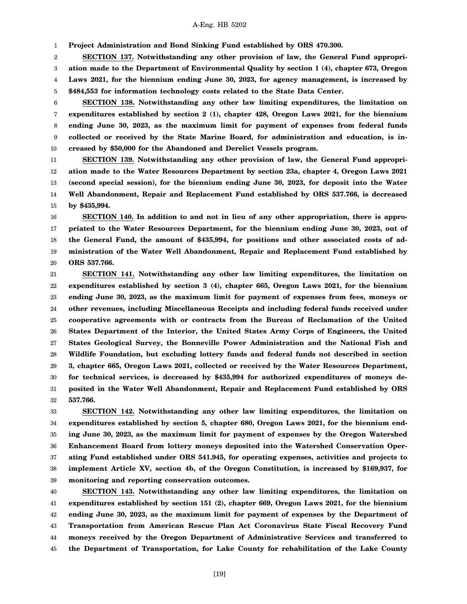1 **Project Administration and Bond Sinking Fund established by ORS 470.300.**

2 3 4 5 **SECTION 137. Notwithstanding any other provision of law, the General Fund appropriation made to the Department of Environmental Quality by section 1 (4), chapter 673, Oregon Laws 2021, for the biennium ending June 30, 2023, for agency management, is increased by \$484,553 for information technology costs related to the State Data Center.**

6 7 8 9 10 **SECTION 138. Notwithstanding any other law limiting expenditures, the limitation on expenditures established by section 2 (1), chapter 428, Oregon Laws 2021, for the biennium ending June 30, 2023, as the maximum limit for payment of expenses from federal funds collected or received by the State Marine Board, for administration and education, is increased by \$50,000 for the Abandoned and Derelict Vessels program.**

11 12 13 14 15 **SECTION 139. Notwithstanding any other provision of law, the General Fund appropriation made to the Water Resources Department by section 23a, chapter 4, Oregon Laws 2021 (second special session), for the biennium ending June 30, 2023, for deposit into the Water Well Abandonment, Repair and Replacement Fund established by ORS 537.766, is decreased by \$435,994.**

16 17 18 19 20 **SECTION 140. In addition to and not in lieu of any other appropriation, there is appropriated to the Water Resources Department, for the biennium ending June 30, 2023, out of the General Fund, the amount of \$435,994, for positions and other associated costs of administration of the Water Well Abandonment, Repair and Replacement Fund established by ORS 537.766.**

21 22 23 24 25 26 27 28 29 30 31 32 **SECTION 141. Notwithstanding any other law limiting expenditures, the limitation on expenditures established by section 3 (4), chapter 665, Oregon Laws 2021, for the biennium ending June 30, 2023, as the maximum limit for payment of expenses from fees, moneys or other revenues, including Miscellaneous Receipts and including federal funds received under cooperative agreements with or contracts from the Bureau of Reclamation of the United States Department of the Interior, the United States Army Corps of Engineers, the United States Geological Survey, the Bonneville Power Administration and the National Fish and Wildlife Foundation, but excluding lottery funds and federal funds not described in section 3, chapter 665, Oregon Laws 2021, collected or received by the Water Resources Department, for technical services, is decreased by \$435,994 for authorized expenditures of moneys deposited in the Water Well Abandonment, Repair and Replacement Fund established by ORS 537.766.**

33 34 35 36 37 38 39 **SECTION 142. Notwithstanding any other law limiting expenditures, the limitation on expenditures established by section 5, chapter 680, Oregon Laws 2021, for the biennium ending June 30, 2023, as the maximum limit for payment of expenses by the Oregon Watershed Enhancement Board from lottery moneys deposited into the Watershed Conservation Operating Fund established under ORS 541.945, for operating expenses, activities and projects to implement Article XV, section 4b, of the Oregon Constitution, is increased by \$169,937, for monitoring and reporting conservation outcomes.**

40 41 42 43 44 45 **SECTION 143. Notwithstanding any other law limiting expenditures, the limitation on expenditures established by section 151 (2), chapter 669, Oregon Laws 2021, for the biennium ending June 30, 2023, as the maximum limit for payment of expenses by the Department of Transportation from American Rescue Plan Act Coronavirus State Fiscal Recovery Fund moneys received by the Oregon Department of Administrative Services and transferred to the Department of Transportation, for Lake County for rehabilitation of the Lake County**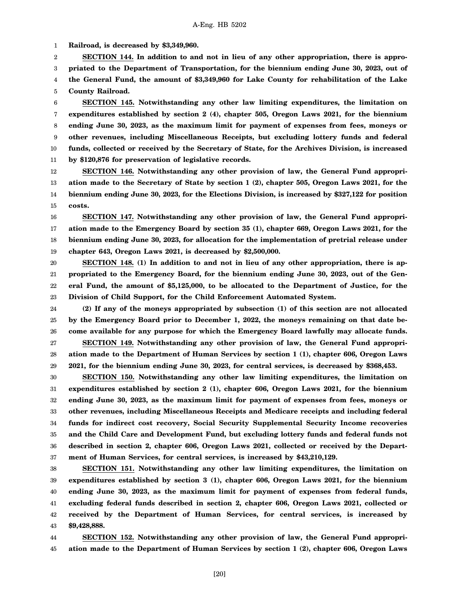1 **Railroad, is decreased by \$3,349,960.**

2 3 4 5 **SECTION 144. In addition to and not in lieu of any other appropriation, there is appropriated to the Department of Transportation, for the biennium ending June 30, 2023, out of the General Fund, the amount of \$3,349,960 for Lake County for rehabilitation of the Lake County Railroad.**

6 7 8 9 10 11 **SECTION 145. Notwithstanding any other law limiting expenditures, the limitation on expenditures established by section 2 (4), chapter 505, Oregon Laws 2021, for the biennium ending June 30, 2023, as the maximum limit for payment of expenses from fees, moneys or other revenues, including Miscellaneous Receipts, but excluding lottery funds and federal funds, collected or received by the Secretary of State, for the Archives Division, is increased by \$120,876 for preservation of legislative records.**

12 13 14 15 **SECTION 146. Notwithstanding any other provision of law, the General Fund appropriation made to the Secretary of State by section 1 (2), chapter 505, Oregon Laws 2021, for the biennium ending June 30, 2023, for the Elections Division, is increased by \$327,122 for position costs.**

16 17 18 19 **SECTION 147. Notwithstanding any other provision of law, the General Fund appropriation made to the Emergency Board by section 35 (1), chapter 669, Oregon Laws 2021, for the biennium ending June 30, 2023, for allocation for the implementation of pretrial release under chapter 643, Oregon Laws 2021, is decreased by \$2,500,000.**

20 21 22 23 **SECTION 148. (1) In addition to and not in lieu of any other appropriation, there is appropriated to the Emergency Board, for the biennium ending June 30, 2023, out of the General Fund, the amount of \$5,125,000, to be allocated to the Department of Justice, for the Division of Child Support, for the Child Enforcement Automated System.**

24 25 26 27 28 29 **(2) If any of the moneys appropriated by subsection (1) of this section are not allocated by the Emergency Board prior to December 1, 2022, the moneys remaining on that date become available for any purpose for which the Emergency Board lawfully may allocate funds. SECTION 149. Notwithstanding any other provision of law, the General Fund appropriation made to the Department of Human Services by section 1 (1), chapter 606, Oregon Laws 2021, for the biennium ending June 30, 2023, for central services, is decreased by \$368,453.**

30 31 32 33 34 35 36 37 **SECTION 150. Notwithstanding any other law limiting expenditures, the limitation on expenditures established by section 2 (1), chapter 606, Oregon Laws 2021, for the biennium ending June 30, 2023, as the maximum limit for payment of expenses from fees, moneys or other revenues, including Miscellaneous Receipts and Medicare receipts and including federal funds for indirect cost recovery, Social Security Supplemental Security Income recoveries and the Child Care and Development Fund, but excluding lottery funds and federal funds not described in section 2, chapter 606, Oregon Laws 2021, collected or received by the Department of Human Services, for central services, is increased by \$43,210,129.**

38 39 40 41 42 43 **SECTION 151. Notwithstanding any other law limiting expenditures, the limitation on expenditures established by section 3 (1), chapter 606, Oregon Laws 2021, for the biennium ending June 30, 2023, as the maximum limit for payment of expenses from federal funds, excluding federal funds described in section 2, chapter 606, Oregon Laws 2021, collected or received by the Department of Human Services, for central services, is increased by \$9,428,888.**

44 45 **SECTION 152. Notwithstanding any other provision of law, the General Fund appropriation made to the Department of Human Services by section 1 (2), chapter 606, Oregon Laws**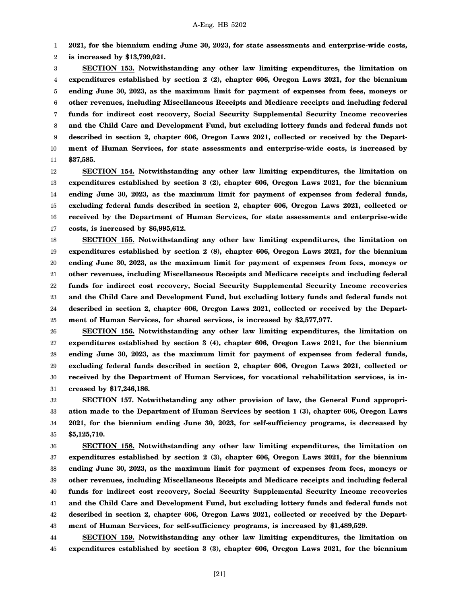1 **2021, for the biennium ending June 30, 2023, for state assessments and enterprise-wide costs,**

2 **is increased by \$13,799,021.**

3 4 5 6 7 8 9 10 11 **SECTION 153. Notwithstanding any other law limiting expenditures, the limitation on expenditures established by section 2 (2), chapter 606, Oregon Laws 2021, for the biennium ending June 30, 2023, as the maximum limit for payment of expenses from fees, moneys or other revenues, including Miscellaneous Receipts and Medicare receipts and including federal funds for indirect cost recovery, Social Security Supplemental Security Income recoveries and the Child Care and Development Fund, but excluding lottery funds and federal funds not described in section 2, chapter 606, Oregon Laws 2021, collected or received by the Department of Human Services, for state assessments and enterprise-wide costs, is increased by \$37,585.**

12 13 14 15 16 17 **SECTION 154. Notwithstanding any other law limiting expenditures, the limitation on expenditures established by section 3 (2), chapter 606, Oregon Laws 2021, for the biennium ending June 30, 2023, as the maximum limit for payment of expenses from federal funds, excluding federal funds described in section 2, chapter 606, Oregon Laws 2021, collected or received by the Department of Human Services, for state assessments and enterprise-wide costs, is increased by \$6,995,612.**

18 19 20 21 22 23 24 25 **SECTION 155. Notwithstanding any other law limiting expenditures, the limitation on expenditures established by section 2 (8), chapter 606, Oregon Laws 2021, for the biennium ending June 30, 2023, as the maximum limit for payment of expenses from fees, moneys or other revenues, including Miscellaneous Receipts and Medicare receipts and including federal funds for indirect cost recovery, Social Security Supplemental Security Income recoveries and the Child Care and Development Fund, but excluding lottery funds and federal funds not described in section 2, chapter 606, Oregon Laws 2021, collected or received by the Department of Human Services, for shared services, is increased by \$2,577,977.**

26 27 28 29 30 31 **SECTION 156. Notwithstanding any other law limiting expenditures, the limitation on expenditures established by section 3 (4), chapter 606, Oregon Laws 2021, for the biennium ending June 30, 2023, as the maximum limit for payment of expenses from federal funds, excluding federal funds described in section 2, chapter 606, Oregon Laws 2021, collected or received by the Department of Human Services, for vocational rehabilitation services, is increased by \$17,246,186.**

32 33 34 35 **SECTION 157. Notwithstanding any other provision of law, the General Fund appropriation made to the Department of Human Services by section 1 (3), chapter 606, Oregon Laws 2021, for the biennium ending June 30, 2023, for self-sufficiency programs, is decreased by \$5,125,710.**

36 37 38 39 40 41 42 43 **SECTION 158. Notwithstanding any other law limiting expenditures, the limitation on expenditures established by section 2 (3), chapter 606, Oregon Laws 2021, for the biennium ending June 30, 2023, as the maximum limit for payment of expenses from fees, moneys or other revenues, including Miscellaneous Receipts and Medicare receipts and including federal funds for indirect cost recovery, Social Security Supplemental Security Income recoveries and the Child Care and Development Fund, but excluding lottery funds and federal funds not described in section 2, chapter 606, Oregon Laws 2021, collected or received by the Department of Human Services, for self-sufficiency programs, is increased by \$1,489,529.**

44 45 **SECTION 159. Notwithstanding any other law limiting expenditures, the limitation on expenditures established by section 3 (3), chapter 606, Oregon Laws 2021, for the biennium**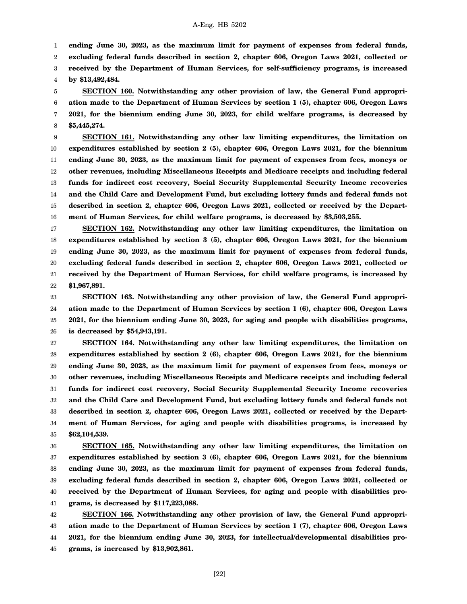1

**ending June 30, 2023, as the maximum limit for payment of expenses from federal funds,**

2 **excluding federal funds described in section 2, chapter 606, Oregon Laws 2021, collected or**

3 4 **received by the Department of Human Services, for self-sufficiency programs, is increased by \$13,492,484.**

5 6 7 8 **SECTION 160. Notwithstanding any other provision of law, the General Fund appropriation made to the Department of Human Services by section 1 (5), chapter 606, Oregon Laws 2021, for the biennium ending June 30, 2023, for child welfare programs, is decreased by \$5,445,274.**

9 10 11 12 13 14 15 16 **SECTION 161. Notwithstanding any other law limiting expenditures, the limitation on expenditures established by section 2 (5), chapter 606, Oregon Laws 2021, for the biennium ending June 30, 2023, as the maximum limit for payment of expenses from fees, moneys or other revenues, including Miscellaneous Receipts and Medicare receipts and including federal funds for indirect cost recovery, Social Security Supplemental Security Income recoveries and the Child Care and Development Fund, but excluding lottery funds and federal funds not described in section 2, chapter 606, Oregon Laws 2021, collected or received by the Department of Human Services, for child welfare programs, is decreased by \$3,503,255.**

17 18 19 20 21 22 **SECTION 162. Notwithstanding any other law limiting expenditures, the limitation on expenditures established by section 3 (5), chapter 606, Oregon Laws 2021, for the biennium ending June 30, 2023, as the maximum limit for payment of expenses from federal funds, excluding federal funds described in section 2, chapter 606, Oregon Laws 2021, collected or received by the Department of Human Services, for child welfare programs, is increased by \$1,967,891.**

23 24 25 26 **SECTION 163. Notwithstanding any other provision of law, the General Fund appropriation made to the Department of Human Services by section 1 (6), chapter 606, Oregon Laws 2021, for the biennium ending June 30, 2023, for aging and people with disabilities programs, is decreased by \$54,943,191.**

27 28 29 30 31 32 33 34 35 **SECTION 164. Notwithstanding any other law limiting expenditures, the limitation on expenditures established by section 2 (6), chapter 606, Oregon Laws 2021, for the biennium ending June 30, 2023, as the maximum limit for payment of expenses from fees, moneys or other revenues, including Miscellaneous Receipts and Medicare receipts and including federal funds for indirect cost recovery, Social Security Supplemental Security Income recoveries and the Child Care and Development Fund, but excluding lottery funds and federal funds not described in section 2, chapter 606, Oregon Laws 2021, collected or received by the Department of Human Services, for aging and people with disabilities programs, is increased by \$62,104,539.**

36 37 38 39 40 41 **SECTION 165. Notwithstanding any other law limiting expenditures, the limitation on expenditures established by section 3 (6), chapter 606, Oregon Laws 2021, for the biennium ending June 30, 2023, as the maximum limit for payment of expenses from federal funds, excluding federal funds described in section 2, chapter 606, Oregon Laws 2021, collected or received by the Department of Human Services, for aging and people with disabilities programs, is decreased by \$117,223,088.**

42 43 44 45 **SECTION 166. Notwithstanding any other provision of law, the General Fund appropriation made to the Department of Human Services by section 1 (7), chapter 606, Oregon Laws 2021, for the biennium ending June 30, 2023, for intellectual/developmental disabilities programs, is increased by \$13,902,861.**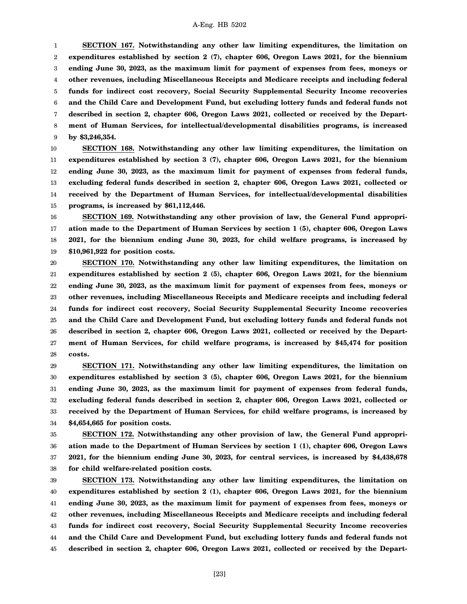1 2 3 4 5 6 7 8 9 **SECTION 167. Notwithstanding any other law limiting expenditures, the limitation on expenditures established by section 2 (7), chapter 606, Oregon Laws 2021, for the biennium ending June 30, 2023, as the maximum limit for payment of expenses from fees, moneys or other revenues, including Miscellaneous Receipts and Medicare receipts and including federal funds for indirect cost recovery, Social Security Supplemental Security Income recoveries and the Child Care and Development Fund, but excluding lottery funds and federal funds not described in section 2, chapter 606, Oregon Laws 2021, collected or received by the Department of Human Services, for intellectual/developmental disabilities programs, is increased by \$3,246,354.**

10 11 12 13 14 15 **SECTION 168. Notwithstanding any other law limiting expenditures, the limitation on expenditures established by section 3 (7), chapter 606, Oregon Laws 2021, for the biennium ending June 30, 2023, as the maximum limit for payment of expenses from federal funds, excluding federal funds described in section 2, chapter 606, Oregon Laws 2021, collected or received by the Department of Human Services, for intellectual/developmental disabilities programs, is increased by \$61,112,446.**

16 17 18 19 **SECTION 169. Notwithstanding any other provision of law, the General Fund appropriation made to the Department of Human Services by section 1 (5), chapter 606, Oregon Laws 2021, for the biennium ending June 30, 2023, for child welfare programs, is increased by \$10,961,922 for position costs.**

20 21 22 23 24 25 26 27 28 **SECTION 170. Notwithstanding any other law limiting expenditures, the limitation on expenditures established by section 2 (5), chapter 606, Oregon Laws 2021, for the biennium ending June 30, 2023, as the maximum limit for payment of expenses from fees, moneys or other revenues, including Miscellaneous Receipts and Medicare receipts and including federal funds for indirect cost recovery, Social Security Supplemental Security Income recoveries and the Child Care and Development Fund, but excluding lottery funds and federal funds not described in section 2, chapter 606, Oregon Laws 2021, collected or received by the Department of Human Services, for child welfare programs, is increased by \$45,474 for position costs.**

29 30 31 32 33 34 **SECTION 171. Notwithstanding any other law limiting expenditures, the limitation on expenditures established by section 3 (5), chapter 606, Oregon Laws 2021, for the biennium ending June 30, 2023, as the maximum limit for payment of expenses from federal funds, excluding federal funds described in section 2, chapter 606, Oregon Laws 2021, collected or received by the Department of Human Services, for child welfare programs, is increased by \$4,654,665 for position costs.**

35 36 37 38 **SECTION 172. Notwithstanding any other provision of law, the General Fund appropriation made to the Department of Human Services by section 1 (1), chapter 606, Oregon Laws 2021, for the biennium ending June 30, 2023, for central services, is increased by \$4,438,678 for child welfare-related position costs.**

39 40 41 42 43 44 45 **SECTION 173. Notwithstanding any other law limiting expenditures, the limitation on expenditures established by section 2 (1), chapter 606, Oregon Laws 2021, for the biennium ending June 30, 2023, as the maximum limit for payment of expenses from fees, moneys or other revenues, including Miscellaneous Receipts and Medicare receipts and including federal funds for indirect cost recovery, Social Security Supplemental Security Income recoveries and the Child Care and Development Fund, but excluding lottery funds and federal funds not described in section 2, chapter 606, Oregon Laws 2021, collected or received by the Depart-**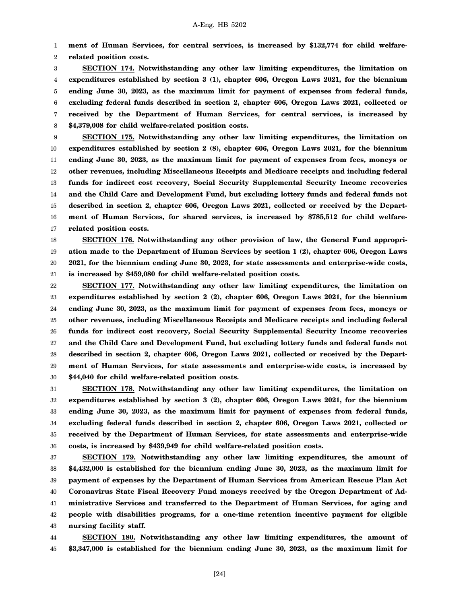1 2 **ment of Human Services, for central services, is increased by \$132,774 for child welfarerelated position costs.**

3 4 5 6 7 8 **SECTION 174. Notwithstanding any other law limiting expenditures, the limitation on expenditures established by section 3 (1), chapter 606, Oregon Laws 2021, for the biennium ending June 30, 2023, as the maximum limit for payment of expenses from federal funds, excluding federal funds described in section 2, chapter 606, Oregon Laws 2021, collected or received by the Department of Human Services, for central services, is increased by \$4,379,008 for child welfare-related position costs.**

9 10 11 12 13 14 15 16 17 **SECTION 175. Notwithstanding any other law limiting expenditures, the limitation on expenditures established by section 2 (8), chapter 606, Oregon Laws 2021, for the biennium ending June 30, 2023, as the maximum limit for payment of expenses from fees, moneys or other revenues, including Miscellaneous Receipts and Medicare receipts and including federal funds for indirect cost recovery, Social Security Supplemental Security Income recoveries and the Child Care and Development Fund, but excluding lottery funds and federal funds not described in section 2, chapter 606, Oregon Laws 2021, collected or received by the Department of Human Services, for shared services, is increased by \$785,512 for child welfarerelated position costs.**

18 19 20 21 **SECTION 176. Notwithstanding any other provision of law, the General Fund appropriation made to the Department of Human Services by section 1 (2), chapter 606, Oregon Laws 2021, for the biennium ending June 30, 2023, for state assessments and enterprise-wide costs, is increased by \$459,080 for child welfare-related position costs.**

22 23 24 25 26 27 28 29 30 **SECTION 177. Notwithstanding any other law limiting expenditures, the limitation on expenditures established by section 2 (2), chapter 606, Oregon Laws 2021, for the biennium ending June 30, 2023, as the maximum limit for payment of expenses from fees, moneys or other revenues, including Miscellaneous Receipts and Medicare receipts and including federal funds for indirect cost recovery, Social Security Supplemental Security Income recoveries and the Child Care and Development Fund, but excluding lottery funds and federal funds not described in section 2, chapter 606, Oregon Laws 2021, collected or received by the Department of Human Services, for state assessments and enterprise-wide costs, is increased by \$44,040 for child welfare-related position costs.**

31 32 33 34 35 36 **SECTION 178. Notwithstanding any other law limiting expenditures, the limitation on expenditures established by section 3 (2), chapter 606, Oregon Laws 2021, for the biennium ending June 30, 2023, as the maximum limit for payment of expenses from federal funds, excluding federal funds described in section 2, chapter 606, Oregon Laws 2021, collected or received by the Department of Human Services, for state assessments and enterprise-wide costs, is increased by \$439,949 for child welfare-related position costs.**

37 38 39 40 41 42 43 **SECTION 179. Notwithstanding any other law limiting expenditures, the amount of \$4,432,000 is established for the biennium ending June 30, 2023, as the maximum limit for payment of expenses by the Department of Human Services from American Rescue Plan Act Coronavirus State Fiscal Recovery Fund moneys received by the Oregon Department of Administrative Services and transferred to the Department of Human Services, for aging and people with disabilities programs, for a one-time retention incentive payment for eligible nursing facility staff.**

44 45 **SECTION 180. Notwithstanding any other law limiting expenditures, the amount of \$3,347,000 is established for the biennium ending June 30, 2023, as the maximum limit for**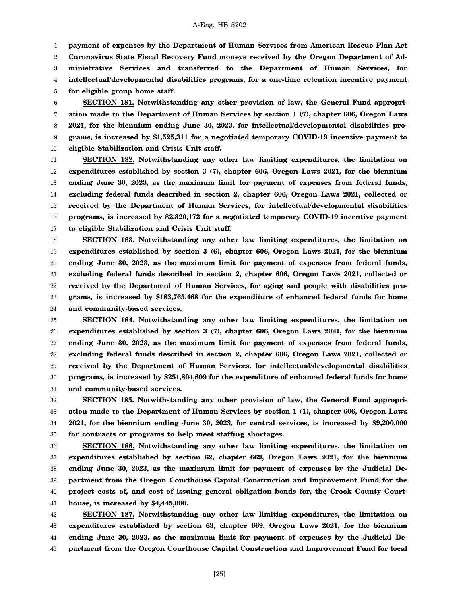1 2 3 4 **payment of expenses by the Department of Human Services from American Rescue Plan Act Coronavirus State Fiscal Recovery Fund moneys received by the Oregon Department of Administrative Services and transferred to the Department of Human Services, for intellectual/developmental disabilities programs, for a one-time retention incentive payment**

5 **for eligible group home staff.**

6 7 8 9 10 **SECTION 181. Notwithstanding any other provision of law, the General Fund appropriation made to the Department of Human Services by section 1 (7), chapter 606, Oregon Laws 2021, for the biennium ending June 30, 2023, for intellectual/developmental disabilities programs, is increased by \$1,525,311 for a negotiated temporary COVID-19 incentive payment to eligible Stabilization and Crisis Unit staff.**

11 12 13 14 15 16 17 **SECTION 182. Notwithstanding any other law limiting expenditures, the limitation on expenditures established by section 3 (7), chapter 606, Oregon Laws 2021, for the biennium ending June 30, 2023, as the maximum limit for payment of expenses from federal funds, excluding federal funds described in section 2, chapter 606, Oregon Laws 2021, collected or received by the Department of Human Services, for intellectual/developmental disabilities programs, is increased by \$2,320,172 for a negotiated temporary COVID-19 incentive payment to eligible Stabilization and Crisis Unit staff.**

18 19 20 21 22 23 24 **SECTION 183. Notwithstanding any other law limiting expenditures, the limitation on expenditures established by section 3 (6), chapter 606, Oregon Laws 2021, for the biennium ending June 30, 2023, as the maximum limit for payment of expenses from federal funds, excluding federal funds described in section 2, chapter 606, Oregon Laws 2021, collected or received by the Department of Human Services, for aging and people with disabilities programs, is increased by \$183,765,468 for the expenditure of enhanced federal funds for home and community-based services.**

25 26 27 28 29 30 31 **SECTION 184. Notwithstanding any other law limiting expenditures, the limitation on expenditures established by section 3 (7), chapter 606, Oregon Laws 2021, for the biennium ending June 30, 2023, as the maximum limit for payment of expenses from federal funds, excluding federal funds described in section 2, chapter 606, Oregon Laws 2021, collected or received by the Department of Human Services, for intellectual/developmental disabilities programs, is increased by \$251,804,609 for the expenditure of enhanced federal funds for home and community-based services.**

32 33 34 35 **SECTION 185. Notwithstanding any other provision of law, the General Fund appropriation made to the Department of Human Services by section 1 (1), chapter 606, Oregon Laws 2021, for the biennium ending June 30, 2023, for central services, is increased by \$9,200,000 for contracts or programs to help meet staffing shortages.**

36 37 38 39 40 41 **SECTION 186. Notwithstanding any other law limiting expenditures, the limitation on expenditures established by section 62, chapter 669, Oregon Laws 2021, for the biennium ending June 30, 2023, as the maximum limit for payment of expenses by the Judicial Department from the Oregon Courthouse Capital Construction and Improvement Fund for the project costs of, and cost of issuing general obligation bonds for, the Crook County Courthouse, is increased by \$4,445,000.**

42 43 44 45 **SECTION 187. Notwithstanding any other law limiting expenditures, the limitation on expenditures established by section 63, chapter 669, Oregon Laws 2021, for the biennium ending June 30, 2023, as the maximum limit for payment of expenses by the Judicial Department from the Oregon Courthouse Capital Construction and Improvement Fund for local**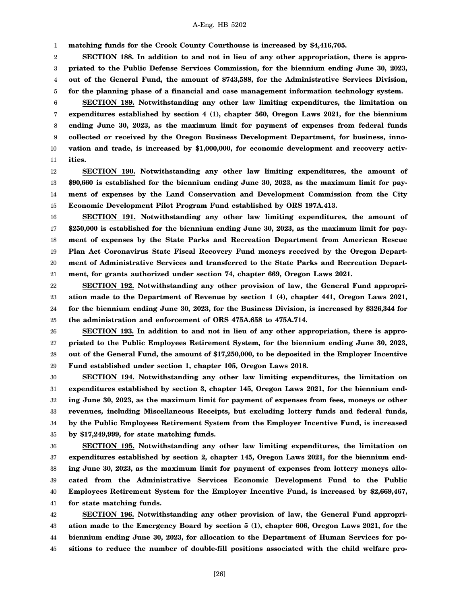1 **matching funds for the Crook County Courthouse is increased by \$4,416,705.**

2 3 4 5 **SECTION 188. In addition to and not in lieu of any other appropriation, there is appropriated to the Public Defense Services Commission, for the biennium ending June 30, 2023, out of the General Fund, the amount of \$743,588, for the Administrative Services Division, for the planning phase of a financial and case management information technology system.**

6 7 8 9 10 11 **SECTION 189. Notwithstanding any other law limiting expenditures, the limitation on expenditures established by section 4 (1), chapter 560, Oregon Laws 2021, for the biennium ending June 30, 2023, as the maximum limit for payment of expenses from federal funds collected or received by the Oregon Business Development Department, for business, innovation and trade, is increased by \$1,000,000, for economic development and recovery activities.**

12 13 14 15 **SECTION 190. Notwithstanding any other law limiting expenditures, the amount of \$90,660 is established for the biennium ending June 30, 2023, as the maximum limit for payment of expenses by the Land Conservation and Development Commission from the City Economic Development Pilot Program Fund established by ORS 197A.413.**

16 17 18 19 20 21 **SECTION 191. Notwithstanding any other law limiting expenditures, the amount of \$250,000 is established for the biennium ending June 30, 2023, as the maximum limit for payment of expenses by the State Parks and Recreation Department from American Rescue Plan Act Coronavirus State Fiscal Recovery Fund moneys received by the Oregon Department of Administrative Services and transferred to the State Parks and Recreation Department, for grants authorized under section 74, chapter 669, Oregon Laws 2021.**

22 23 24 25 **SECTION 192. Notwithstanding any other provision of law, the General Fund appropriation made to the Department of Revenue by section 1 (4), chapter 441, Oregon Laws 2021, for the biennium ending June 30, 2023, for the Business Division, is increased by \$326,344 for the administration and enforcement of ORS 475A.658 to 475A.714.**

26 27 28 29 **SECTION 193. In addition to and not in lieu of any other appropriation, there is appropriated to the Public Employees Retirement System, for the biennium ending June 30, 2023, out of the General Fund, the amount of \$17,250,000, to be deposited in the Employer Incentive Fund established under section 1, chapter 105, Oregon Laws 2018.**

30 31 32 33 34 35 **SECTION 194. Notwithstanding any other law limiting expenditures, the limitation on expenditures established by section 3, chapter 145, Oregon Laws 2021, for the biennium ending June 30, 2023, as the maximum limit for payment of expenses from fees, moneys or other revenues, including Miscellaneous Receipts, but excluding lottery funds and federal funds, by the Public Employees Retirement System from the Employer Incentive Fund, is increased by \$17,249,999, for state matching funds.**

36 37 38 39 40 41 **SECTION 195. Notwithstanding any other law limiting expenditures, the limitation on expenditures established by section 2, chapter 145, Oregon Laws 2021, for the biennium ending June 30, 2023, as the maximum limit for payment of expenses from lottery moneys allocated from the Administrative Services Economic Development Fund to the Public Employees Retirement System for the Employer Incentive Fund, is increased by \$2,669,467, for state matching funds.**

42 43 44 45 **SECTION 196. Notwithstanding any other provision of law, the General Fund appropriation made to the Emergency Board by section 5 (1), chapter 606, Oregon Laws 2021, for the biennium ending June 30, 2023, for allocation to the Department of Human Services for positions to reduce the number of double-fill positions associated with the child welfare pro-**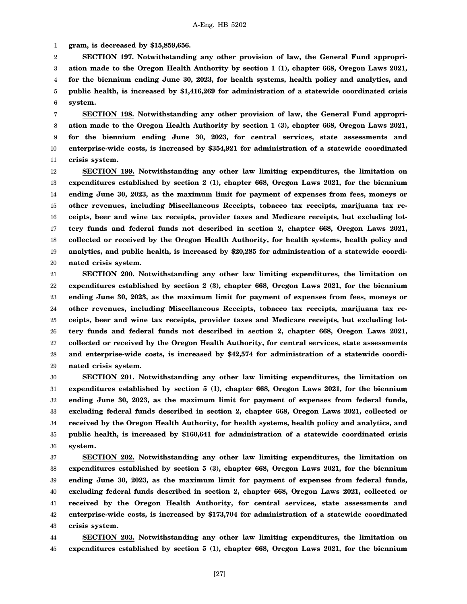1 **gram, is decreased by \$15,859,656.**

2 3 4 5 6 **SECTION 197. Notwithstanding any other provision of law, the General Fund appropriation made to the Oregon Health Authority by section 1 (1), chapter 668, Oregon Laws 2021, for the biennium ending June 30, 2023, for health systems, health policy and analytics, and public health, is increased by \$1,416,269 for administration of a statewide coordinated crisis system.**

7 8 9 10 11 **SECTION 198. Notwithstanding any other provision of law, the General Fund appropriation made to the Oregon Health Authority by section 1 (3), chapter 668, Oregon Laws 2021, for the biennium ending June 30, 2023, for central services, state assessments and enterprise-wide costs, is increased by \$354,921 for administration of a statewide coordinated crisis system.**

12 13 14 15 16 17 18 19 20 **SECTION 199. Notwithstanding any other law limiting expenditures, the limitation on expenditures established by section 2 (1), chapter 668, Oregon Laws 2021, for the biennium ending June 30, 2023, as the maximum limit for payment of expenses from fees, moneys or other revenues, including Miscellaneous Receipts, tobacco tax receipts, marijuana tax receipts, beer and wine tax receipts, provider taxes and Medicare receipts, but excluding lottery funds and federal funds not described in section 2, chapter 668, Oregon Laws 2021, collected or received by the Oregon Health Authority, for health systems, health policy and analytics, and public health, is increased by \$20,285 for administration of a statewide coordinated crisis system.**

21 22 23 24 25 26 27 28 29 **SECTION 200. Notwithstanding any other law limiting expenditures, the limitation on expenditures established by section 2 (3), chapter 668, Oregon Laws 2021, for the biennium ending June 30, 2023, as the maximum limit for payment of expenses from fees, moneys or other revenues, including Miscellaneous Receipts, tobacco tax receipts, marijuana tax receipts, beer and wine tax receipts, provider taxes and Medicare receipts, but excluding lottery funds and federal funds not described in section 2, chapter 668, Oregon Laws 2021, collected or received by the Oregon Health Authority, for central services, state assessments and enterprise-wide costs, is increased by \$42,574 for administration of a statewide coordinated crisis system.**

30 31 32 33 34 35 36 **SECTION 201. Notwithstanding any other law limiting expenditures, the limitation on expenditures established by section 5 (1), chapter 668, Oregon Laws 2021, for the biennium ending June 30, 2023, as the maximum limit for payment of expenses from federal funds, excluding federal funds described in section 2, chapter 668, Oregon Laws 2021, collected or received by the Oregon Health Authority, for health systems, health policy and analytics, and public health, is increased by \$160,641 for administration of a statewide coordinated crisis system.**

37 38 39 40 41 42 43 **SECTION 202. Notwithstanding any other law limiting expenditures, the limitation on expenditures established by section 5 (3), chapter 668, Oregon Laws 2021, for the biennium ending June 30, 2023, as the maximum limit for payment of expenses from federal funds, excluding federal funds described in section 2, chapter 668, Oregon Laws 2021, collected or received by the Oregon Health Authority, for central services, state assessments and enterprise-wide costs, is increased by \$173,704 for administration of a statewide coordinated crisis system.**

44 45 **SECTION 203. Notwithstanding any other law limiting expenditures, the limitation on expenditures established by section 5 (1), chapter 668, Oregon Laws 2021, for the biennium**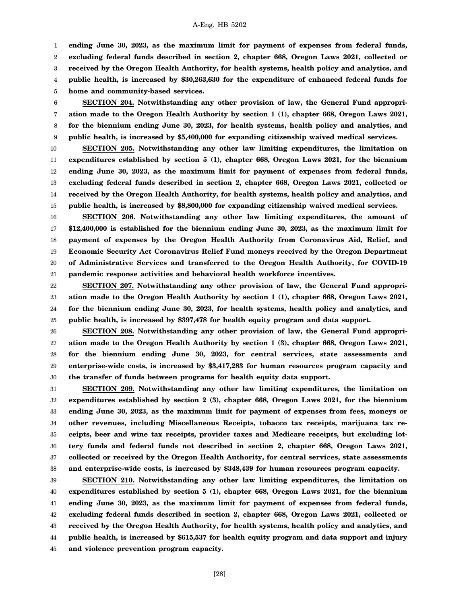1 2 3 4 **ending June 30, 2023, as the maximum limit for payment of expenses from federal funds, excluding federal funds described in section 2, chapter 668, Oregon Laws 2021, collected or received by the Oregon Health Authority, for health systems, health policy and analytics, and public health, is increased by \$30,263,630 for the expenditure of enhanced federal funds for**

5 **home and community-based services.**

6 7 8 9 **SECTION 204. Notwithstanding any other provision of law, the General Fund appropriation made to the Oregon Health Authority by section 1 (1), chapter 668, Oregon Laws 2021, for the biennium ending June 30, 2023, for health systems, health policy and analytics, and public health, is increased by \$5,400,000 for expanding citizenship waived medical services.**

10 11 12 13 14 15 **SECTION 205. Notwithstanding any other law limiting expenditures, the limitation on expenditures established by section 5 (1), chapter 668, Oregon Laws 2021, for the biennium ending June 30, 2023, as the maximum limit for payment of expenses from federal funds, excluding federal funds described in section 2, chapter 668, Oregon Laws 2021, collected or received by the Oregon Health Authority, for health systems, health policy and analytics, and public health, is increased by \$8,800,000 for expanding citizenship waived medical services.**

16 17 18 19 20 21 **SECTION 206. Notwithstanding any other law limiting expenditures, the amount of \$12,400,000 is established for the biennium ending June 30, 2023, as the maximum limit for payment of expenses by the Oregon Health Authority from Coronavirus Aid, Relief, and Economic Security Act Coronavirus Relief Fund moneys received by the Oregon Department of Administrative Services and transferred to the Oregon Health Authority, for COVID-19 pandemic response activities and behavioral health workforce incentives.**

22 23 24 25 **SECTION 207. Notwithstanding any other provision of law, the General Fund appropriation made to the Oregon Health Authority by section 1 (1), chapter 668, Oregon Laws 2021, for the biennium ending June 30, 2023, for health systems, health policy and analytics, and public health, is increased by \$397,478 for health equity program and data support.**

26 27 28 29 30 **SECTION 208. Notwithstanding any other provision of law, the General Fund appropriation made to the Oregon Health Authority by section 1 (3), chapter 668, Oregon Laws 2021, for the biennium ending June 30, 2023, for central services, state assessments and enterprise-wide costs, is increased by \$3,417,283 for human resources program capacity and the transfer of funds between programs for health equity data support.**

31 32 33 34 35 36 37 38 **SECTION 209. Notwithstanding any other law limiting expenditures, the limitation on expenditures established by section 2 (3), chapter 668, Oregon Laws 2021, for the biennium ending June 30, 2023, as the maximum limit for payment of expenses from fees, moneys or other revenues, including Miscellaneous Receipts, tobacco tax receipts, marijuana tax receipts, beer and wine tax receipts, provider taxes and Medicare receipts, but excluding lottery funds and federal funds not described in section 2, chapter 668, Oregon Laws 2021, collected or received by the Oregon Health Authority, for central services, state assessments and enterprise-wide costs, is increased by \$348,439 for human resources program capacity.**

39 40 41 42 43 44 45 **SECTION 210. Notwithstanding any other law limiting expenditures, the limitation on expenditures established by section 5 (1), chapter 668, Oregon Laws 2021, for the biennium ending June 30, 2023, as the maximum limit for payment of expenses from federal funds, excluding federal funds described in section 2, chapter 668, Oregon Laws 2021, collected or received by the Oregon Health Authority, for health systems, health policy and analytics, and public health, is increased by \$615,537 for health equity program and data support and injury and violence prevention program capacity.**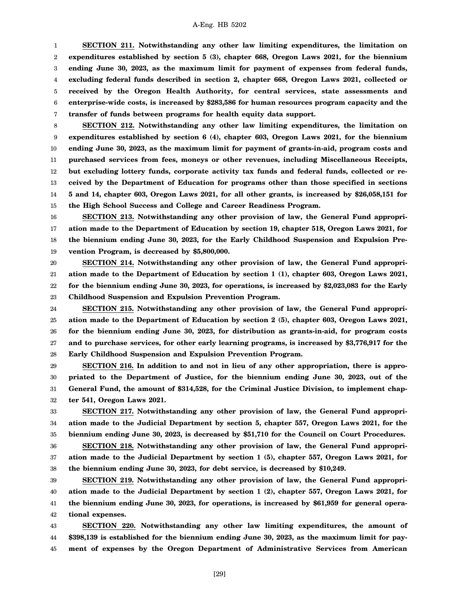1 2 3 4 5 6 7 **SECTION 211. Notwithstanding any other law limiting expenditures, the limitation on expenditures established by section 5 (3), chapter 668, Oregon Laws 2021, for the biennium ending June 30, 2023, as the maximum limit for payment of expenses from federal funds, excluding federal funds described in section 2, chapter 668, Oregon Laws 2021, collected or received by the Oregon Health Authority, for central services, state assessments and enterprise-wide costs, is increased by \$283,586 for human resources program capacity and the transfer of funds between programs for health equity data support.**

8 9 10 11 12 13 14 15 **SECTION 212. Notwithstanding any other law limiting expenditures, the limitation on expenditures established by section 6 (4), chapter 603, Oregon Laws 2021, for the biennium ending June 30, 2023, as the maximum limit for payment of grants-in-aid, program costs and purchased services from fees, moneys or other revenues, including Miscellaneous Receipts, but excluding lottery funds, corporate activity tax funds and federal funds, collected or received by the Department of Education for programs other than those specified in sections 5 and 14, chapter 603, Oregon Laws 2021, for all other grants, is increased by \$26,058,151 for the High School Success and College and Career Readiness Program.**

16 17 18 19 **SECTION 213. Notwithstanding any other provision of law, the General Fund appropriation made to the Department of Education by section 19, chapter 518, Oregon Laws 2021, for the biennium ending June 30, 2023, for the Early Childhood Suspension and Expulsion Prevention Program, is decreased by \$5,800,000.**

20 21 22 23 **SECTION 214. Notwithstanding any other provision of law, the General Fund appropriation made to the Department of Education by section 1 (1), chapter 603, Oregon Laws 2021, for the biennium ending June 30, 2023, for operations, is increased by \$2,023,083 for the Early Childhood Suspension and Expulsion Prevention Program.**

24 25 26 27 28 **SECTION 215. Notwithstanding any other provision of law, the General Fund appropriation made to the Department of Education by section 2 (5), chapter 603, Oregon Laws 2021, for the biennium ending June 30, 2023, for distribution as grants-in-aid, for program costs and to purchase services, for other early learning programs, is increased by \$3,776,917 for the Early Childhood Suspension and Expulsion Prevention Program.**

29 30 31 32 **SECTION 216. In addition to and not in lieu of any other appropriation, there is appropriated to the Department of Justice, for the biennium ending June 30, 2023, out of the General Fund, the amount of \$314,528, for the Criminal Justice Division, to implement chapter 541, Oregon Laws 2021.**

33 34 35 **SECTION 217. Notwithstanding any other provision of law, the General Fund appropriation made to the Judicial Department by section 5, chapter 557, Oregon Laws 2021, for the biennium ending June 30, 2023, is decreased by \$51,710 for the Council on Court Procedures.**

36 37 38 **SECTION 218. Notwithstanding any other provision of law, the General Fund appropriation made to the Judicial Department by section 1 (5), chapter 557, Oregon Laws 2021, for the biennium ending June 30, 2023, for debt service, is decreased by \$10,249.**

39 40 41 42 **SECTION 219. Notwithstanding any other provision of law, the General Fund appropriation made to the Judicial Department by section 1 (2), chapter 557, Oregon Laws 2021, for the biennium ending June 30, 2023, for operations, is increased by \$61,959 for general operational expenses.**

43 44 45 **SECTION 220. Notwithstanding any other law limiting expenditures, the amount of \$398,139 is established for the biennium ending June 30, 2023, as the maximum limit for payment of expenses by the Oregon Department of Administrative Services from American**

[29]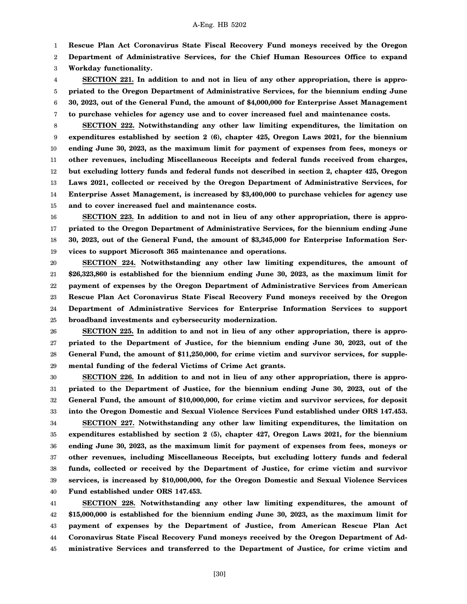1 **Rescue Plan Act Coronavirus State Fiscal Recovery Fund moneys received by the Oregon**

2 **Department of Administrative Services, for the Chief Human Resources Office to expand**

3 **Workday functionality.**

4 5 6 7 **SECTION 221. In addition to and not in lieu of any other appropriation, there is appropriated to the Oregon Department of Administrative Services, for the biennium ending June 30, 2023, out of the General Fund, the amount of \$4,000,000 for Enterprise Asset Management to purchase vehicles for agency use and to cover increased fuel and maintenance costs.**

8 9 10 11 12 13 14 15 **SECTION 222. Notwithstanding any other law limiting expenditures, the limitation on expenditures established by section 2 (6), chapter 425, Oregon Laws 2021, for the biennium ending June 30, 2023, as the maximum limit for payment of expenses from fees, moneys or other revenues, including Miscellaneous Receipts and federal funds received from charges, but excluding lottery funds and federal funds not described in section 2, chapter 425, Oregon Laws 2021, collected or received by the Oregon Department of Administrative Services, for Enterprise Asset Management, is increased by \$3,400,000 to purchase vehicles for agency use and to cover increased fuel and maintenance costs.**

16 17 18 19 **SECTION 223. In addition to and not in lieu of any other appropriation, there is appropriated to the Oregon Department of Administrative Services, for the biennium ending June 30, 2023, out of the General Fund, the amount of \$3,345,000 for Enterprise Information Services to support Microsoft 365 maintenance and operations.**

20 21 22 23 24 25 **SECTION 224. Notwithstanding any other law limiting expenditures, the amount of \$26,323,860 is established for the biennium ending June 30, 2023, as the maximum limit for payment of expenses by the Oregon Department of Administrative Services from American Rescue Plan Act Coronavirus State Fiscal Recovery Fund moneys received by the Oregon Department of Administrative Services for Enterprise Information Services to support broadband investments and cybersecurity modernization.**

26 27 28 29 **SECTION 225. In addition to and not in lieu of any other appropriation, there is appropriated to the Department of Justice, for the biennium ending June 30, 2023, out of the General Fund, the amount of \$11,250,000, for crime victim and survivor services, for supplemental funding of the federal Victims of Crime Act grants.**

30 31 32 33 34 35 **SECTION 226. In addition to and not in lieu of any other appropriation, there is appropriated to the Department of Justice, for the biennium ending June 30, 2023, out of the General Fund, the amount of \$10,000,000, for crime victim and survivor services, for deposit into the Oregon Domestic and Sexual Violence Services Fund established under ORS 147.453. SECTION 227. Notwithstanding any other law limiting expenditures, the limitation on expenditures established by section 2 (5), chapter 427, Oregon Laws 2021, for the biennium**

36 37 38 39 40 **ending June 30, 2023, as the maximum limit for payment of expenses from fees, moneys or other revenues, including Miscellaneous Receipts, but excluding lottery funds and federal funds, collected or received by the Department of Justice, for crime victim and survivor services, is increased by \$10,000,000, for the Oregon Domestic and Sexual Violence Services Fund established under ORS 147.453.**

41 42 43 44 45 **SECTION 228. Notwithstanding any other law limiting expenditures, the amount of \$15,000,000 is established for the biennium ending June 30, 2023, as the maximum limit for payment of expenses by the Department of Justice, from American Rescue Plan Act Coronavirus State Fiscal Recovery Fund moneys received by the Oregon Department of Administrative Services and transferred to the Department of Justice, for crime victim and**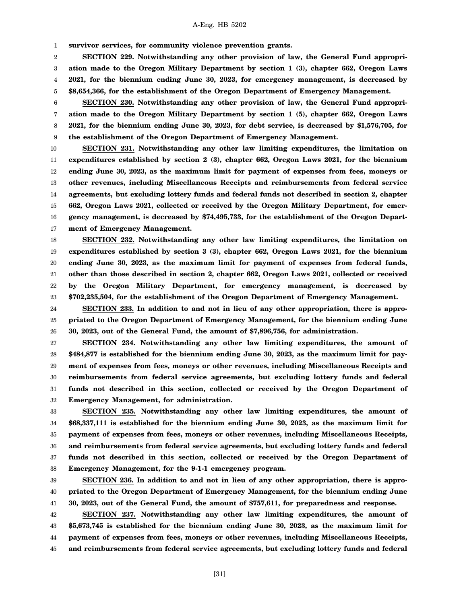1 **survivor services, for community violence prevention grants.**

2 3 4 5 **SECTION 229. Notwithstanding any other provision of law, the General Fund appropriation made to the Oregon Military Department by section 1 (3), chapter 662, Oregon Laws 2021, for the biennium ending June 30, 2023, for emergency management, is decreased by \$8,654,366, for the establishment of the Oregon Department of Emergency Management.**

6 7 8 9 **SECTION 230. Notwithstanding any other provision of law, the General Fund appropriation made to the Oregon Military Department by section 1 (5), chapter 662, Oregon Laws 2021, for the biennium ending June 30, 2023, for debt service, is decreased by \$1,576,705, for the establishment of the Oregon Department of Emergency Management.**

10 11 12 13 14 15 16 17 **SECTION 231. Notwithstanding any other law limiting expenditures, the limitation on expenditures established by section 2 (3), chapter 662, Oregon Laws 2021, for the biennium ending June 30, 2023, as the maximum limit for payment of expenses from fees, moneys or other revenues, including Miscellaneous Receipts and reimbursements from federal service agreements, but excluding lottery funds and federal funds not described in section 2, chapter 662, Oregon Laws 2021, collected or received by the Oregon Military Department, for emergency management, is decreased by \$74,495,733, for the establishment of the Oregon Department of Emergency Management.**

18 19 20 21 22 23 **SECTION 232. Notwithstanding any other law limiting expenditures, the limitation on expenditures established by section 3 (3), chapter 662, Oregon Laws 2021, for the biennium ending June 30, 2023, as the maximum limit for payment of expenses from federal funds, other than those described in section 2, chapter 662, Oregon Laws 2021, collected or received by the Oregon Military Department, for emergency management, is decreased by \$702,235,504, for the establishment of the Oregon Department of Emergency Management.**

24 25 26 **SECTION 233. In addition to and not in lieu of any other appropriation, there is appropriated to the Oregon Department of Emergency Management, for the biennium ending June 30, 2023, out of the General Fund, the amount of \$7,896,756, for administration.**

27 28 29 30 31 32 **SECTION 234. Notwithstanding any other law limiting expenditures, the amount of \$484,877 is established for the biennium ending June 30, 2023, as the maximum limit for payment of expenses from fees, moneys or other revenues, including Miscellaneous Receipts and reimbursements from federal service agreements, but excluding lottery funds and federal funds not described in this section, collected or received by the Oregon Department of Emergency Management, for administration.**

33 34 35 36 37 38 **SECTION 235. Notwithstanding any other law limiting expenditures, the amount of \$68,337,111 is established for the biennium ending June 30, 2023, as the maximum limit for payment of expenses from fees, moneys or other revenues, including Miscellaneous Receipts, and reimbursements from federal service agreements, but excluding lottery funds and federal funds not described in this section, collected or received by the Oregon Department of Emergency Management, for the 9-1-1 emergency program.**

39 40 41 **SECTION 236. In addition to and not in lieu of any other appropriation, there is appropriated to the Oregon Department of Emergency Management, for the biennium ending June 30, 2023, out of the General Fund, the amount of \$757,611, for preparedness and response.**

42 43 44 45 **SECTION 237. Notwithstanding any other law limiting expenditures, the amount of \$5,673,745 is established for the biennium ending June 30, 2023, as the maximum limit for payment of expenses from fees, moneys or other revenues, including Miscellaneous Receipts, and reimbursements from federal service agreements, but excluding lottery funds and federal**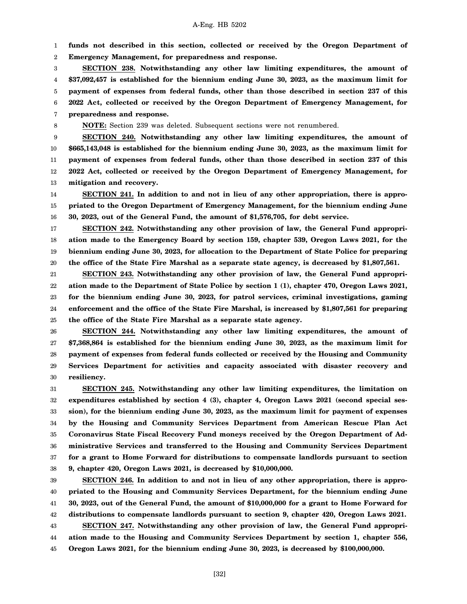1 2 **funds not described in this section, collected or received by the Oregon Department of Emergency Management, for preparedness and response.**

3 4 5 6 7 **SECTION 238. Notwithstanding any other law limiting expenditures, the amount of \$37,092,457 is established for the biennium ending June 30, 2023, as the maximum limit for payment of expenses from federal funds, other than those described in section 237 of this 2022 Act, collected or received by the Oregon Department of Emergency Management, for preparedness and response.**

8

**NOTE:** Section 239 was deleted. Subsequent sections were not renumbered.

9 10 11 12 13 **SECTION 240. Notwithstanding any other law limiting expenditures, the amount of \$665,143,048 is established for the biennium ending June 30, 2023, as the maximum limit for payment of expenses from federal funds, other than those described in section 237 of this 2022 Act, collected or received by the Oregon Department of Emergency Management, for mitigation and recovery.**

14 15 16 **SECTION 241. In addition to and not in lieu of any other appropriation, there is appropriated to the Oregon Department of Emergency Management, for the biennium ending June 30, 2023, out of the General Fund, the amount of \$1,576,705, for debt service.**

17 18 19 20 **SECTION 242. Notwithstanding any other provision of law, the General Fund appropriation made to the Emergency Board by section 159, chapter 539, Oregon Laws 2021, for the biennium ending June 30, 2023, for allocation to the Department of State Police for preparing the office of the State Fire Marshal as a separate state agency, is decreased by \$1,807,561.**

21 22 23 24 25 **SECTION 243. Notwithstanding any other provision of law, the General Fund appropriation made to the Department of State Police by section 1 (1), chapter 470, Oregon Laws 2021, for the biennium ending June 30, 2023, for patrol services, criminal investigations, gaming enforcement and the office of the State Fire Marshal, is increased by \$1,807,561 for preparing the office of the State Fire Marshal as a separate state agency.**

26 27 28 29 30 **SECTION 244. Notwithstanding any other law limiting expenditures, the amount of \$7,368,864 is established for the biennium ending June 30, 2023, as the maximum limit for payment of expenses from federal funds collected or received by the Housing and Community Services Department for activities and capacity associated with disaster recovery and resiliency.**

31 32 33 34 35 36 37 38 **SECTION 245. Notwithstanding any other law limiting expenditures, the limitation on expenditures established by section 4 (3), chapter 4, Oregon Laws 2021 (second special session), for the biennium ending June 30, 2023, as the maximum limit for payment of expenses by the Housing and Community Services Department from American Rescue Plan Act Coronavirus State Fiscal Recovery Fund moneys received by the Oregon Department of Administrative Services and transferred to the Housing and Community Services Department for a grant to Home Forward for distributions to compensate landlords pursuant to section 9, chapter 420, Oregon Laws 2021, is decreased by \$10,000,000.**

39 40 41 42 43 44 45 **SECTION 246. In addition to and not in lieu of any other appropriation, there is appropriated to the Housing and Community Services Department, for the biennium ending June 30, 2023, out of the General Fund, the amount of \$10,000,000 for a grant to Home Forward for distributions to compensate landlords pursuant to section 9, chapter 420, Oregon Laws 2021. SECTION 247. Notwithstanding any other provision of law, the General Fund appropriation made to the Housing and Community Services Department by section 1, chapter 556, Oregon Laws 2021, for the biennium ending June 30, 2023, is decreased by \$100,000,000.**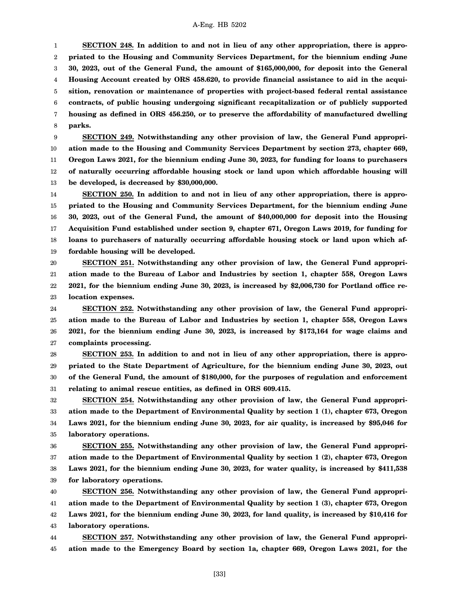1 2 3 4 5 6 7 8 **SECTION 248. In addition to and not in lieu of any other appropriation, there is appropriated to the Housing and Community Services Department, for the biennium ending June 30, 2023, out of the General Fund, the amount of \$165,000,000, for deposit into the General Housing Account created by ORS 458.620, to provide financial assistance to aid in the acquisition, renovation or maintenance of properties with project-based federal rental assistance contracts, of public housing undergoing significant recapitalization or of publicly supported housing as defined in ORS 456.250, or to preserve the affordability of manufactured dwelling parks.**

9 10 11 12 13 **SECTION 249. Notwithstanding any other provision of law, the General Fund appropriation made to the Housing and Community Services Department by section 273, chapter 669, Oregon Laws 2021, for the biennium ending June 30, 2023, for funding for loans to purchasers of naturally occurring affordable housing stock or land upon which affordable housing will be developed, is decreased by \$30,000,000.**

14 15 16 17 18 19 **SECTION 250. In addition to and not in lieu of any other appropriation, there is appropriated to the Housing and Community Services Department, for the biennium ending June 30, 2023, out of the General Fund, the amount of \$40,000,000 for deposit into the Housing Acquisition Fund established under section 9, chapter 671, Oregon Laws 2019, for funding for loans to purchasers of naturally occurring affordable housing stock or land upon which affordable housing will be developed.**

20 21 22 23 **SECTION 251. Notwithstanding any other provision of law, the General Fund appropriation made to the Bureau of Labor and Industries by section 1, chapter 558, Oregon Laws 2021, for the biennium ending June 30, 2023, is increased by \$2,006,730 for Portland office relocation expenses.**

24 25 26 27 **SECTION 252. Notwithstanding any other provision of law, the General Fund appropriation made to the Bureau of Labor and Industries by section 1, chapter 558, Oregon Laws 2021, for the biennium ending June 30, 2023, is increased by \$173,164 for wage claims and complaints processing.**

28 29 30 31 **SECTION 253. In addition to and not in lieu of any other appropriation, there is appropriated to the State Department of Agriculture, for the biennium ending June 30, 2023, out of the General Fund, the amount of \$180,000, for the purposes of regulation and enforcement relating to animal rescue entities, as defined in ORS 609.415.**

32 33 34 35 **SECTION 254. Notwithstanding any other provision of law, the General Fund appropriation made to the Department of Environmental Quality by section 1 (1), chapter 673, Oregon Laws 2021, for the biennium ending June 30, 2023, for air quality, is increased by \$95,046 for laboratory operations.**

36 37 38 39 **SECTION 255. Notwithstanding any other provision of law, the General Fund appropriation made to the Department of Environmental Quality by section 1 (2), chapter 673, Oregon Laws 2021, for the biennium ending June 30, 2023, for water quality, is increased by \$411,538 for laboratory operations.**

40 41 42 43 **SECTION 256. Notwithstanding any other provision of law, the General Fund appropriation made to the Department of Environmental Quality by section 1 (3), chapter 673, Oregon Laws 2021, for the biennium ending June 30, 2023, for land quality, is increased by \$10,416 for laboratory operations.**

44 45 **SECTION 257. Notwithstanding any other provision of law, the General Fund appropriation made to the Emergency Board by section 1a, chapter 669, Oregon Laws 2021, for the**

[33]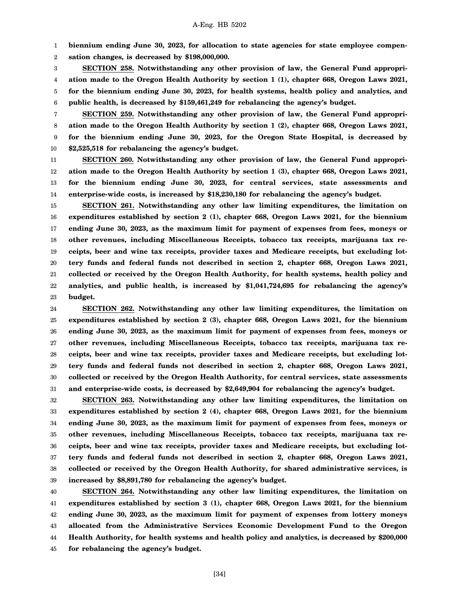1 **biennium ending June 30, 2023, for allocation to state agencies for state employee compen-**

2 **sation changes, is decreased by \$198,000,000.**

3 4 5 6 **SECTION 258. Notwithstanding any other provision of law, the General Fund appropriation made to the Oregon Health Authority by section 1 (1), chapter 668, Oregon Laws 2021, for the biennium ending June 30, 2023, for health systems, health policy and analytics, and public health, is decreased by \$159,461,249 for rebalancing the agency's budget.**

7 8 9 10 **SECTION 259. Notwithstanding any other provision of law, the General Fund appropriation made to the Oregon Health Authority by section 1 (2), chapter 668, Oregon Laws 2021, for the biennium ending June 30, 2023, for the Oregon State Hospital, is decreased by \$2,525,518 for rebalancing the agency's budget.**

11 12 13 14 **SECTION 260. Notwithstanding any other provision of law, the General Fund appropriation made to the Oregon Health Authority by section 1 (3), chapter 668, Oregon Laws 2021, for the biennium ending June 30, 2023, for central services, state assessments and enterprise-wide costs, is increased by \$18,230,180 for rebalancing the agency's budget.**

15 16 17 18 19 20 21 22 23 **SECTION 261. Notwithstanding any other law limiting expenditures, the limitation on expenditures established by section 2 (1), chapter 668, Oregon Laws 2021, for the biennium ending June 30, 2023, as the maximum limit for payment of expenses from fees, moneys or other revenues, including Miscellaneous Receipts, tobacco tax receipts, marijuana tax receipts, beer and wine tax receipts, provider taxes and Medicare receipts, but excluding lottery funds and federal funds not described in section 2, chapter 668, Oregon Laws 2021, collected or received by the Oregon Health Authority, for health systems, health policy and analytics, and public health, is increased by \$1,041,724,695 for rebalancing the agency's budget.**

24 25 26 27 28 29 30 31 **SECTION 262. Notwithstanding any other law limiting expenditures, the limitation on expenditures established by section 2 (3), chapter 668, Oregon Laws 2021, for the biennium ending June 30, 2023, as the maximum limit for payment of expenses from fees, moneys or other revenues, including Miscellaneous Receipts, tobacco tax receipts, marijuana tax receipts, beer and wine tax receipts, provider taxes and Medicare receipts, but excluding lottery funds and federal funds not described in section 2, chapter 668, Oregon Laws 2021, collected or received by the Oregon Health Authority, for central services, state assessments and enterprise-wide costs, is decreased by \$2,649,904 for rebalancing the agency's budget.**

32 33 34 35 36 37 38 39 **SECTION 263. Notwithstanding any other law limiting expenditures, the limitation on expenditures established by section 2 (4), chapter 668, Oregon Laws 2021, for the biennium ending June 30, 2023, as the maximum limit for payment of expenses from fees, moneys or other revenues, including Miscellaneous Receipts, tobacco tax receipts, marijuana tax receipts, beer and wine tax receipts, provider taxes and Medicare receipts, but excluding lottery funds and federal funds not described in section 2, chapter 668, Oregon Laws 2021, collected or received by the Oregon Health Authority, for shared administrative services, is increased by \$8,891,780 for rebalancing the agency's budget.**

40 41 42 43 44 45 **SECTION 264. Notwithstanding any other law limiting expenditures, the limitation on expenditures established by section 3 (1), chapter 668, Oregon Laws 2021, for the biennium ending June 30, 2023, as the maximum limit for payment of expenses from lottery moneys allocated from the Administrative Services Economic Development Fund to the Oregon Health Authority, for health systems and health policy and analytics, is decreased by \$200,000 for rebalancing the agency's budget.**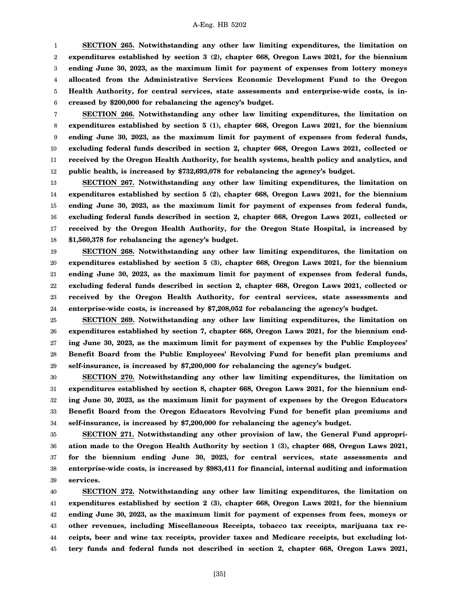1 2 3 4 5 6 **SECTION 265. Notwithstanding any other law limiting expenditures, the limitation on expenditures established by section 3 (2), chapter 668, Oregon Laws 2021, for the biennium ending June 30, 2023, as the maximum limit for payment of expenses from lottery moneys allocated from the Administrative Services Economic Development Fund to the Oregon Health Authority, for central services, state assessments and enterprise-wide costs, is increased by \$200,000 for rebalancing the agency's budget.**

7 8 9 10 11 12 **SECTION 266. Notwithstanding any other law limiting expenditures, the limitation on expenditures established by section 5 (1), chapter 668, Oregon Laws 2021, for the biennium ending June 30, 2023, as the maximum limit for payment of expenses from federal funds, excluding federal funds described in section 2, chapter 668, Oregon Laws 2021, collected or received by the Oregon Health Authority, for health systems, health policy and analytics, and public health, is increased by \$732,693,078 for rebalancing the agency's budget.**

13 14 15 16 17 18 **SECTION 267. Notwithstanding any other law limiting expenditures, the limitation on expenditures established by section 5 (2), chapter 668, Oregon Laws 2021, for the biennium ending June 30, 2023, as the maximum limit for payment of expenses from federal funds, excluding federal funds described in section 2, chapter 668, Oregon Laws 2021, collected or received by the Oregon Health Authority, for the Oregon State Hospital, is increased by \$1,560,378 for rebalancing the agency's budget.**

19 20 21 22 23 24 **SECTION 268. Notwithstanding any other law limiting expenditures, the limitation on expenditures established by section 5 (3), chapter 668, Oregon Laws 2021, for the biennium ending June 30, 2023, as the maximum limit for payment of expenses from federal funds, excluding federal funds described in section 2, chapter 668, Oregon Laws 2021, collected or received by the Oregon Health Authority, for central services, state assessments and enterprise-wide costs, is increased by \$7,208,052 for rebalancing the agency's budget.**

25 26 27 28 29 **SECTION 269. Notwithstanding any other law limiting expenditures, the limitation on expenditures established by section 7, chapter 668, Oregon Laws 2021, for the biennium ending June 30, 2023, as the maximum limit for payment of expenses by the Public Employees' Benefit Board from the Public Employees' Revolving Fund for benefit plan premiums and self-insurance, is increased by \$7,200,000 for rebalancing the agency's budget.**

30 31 32 33 34 **SECTION 270. Notwithstanding any other law limiting expenditures, the limitation on expenditures established by section 8, chapter 668, Oregon Laws 2021, for the biennium ending June 30, 2023, as the maximum limit for payment of expenses by the Oregon Educators Benefit Board from the Oregon Educators Revolving Fund for benefit plan premiums and self-insurance, is increased by \$7,200,000 for rebalancing the agency's budget.**

35 36 37 38 39 **SECTION 271. Notwithstanding any other provision of law, the General Fund appropriation made to the Oregon Health Authority by section 1 (3), chapter 668, Oregon Laws 2021, for the biennium ending June 30, 2023, for central services, state assessments and enterprise-wide costs, is increased by \$983,411 for financial, internal auditing and information services.**

40 41 42 43 44 45 **SECTION 272. Notwithstanding any other law limiting expenditures, the limitation on expenditures established by section 2 (3), chapter 668, Oregon Laws 2021, for the biennium ending June 30, 2023, as the maximum limit for payment of expenses from fees, moneys or other revenues, including Miscellaneous Receipts, tobacco tax receipts, marijuana tax receipts, beer and wine tax receipts, provider taxes and Medicare receipts, but excluding lottery funds and federal funds not described in section 2, chapter 668, Oregon Laws 2021,**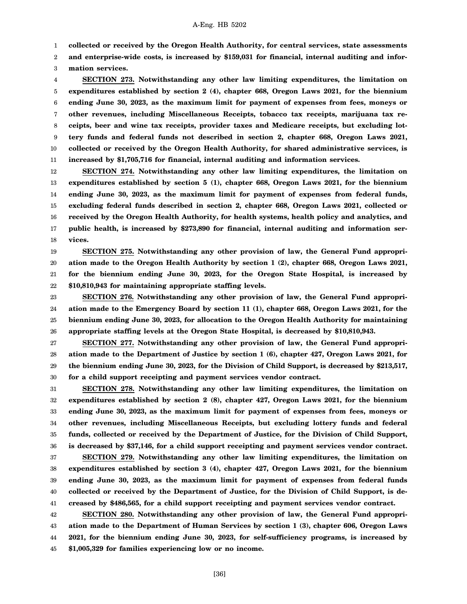1 **collected or received by the Oregon Health Authority, for central services, state assessments**

2 **and enterprise-wide costs, is increased by \$159,031 for financial, internal auditing and infor-**

3 **mation services.**

4 5 6 7 8 9 10 11 **SECTION 273. Notwithstanding any other law limiting expenditures, the limitation on expenditures established by section 2 (4), chapter 668, Oregon Laws 2021, for the biennium ending June 30, 2023, as the maximum limit for payment of expenses from fees, moneys or other revenues, including Miscellaneous Receipts, tobacco tax receipts, marijuana tax receipts, beer and wine tax receipts, provider taxes and Medicare receipts, but excluding lottery funds and federal funds not described in section 2, chapter 668, Oregon Laws 2021, collected or received by the Oregon Health Authority, for shared administrative services, is increased by \$1,705,716 for financial, internal auditing and information services.**

12 13 14 15 16 17 18 **SECTION 274. Notwithstanding any other law limiting expenditures, the limitation on expenditures established by section 5 (1), chapter 668, Oregon Laws 2021, for the biennium ending June 30, 2023, as the maximum limit for payment of expenses from federal funds, excluding federal funds described in section 2, chapter 668, Oregon Laws 2021, collected or received by the Oregon Health Authority, for health systems, health policy and analytics, and public health, is increased by \$273,890 for financial, internal auditing and information services.**

19 20 21 22 **SECTION 275. Notwithstanding any other provision of law, the General Fund appropriation made to the Oregon Health Authority by section 1 (2), chapter 668, Oregon Laws 2021, for the biennium ending June 30, 2023, for the Oregon State Hospital, is increased by \$10,810,943 for maintaining appropriate staffing levels.**

23 24 25 26 **SECTION 276. Notwithstanding any other provision of law, the General Fund appropriation made to the Emergency Board by section 11 (1), chapter 668, Oregon Laws 2021, for the biennium ending June 30, 2023, for allocation to the Oregon Health Authority for maintaining appropriate staffing levels at the Oregon State Hospital, is decreased by \$10,810,943.**

27 28 29 30 **SECTION 277. Notwithstanding any other provision of law, the General Fund appropriation made to the Department of Justice by section 1 (6), chapter 427, Oregon Laws 2021, for the biennium ending June 30, 2023, for the Division of Child Support, is decreased by \$213,517, for a child support receipting and payment services vendor contract.**

31 32 33 34 35 36 **SECTION 278. Notwithstanding any other law limiting expenditures, the limitation on expenditures established by section 2 (8), chapter 427, Oregon Laws 2021, for the biennium ending June 30, 2023, as the maximum limit for payment of expenses from fees, moneys or other revenues, including Miscellaneous Receipts, but excluding lottery funds and federal funds, collected or received by the Department of Justice, for the Division of Child Support, is decreased by \$37,146, for a child support receipting and payment services vendor contract.**

37 38 39 40 41 **SECTION 279. Notwithstanding any other law limiting expenditures, the limitation on expenditures established by section 3 (4), chapter 427, Oregon Laws 2021, for the biennium ending June 30, 2023, as the maximum limit for payment of expenses from federal funds collected or received by the Department of Justice, for the Division of Child Support, is decreased by \$486,565, for a child support receipting and payment services vendor contract.**

42 43 44 45 **SECTION 280. Notwithstanding any other provision of law, the General Fund appropriation made to the Department of Human Services by section 1 (3), chapter 606, Oregon Laws 2021, for the biennium ending June 30, 2023, for self-sufficiency programs, is increased by \$1,005,329 for families experiencing low or no income.**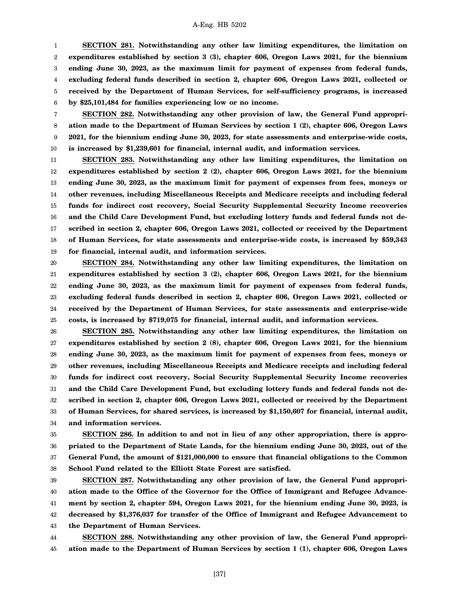1 2 3 4 5 6 **SECTION 281. Notwithstanding any other law limiting expenditures, the limitation on expenditures established by section 3 (3), chapter 606, Oregon Laws 2021, for the biennium ending June 30, 2023, as the maximum limit for payment of expenses from federal funds, excluding federal funds described in section 2, chapter 606, Oregon Laws 2021, collected or received by the Department of Human Services, for self-sufficiency programs, is increased by \$25,101,484 for families experiencing low or no income.**

7 8 9 10 **SECTION 282. Notwithstanding any other provision of law, the General Fund appropriation made to the Department of Human Services by section 1 (2), chapter 606, Oregon Laws 2021, for the biennium ending June 30, 2023, for state assessments and enterprise-wide costs, is increased by \$1,239,601 for financial, internal audit, and information services.**

11 12 13 14 15 16 17 18 19 **SECTION 283. Notwithstanding any other law limiting expenditures, the limitation on expenditures established by section 2 (2), chapter 606, Oregon Laws 2021, for the biennium ending June 30, 2023, as the maximum limit for payment of expenses from fees, moneys or other revenues, including Miscellaneous Receipts and Medicare receipts and including federal funds for indirect cost recovery, Social Security Supplemental Security Income recoveries and the Child Care Development Fund, but excluding lottery funds and federal funds not described in section 2, chapter 606, Oregon Laws 2021, collected or received by the Department of Human Services, for state assessments and enterprise-wide costs, is increased by \$59,343 for financial, internal audit, and information services.**

20 21 22 23 24 25 **SECTION 284. Notwithstanding any other law limiting expenditures, the limitation on expenditures established by section 3 (2), chapter 606, Oregon Laws 2021, for the biennium ending June 30, 2023, as the maximum limit for payment of expenses from federal funds, excluding federal funds described in section 2, chapter 606, Oregon Laws 2021, collected or received by the Department of Human Services, for state assessments and enterprise-wide costs, is increased by \$719,075 for financial, internal audit, and information services.**

26 27 28 29 30 31 32 33 34 **SECTION 285. Notwithstanding any other law limiting expenditures, the limitation on expenditures established by section 2 (8), chapter 606, Oregon Laws 2021, for the biennium ending June 30, 2023, as the maximum limit for payment of expenses from fees, moneys or other revenues, including Miscellaneous Receipts and Medicare receipts and including federal funds for indirect cost recovery, Social Security Supplemental Security Income recoveries and the Child Care Development Fund, but excluding lottery funds and federal funds not described in section 2, chapter 606, Oregon Laws 2021, collected or received by the Department of Human Services, for shared services, is increased by \$1,150,607 for financial, internal audit, and information services.**

35 36 37 38 **SECTION 286. In addition to and not in lieu of any other appropriation, there is appropriated to the Department of State Lands, for the biennium ending June 30, 2023, out of the General Fund, the amount of \$121,000,000 to ensure that financial obligations to the Common School Fund related to the Elliott State Forest are satisfied.**

39 40 41 42 43 **SECTION 287. Notwithstanding any other provision of law, the General Fund appropriation made to the Office of the Governor for the Office of Immigrant and Refugee Advancement by section 2, chapter 594, Oregon Laws 2021, for the biennium ending June 30, 2023, is decreased by \$1,376,037 for transfer of the Office of Immigrant and Refugee Advancement to the Department of Human Services.**

44 45 **SECTION 288. Notwithstanding any other provision of law, the General Fund appropriation made to the Department of Human Services by section 1 (1), chapter 606, Oregon Laws**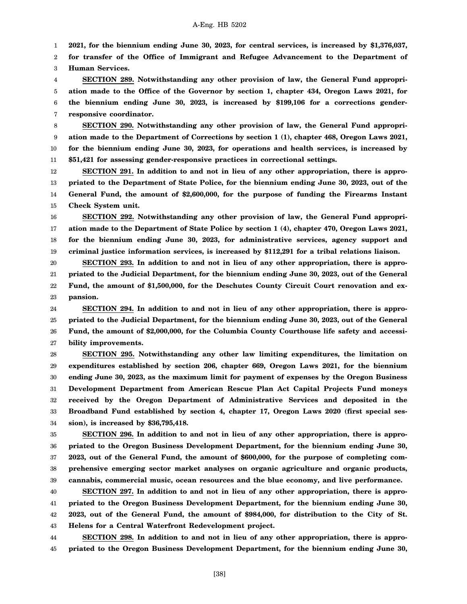1 **2021, for the biennium ending June 30, 2023, for central services, is increased by \$1,376,037,**

2 3 **for transfer of the Office of Immigrant and Refugee Advancement to the Department of Human Services.**

4 5 6 7 **SECTION 289. Notwithstanding any other provision of law, the General Fund appropriation made to the Office of the Governor by section 1, chapter 434, Oregon Laws 2021, for the biennium ending June 30, 2023, is increased by \$199,106 for a corrections genderresponsive coordinator.**

8 9 10 11 **SECTION 290. Notwithstanding any other provision of law, the General Fund appropriation made to the Department of Corrections by section 1 (1), chapter 468, Oregon Laws 2021, for the biennium ending June 30, 2023, for operations and health services, is increased by \$51,421 for assessing gender-responsive practices in correctional settings.**

12 13 14 15 **SECTION 291. In addition to and not in lieu of any other appropriation, there is appropriated to the Department of State Police, for the biennium ending June 30, 2023, out of the General Fund, the amount of \$2,600,000, for the purpose of funding the Firearms Instant Check System unit.**

16 17 18 19 **SECTION 292. Notwithstanding any other provision of law, the General Fund appropriation made to the Department of State Police by section 1 (4), chapter 470, Oregon Laws 2021, for the biennium ending June 30, 2023, for administrative services, agency support and criminal justice information services, is increased by \$112,291 for a tribal relations liaison.**

20 21 22 23 **SECTION 293. In addition to and not in lieu of any other appropriation, there is appropriated to the Judicial Department, for the biennium ending June 30, 2023, out of the General Fund, the amount of \$1,500,000, for the Deschutes County Circuit Court renovation and expansion.**

24 25 26 27 **SECTION 294. In addition to and not in lieu of any other appropriation, there is appropriated to the Judicial Department, for the biennium ending June 30, 2023, out of the General Fund, the amount of \$2,000,000, for the Columbia County Courthouse life safety and accessibility improvements.**

28 29 30 31 32 33 34 **SECTION 295. Notwithstanding any other law limiting expenditures, the limitation on expenditures established by section 206, chapter 669, Oregon Laws 2021, for the biennium ending June 30, 2023, as the maximum limit for payment of expenses by the Oregon Business Development Department from American Rescue Plan Act Capital Projects Fund moneys received by the Oregon Department of Administrative Services and deposited in the Broadband Fund established by section 4, chapter 17, Oregon Laws 2020 (first special session), is increased by \$36,795,418.**

35 36 37 38 39 **SECTION 296. In addition to and not in lieu of any other appropriation, there is appropriated to the Oregon Business Development Department, for the biennium ending June 30, 2023, out of the General Fund, the amount of \$600,000, for the purpose of completing comprehensive emerging sector market analyses on organic agriculture and organic products, cannabis, commercial music, ocean resources and the blue economy, and live performance.**

40 41 42 43 **SECTION 297. In addition to and not in lieu of any other appropriation, there is appropriated to the Oregon Business Development Department, for the biennium ending June 30, 2023, out of the General Fund, the amount of \$984,000, for distribution to the City of St. Helens for a Central Waterfront Redevelopment project.**

44 45 **SECTION 298. In addition to and not in lieu of any other appropriation, there is appropriated to the Oregon Business Development Department, for the biennium ending June 30,**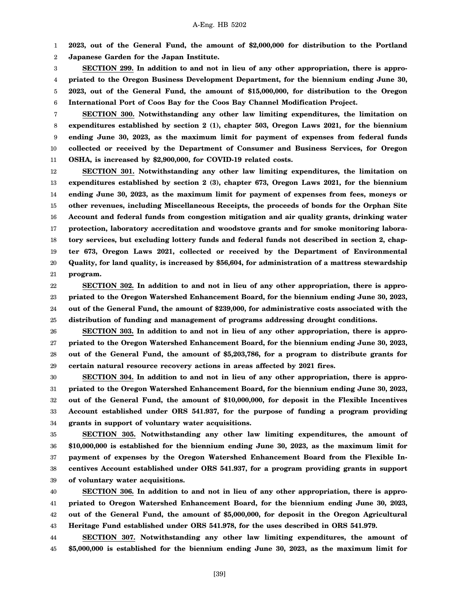1 2 **2023, out of the General Fund, the amount of \$2,000,000 for distribution to the Portland Japanese Garden for the Japan Institute.**

3 4 5 6 **SECTION 299. In addition to and not in lieu of any other appropriation, there is appropriated to the Oregon Business Development Department, for the biennium ending June 30, 2023, out of the General Fund, the amount of \$15,000,000, for distribution to the Oregon International Port of Coos Bay for the Coos Bay Channel Modification Project.**

7 8 9 10 11 **SECTION 300. Notwithstanding any other law limiting expenditures, the limitation on expenditures established by section 2 (1), chapter 503, Oregon Laws 2021, for the biennium ending June 30, 2023, as the maximum limit for payment of expenses from federal funds collected or received by the Department of Consumer and Business Services, for Oregon OSHA, is increased by \$2,900,000, for COVID-19 related costs.**

12 13 14 15 16 17 18 19 20 21 **SECTION 301. Notwithstanding any other law limiting expenditures, the limitation on expenditures established by section 2 (3), chapter 673, Oregon Laws 2021, for the biennium ending June 30, 2023, as the maximum limit for payment of expenses from fees, moneys or other revenues, including Miscellaneous Receipts, the proceeds of bonds for the Orphan Site Account and federal funds from congestion mitigation and air quality grants, drinking water protection, laboratory accreditation and woodstove grants and for smoke monitoring laboratory services, but excluding lottery funds and federal funds not described in section 2, chapter 673, Oregon Laws 2021, collected or received by the Department of Environmental Quality, for land quality, is increased by \$56,604, for administration of a mattress stewardship program.**

22 23 24 25 **SECTION 302. In addition to and not in lieu of any other appropriation, there is appropriated to the Oregon Watershed Enhancement Board, for the biennium ending June 30, 2023, out of the General Fund, the amount of \$239,000, for administrative costs associated with the distribution of funding and management of programs addressing drought conditions.**

26 27 28 29 **SECTION 303. In addition to and not in lieu of any other appropriation, there is appropriated to the Oregon Watershed Enhancement Board, for the biennium ending June 30, 2023, out of the General Fund, the amount of \$5,203,786, for a program to distribute grants for certain natural resource recovery actions in areas affected by 2021 fires.**

30 31 32 33 34 **SECTION 304. In addition to and not in lieu of any other appropriation, there is appropriated to the Oregon Watershed Enhancement Board, for the biennium ending June 30, 2023, out of the General Fund, the amount of \$10,000,000, for deposit in the Flexible Incentives Account established under ORS 541.937, for the purpose of funding a program providing grants in support of voluntary water acquisitions.**

35 36 37 38 39 **SECTION 305. Notwithstanding any other law limiting expenditures, the amount of \$10,000,000 is established for the biennium ending June 30, 2023, as the maximum limit for payment of expenses by the Oregon Watershed Enhancement Board from the Flexible Incentives Account established under ORS 541.937, for a program providing grants in support of voluntary water acquisitions.**

40 41 42 43 **SECTION 306. In addition to and not in lieu of any other appropriation, there is appropriated to Oregon Watershed Enhancement Board, for the biennium ending June 30, 2023, out of the General Fund, the amount of \$5,000,000, for deposit in the Oregon Agricultural Heritage Fund established under ORS 541.978, for the uses described in ORS 541.979.**

44 45 **SECTION 307. Notwithstanding any other law limiting expenditures, the amount of \$5,000,000 is established for the biennium ending June 30, 2023, as the maximum limit for**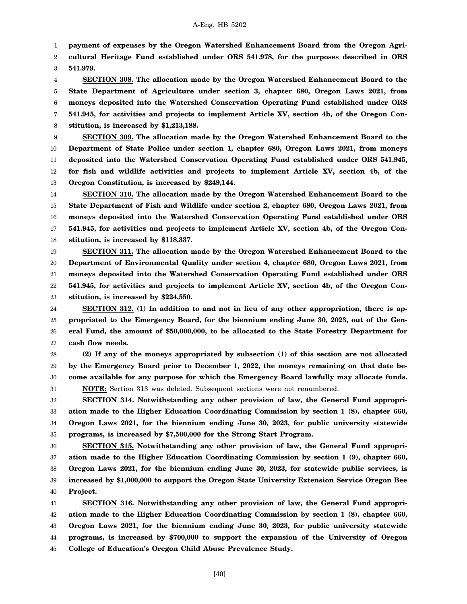1 **payment of expenses by the Oregon Watershed Enhancement Board from the Oregon Agri-**

2 3 **cultural Heritage Fund established under ORS 541.978, for the purposes described in ORS 541.979.**

4 5 6 7 8 **SECTION 308. The allocation made by the Oregon Watershed Enhancement Board to the State Department of Agriculture under section 3, chapter 680, Oregon Laws 2021, from moneys deposited into the Watershed Conservation Operating Fund established under ORS 541.945, for activities and projects to implement Article XV, section 4b, of the Oregon Constitution, is increased by \$1,213,188.**

9 10 11 12 13 **SECTION 309. The allocation made by the Oregon Watershed Enhancement Board to the Department of State Police under section 1, chapter 680, Oregon Laws 2021, from moneys deposited into the Watershed Conservation Operating Fund established under ORS 541.945, for fish and wildlife activities and projects to implement Article XV, section 4b, of the Oregon Constitution, is increased by \$249,144.**

14 15 16 17 18 **SECTION 310. The allocation made by the Oregon Watershed Enhancement Board to the State Department of Fish and Wildlife under section 2, chapter 680, Oregon Laws 2021, from moneys deposited into the Watershed Conservation Operating Fund established under ORS 541.945, for activities and projects to implement Article XV, section 4b, of the Oregon Constitution, is increased by \$118,337.**

19 20 21 22 23 **SECTION 311. The allocation made by the Oregon Watershed Enhancement Board to the Department of Environmental Quality under section 4, chapter 680, Oregon Laws 2021, from moneys deposited into the Watershed Conservation Operating Fund established under ORS 541.945, for activities and projects to implement Article XV, section 4b, of the Oregon Constitution, is increased by \$224,550.**

24 25 26 27 **SECTION 312. (1) In addition to and not in lieu of any other appropriation, there is appropriated to the Emergency Board, for the biennium ending June 30, 2023, out of the General Fund, the amount of \$50,000,000, to be allocated to the State Forestry Department for cash flow needs.**

28 29 30 31 **(2) If any of the moneys appropriated by subsection (1) of this section are not allocated by the Emergency Board prior to December 1, 2022, the moneys remaining on that date become available for any purpose for which the Emergency Board lawfully may allocate funds. NOTE:** Section 313 was deleted. Subsequent sections were not renumbered.

32 33 34 35 **SECTION 314. Notwithstanding any other provision of law, the General Fund appropriation made to the Higher Education Coordinating Commission by section 1 (8), chapter 660, Oregon Laws 2021, for the biennium ending June 30, 2023, for public university statewide programs, is increased by \$7,500,000 for the Strong Start Program.**

36 37 38 39 40 **SECTION 315. Notwithstanding any other provision of law, the General Fund appropriation made to the Higher Education Coordinating Commission by section 1 (9), chapter 660, Oregon Laws 2021, for the biennium ending June 30, 2023, for statewide public services, is increased by \$1,000,000 to support the Oregon State University Extension Service Oregon Bee Project.**

41 42 43 44 45 **SECTION 316. Notwithstanding any other provision of law, the General Fund appropriation made to the Higher Education Coordinating Commission by section 1 (8), chapter 660, Oregon Laws 2021, for the biennium ending June 30, 2023, for public university statewide programs, is increased by \$700,000 to support the expansion of the University of Oregon College of Education's Oregon Child Abuse Prevalence Study.**

[40]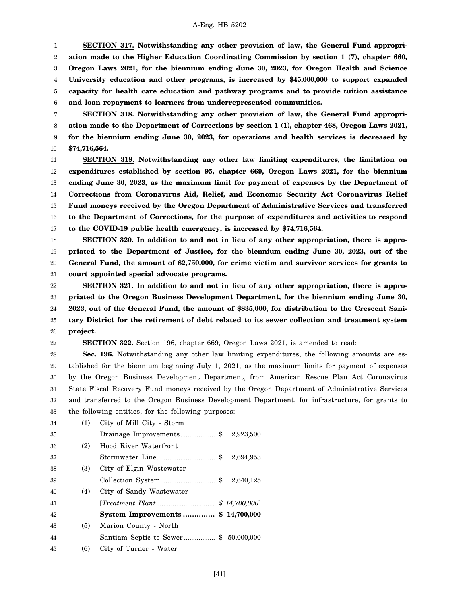1 2 3 4 5 6 **SECTION 317. Notwithstanding any other provision of law, the General Fund appropriation made to the Higher Education Coordinating Commission by section 1 (7), chapter 660, Oregon Laws 2021, for the biennium ending June 30, 2023, for Oregon Health and Science University education and other programs, is increased by \$45,000,000 to support expanded capacity for health care education and pathway programs and to provide tuition assistance and loan repayment to learners from underrepresented communities.**

7 8 9 10 **SECTION 318. Notwithstanding any other provision of law, the General Fund appropriation made to the Department of Corrections by section 1 (1), chapter 468, Oregon Laws 2021, for the biennium ending June 30, 2023, for operations and health services is decreased by \$74,716,564.**

11 12 13 14 15 16 17 **SECTION 319. Notwithstanding any other law limiting expenditures, the limitation on expenditures established by section 95, chapter 669, Oregon Laws 2021, for the biennium ending June 30, 2023, as the maximum limit for payment of expenses by the Department of Corrections from Coronavirus Aid, Relief, and Economic Security Act Coronavirus Relief Fund moneys received by the Oregon Department of Administrative Services and transferred to the Department of Corrections, for the purpose of expenditures and activities to respond to the COVID-19 public health emergency, is increased by \$74,716,564.**

18 19 20 21 **SECTION 320. In addition to and not in lieu of any other appropriation, there is appropriated to the Department of Justice, for the biennium ending June 30, 2023, out of the General Fund, the amount of \$2,750,000, for crime victim and survivor services for grants to court appointed special advocate programs.**

22 23 24 25 26 **SECTION 321. In addition to and not in lieu of any other appropriation, there is appropriated to the Oregon Business Development Department, for the biennium ending June 30, 2023, out of the General Fund, the amount of \$835,000, for distribution to the Crescent Sanitary District for the retirement of debt related to its sewer collection and treatment system project.**

27

**SECTION 322.** Section 196, chapter 669, Oregon Laws 2021, is amended to read:

28 29 30 31 32 33 **Sec. 196.** Notwithstanding any other law limiting expenditures, the following amounts are established for the biennium beginning July 1, 2021, as the maximum limits for payment of expenses by the Oregon Business Development Department, from American Rescue Plan Act Coronavirus State Fiscal Recovery Fund moneys received by the Oregon Department of Administrative Services and transferred to the Oregon Business Development Department, for infrastructure, for grants to the following entities, for the following purposes:

| 34 | (1) | City of Mill City - Storm               |           |
|----|-----|-----------------------------------------|-----------|
| 35 |     |                                         |           |
| 36 | (2) | Hood River Waterfront                   |           |
| 37 |     |                                         | 2,694,953 |
| 38 | (3) | City of Elgin Wastewater                |           |
| 39 |     |                                         | 2,640,125 |
| 40 | (4) | City of Sandy Wastewater                |           |
| 41 |     | [ <i>Treatment Plant</i> $$14,700,000]$ |           |
| 42 |     | System Improvements\$ 14,700,000        |           |
| 43 | (5) | Marion County - North                   |           |
| 44 |     | Santiam Septic to Sewer\$ 50,000,000    |           |
| 45 | (6) | City of Turner - Water                  |           |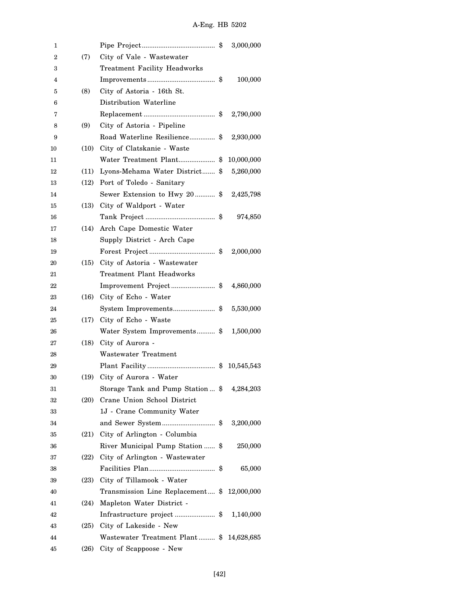| 1  |      |                                             | 3,000,000  |  |
|----|------|---------------------------------------------|------------|--|
| 2  | (7)  | City of Vale - Wastewater                   |            |  |
| 3  |      | <b>Treatment Facility Headworks</b>         |            |  |
| 4  |      |                                             | 100,000    |  |
| 5  | (8)  | City of Astoria - 16th St.                  |            |  |
| 6  |      | Distribution Waterline                      |            |  |
| 7  |      |                                             | 2,790,000  |  |
| 8  | (9)  | City of Astoria - Pipeline                  |            |  |
| 9  |      | Road Waterline Resilience \$ 2,930,000      |            |  |
| 10 | (10) | City of Clatskanie - Waste                  |            |  |
| 11 |      | Water Treatment Plant\$                     | 10,000,000 |  |
| 12 | (11) | Lyons-Mehama Water District \$              | 5,260,000  |  |
| 13 | (12) | Port of Toledo - Sanitary                   |            |  |
| 14 |      | Sewer Extension to Hwy 20 \$ 2,425,798      |            |  |
| 15 |      | (13) City of Waldport - Water               |            |  |
| 16 |      |                                             | 974,850    |  |
| 17 | (14) | Arch Cape Domestic Water                    |            |  |
| 18 |      | Supply District - Arch Cape                 |            |  |
| 19 |      |                                             | 2,000,000  |  |
| 20 |      | (15) City of Astoria - Wastewater           |            |  |
| 21 |      | Treatment Plant Headworks                   |            |  |
| 22 |      | Improvement Project\$ 4,860,000             |            |  |
| 23 |      | (16) City of Echo - Water                   |            |  |
| 24 |      | System Improvements\$                       | 5,530,000  |  |
| 25 | (17) | City of Echo - Waste                        |            |  |
| 26 |      | Water System Improvements \$ 1,500,000      |            |  |
| 27 |      | $(18)$ City of Aurora -                     |            |  |
| 28 |      | <b>Wastewater Treatment</b>                 |            |  |
| 29 |      |                                             |            |  |
| 30 | (19) | City of Aurora - Water                      |            |  |
| 31 |      | Storage Tank and Pump Station  \$           | 4,284,203  |  |
| 32 | (20) | Crane Union School District                 |            |  |
| 33 |      | 1J - Crane Community Water                  |            |  |
| 34 |      | and Sewer System\$                          | 3,200,000  |  |
| 35 |      | (21) City of Arlington - Columbia           |            |  |
| 36 |      | River Municipal Pump Station  \$            | 250,000    |  |
| 37 |      | (22) City of Arlington - Wastewater         |            |  |
| 38 |      |                                             | 65,000     |  |
| 39 |      | (23) City of Tillamook - Water              |            |  |
| 40 |      | Transmission Line Replacement \$ 12,000,000 |            |  |
| 41 | (24) | Mapleton Water District -                   |            |  |
| 42 |      | Infrastructure project\$                    | 1,140,000  |  |
| 43 |      | (25) City of Lakeside - New                 |            |  |
| 44 |      | Wastewater Treatment Plant \$ 14,628,685    |            |  |
| 45 | (26) | City of Scappoose - New                     |            |  |
|    |      |                                             |            |  |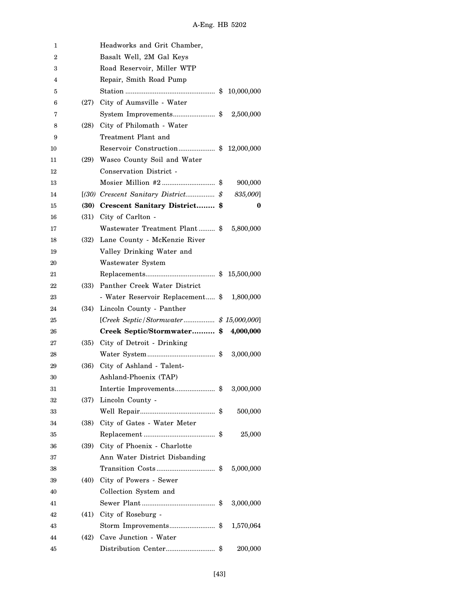| 1  |      | Headworks and Grit Chamber,                |            |  |
|----|------|--------------------------------------------|------------|--|
| 2  |      | Basalt Well, 2M Gal Keys                   |            |  |
| 3  |      | Road Reservoir, Miller WTP                 |            |  |
| 4  |      | Repair, Smith Road Pump                    |            |  |
| 5  |      |                                            | 10,000,000 |  |
| 6  | (27) | City of Aumsville - Water                  |            |  |
| 7  |      | System Improvements\$                      | 2,500,000  |  |
| 8  | (28) | City of Philomath - Water                  |            |  |
| 9  |      | Treatment Plant and                        |            |  |
| 10 |      | Reservoir Construction\$ 12,000,000        |            |  |
| 11 | (29) | Wasco County Soil and Water                |            |  |
| 12 |      | Conservation District -                    |            |  |
| 13 |      |                                            | 900,000    |  |
| 14 |      |                                            | 835,000]   |  |
| 15 |      | (30) Crescent Sanitary District \$         | $\bf{0}$   |  |
| 16 | (31) | City of Carlton -                          |            |  |
| 17 |      | Wastewater Treatment Plant \$              | 5,800,000  |  |
| 18 | (32) | Lane County - McKenzie River               |            |  |
| 19 |      | Valley Drinking Water and                  |            |  |
| 20 |      | Wastewater System                          |            |  |
| 21 |      |                                            | 15,500,000 |  |
| 22 | (33) | Panther Creek Water District               |            |  |
| 23 |      | - Water Reservoir Replacement \$ 1,800,000 |            |  |
| 24 | (34) | Lincoln County - Panther                   |            |  |
| 25 |      | [Creek Septic/Stormwater\$ 15,000,000]     |            |  |
| 26 |      | Creek Septic/Stormwater \$                 | 4,000,000  |  |
| 27 | (35) | City of Detroit - Drinking                 |            |  |
| 28 |      |                                            | 3,000,000  |  |
| 29 | (36) | City of Ashland - Talent-                  |            |  |
| 30 |      | Ashland-Phoenix (TAP)                      |            |  |
| 31 |      | Intertie Improvements\$                    | 3,000,000  |  |
| 32 | (37) | Lincoln County -                           |            |  |
| 33 |      |                                            | 500,000    |  |
| 34 | (38) | City of Gates - Water Meter                |            |  |
| 35 |      |                                            | 25,000     |  |
| 36 | (39) | City of Phoenix - Charlotte                |            |  |
| 37 |      | Ann Water District Disbanding              |            |  |
| 38 |      |                                            | 5,000,000  |  |
| 39 | (40) | City of Powers - Sewer                     |            |  |
| 40 |      | Collection System and                      |            |  |
| 41 |      |                                            | 3,000,000  |  |
| 42 | (41) | City of Roseburg -                         |            |  |
| 43 |      | Storm Improvements\$                       | 1,570,064  |  |
| 44 | (42) | Cave Junction - Water                      |            |  |
| 45 |      |                                            | 200,000    |  |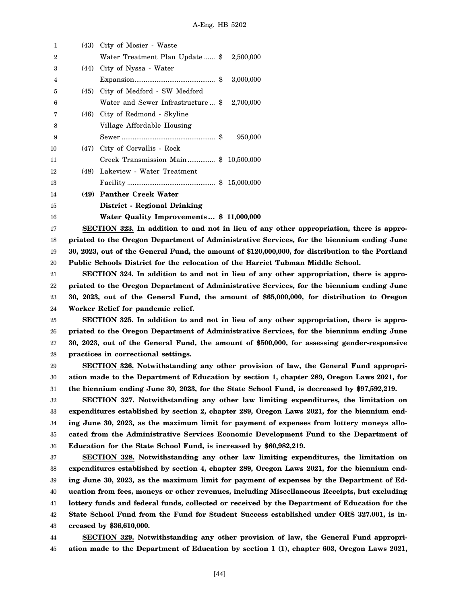| $\mathbf{1}$   | (43) City of Mosier - Waste                        |           |
|----------------|----------------------------------------------------|-----------|
| $\overline{2}$ | Water Treatment Plan Update  \$ 2,500,000          |           |
| 3              | (44) City of Nyssa - Water                         |           |
| 4              |                                                    | 3,000,000 |
| 5              | (45) City of Medford - SW Medford                  |           |
| 6              | Water and Sewer Infrastructure \$ 2,700,000        |           |
| 7              | (46) City of Redmond - Skyline                     |           |
| 8              | Village Affordable Housing                         |           |
| 9              |                                                    | 950,000   |
| 10             | (47) City of Corvallis - Rock                      |           |
| 11             | Creek Transmission Main \$ 10,500,000              |           |
| 12             | (48) Lakeview - Water Treatment                    |           |
| 13             |                                                    |           |
| 14             | (49) Panther Creek Water                           |           |
| 15             | District - Regional Drinking                       |           |
| 16             | Water Quality Improvements \$11,000,000            |           |
| 17             | SECTION 323. In addition to and not in lieu of any |           |

18 19 20 other appropriation, there is appro**priated to the Oregon Department of Administrative Services, for the biennium ending June 30, 2023, out of the General Fund, the amount of \$120,000,000, for distribution to the Portland Public Schools District for the relocation of the Harriet Tubman Middle School.**

21 22 23 24 **SECTION 324. In addition to and not in lieu of any other appropriation, there is appropriated to the Oregon Department of Administrative Services, for the biennium ending June 30, 2023, out of the General Fund, the amount of \$65,000,000, for distribution to Oregon Worker Relief for pandemic relief.**

25 26 27 28 **SECTION 325. In addition to and not in lieu of any other appropriation, there is appropriated to the Oregon Department of Administrative Services, for the biennium ending June 30, 2023, out of the General Fund, the amount of \$500,000, for assessing gender-responsive practices in correctional settings.**

29 30 31 **SECTION 326. Notwithstanding any other provision of law, the General Fund appropriation made to the Department of Education by section 1, chapter 289, Oregon Laws 2021, for the biennium ending June 30, 2023, for the State School Fund, is decreased by \$97,592,219.**

32 33 34 35 36 **SECTION 327. Notwithstanding any other law limiting expenditures, the limitation on expenditures established by section 2, chapter 289, Oregon Laws 2021, for the biennium ending June 30, 2023, as the maximum limit for payment of expenses from lottery moneys allocated from the Administrative Services Economic Development Fund to the Department of Education for the State School Fund, is increased by \$60,982,219.**

37 38 39 40 41 42 43 **SECTION 328. Notwithstanding any other law limiting expenditures, the limitation on expenditures established by section 4, chapter 289, Oregon Laws 2021, for the biennium ending June 30, 2023, as the maximum limit for payment of expenses by the Department of Education from fees, moneys or other revenues, including Miscellaneous Receipts, but excluding lottery funds and federal funds, collected or received by the Department of Education for the State School Fund from the Fund for Student Success established under ORS 327.001, is increased by \$36,610,000.**

44 45 **SECTION 329. Notwithstanding any other provision of law, the General Fund appropriation made to the Department of Education by section 1 (1), chapter 603, Oregon Laws 2021,**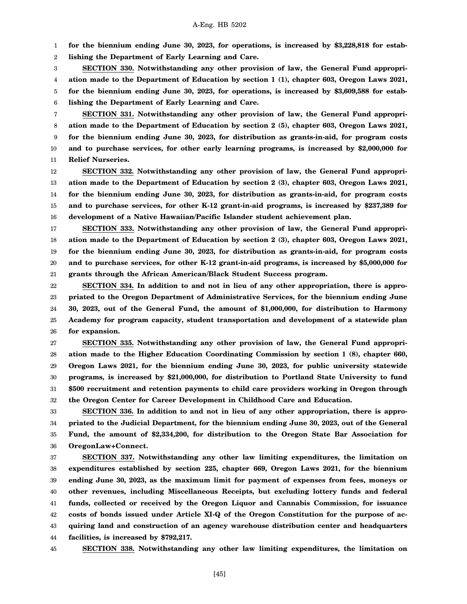1 **for the biennium ending June 30, 2023, for operations, is increased by \$3,228,818 for estab-**

2 **lishing the Department of Early Learning and Care.**

3 4 5 6 **SECTION 330. Notwithstanding any other provision of law, the General Fund appropriation made to the Department of Education by section 1 (1), chapter 603, Oregon Laws 2021, for the biennium ending June 30, 2023, for operations, is increased by \$3,609,588 for establishing the Department of Early Learning and Care.**

7 8 9 10 11 **SECTION 331. Notwithstanding any other provision of law, the General Fund appropriation made to the Department of Education by section 2 (5), chapter 603, Oregon Laws 2021, for the biennium ending June 30, 2023, for distribution as grants-in-aid, for program costs and to purchase services, for other early learning programs, is increased by \$2,000,000 for Relief Nurseries.**

12 13 14 15 16 **SECTION 332. Notwithstanding any other provision of law, the General Fund appropriation made to the Department of Education by section 2 (3), chapter 603, Oregon Laws 2021, for the biennium ending June 30, 2023, for distribution as grants-in-aid, for program costs and to purchase services, for other K-12 grant-in-aid programs, is increased by \$237,389 for development of a Native Hawaiian/Pacific Islander student achievement plan.**

17 18 19 20 21 **SECTION 333. Notwithstanding any other provision of law, the General Fund appropriation made to the Department of Education by section 2 (3), chapter 603, Oregon Laws 2021, for the biennium ending June 30, 2023, for distribution as grants-in-aid, for program costs and to purchase services, for other K-12 grant-in-aid programs, is increased by \$5,000,000 for grants through the African American/Black Student Success program.**

22 23 24 25 26 **SECTION 334. In addition to and not in lieu of any other appropriation, there is appropriated to the Oregon Department of Administrative Services, for the biennium ending June 30, 2023, out of the General Fund, the amount of \$1,000,000, for distribution to Harmony Academy for program capacity, student transportation and development of a statewide plan for expansion.**

27 28 29 30 31 32 **SECTION 335. Notwithstanding any other provision of law, the General Fund appropriation made to the Higher Education Coordinating Commission by section 1 (8), chapter 660, Oregon Laws 2021, for the biennium ending June 30, 2023, for public university statewide programs, is increased by \$21,000,000, for distribution to Portland State University to fund \$500 recruitment and retention payments to child care providers working in Oregon through the Oregon Center for Career Development in Childhood Care and Education.**

33 34 35 36 **SECTION 336. In addition to and not in lieu of any other appropriation, there is appropriated to the Judicial Department, for the biennium ending June 30, 2023, out of the General Fund, the amount of \$2,334,200, for distribution to the Oregon State Bar Association for OregonLaw+Connect.**

37 38 39 40 41 42 43 44 **SECTION 337. Notwithstanding any other law limiting expenditures, the limitation on expenditures established by section 225, chapter 669, Oregon Laws 2021, for the biennium ending June 30, 2023, as the maximum limit for payment of expenses from fees, moneys or other revenues, including Miscellaneous Receipts, but excluding lottery funds and federal funds, collected or received by the Oregon Liquor and Cannabis Commission, for issuance costs of bonds issued under Article XI-Q of the Oregon Constitution for the purpose of acquiring land and construction of an agency warehouse distribution center and headquarters facilities, is increased by \$792,217.**

45

**SECTION 338. Notwithstanding any other law limiting expenditures, the limitation on**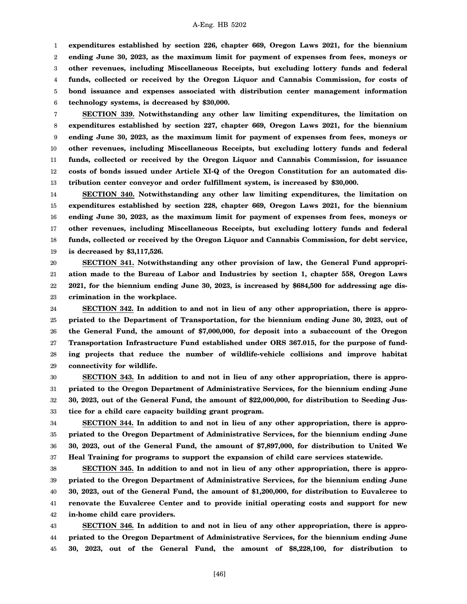1 2 3 4 5 6 **expenditures established by section 226, chapter 669, Oregon Laws 2021, for the biennium ending June 30, 2023, as the maximum limit for payment of expenses from fees, moneys or other revenues, including Miscellaneous Receipts, but excluding lottery funds and federal funds, collected or received by the Oregon Liquor and Cannabis Commission, for costs of bond issuance and expenses associated with distribution center management information technology systems, is decreased by \$30,000.**

7 8 9 10 11 12 13 **SECTION 339. Notwithstanding any other law limiting expenditures, the limitation on expenditures established by section 227, chapter 669, Oregon Laws 2021, for the biennium ending June 30, 2023, as the maximum limit for payment of expenses from fees, moneys or other revenues, including Miscellaneous Receipts, but excluding lottery funds and federal funds, collected or received by the Oregon Liquor and Cannabis Commission, for issuance costs of bonds issued under Article XI-Q of the Oregon Constitution for an automated distribution center conveyor and order fulfillment system, is increased by \$30,000.**

14 15 16 17 18 19 **SECTION 340. Notwithstanding any other law limiting expenditures, the limitation on expenditures established by section 228, chapter 669, Oregon Laws 2021, for the biennium ending June 30, 2023, as the maximum limit for payment of expenses from fees, moneys or other revenues, including Miscellaneous Receipts, but excluding lottery funds and federal funds, collected or received by the Oregon Liquor and Cannabis Commission, for debt service, is decreased by \$3,117,526.**

20 21 22 23 **SECTION 341. Notwithstanding any other provision of law, the General Fund appropriation made to the Bureau of Labor and Industries by section 1, chapter 558, Oregon Laws 2021, for the biennium ending June 30, 2023, is increased by \$684,500 for addressing age discrimination in the workplace.**

24 25 26 27 28 29 **SECTION 342. In addition to and not in lieu of any other appropriation, there is appropriated to the Department of Transportation, for the biennium ending June 30, 2023, out of the General Fund, the amount of \$7,000,000, for deposit into a subaccount of the Oregon Transportation Infrastructure Fund established under ORS 367.015, for the purpose of funding projects that reduce the number of wildlife-vehicle collisions and improve habitat connectivity for wildlife.**

30 31 32 33 **SECTION 343. In addition to and not in lieu of any other appropriation, there is appropriated to the Oregon Department of Administrative Services, for the biennium ending June 30, 2023, out of the General Fund, the amount of \$22,000,000, for distribution to Seeding Justice for a child care capacity building grant program.**

34 35 36 37 **SECTION 344. In addition to and not in lieu of any other appropriation, there is appropriated to the Oregon Department of Administrative Services, for the biennium ending June 30, 2023, out of the General Fund, the amount of \$7,897,000, for distribution to United We Heal Training for programs to support the expansion of child care services statewide.**

38 39 40 41 42 **SECTION 345. In addition to and not in lieu of any other appropriation, there is appropriated to the Oregon Department of Administrative Services, for the biennium ending June 30, 2023, out of the General Fund, the amount of \$1,200,000, for distribution to Euvalcree to renovate the Euvalcree Center and to provide initial operating costs and support for new in-home child care providers.**

43 44 45 **SECTION 346. In addition to and not in lieu of any other appropriation, there is appropriated to the Oregon Department of Administrative Services, for the biennium ending June 30, 2023, out of the General Fund, the amount of \$8,228,100, for distribution to**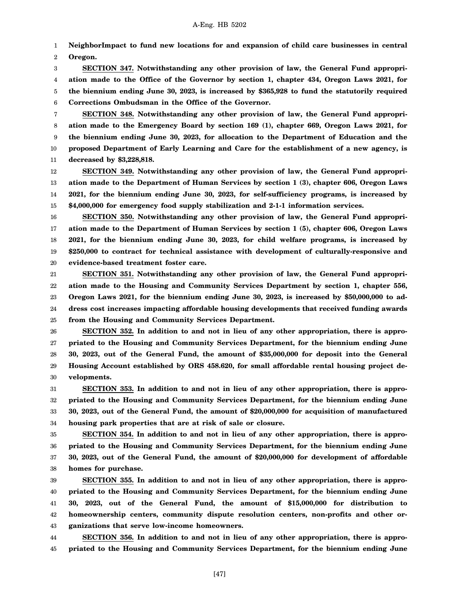1 2 **NeighborImpact to fund new locations for and expansion of child care businesses in central Oregon.**

3 4 5 6 **SECTION 347. Notwithstanding any other provision of law, the General Fund appropriation made to the Office of the Governor by section 1, chapter 434, Oregon Laws 2021, for the biennium ending June 30, 2023, is increased by \$365,928 to fund the statutorily required Corrections Ombudsman in the Office of the Governor.**

7 8 9 10 11 **SECTION 348. Notwithstanding any other provision of law, the General Fund appropriation made to the Emergency Board by section 169 (1), chapter 669, Oregon Laws 2021, for the biennium ending June 30, 2023, for allocation to the Department of Education and the proposed Department of Early Learning and Care for the establishment of a new agency, is decreased by \$3,228,818.**

12 13 14 15 **SECTION 349. Notwithstanding any other provision of law, the General Fund appropriation made to the Department of Human Services by section 1 (3), chapter 606, Oregon Laws 2021, for the biennium ending June 30, 2023, for self-sufficiency programs, is increased by \$4,000,000 for emergency food supply stabilization and 2-1-1 information services.**

16 17 18 19 20 **SECTION 350. Notwithstanding any other provision of law, the General Fund appropriation made to the Department of Human Services by section 1 (5), chapter 606, Oregon Laws 2021, for the biennium ending June 30, 2023, for child welfare programs, is increased by \$250,000 to contract for technical assistance with development of culturally-responsive and evidence-based treatment foster care.**

21 22 23 24 25 **SECTION 351. Notwithstanding any other provision of law, the General Fund appropriation made to the Housing and Community Services Department by section 1, chapter 556, Oregon Laws 2021, for the biennium ending June 30, 2023, is increased by \$50,000,000 to address cost increases impacting affordable housing developments that received funding awards from the Housing and Community Services Department.**

26 27 28 29 30 **SECTION 352. In addition to and not in lieu of any other appropriation, there is appropriated to the Housing and Community Services Department, for the biennium ending June 30, 2023, out of the General Fund, the amount of \$35,000,000 for deposit into the General Housing Account established by ORS 458.620, for small affordable rental housing project developments.**

31 32 33 34 **SECTION 353. In addition to and not in lieu of any other appropriation, there is appropriated to the Housing and Community Services Department, for the biennium ending June 30, 2023, out of the General Fund, the amount of \$20,000,000 for acquisition of manufactured housing park properties that are at risk of sale or closure.**

35 36 37 38 **SECTION 354. In addition to and not in lieu of any other appropriation, there is appropriated to the Housing and Community Services Department, for the biennium ending June 30, 2023, out of the General Fund, the amount of \$20,000,000 for development of affordable homes for purchase.**

39 40 41 42 43 **SECTION 355. In addition to and not in lieu of any other appropriation, there is appropriated to the Housing and Community Services Department, for the biennium ending June 30, 2023, out of the General Fund, the amount of \$15,000,000 for distribution to homeownership centers, community dispute resolution centers, non-profits and other organizations that serve low-income homeowners.**

44 45 **SECTION 356. In addition to and not in lieu of any other appropriation, there is appropriated to the Housing and Community Services Department, for the biennium ending June**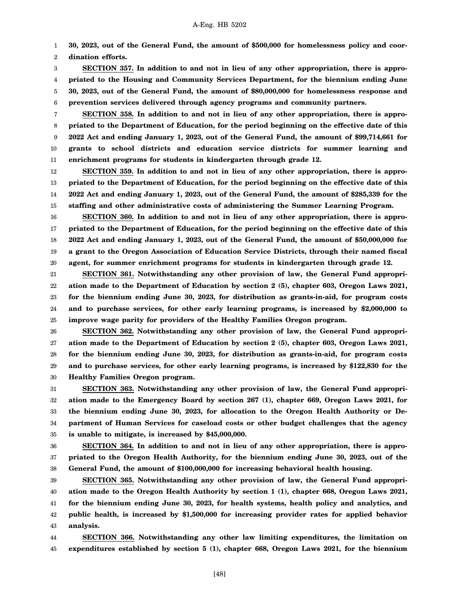1 **30, 2023, out of the General Fund, the amount of \$500,000 for homelessness policy and coor-**

2 **dination efforts.**

3 4 5 6 **SECTION 357. In addition to and not in lieu of any other appropriation, there is appropriated to the Housing and Community Services Department, for the biennium ending June 30, 2023, out of the General Fund, the amount of \$80,000,000 for homelessness response and prevention services delivered through agency programs and community partners.**

7 8 9 10 11 **SECTION 358. In addition to and not in lieu of any other appropriation, there is appropriated to the Department of Education, for the period beginning on the effective date of this 2022 Act and ending January 1, 2023, out of the General Fund, the amount of \$99,714,661 for grants to school districts and education service districts for summer learning and enrichment programs for students in kindergarten through grade 12.**

12 13 14 15 **SECTION 359. In addition to and not in lieu of any other appropriation, there is appropriated to the Department of Education, for the period beginning on the effective date of this 2022 Act and ending January 1, 2023, out of the General Fund, the amount of \$285,339 for the staffing and other administrative costs of administering the Summer Learning Program.**

16 17 18 19 20 **SECTION 360. In addition to and not in lieu of any other appropriation, there is appropriated to the Department of Education, for the period beginning on the effective date of this 2022 Act and ending January 1, 2023, out of the General Fund, the amount of \$50,000,000 for a grant to the Oregon Association of Education Service Districts, through their named fiscal agent, for summer enrichment programs for students in kindergarten through grade 12.**

21 22 23 24 25 **SECTION 361. Notwithstanding any other provision of law, the General Fund appropriation made to the Department of Education by section 2 (5), chapter 603, Oregon Laws 2021, for the biennium ending June 30, 2023, for distribution as grants-in-aid, for program costs and to purchase services, for other early learning programs, is increased by \$2,000,000 to improve wage parity for providers of the Healthy Families Oregon program.**

26 27 28 29 30 **SECTION 362. Notwithstanding any other provision of law, the General Fund appropriation made to the Department of Education by section 2 (5), chapter 603, Oregon Laws 2021, for the biennium ending June 30, 2023, for distribution as grants-in-aid, for program costs and to purchase services, for other early learning programs, is increased by \$122,830 for the Healthy Families Oregon program.**

31 32 33 34 35 **SECTION 363. Notwithstanding any other provision of law, the General Fund appropriation made to the Emergency Board by section 267 (1), chapter 669, Oregon Laws 2021, for the biennium ending June 30, 2023, for allocation to the Oregon Health Authority or Department of Human Services for caseload costs or other budget challenges that the agency is unable to mitigate, is increased by \$45,000,000.**

36 37 38 **SECTION 364. In addition to and not in lieu of any other appropriation, there is appropriated to the Oregon Health Authority, for the biennium ending June 30, 2023, out of the General Fund, the amount of \$100,000,000 for increasing behavioral health housing.**

39 40 41 42 43 **SECTION 365. Notwithstanding any other provision of law, the General Fund appropriation made to the Oregon Health Authority by section 1 (1), chapter 668, Oregon Laws 2021, for the biennium ending June 30, 2023, for health systems, health policy and analytics, and public health, is increased by \$1,500,000 for increasing provider rates for applied behavior analysis.**

44 45 **SECTION 366. Notwithstanding any other law limiting expenditures, the limitation on expenditures established by section 5 (1), chapter 668, Oregon Laws 2021, for the biennium**

[48]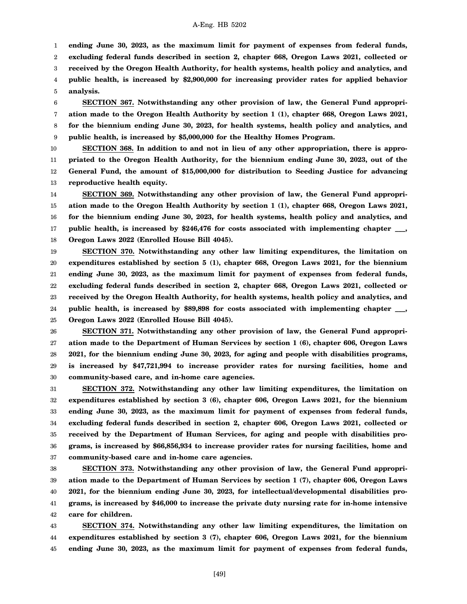1

**ending June 30, 2023, as the maximum limit for payment of expenses from federal funds,**

2 **excluding federal funds described in section 2, chapter 668, Oregon Laws 2021, collected or**

3 **received by the Oregon Health Authority, for health systems, health policy and analytics, and**

4 5 **public health, is increased by \$2,900,000 for increasing provider rates for applied behavior analysis.**

6 7 8 9 **SECTION 367. Notwithstanding any other provision of law, the General Fund appropriation made to the Oregon Health Authority by section 1 (1), chapter 668, Oregon Laws 2021, for the biennium ending June 30, 2023, for health systems, health policy and analytics, and public health, is increased by \$5,000,000 for the Healthy Homes Program.**

10 11 12 13 **SECTION 368. In addition to and not in lieu of any other appropriation, there is appropriated to the Oregon Health Authority, for the biennium ending June 30, 2023, out of the General Fund, the amount of \$15,000,000 for distribution to Seeding Justice for advancing reproductive health equity.**

14 15 16 17 18 **SECTION 369. Notwithstanding any other provision of law, the General Fund appropriation made to the Oregon Health Authority by section 1 (1), chapter 668, Oregon Laws 2021, for the biennium ending June 30, 2023, for health systems, health policy and analytics, and public health, is increased by \$246,476 for costs associated with implementing chapter \_\_\_, Oregon Laws 2022 (Enrolled House Bill 4045).**

19 20 21 22 23 24 25 **SECTION 370. Notwithstanding any other law limiting expenditures, the limitation on expenditures established by section 5 (1), chapter 668, Oregon Laws 2021, for the biennium ending June 30, 2023, as the maximum limit for payment of expenses from federal funds, excluding federal funds described in section 2, chapter 668, Oregon Laws 2021, collected or received by the Oregon Health Authority, for health systems, health policy and analytics, and public health, is increased by \$89,898 for costs associated with implementing chapter \_\_\_, Oregon Laws 2022 (Enrolled House Bill 4045).**

26 27 28 29 30 **SECTION 371. Notwithstanding any other provision of law, the General Fund appropriation made to the Department of Human Services by section 1 (6), chapter 606, Oregon Laws 2021, for the biennium ending June 30, 2023, for aging and people with disabilities programs, is increased by \$47,721,994 to increase provider rates for nursing facilities, home and community-based care, and in-home care agencies.**

31 32 33 34 35 36 37 **SECTION 372. Notwithstanding any other law limiting expenditures, the limitation on expenditures established by section 3 (6), chapter 606, Oregon Laws 2021, for the biennium ending June 30, 2023, as the maximum limit for payment of expenses from federal funds, excluding federal funds described in section 2, chapter 606, Oregon Laws 2021, collected or received by the Department of Human Services, for aging and people with disabilities programs, is increased by \$66,856,934 to increase provider rates for nursing facilities, home and community-based care and in-home care agencies.**

38 39 40 41 42 **SECTION 373. Notwithstanding any other provision of law, the General Fund appropriation made to the Department of Human Services by section 1 (7), chapter 606, Oregon Laws 2021, for the biennium ending June 30, 2023, for intellectual/developmental disabilities programs, is increased by \$46,000 to increase the private duty nursing rate for in-home intensive care for children.**

43 44 45 **SECTION 374. Notwithstanding any other law limiting expenditures, the limitation on expenditures established by section 3 (7), chapter 606, Oregon Laws 2021, for the biennium ending June 30, 2023, as the maximum limit for payment of expenses from federal funds,**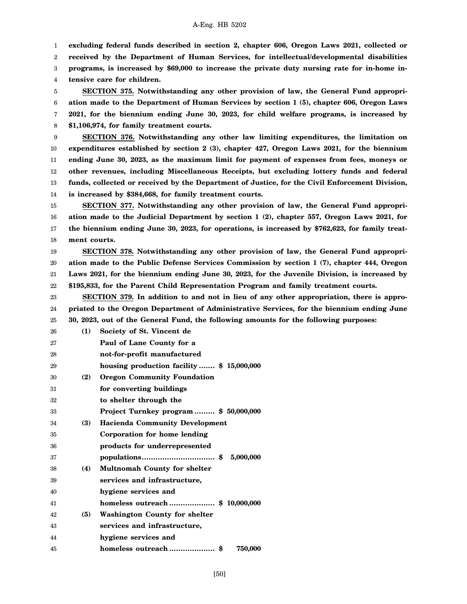1 **excluding federal funds described in section 2, chapter 606, Oregon Laws 2021, collected or**

2 **received by the Department of Human Services, for intellectual/developmental disabilities**

3 **programs, is increased by \$69,000 to increase the private duty nursing rate for in-home in-**

4 **tensive care for children.**

5 6 7 8 **SECTION 375. Notwithstanding any other provision of law, the General Fund appropriation made to the Department of Human Services by section 1 (5), chapter 606, Oregon Laws 2021, for the biennium ending June 30, 2023, for child welfare programs, is increased by \$1,106,974, for family treatment courts.**

9 10 11 12 13 14 **SECTION 376. Notwithstanding any other law limiting expenditures, the limitation on expenditures established by section 2 (3), chapter 427, Oregon Laws 2021, for the biennium ending June 30, 2023, as the maximum limit for payment of expenses from fees, moneys or other revenues, including Miscellaneous Receipts, but excluding lottery funds and federal funds, collected or received by the Department of Justice, for the Civil Enforcement Division, is increased by \$384,668, for family treatment courts.**

15 16 17 18 **SECTION 377. Notwithstanding any other provision of law, the General Fund appropriation made to the Judicial Department by section 1 (2), chapter 557, Oregon Laws 2021, for the biennium ending June 30, 2023, for operations, is increased by \$762,623, for family treatment courts.**

19 20 21 22 **SECTION 378. Notwithstanding any other provision of law, the General Fund appropriation made to the Public Defense Services Commission by section 1 (7), chapter 444, Oregon Laws 2021, for the biennium ending June 30, 2023, for the Juvenile Division, is increased by \$195,833, for the Parent Child Representation Program and family treatment courts.**

23 24 25 **SECTION 379. In addition to and not in lieu of any other appropriation, there is appropriated to the Oregon Department of Administrative Services, for the biennium ending June 30, 2023, out of the General Fund, the following amounts for the following purposes:**

| 26 | (1) | Society of St. Vincent de                |
|----|-----|------------------------------------------|
| 27 |     | Paul of Lane County for a                |
| 28 |     | not-for-profit manufactured              |
| 29 |     | housing production facility \$15,000,000 |
| 30 | (2) | <b>Oregon Community Foundation</b>       |
| 31 |     | for converting buildings                 |
| 32 |     | to shelter through the                   |
| 33 |     | Project Turnkey program  \$50,000,000    |
| 34 | (3) | <b>Hacienda Community Development</b>    |
| 35 |     | Corporation for home lending             |
| 36 |     | products for underrepresented            |
| 37 |     | populations\$ 5,000,000                  |
| 38 | (4) | <b>Multnomah County for shelter</b>      |
| 39 |     | services and infrastructure,             |
| 40 |     | hygiene services and                     |
| 41 |     |                                          |
| 42 | (5) | <b>Washington County for shelter</b>     |
| 43 |     | services and infrastructure,             |
| 44 |     | hygiene services and                     |
| 45 |     | homeless outreach<br>\$<br>750,000       |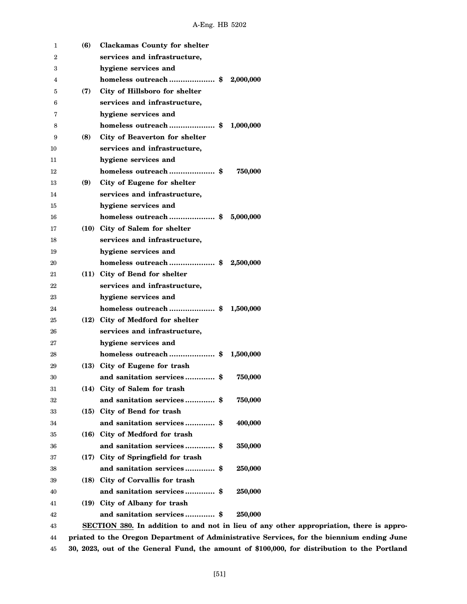| 1  | (6)  | <b>Clackamas County for shelter</b>                                                     |
|----|------|-----------------------------------------------------------------------------------------|
| 2  |      | services and infrastructure,                                                            |
| 3  |      | hygiene services and                                                                    |
| 4  |      | homeless outreach\$<br>2,000,000                                                        |
| 5  | (7)  | City of Hillsboro for shelter                                                           |
| 6  |      | services and infrastructure,                                                            |
| 7  |      | hygiene services and                                                                    |
| 8  |      | homeless outreach\$<br>1,000,000                                                        |
| 9  | (8)  | City of Beaverton for shelter                                                           |
| 10 |      | services and infrastructure,                                                            |
| 11 |      | hygiene services and                                                                    |
| 12 |      | homeless outreach\$<br>750,000                                                          |
| 13 | (9)  | City of Eugene for shelter                                                              |
| 14 |      | services and infrastructure,                                                            |
| 15 |      | hygiene services and                                                                    |
| 16 |      | homeless outreach\$<br>5,000,000                                                        |
| 17 |      | (10) City of Salem for shelter                                                          |
| 18 |      | services and infrastructure,                                                            |
| 19 |      | hygiene services and                                                                    |
| 20 |      | homeless outreach\$<br>2,500,000                                                        |
| 21 |      | (11) City of Bend for shelter                                                           |
| 22 |      | services and infrastructure,                                                            |
| 23 |      | hygiene services and                                                                    |
| 24 |      | homeless outreach\$<br>1,500,000                                                        |
| 25 | (12) | City of Medford for shelter                                                             |
| 26 |      | services and infrastructure,                                                            |
| 27 |      | hygiene services and                                                                    |
| 28 |      | homeless outreach \$<br>1,500,000                                                       |
| 29 | (13) | City of Eugene for trash                                                                |
| 30 |      | and sanitation services \$<br>750,000                                                   |
| 31 |      | (14) City of Salem for trash                                                            |
| 32 |      | and sanitation services \$<br>750,000                                                   |
| 33 |      | (15) City of Bend for trash                                                             |
| 34 |      | and sanitation services \$<br>400,000                                                   |
| 35 |      | (16) City of Medford for trash                                                          |
| 36 |      | and sanitation services \$<br>350,000                                                   |
| 37 |      | (17) City of Springfield for trash                                                      |
| 38 |      | 250,000                                                                                 |
| 39 |      | (18) City of Corvallis for trash                                                        |
| 40 |      | and sanitation services \$<br>250,000                                                   |
| 41 |      | (19) City of Albany for trash                                                           |
| 42 |      | and sanitation services \$<br>250,000                                                   |
| 43 |      | SECTION 380. In addition to and not in lieu of any other appropriation, there is appro- |
|    |      |                                                                                         |

44 45 **priated to the Oregon Department of Administrative Services, for the biennium ending June 30, 2023, out of the General Fund, the amount of \$100,000, for distribution to the Portland**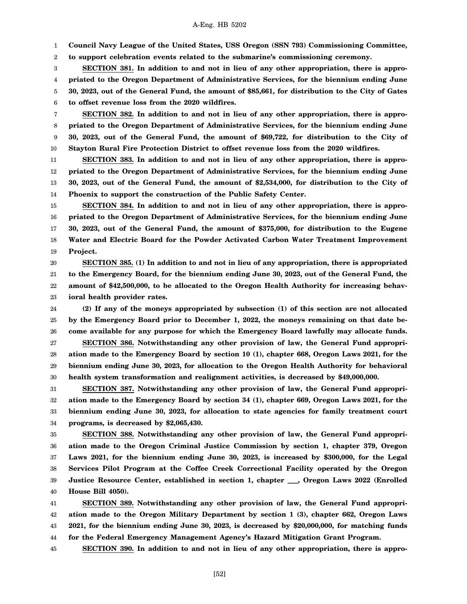1 **Council Navy League of the United States, USS Oregon (SSN 793) Commissioning Committee,**

2 **to support celebration events related to the submarine's commissioning ceremony.**

3 4 5 6 **SECTION 381. In addition to and not in lieu of any other appropriation, there is appropriated to the Oregon Department of Administrative Services, for the biennium ending June 30, 2023, out of the General Fund, the amount of \$85,661, for distribution to the City of Gates to offset revenue loss from the 2020 wildfires.**

7 8 9 10 **SECTION 382. In addition to and not in lieu of any other appropriation, there is appropriated to the Oregon Department of Administrative Services, for the biennium ending June 30, 2023, out of the General Fund, the amount of \$69,722, for distribution to the City of Stayton Rural Fire Protection District to offset revenue loss from the 2020 wildfires.**

11 12 13 14 **SECTION 383. In addition to and not in lieu of any other appropriation, there is appropriated to the Oregon Department of Administrative Services, for the biennium ending June 30, 2023, out of the General Fund, the amount of \$2,534,000, for distribution to the City of Phoenix to support the construction of the Public Safety Center.**

15 16 17 18 19 **SECTION 384. In addition to and not in lieu of any other appropriation, there is appropriated to the Oregon Department of Administrative Services, for the biennium ending June 30, 2023, out of the General Fund, the amount of \$375,000, for distribution to the Eugene Water and Electric Board for the Powder Activated Carbon Water Treatment Improvement Project.**

20 21 22 23 **SECTION 385. (1) In addition to and not in lieu of any appropriation, there is appropriated to the Emergency Board, for the biennium ending June 30, 2023, out of the General Fund, the amount of \$42,500,000, to be allocated to the Oregon Health Authority for increasing behavioral health provider rates.**

24 25 26 27 28 29 30 **(2) If any of the moneys appropriated by subsection (1) of this section are not allocated by the Emergency Board prior to December 1, 2022, the moneys remaining on that date become available for any purpose for which the Emergency Board lawfully may allocate funds. SECTION 386. Notwithstanding any other provision of law, the General Fund appropriation made to the Emergency Board by section 10 (1), chapter 668, Oregon Laws 2021, for the biennium ending June 30, 2023, for allocation to the Oregon Health Authority for behavioral health system transformation and realignment activities, is decreased by \$49,000,000.**

31 32 33 34 **SECTION 387. Notwithstanding any other provision of law, the General Fund appropriation made to the Emergency Board by section 34 (1), chapter 669, Oregon Laws 2021, for the biennium ending June 30, 2023, for allocation to state agencies for family treatment court programs, is decreased by \$2,065,430.**

35 36 37 38 39 40 **SECTION 388. Notwithstanding any other provision of law, the General Fund appropriation made to the Oregon Criminal Justice Commission by section 1, chapter 379, Oregon Laws 2021, for the biennium ending June 30, 2023, is increased by \$300,000, for the Legal Services Pilot Program at the Coffee Creek Correctional Facility operated by the Oregon Justice Resource Center, established in section 1, chapter \_\_\_, Oregon Laws 2022 (Enrolled House Bill 4050).**

41 42 43 44 **SECTION 389. Notwithstanding any other provision of law, the General Fund appropriation made to the Oregon Military Department by section 1 (3), chapter 662, Oregon Laws 2021, for the biennium ending June 30, 2023, is decreased by \$20,000,000, for matching funds for the Federal Emergency Management Agency's Hazard Mitigation Grant Program.**

45 **SECTION 390. In addition to and not in lieu of any other appropriation, there is appro-**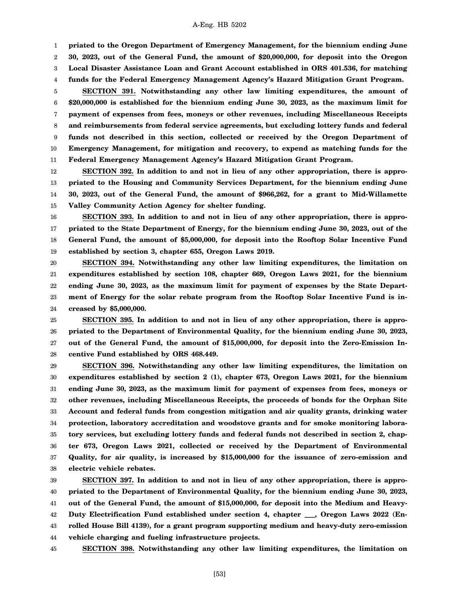1

**priated to the Oregon Department of Emergency Management, for the biennium ending June**

2 3 **30, 2023, out of the General Fund, the amount of \$20,000,000, for deposit into the Oregon Local Disaster Assistance Loan and Grant Account established in ORS 401.536, for matching**

4 **funds for the Federal Emergency Management Agency's Hazard Mitigation Grant Program.**

5 6 7 8 9 10 11 **SECTION 391. Notwithstanding any other law limiting expenditures, the amount of \$20,000,000 is established for the biennium ending June 30, 2023, as the maximum limit for payment of expenses from fees, moneys or other revenues, including Miscellaneous Receipts and reimbursements from federal service agreements, but excluding lottery funds and federal funds not described in this section, collected or received by the Oregon Department of Emergency Management, for mitigation and recovery, to expend as matching funds for the Federal Emergency Management Agency's Hazard Mitigation Grant Program.**

12 13 14 15 **SECTION 392. In addition to and not in lieu of any other appropriation, there is appropriated to the Housing and Community Services Department, for the biennium ending June 30, 2023, out of the General Fund, the amount of \$966,262, for a grant to Mid-Willamette Valley Community Action Agency for shelter funding.**

16 17 18 19 **SECTION 393. In addition to and not in lieu of any other appropriation, there is appropriated to the State Department of Energy, for the biennium ending June 30, 2023, out of the General Fund, the amount of \$5,000,000, for deposit into the Rooftop Solar Incentive Fund established by section 3, chapter 655, Oregon Laws 2019.**

20 21 22 23 24 **SECTION 394. Notwithstanding any other law limiting expenditures, the limitation on expenditures established by section 108, chapter 669, Oregon Laws 2021, for the biennium ending June 30, 2023, as the maximum limit for payment of expenses by the State Department of Energy for the solar rebate program from the Rooftop Solar Incentive Fund is increased by \$5,000,000.**

25 26 27 28 **SECTION 395. In addition to and not in lieu of any other appropriation, there is appropriated to the Department of Environmental Quality, for the biennium ending June 30, 2023, out of the General Fund, the amount of \$15,000,000, for deposit into the Zero-Emission Incentive Fund established by ORS 468.449.**

29 30 31 32 33 34 35 36 37 38 **SECTION 396. Notwithstanding any other law limiting expenditures, the limitation on expenditures established by section 2 (1), chapter 673, Oregon Laws 2021, for the biennium ending June 30, 2023, as the maximum limit for payment of expenses from fees, moneys or other revenues, including Miscellaneous Receipts, the proceeds of bonds for the Orphan Site Account and federal funds from congestion mitigation and air quality grants, drinking water protection, laboratory accreditation and woodstove grants and for smoke monitoring laboratory services, but excluding lottery funds and federal funds not described in section 2, chapter 673, Oregon Laws 2021, collected or received by the Department of Environmental Quality, for air quality, is increased by \$15,000,000 for the issuance of zero-emission and electric vehicle rebates.**

39 40 41 42 43 44 **SECTION 397. In addition to and not in lieu of any other appropriation, there is appropriated to the Department of Environmental Quality, for the biennium ending June 30, 2023, out of the General Fund, the amount of \$15,000,000, for deposit into the Medium and Heavy-Duty Electrification Fund established under section 4, chapter \_\_\_, Oregon Laws 2022 (Enrolled House Bill 4139), for a grant program supporting medium and heavy-duty zero-emission vehicle charging and fueling infrastructure projects.**

45 **SECTION 398. Notwithstanding any other law limiting expenditures, the limitation on**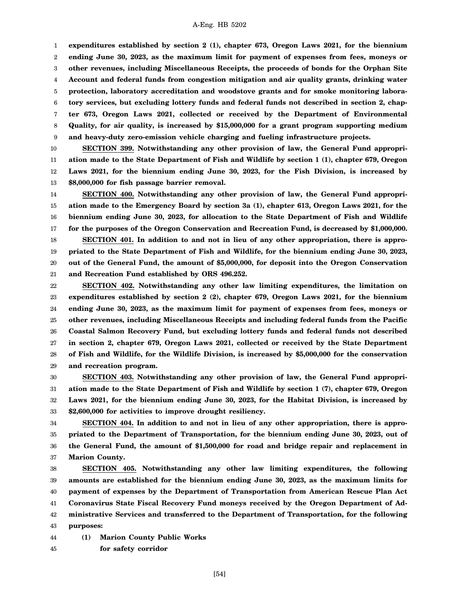1 2 3 4 5 6 7 8 9 **expenditures established by section 2 (1), chapter 673, Oregon Laws 2021, for the biennium ending June 30, 2023, as the maximum limit for payment of expenses from fees, moneys or other revenues, including Miscellaneous Receipts, the proceeds of bonds for the Orphan Site Account and federal funds from congestion mitigation and air quality grants, drinking water protection, laboratory accreditation and woodstove grants and for smoke monitoring laboratory services, but excluding lottery funds and federal funds not described in section 2, chapter 673, Oregon Laws 2021, collected or received by the Department of Environmental Quality, for air quality, is increased by \$15,000,000 for a grant program supporting medium and heavy-duty zero-emission vehicle charging and fueling infrastructure projects.**

10 11 12 13 **SECTION 399. Notwithstanding any other provision of law, the General Fund appropriation made to the State Department of Fish and Wildlife by section 1 (1), chapter 679, Oregon Laws 2021, for the biennium ending June 30, 2023, for the Fish Division, is increased by \$8,000,000 for fish passage barrier removal.**

14 15 16 17 18 19 20 21 **SECTION 400. Notwithstanding any other provision of law, the General Fund appropriation made to the Emergency Board by section 3a (1), chapter 613, Oregon Laws 2021, for the biennium ending June 30, 2023, for allocation to the State Department of Fish and Wildlife for the purposes of the Oregon Conservation and Recreation Fund, is decreased by \$1,000,000. SECTION 401. In addition to and not in lieu of any other appropriation, there is appropriated to the State Department of Fish and Wildlife, for the biennium ending June 30, 2023, out of the General Fund, the amount of \$5,000,000, for deposit into the Oregon Conservation and Recreation Fund established by ORS 496.252.**

22 23 24 25 26 27 28 29 **SECTION 402. Notwithstanding any other law limiting expenditures, the limitation on expenditures established by section 2 (2), chapter 679, Oregon Laws 2021, for the biennium ending June 30, 2023, as the maximum limit for payment of expenses from fees, moneys or other revenues, including Miscellaneous Receipts and including federal funds from the Pacific Coastal Salmon Recovery Fund, but excluding lottery funds and federal funds not described in section 2, chapter 679, Oregon Laws 2021, collected or received by the State Department of Fish and Wildlife, for the Wildlife Division, is increased by \$5,000,000 for the conservation and recreation program.**

30 31 32 33 **SECTION 403. Notwithstanding any other provision of law, the General Fund appropriation made to the State Department of Fish and Wildlife by section 1 (7), chapter 679, Oregon Laws 2021, for the biennium ending June 30, 2023, for the Habitat Division, is increased by \$2,600,000 for activities to improve drought resiliency.**

34 35 36 37 **SECTION 404. In addition to and not in lieu of any other appropriation, there is appropriated to the Department of Transportation, for the biennium ending June 30, 2023, out of the General Fund, the amount of \$1,500,000 for road and bridge repair and replacement in Marion County.**

38 39 40 41 42 43 **SECTION 405. Notwithstanding any other law limiting expenditures, the following amounts are established for the biennium ending June 30, 2023, as the maximum limits for payment of expenses by the Department of Transportation from American Rescue Plan Act Coronavirus State Fiscal Recovery Fund moneys received by the Oregon Department of Administrative Services and transferred to the Department of Transportation, for the following purposes:**

44 **(1) Marion County Public Works**

45 **for safety corridor**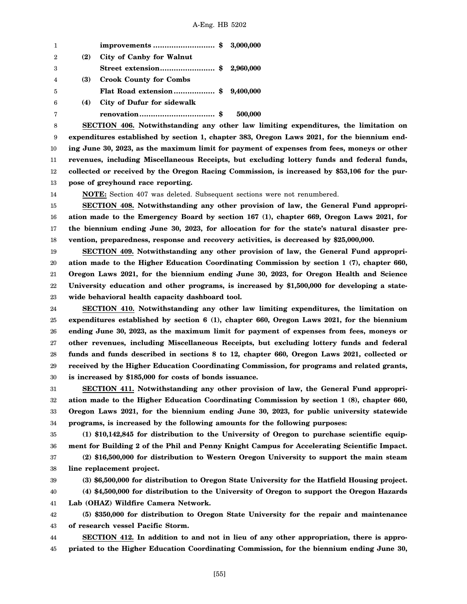| -1             |     |                                  |         |
|----------------|-----|----------------------------------|---------|
| $\overline{2}$ | (2) | City of Canby for Walnut         |         |
| 3              |     | Street extension\$ 2,960,000     |         |
| $\overline{4}$ | (3) | <b>Crook County for Combs</b>    |         |
| $\overline{5}$ |     | Flat Road extension \$ 9,400,000 |         |
| -6             | (4) | City of Dufur for sidewalk       |         |
| 7              |     |                                  | 500,000 |

8 9 10 11 12 13 **SECTION 406. Notwithstanding any other law limiting expenditures, the limitation on expenditures established by section 1, chapter 383, Oregon Laws 2021, for the biennium ending June 30, 2023, as the maximum limit for payment of expenses from fees, moneys or other revenues, including Miscellaneous Receipts, but excluding lottery funds and federal funds, collected or received by the Oregon Racing Commission, is increased by \$53,106 for the purpose of greyhound race reporting.**

14

**NOTE:** Section 407 was deleted. Subsequent sections were not renumbered.

15 16 17 18 **SECTION 408. Notwithstanding any other provision of law, the General Fund appropriation made to the Emergency Board by section 167 (1), chapter 669, Oregon Laws 2021, for the biennium ending June 30, 2023, for allocation for for the state's natural disaster prevention, preparedness, response and recovery activities, is decreased by \$25,000,000.**

19 20 21 22 23 **SECTION 409. Notwithstanding any other provision of law, the General Fund appropriation made to the Higher Education Coordinating Commission by section 1 (7), chapter 660, Oregon Laws 2021, for the biennium ending June 30, 2023, for Oregon Health and Science University education and other programs, is increased by \$1,500,000 for developing a statewide behavioral health capacity dashboard tool.**

24 25 26 27 28 29 30 **SECTION 410. Notwithstanding any other law limiting expenditures, the limitation on expenditures established by section 6 (1), chapter 660, Oregon Laws 2021, for the biennium ending June 30, 2023, as the maximum limit for payment of expenses from fees, moneys or other revenues, including Miscellaneous Receipts, but excluding lottery funds and federal funds and funds described in sections 8 to 12, chapter 660, Oregon Laws 2021, collected or received by the Higher Education Coordinating Commission, for programs and related grants, is increased by \$185,000 for costs of bonds issuance.**

31 32 33 34 **SECTION 411. Notwithstanding any other provision of law, the General Fund appropriation made to the Higher Education Coordinating Commission by section 1 (8), chapter 660, Oregon Laws 2021, for the biennium ending June 30, 2023, for public university statewide programs, is increased by the following amounts for the following purposes:**

35 36 **(1) \$10,142,845 for distribution to the University of Oregon to purchase scientific equipment for Building 2 of the Phil and Penny Knight Campus for Accelerating Scientific Impact.**

37 38 **(2) \$16,500,000 for distribution to Western Oregon University to support the main steam line replacement project.**

39 **(3) \$6,500,000 for distribution to Oregon State University for the Hatfield Housing project.**

40 41 **(4) \$4,500,000 for distribution to the University of Oregon to support the Oregon Hazards Lab (OHAZ) Wildfire Camera Network.**

42 43 **(5) \$350,000 for distribution to Oregon State University for the repair and maintenance of research vessel Pacific Storm.**

44 45 **SECTION 412. In addition to and not in lieu of any other appropriation, there is appropriated to the Higher Education Coordinating Commission, for the biennium ending June 30,**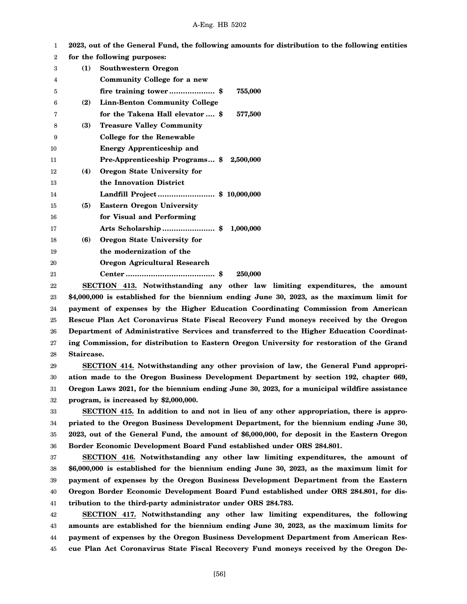|     | 2023, out of the General Fund, the following amounts for distribution to the following entities |
|-----|-------------------------------------------------------------------------------------------------|
|     | for the following purposes:                                                                     |
| (1) | <b>Southwestern Oregon</b>                                                                      |
|     | Community College for a new                                                                     |
|     | 755,000<br>fire training tower\$                                                                |
| (2) | <b>Linn-Benton Community College</b>                                                            |
|     | for the Takena Hall elevator  \$<br>577,500                                                     |
| (3) | <b>Treasure Valley Community</b>                                                                |
|     | <b>College for the Renewable</b>                                                                |
|     | <b>Energy Apprenticeship and</b>                                                                |
|     | Pre-Apprenticeship Programs \$2,500,000                                                         |
| (4) | Oregon State University for                                                                     |
|     | the Innovation District                                                                         |
|     | Landfill Project\$ 10,000,000                                                                   |
| (5) | <b>Eastern Oregon University</b>                                                                |
|     | for Visual and Performing                                                                       |
|     | Arts Scholarship  \$ 1,000,000                                                                  |
| (6) | Oregon State University for                                                                     |
|     | the modernization of the                                                                        |
|     | <b>Oregon Agricultural Research</b>                                                             |
|     | 250,000                                                                                         |
|     |                                                                                                 |

22 23 24 25 26 27 28 **SECTION 413. Notwithstanding any other law limiting expenditures, the amount \$4,000,000 is established for the biennium ending June 30, 2023, as the maximum limit for payment of expenses by the Higher Education Coordinating Commission from American Rescue Plan Act Coronavirus State Fiscal Recovery Fund moneys received by the Oregon Department of Administrative Services and transferred to the Higher Education Coordinating Commission, for distribution to Eastern Oregon University for restoration of the Grand Staircase.**

29 30 31 32 **SECTION 414. Notwithstanding any other provision of law, the General Fund appropriation made to the Oregon Business Development Department by section 192, chapter 669, Oregon Laws 2021, for the biennium ending June 30, 2023, for a municipal wildfire assistance program, is increased by \$2,000,000.**

33 34 35 36 **SECTION 415. In addition to and not in lieu of any other appropriation, there is appropriated to the Oregon Business Development Department, for the biennium ending June 30, 2023, out of the General Fund, the amount of \$6,000,000, for deposit in the Eastern Oregon Border Economic Development Board Fund established under ORS 284.801.**

37 38 39 40 41 **SECTION 416. Notwithstanding any other law limiting expenditures, the amount of \$6,000,000 is established for the biennium ending June 30, 2023, as the maximum limit for payment of expenses by the Oregon Business Development Department from the Eastern Oregon Border Economic Development Board Fund established under ORS 284.801, for distribution to the third-party administrator under ORS 284.783.**

42 43 44 45 **SECTION 417. Notwithstanding any other law limiting expenditures, the following amounts are established for the biennium ending June 30, 2023, as the maximum limits for payment of expenses by the Oregon Business Development Department from American Rescue Plan Act Coronavirus State Fiscal Recovery Fund moneys received by the Oregon De-**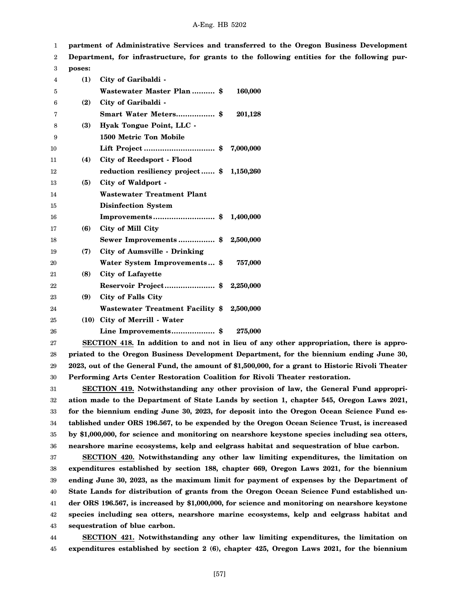1 **partment of Administrative Services and transferred to the Oregon Business Development**

2 **Department, for infrastructure, for grants to the following entities for the following pur-**

| 3  | poses: |                                           |           |
|----|--------|-------------------------------------------|-----------|
| 4  | (1)    | City of Garibaldi -                       |           |
| 5  |        | Wastewater Master Plan  \$                | 160,000   |
| 6  | (2)    | City of Garibaldi -                       |           |
| 7  |        | Smart Water Meters \$                     | 201,128   |
| 8  | (3)    | Hyak Tongue Point, LLC -                  |           |
| 9  |        | 1500 Metric Ton Mobile                    |           |
| 10 |        |                                           | 7,000,000 |
| 11 | (4)    | City of Reedsport - Flood                 |           |
| 12 |        | reduction resiliency project \$ 1,150,260 |           |
| 13 | (5)    | City of Waldport -                        |           |
| 14 |        | <b>Wastewater Treatment Plant</b>         |           |
| 15 |        | <b>Disinfection System</b>                |           |
| 16 |        |                                           |           |
| 17 | (6)    | City of Mill City                         |           |
| 18 |        | Sewer Improvements\$                      | 2,500,000 |
| 19 | (7)    | <b>City of Aumsville - Drinking</b>       |           |
| 20 |        | Water System Improvements \$              | 757,000   |
| 21 | (8)    | City of Lafayette                         |           |
| 22 |        |                                           |           |
| 23 | (9)    | City of Falls City                        |           |
| 24 |        | Wastewater Treatment Facility \$2,500,000 |           |
| 25 | (10)   | City of Merrill - Water                   |           |
| 26 |        | Line Improvements \$                      | 275,000   |

27 28 29 30 **SECTION 418. In addition to and not in lieu of any other appropriation, there is appropriated to the Oregon Business Development Department, for the biennium ending June 30, 2023, out of the General Fund, the amount of \$1,500,000, for a grant to Historic Rivoli Theater Performing Arts Center Restoration Coalition for Rivoli Theater restoration.**

31 32 33 34 35 36 **SECTION 419. Notwithstanding any other provision of law, the General Fund appropriation made to the Department of State Lands by section 1, chapter 545, Oregon Laws 2021, for the biennium ending June 30, 2023, for deposit into the Oregon Ocean Science Fund established under ORS 196.567, to be expended by the Oregon Ocean Science Trust, is increased by \$1,000,000, for science and monitoring on nearshore keystone species including sea otters, nearshore marine ecosystems, kelp and eelgrass habitat and sequestration of blue carbon.**

37 38 39 40 41 42 43 **SECTION 420. Notwithstanding any other law limiting expenditures, the limitation on expenditures established by section 188, chapter 669, Oregon Laws 2021, for the biennium ending June 30, 2023, as the maximum limit for payment of expenses by the Department of State Lands for distribution of grants from the Oregon Ocean Science Fund established under ORS 196.567, is increased by \$1,000,000, for science and monitoring on nearshore keystone species including sea otters, nearshore marine ecosystems, kelp and eelgrass habitat and sequestration of blue carbon.**

44 45 **SECTION 421. Notwithstanding any other law limiting expenditures, the limitation on expenditures established by section 2 (6), chapter 425, Oregon Laws 2021, for the biennium**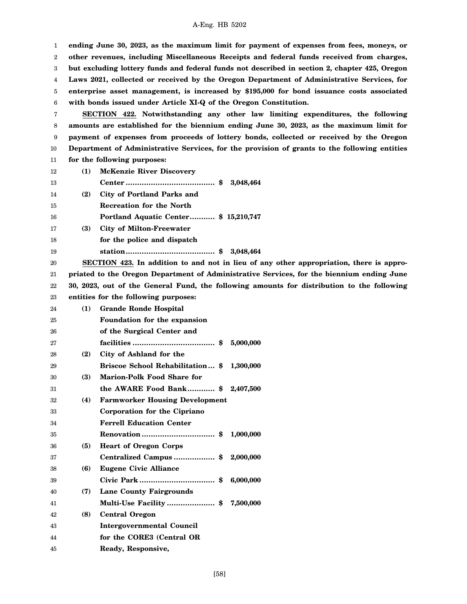1 2 3 4 5 6 7 8 9 10 11 12 13 14 15 16 17 18 19 20 21 22 23 24 25 26 27 28 29 30 31 32 33 34 35 36 37 38 39 40 41 42 43 44 45 **ending June 30, 2023, as the maximum limit for payment of expenses from fees, moneys, or other revenues, including Miscellaneous Receipts and federal funds received from charges, but excluding lottery funds and federal funds not described in section 2, chapter 425, Oregon Laws 2021, collected or received by the Oregon Department of Administrative Services, for enterprise asset management, is increased by \$195,000 for bond issuance costs associated with bonds issued under Article XI-Q of the Oregon Constitution. SECTION 422. Notwithstanding any other law limiting expenditures, the following amounts are established for the biennium ending June 30, 2023, as the maximum limit for payment of expenses from proceeds of lottery bonds, collected or received by the Oregon Department of Administrative Services, for the provision of grants to the following entities for the following purposes: (1) McKenzie River Discovery Center ....................................... \$ 3,048,464 (2) City of Portland Parks and Recreation for the North Portland Aquatic Center........... \$ 15,210,747 (3) City of Milton-Freewater for the police and dispatch station....................................... \$ 3,048,464 SECTION 423. In addition to and not in lieu of any other appropriation, there is appropriated to the Oregon Department of Administrative Services, for the biennium ending June 30, 2023, out of the General Fund, the following amounts for distribution to the following entities for the following purposes: (1) Grande Ronde Hospital Foundation for the expansion of the Surgical Center and facilities .................................... \$ 5,000,000 (2) City of Ashland for the Briscoe School Rehabilitation... \$ 1,300,000 (3) Marion-Polk Food Share for the AWARE Food Bank............ \$ 2,407,500 (4) Farmworker Housing Development Corporation for the Cipriano Ferrell Education Center Renovation ................................ \$ 1,000,000 (5) Heart of Oregon Corps Centralized Campus .................. \$ 2,000,000 (6) Eugene Civic Alliance Civic Park ................................. \$ 6,000,000 (7) Lane County Fairgrounds Multi-Use Facility ..................... \$ 7,500,000 (8) Central Oregon Intergovernmental Council for the CORE3 (Central OR Ready, Responsive,**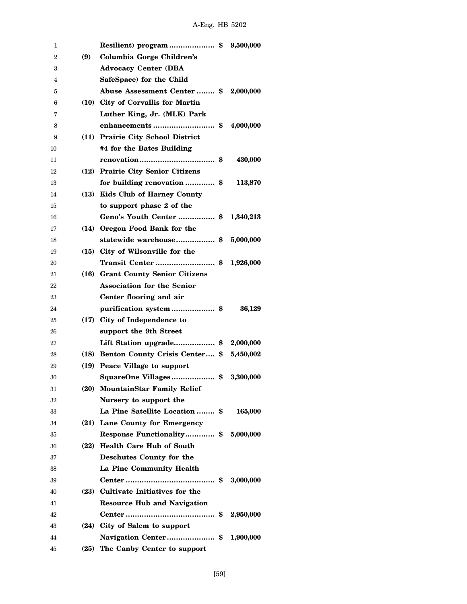| 1              |     | Resilient) program \$ 9,500,000               |           |
|----------------|-----|-----------------------------------------------|-----------|
| $\overline{2}$ | (9) | Columbia Gorge Children's                     |           |
| 3              |     | <b>Advocacy Center (DBA</b>                   |           |
| 4              |     | SafeSpace) for the Child                      |           |
| 5              |     | Abuse Assessment Center  \$ 2,000,000         |           |
| 6              |     | (10) City of Corvallis for Martin             |           |
| 7              |     | Luther King, Jr. (MLK) Park                   |           |
| 8              |     |                                               | 4,000,000 |
| 9              |     | (11) Prairie City School District             |           |
| 10             |     | #4 for the Bates Building                     |           |
| 11             |     |                                               | 430,000   |
| 12             |     | (12) Prairie City Senior Citizens             |           |
| 13             |     | for building renovation \$                    | 113,870   |
| 14             |     | (13) Kids Club of Harney County               |           |
| 15             |     | to support phase 2 of the                     |           |
| 16             |     | Geno's Youth Center \$ 1,340,213              |           |
| 17             |     | (14) Oregon Food Bank for the                 |           |
| 18             |     | statewide warehouse\$ 5,000,000               |           |
| 19             |     | (15) City of Wilsonville for the              |           |
| 20             |     | Transit Center \$                             | 1,926,000 |
| 21             |     | (16) Grant County Senior Citizens             |           |
| 22             |     | <b>Association for the Senior</b>             |           |
| 23             |     | Center flooring and air                       |           |
| 24             |     | purification system\$                         | 36,129    |
| 25             |     | (17) City of Independence to                  |           |
| 26             |     | support the 9th Street                        |           |
| 27             |     | Lift Station upgrade\$ 2,000,000              |           |
| 28             |     | (18) Benton County Crisis Center \$ 5,450,002 |           |
| 29             |     | (19) Peace Village to support                 |           |
| 30             |     | SquareOne Villages\$ 3,300,000                |           |
| 31             |     | (20) MountainStar Family Relief               |           |
| 32             |     | Nursery to support the                        |           |
| 33             |     | La Pine Satellite Location  \$                | 165,000   |
| 34             |     | (21) Lane County for Emergency                |           |
| 35             |     | Response Functionality \$ 5,000,000           |           |
| 36             |     | (22) Health Care Hub of South                 |           |
| 37             |     | Deschutes County for the                      |           |
| 38             |     | La Pine Community Health                      |           |
| 39             |     |                                               | 3,000,000 |
| 40             |     | (23) Cultivate Initiatives for the            |           |
| 41             |     | <b>Resource Hub and Navigation</b>            |           |
| 42             |     |                                               | 2,950,000 |
| 43             |     | (24) City of Salem to support                 |           |
| 44             |     | Navigation Center\$                           | 1,900,000 |
| 45             |     | (25) The Canby Center to support              |           |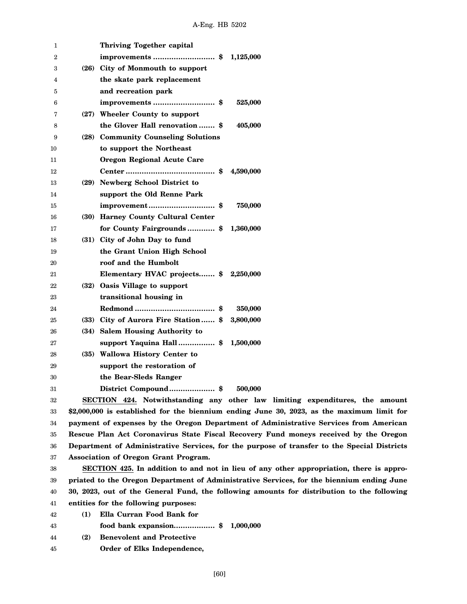| 1  | <b>Thriving Together capital</b>                                                           |
|----|--------------------------------------------------------------------------------------------|
| 2  | improvements \$<br>1,125,000                                                               |
| 3  | (26) City of Monmouth to support                                                           |
| 4  | the skate park replacement                                                                 |
| 5  | and recreation park                                                                        |
| 6  | improvements  \$<br>525,000                                                                |
| 7  | (27) Wheeler County to support                                                             |
| 8  | the Glover Hall renovation \$<br>405,000                                                   |
| 9  | (28) Community Counseling Solutions                                                        |
| 10 | to support the Northeast                                                                   |
| 11 | Oregon Regional Acute Care                                                                 |
| 12 | 4,590,000                                                                                  |
| 13 | (29) Newberg School District to                                                            |
| 14 | support the Old Renne Park                                                                 |
| 15 | 750,000                                                                                    |
| 16 | (30) Harney County Cultural Center                                                         |
| 17 | for County Fairgrounds\$<br>1,360,000                                                      |
| 18 | (31) City of John Day to fund                                                              |
| 19 | the Grant Union High School                                                                |
| 20 | roof and the Humbolt                                                                       |
| 21 | Elementary HVAC projects \$<br>2,250,000                                                   |
| 22 | (32) Oasis Village to support                                                              |
| 23 | transitional housing in                                                                    |
| 24 | 350,000                                                                                    |
| 25 | (33) City of Aurora Fire Station \$<br>3,800,000                                           |
| 26 | (34) Salem Housing Authority to                                                            |
| 27 | support Yaquina Hall\$<br>1,500,000                                                        |
| 28 | (35) Wallowa History Center to                                                             |
| 29 | support the restoration of                                                                 |
| 30 | the Bear-Sleds Ranger                                                                      |
| 31 | 500,000<br>District Compound \$                                                            |
| 32 | SECTION 424. Notwithstanding any other law limiting expenditures, the amount               |
| 33 | \$2,000,000 is established for the biennium ending June 30, 2023, as the maximum limit for |
| 34 | payment of expenses by the Oregon Department of Administrative Services from American      |

34 35 36 37 , 2023, as the maximum limit for **pgon Department of Administrative Services from American Rescue Plan Act Coronavirus State Fiscal Recovery Fund moneys received by the Oregon Department of Administrative Services, for the purpose of transfer to the Special Districts Association of Oregon Grant Program.**

38 39 40 41 **SECTION 425. In addition to and not in lieu of any other appropriation, there is appropriated to the Oregon Department of Administrative Services, for the biennium ending June 30, 2023, out of the General Fund, the following amounts for distribution to the following entities for the following purposes:**

- 42 **(1) Ella Curran Food Bank for**
- 43 **food bank expansion.................. \$ 1,000,000**
- 44 **(2) Benevolent and Protective**
- 45 **Order of Elks Independence,**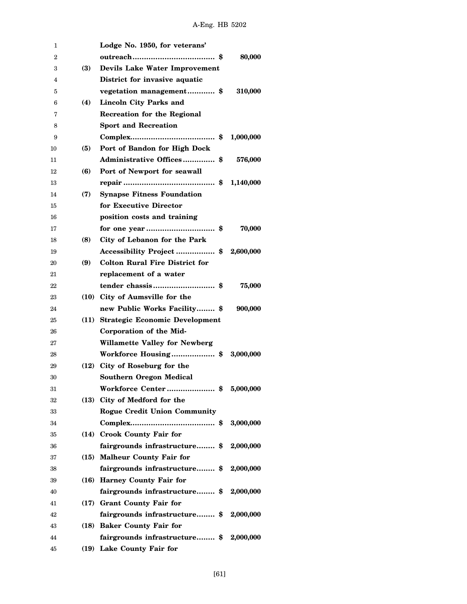| 1  |            | Lodge No. 1950, for veterans'         |           |
|----|------------|---------------------------------------|-----------|
| 2  |            |                                       | 80,000    |
| 3  | <b>(3)</b> | <b>Devils Lake Water Improvement</b>  |           |
| 4  |            | District for invasive aquatic         |           |
| 5  |            | vegetation management \$              | 310,000   |
| 6  | (4)        | Lincoln City Parks and                |           |
| 7  |            | Recreation for the Regional           |           |
| 8  |            | <b>Sport and Recreation</b>           |           |
| 9  |            |                                       | 1,000,000 |
| 10 | (5)        | Port of Bandon for High Dock          |           |
| 11 |            | Administrative Offices \$             | 576,000   |
| 12 | (6)        | Port of Newport for seawall           |           |
| 13 |            |                                       | 1,140,000 |
| 14 | (7)        | <b>Synapse Fitness Foundation</b>     |           |
| 15 |            | for Executive Director                |           |
| 16 |            | position costs and training           |           |
| 17 |            |                                       | 70,000    |
| 18 | (8)        | City of Lebanon for the Park          |           |
| 19 |            | Accessibility Project  \$ 2,600,000   |           |
| 20 | (9)        | <b>Colton Rural Fire District for</b> |           |
| 21 |            | replacement of a water                |           |
| 22 |            | tender chassis \$                     | 75,000    |
| 23 |            | (10) City of Aumsville for the        |           |
| 24 |            | new Public Works Facility \$          | 900,000   |
| 25 |            | (11) Strategic Economic Development   |           |
| 26 |            | Corporation of the Mid-               |           |
| 27 |            | <b>Willamette Valley for Newberg</b>  |           |
| 28 |            | Workforce Housing\$                   | 3,000,000 |
| 29 |            | (12) City of Roseburg for the         |           |
| 30 |            | <b>Southern Oregon Medical</b>        |           |
| 31 |            | Workforce Center\$                    | 5,000,000 |
| 32 |            | (13) City of Medford for the          |           |
| 33 |            | <b>Rogue Credit Union Community</b>   |           |
| 34 |            |                                       | 3.000.000 |
| 35 |            | (14) Crook County Fair for            |           |
| 36 |            | fairgrounds infrastructure \$         | 2,000,000 |
| 37 |            | (15) Malheur County Fair for          |           |
| 38 |            | fairgrounds infrastructure \$         | 2,000,000 |
| 39 |            | (16) Harney County Fair for           |           |
| 40 |            | fairgrounds infrastructure \$         | 2,000,000 |
| 41 |            | (17) Grant County Fair for            |           |
| 42 |            | fairgrounds infrastructure \$         | 2,000,000 |
| 43 |            | (18) Baker County Fair for            |           |
| 44 |            | fairgrounds infrastructure \$         | 2,000,000 |
| 45 |            | (19) Lake County Fair for             |           |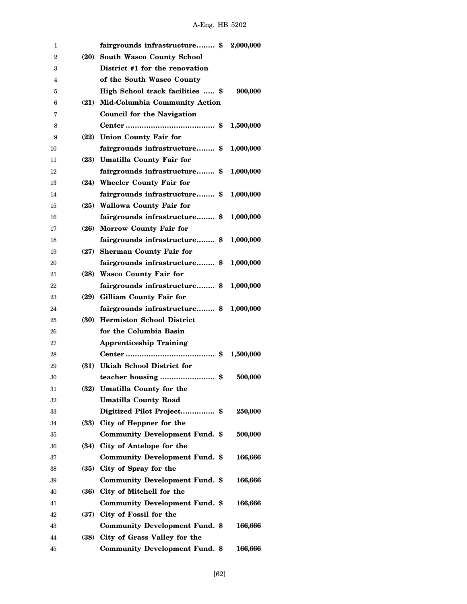| 1  |      | fairgrounds infrastructure \$         | 2,000,000 |
|----|------|---------------------------------------|-----------|
| 2  |      | (20) South Wasco County School        |           |
| 3  |      | District #1 for the renovation        |           |
| 4  |      | of the South Wasco County             |           |
| 5  |      | High School track facilities  \$      | 900,000   |
| 6  |      | (21) Mid-Columbia Community Action    |           |
| 7  |      | <b>Council for the Navigation</b>     |           |
| 8  |      |                                       | 1,500,000 |
| 9  |      | (22) Union County Fair for            |           |
| 10 |      | fairgrounds infrastructure \$         | 1,000,000 |
| 11 |      | (23) Umatilla County Fair for         |           |
| 12 |      | fairgrounds infrastructure \$         | 1,000,000 |
| 13 |      | (24) Wheeler County Fair for          |           |
| 14 |      | fairgrounds infrastructure \$         | 1,000,000 |
| 15 |      | (25) Wallowa County Fair for          |           |
| 16 |      | fairgrounds infrastructure \$         | 1,000,000 |
| 17 |      | (26) Morrow County Fair for           |           |
| 18 |      | fairgrounds infrastructure \$         | 1,000,000 |
| 19 |      | (27) Sherman County Fair for          |           |
| 20 |      | fairgrounds infrastructure \$         | 1,000,000 |
| 21 |      | (28) Wasco County Fair for            |           |
| 22 |      | fairgrounds infrastructure \$         | 1,000,000 |
| 23 |      | (29) Gilliam County Fair for          |           |
| 24 |      | fairgrounds infrastructure \$         | 1,000,000 |
| 25 |      | (30) Hermiston School District        |           |
| 26 |      | for the Columbia Basin                |           |
| 27 |      | <b>Apprenticeship Training</b>        |           |
| 28 |      |                                       | 1,500,000 |
| 29 |      | (31) Ukiah School District for        |           |
| 30 |      | teacher housing \$                    | 500,000   |
| 31 | (32) | <b>Umatilla County for the</b>        |           |
| 32 |      | <b>Umatilla County Road</b>           |           |
| 33 |      | Digitized Pilot Project \$            | 250,000   |
| 34 | (33) | City of Heppner for the               |           |
| 35 |      | <b>Community Development Fund. \$</b> | 500,000   |
| 36 | (34) | City of Antelope for the              |           |
| 37 |      | <b>Community Development Fund. \$</b> | 166,666   |
| 38 | (35) | City of Spray for the                 |           |
| 39 |      | <b>Community Development Fund. \$</b> | 166,666   |
| 40 | (36) | City of Mitchell for the              |           |
| 41 |      | <b>Community Development Fund. \$</b> | 166,666   |
| 42 |      | (37) City of Fossil for the           |           |
| 43 |      | <b>Community Development Fund. \$</b> | 166,666   |
| 44 | (38) | City of Grass Valley for the          |           |
| 45 |      | <b>Community Development Fund. \$</b> | 166,666   |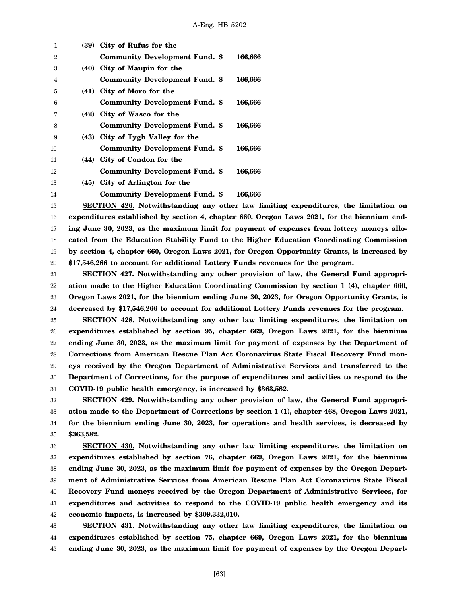| 1  | (39) City of Rufus for the            |         |
|----|---------------------------------------|---------|
| 2  | <b>Community Development Fund. \$</b> | 166,666 |
| 3  | (40) City of Maupin for the           |         |
| 4  | <b>Community Development Fund. \$</b> | 166,666 |
| 5  | (41) City of Moro for the             |         |
| 6  | <b>Community Development Fund. \$</b> | 166,666 |
| 7  | (42) City of Wasco for the            |         |
| 8  | <b>Community Development Fund. \$</b> | 166,666 |
| 9  | (43) City of Tygh Valley for the      |         |
| 10 | <b>Community Development Fund. \$</b> | 166,666 |
| 11 | (44) City of Condon for the           |         |
| 12 | <b>Community Development Fund. \$</b> | 166,666 |
| 13 | (45) City of Arlington for the        |         |
| 14 | <b>Community Development Fund. \$</b> | 166.666 |

15 16 17 18 19 20 **SECTION 426. Notwithstanding any other law limiting expenditures, the limitation on expenditures established by section 4, chapter 660, Oregon Laws 2021, for the biennium ending June 30, 2023, as the maximum limit for payment of expenses from lottery moneys allocated from the Education Stability Fund to the Higher Education Coordinating Commission by section 4, chapter 660, Oregon Laws 2021, for Oregon Opportunity Grants, is increased by \$17,546,266 to account for additional Lottery Funds revenues for the program.**

21 22 23 24 **SECTION 427. Notwithstanding any other provision of law, the General Fund appropriation made to the Higher Education Coordinating Commission by section 1 (4), chapter 660, Oregon Laws 2021, for the biennium ending June 30, 2023, for Oregon Opportunity Grants, is decreased by \$17,546,266 to account for additional Lottery Funds revenues for the program.**

25 26 27 28 29 30 31 **SECTION 428. Notwithstanding any other law limiting expenditures, the limitation on expenditures established by section 95, chapter 669, Oregon Laws 2021, for the biennium ending June 30, 2023, as the maximum limit for payment of expenses by the Department of Corrections from American Rescue Plan Act Coronavirus State Fiscal Recovery Fund moneys received by the Oregon Department of Administrative Services and transferred to the Department of Corrections, for the purpose of expenditures and activities to respond to the COVID-19 public health emergency, is increased by \$363,582.**

32 33 34 35 **SECTION 429. Notwithstanding any other provision of law, the General Fund appropriation made to the Department of Corrections by section 1 (1), chapter 468, Oregon Laws 2021, for the biennium ending June 30, 2023, for operations and health services, is decreased by \$363,582.**

36 37 38 39 40 41 42 **SECTION 430. Notwithstanding any other law limiting expenditures, the limitation on expenditures established by section 76, chapter 669, Oregon Laws 2021, for the biennium ending June 30, 2023, as the maximum limit for payment of expenses by the Oregon Department of Administrative Services from American Rescue Plan Act Coronavirus State Fiscal Recovery Fund moneys received by the Oregon Department of Administrative Services, for expenditures and activities to respond to the COVID-19 public health emergency and its economic impacts, is increased by \$309,332,010.**

43 44 45 **SECTION 431. Notwithstanding any other law limiting expenditures, the limitation on expenditures established by section 75, chapter 669, Oregon Laws 2021, for the biennium ending June 30, 2023, as the maximum limit for payment of expenses by the Oregon Depart-**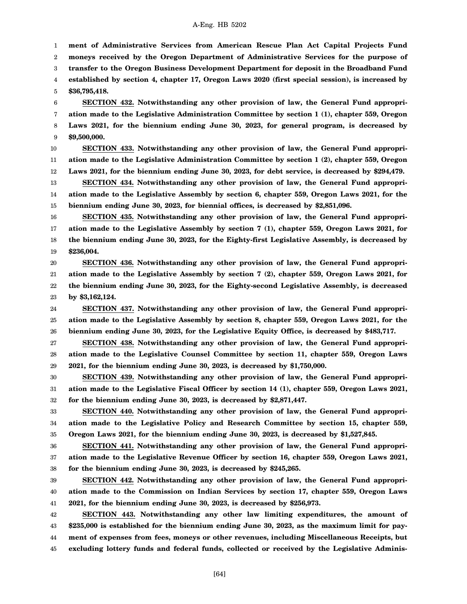1 2 3 4 5 **ment of Administrative Services from American Rescue Plan Act Capital Projects Fund moneys received by the Oregon Department of Administrative Services for the purpose of transfer to the Oregon Business Development Department for deposit in the Broadband Fund established by section 4, chapter 17, Oregon Laws 2020 (first special session), is increased by \$36,795,418.**

6 7 8 9 **SECTION 432. Notwithstanding any other provision of law, the General Fund appropriation made to the Legislative Administration Committee by section 1 (1), chapter 559, Oregon Laws 2021, for the biennium ending June 30, 2023, for general program, is decreased by \$9,500,000.**

10 11 12 **SECTION 433. Notwithstanding any other provision of law, the General Fund appropriation made to the Legislative Administration Committee by section 1 (2), chapter 559, Oregon Laws 2021, for the biennium ending June 30, 2023, for debt service, is decreased by \$294,479.**

13 14 15 **SECTION 434. Notwithstanding any other provision of law, the General Fund appropriation made to the Legislative Assembly by section 6, chapter 559, Oregon Laws 2021, for the biennium ending June 30, 2023, for biennial offices, is decreased by \$2,851,096.**

16 17 18 19 **SECTION 435. Notwithstanding any other provision of law, the General Fund appropriation made to the Legislative Assembly by section 7 (1), chapter 559, Oregon Laws 2021, for the biennium ending June 30, 2023, for the Eighty-first Legislative Assembly, is decreased by \$236,004.**

20 21 22 23 **SECTION 436. Notwithstanding any other provision of law, the General Fund appropriation made to the Legislative Assembly by section 7 (2), chapter 559, Oregon Laws 2021, for the biennium ending June 30, 2023, for the Eighty-second Legislative Assembly, is decreased by \$3,162,124.**

24 25 26 **SECTION 437. Notwithstanding any other provision of law, the General Fund appropriation made to the Legislative Assembly by section 8, chapter 559, Oregon Laws 2021, for the biennium ending June 30, 2023, for the Legislative Equity Office, is decreased by \$483,717.**

27 28 29 **SECTION 438. Notwithstanding any other provision of law, the General Fund appropriation made to the Legislative Counsel Committee by section 11, chapter 559, Oregon Laws 2021, for the biennium ending June 30, 2023, is decreased by \$1,750,000.**

30 31 32 **SECTION 439. Notwithstanding any other provision of law, the General Fund appropriation made to the Legislative Fiscal Officer by section 14 (1), chapter 559, Oregon Laws 2021, for the biennium ending June 30, 2023, is decreased by \$2,871,447.**

33 34 35 **SECTION 440. Notwithstanding any other provision of law, the General Fund appropriation made to the Legislative Policy and Research Committee by section 15, chapter 559, Oregon Laws 2021, for the biennium ending June 30, 2023, is decreased by \$1,527,845.**

36 37 38 **SECTION 441. Notwithstanding any other provision of law, the General Fund appropriation made to the Legislative Revenue Officer by section 16, chapter 559, Oregon Laws 2021, for the biennium ending June 30, 2023, is decreased by \$245,265.**

39 40 41 **SECTION 442. Notwithstanding any other provision of law, the General Fund appropriation made to the Commission on Indian Services by section 17, chapter 559, Oregon Laws 2021, for the biennium ending June 30, 2023, is decreased by \$256,973.**

42 43 44 45 **SECTION 443. Notwithstanding any other law limiting expenditures, the amount of \$235,000 is established for the biennium ending June 30, 2023, as the maximum limit for payment of expenses from fees, moneys or other revenues, including Miscellaneous Receipts, but excluding lottery funds and federal funds, collected or received by the Legislative Adminis-**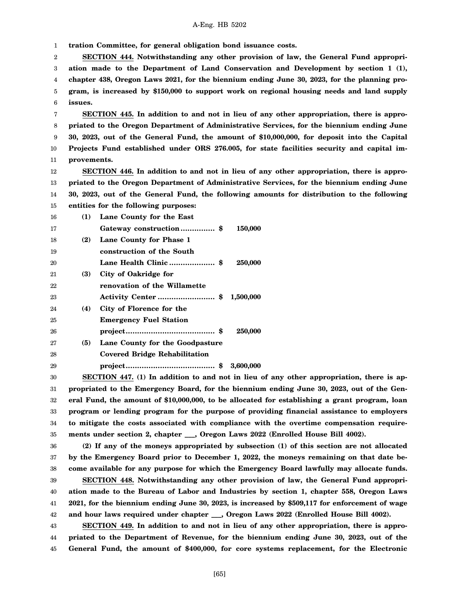1 **tration Committee, for general obligation bond issuance costs.**

2 3 4 5 6 **SECTION 444. Notwithstanding any other provision of law, the General Fund appropriation made to the Department of Land Conservation and Development by section 1 (1), chapter 438, Oregon Laws 2021, for the biennium ending June 30, 2023, for the planning program, is increased by \$150,000 to support work on regional housing needs and land supply issues.**

7 8 9 10 11 **SECTION 445. In addition to and not in lieu of any other appropriation, there is appropriated to the Oregon Department of Administrative Services, for the biennium ending June 30, 2023, out of the General Fund, the amount of \$10,000,000, for deposit into the Capital Projects Fund established under ORS 276.005, for state facilities security and capital improvements.**

12 13 14 15 **SECTION 446. In addition to and not in lieu of any other appropriation, there is appropriated to the Oregon Department of Administrative Services, for the biennium ending June 30, 2023, out of the General Fund, the following amounts for distribution to the following entities for the following purposes:**

| 16 | (1) | Lane County for the East                                                |           |
|----|-----|-------------------------------------------------------------------------|-----------|
| 17 |     |                                                                         | 150,000   |
| 18 | (2) | Lane County for Phase 1                                                 |           |
| 19 |     | construction of the South                                               |           |
| 20 |     |                                                                         | 250,000   |
| 21 | (3) | City of Oakridge for                                                    |           |
| 22 |     | renovation of the Willamette                                            |           |
| 23 |     |                                                                         | 1,500,000 |
| 24 | (4) | City of Florence for the                                                |           |
| 25 |     | <b>Emergency Fuel Station</b>                                           |           |
| 26 |     | $project \dots \dots \dots \dots \dots \dots \dots \dots \dots \dots \$ | 250,000   |
| 27 | (5) | Lane County for the Goodpasture                                         |           |
|    |     |                                                                         |           |

28 **Covered Bridge Rehabilitation**

29

**project....................................... \$ 3,600,000**

30 31 32 33 34 35 **SECTION 447. (1) In addition to and not in lieu of any other appropriation, there is appropriated to the Emergency Board, for the biennium ending June 30, 2023, out of the General Fund, the amount of \$10,000,000, to be allocated for establishing a grant program, loan program or lending program for the purpose of providing financial assistance to employers to mitigate the costs associated with compliance with the overtime compensation requirements under section 2, chapter \_\_\_, Oregon Laws 2022 (Enrolled House Bill 4002).**

36 37 38 39 40 41 42 **(2) If any of the moneys appropriated by subsection (1) of this section are not allocated by the Emergency Board prior to December 1, 2022, the moneys remaining on that date become available for any purpose for which the Emergency Board lawfully may allocate funds. SECTION 448. Notwithstanding any other provision of law, the General Fund appropriation made to the Bureau of Labor and Industries by section 1, chapter 558, Oregon Laws 2021, for the biennium ending June 30, 2023, is increased by \$509,117 for enforcement of wage and hour laws required under chapter \_\_\_, Oregon Laws 2022 (Enrolled House Bill 4002).**

43 44 45 **SECTION 449. In addition to and not in lieu of any other appropriation, there is appropriated to the Department of Revenue, for the biennium ending June 30, 2023, out of the General Fund, the amount of \$400,000, for core systems replacement, for the Electronic**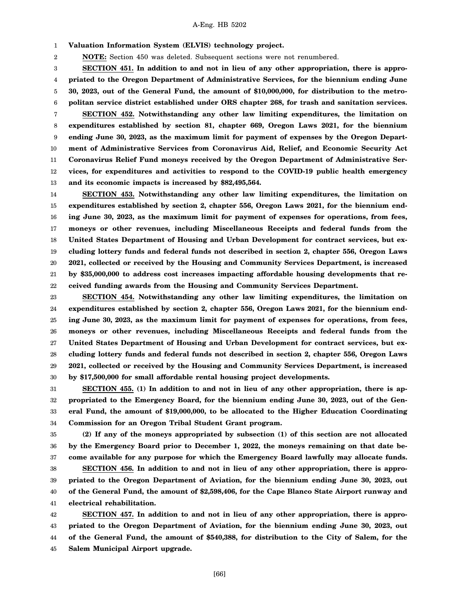1 **Valuation Information System (ELVIS) technology project.**

2 **NOTE:** Section 450 was deleted. Subsequent sections were not renumbered.

3 4 5 6 **SECTION 451. In addition to and not in lieu of any other appropriation, there is appropriated to the Oregon Department of Administrative Services, for the biennium ending June 30, 2023, out of the General Fund, the amount of \$10,000,000, for distribution to the metropolitan service district established under ORS chapter 268, for trash and sanitation services.**

7 8 9 10 11 12 13 **SECTION 452. Notwithstanding any other law limiting expenditures, the limitation on expenditures established by section 81, chapter 669, Oregon Laws 2021, for the biennium ending June 30, 2023, as the maximum limit for payment of expenses by the Oregon Department of Administrative Services from Coronavirus Aid, Relief, and Economic Security Act Coronavirus Relief Fund moneys received by the Oregon Department of Administrative Services, for expenditures and activities to respond to the COVID-19 public health emergency and its economic impacts is increased by \$82,495,564.**

14 15 16 17 18 19 20 21 22 **SECTION 453. Notwithstanding any other law limiting expenditures, the limitation on expenditures established by section 2, chapter 556, Oregon Laws 2021, for the biennium ending June 30, 2023, as the maximum limit for payment of expenses for operations, from fees, moneys or other revenues, including Miscellaneous Receipts and federal funds from the United States Department of Housing and Urban Development for contract services, but excluding lottery funds and federal funds not described in section 2, chapter 556, Oregon Laws 2021, collected or received by the Housing and Community Services Department, is increased by \$35,000,000 to address cost increases impacting affordable housing developments that received funding awards from the Housing and Community Services Department.**

23 24 25 26 27 28 29 30 **SECTION 454. Notwithstanding any other law limiting expenditures, the limitation on expenditures established by section 2, chapter 556, Oregon Laws 2021, for the biennium ending June 30, 2023, as the maximum limit for payment of expenses for operations, from fees, moneys or other revenues, including Miscellaneous Receipts and federal funds from the United States Department of Housing and Urban Development for contract services, but excluding lottery funds and federal funds not described in section 2, chapter 556, Oregon Laws 2021, collected or received by the Housing and Community Services Department, is increased by \$17,500,000 for small affordable rental housing project developments.**

31 32 33 34 **SECTION 455. (1) In addition to and not in lieu of any other appropriation, there is appropriated to the Emergency Board, for the biennium ending June 30, 2023, out of the General Fund, the amount of \$19,000,000, to be allocated to the Higher Education Coordinating Commission for an Oregon Tribal Student Grant program.**

35 36 37 38 39 40 41 **(2) If any of the moneys appropriated by subsection (1) of this section are not allocated by the Emergency Board prior to December 1, 2022, the moneys remaining on that date become available for any purpose for which the Emergency Board lawfully may allocate funds. SECTION 456. In addition to and not in lieu of any other appropriation, there is appropriated to the Oregon Department of Aviation, for the biennium ending June 30, 2023, out of the General Fund, the amount of \$2,598,406, for the Cape Blanco State Airport runway and electrical rehabilitation.**

42 43 44 45 **SECTION 457. In addition to and not in lieu of any other appropriation, there is appropriated to the Oregon Department of Aviation, for the biennium ending June 30, 2023, out of the General Fund, the amount of \$540,388, for distribution to the City of Salem, for the Salem Municipal Airport upgrade.**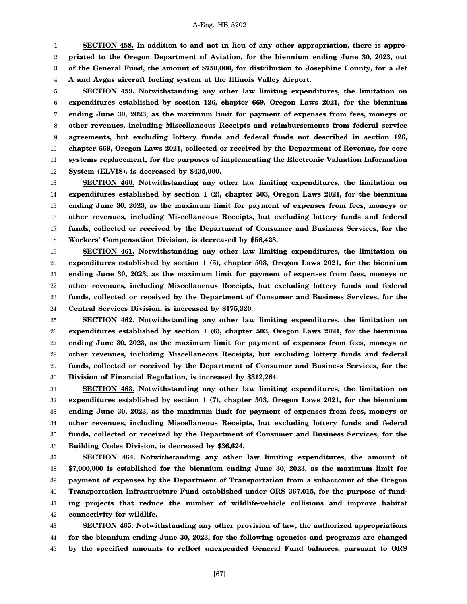1 2 3 **SECTION 458. In addition to and not in lieu of any other appropriation, there is appropriated to the Oregon Department of Aviation, for the biennium ending June 30, 2023, out of the General Fund, the amount of \$750,000, for distribution to Josephine County, for a Jet**

4 **A and Avgas aircraft fueling system at the Illinois Valley Airport.**

5 6 7 8 9 10 11 12 **SECTION 459. Notwithstanding any other law limiting expenditures, the limitation on expenditures established by section 126, chapter 669, Oregon Laws 2021, for the biennium ending June 30, 2023, as the maximum limit for payment of expenses from fees, moneys or other revenues, including Miscellaneous Receipts and reimbursements from federal service agreements, but excluding lottery funds and federal funds not described in section 126, chapter 669, Oregon Laws 2021, collected or received by the Department of Revenue, for core systems replacement, for the purposes of implementing the Electronic Valuation Information System (ELVIS), is decreased by \$435,000.**

13 14 15 16 17 18 **SECTION 460. Notwithstanding any other law limiting expenditures, the limitation on expenditures established by section 1 (2), chapter 503, Oregon Laws 2021, for the biennium ending June 30, 2023, as the maximum limit for payment of expenses from fees, moneys or other revenues, including Miscellaneous Receipts, but excluding lottery funds and federal funds, collected or received by the Department of Consumer and Business Services, for the Workers' Compensation Division, is decreased by \$58,428.**

19 20 21 22 23 24 **SECTION 461. Notwithstanding any other law limiting expenditures, the limitation on expenditures established by section 1 (5), chapter 503, Oregon Laws 2021, for the biennium ending June 30, 2023, as the maximum limit for payment of expenses from fees, moneys or other revenues, including Miscellaneous Receipts, but excluding lottery funds and federal funds, collected or received by the Department of Consumer and Business Services, for the Central Services Division, is increased by \$175,320.**

25 26 27 28 29 30 **SECTION 462. Notwithstanding any other law limiting expenditures, the limitation on expenditures established by section 1 (6), chapter 503, Oregon Laws 2021, for the biennium ending June 30, 2023, as the maximum limit for payment of expenses from fees, moneys or other revenues, including Miscellaneous Receipts, but excluding lottery funds and federal funds, collected or received by the Department of Consumer and Business Services, for the Division of Financial Regulation, is increased by \$312,264.**

31 32 33 34 35 36 **SECTION 463. Notwithstanding any other law limiting expenditures, the limitation on expenditures established by section 1 (7), chapter 503, Oregon Laws 2021, for the biennium ending June 30, 2023, as the maximum limit for payment of expenses from fees, moneys or other revenues, including Miscellaneous Receipts, but excluding lottery funds and federal funds, collected or received by the Department of Consumer and Business Services, for the Building Codes Division, is decreased by \$36,624.**

37 38 39 40 41 42 **SECTION 464. Notwithstanding any other law limiting expenditures, the amount of \$7,000,000 is established for the biennium ending June 30, 2023, as the maximum limit for payment of expenses by the Department of Transportation from a subaccount of the Oregon Transportation Infrastructure Fund established under ORS 367.015, for the purpose of funding projects that reduce the number of wildlife-vehicle collisions and improve habitat connectivity for wildlife.**

43 44 45 **SECTION 465. Notwithstanding any other provision of law, the authorized appropriations for the biennium ending June 30, 2023, for the following agencies and programs are changed by the specified amounts to reflect unexpended General Fund balances, pursuant to ORS**

[67]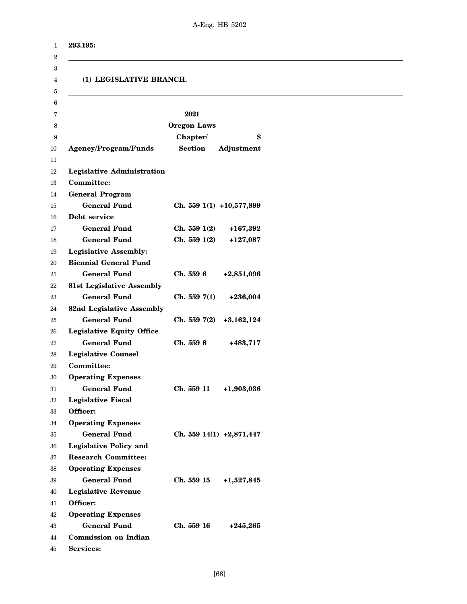| 293.195:                          |                    |                            |
|-----------------------------------|--------------------|----------------------------|
| (1) LEGISLATIVE BRANCH.           |                    |                            |
|                                   | 2021               |                            |
|                                   | <b>Oregon Laws</b> |                            |
|                                   | Chapter/           | \$                         |
| Agency/Program/Funds              | <b>Section</b>     | Adjustment                 |
|                                   |                    |                            |
| <b>Legislative Administration</b> |                    |                            |
| Committee:                        |                    |                            |
| <b>General Program</b>            |                    |                            |
| <b>General Fund</b>               |                    | Ch. 559 $1(1)$ +10,577,899 |
| Debt service                      |                    |                            |
| <b>General Fund</b>               | Ch. 5591(2)        | $+167,392$                 |
| <b>General Fund</b>               | Ch. 5591(2)        | $+127,087$                 |
| <b>Legislative Assembly:</b>      |                    |                            |
| <b>Biennial General Fund</b>      |                    |                            |
| <b>General Fund</b>               | Ch. 559 6          | $+2,851,096$               |
| <b>81st Legislative Assembly</b>  |                    |                            |
| <b>General Fund</b>               | Ch. 5597(1)        | $+236,004$                 |
| 82nd Legislative Assembly         |                    |                            |
| <b>General Fund</b>               | Ch. 559 7(2)       | $+3,162,124$               |
| <b>Legislative Equity Office</b>  |                    |                            |
| <b>General Fund</b>               | Ch. 559 8          | +483,717                   |
| <b>Legislative Counsel</b>        |                    |                            |
| Committee:                        |                    |                            |
| <b>Operating Expenses</b>         |                    |                            |
| <b>General Fund</b>               | Ch. 559 11         | +1,903,036                 |
| <b>Legislative Fiscal</b>         |                    |                            |
| Officer:                          |                    |                            |
| <b>Operating Expenses</b>         |                    |                            |
| <b>General Fund</b>               |                    | Ch. 559 14(1) $+2,871,447$ |
| <b>Legislative Policy and</b>     |                    |                            |
| <b>Research Committee:</b>        |                    |                            |
| <b>Operating Expenses</b>         |                    |                            |
| <b>General Fund</b>               | Ch. 559 15         | $+1,527,845$               |
| <b>Legislative Revenue</b>        |                    |                            |
| Officer:                          |                    |                            |
| <b>Operating Expenses</b>         |                    |                            |
| <b>General Fund</b>               | Ch. 559 16         | $+245,265$                 |
| <b>Commission on Indian</b>       |                    |                            |
| Services:                         |                    |                            |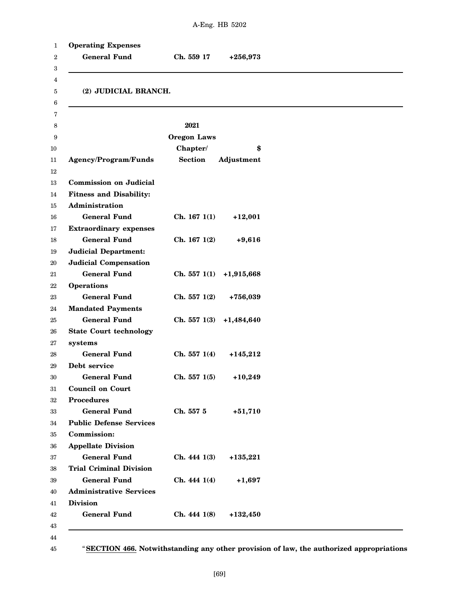| Administration<br><b>Operations</b><br>systems<br>Debt service<br><b>Council on Court</b><br><b>Procedures</b><br>Commission:<br><b>Appellate Division</b> | <b>General Fund</b><br>(2) JUDICIAL BRANCH.<br>Agency/Program/Funds<br><b>Commission on Judicial</b><br><b>Fitness and Disability:</b><br><b>General Fund</b><br><b>Extraordinary expenses</b><br><b>General Fund</b><br><b>Judicial Department:</b><br><b>Judicial Compensation</b> | Ch. 559 17<br>2021<br><b>Oregon Laws</b><br>Chapter/<br><b>Section</b><br>Ch. 1671(1)<br>Ch. 167 1(2) | $+256,973$<br>\$<br>Adjustment<br>$+12,001$<br>$+9,616$ |
|------------------------------------------------------------------------------------------------------------------------------------------------------------|--------------------------------------------------------------------------------------------------------------------------------------------------------------------------------------------------------------------------------------------------------------------------------------|-------------------------------------------------------------------------------------------------------|---------------------------------------------------------|
|                                                                                                                                                            |                                                                                                                                                                                                                                                                                      |                                                                                                       |                                                         |
|                                                                                                                                                            |                                                                                                                                                                                                                                                                                      |                                                                                                       |                                                         |
|                                                                                                                                                            |                                                                                                                                                                                                                                                                                      |                                                                                                       |                                                         |
|                                                                                                                                                            |                                                                                                                                                                                                                                                                                      |                                                                                                       |                                                         |
|                                                                                                                                                            |                                                                                                                                                                                                                                                                                      |                                                                                                       |                                                         |
|                                                                                                                                                            |                                                                                                                                                                                                                                                                                      |                                                                                                       |                                                         |
|                                                                                                                                                            |                                                                                                                                                                                                                                                                                      |                                                                                                       |                                                         |
|                                                                                                                                                            |                                                                                                                                                                                                                                                                                      |                                                                                                       |                                                         |
|                                                                                                                                                            |                                                                                                                                                                                                                                                                                      |                                                                                                       |                                                         |
|                                                                                                                                                            |                                                                                                                                                                                                                                                                                      |                                                                                                       |                                                         |
|                                                                                                                                                            |                                                                                                                                                                                                                                                                                      |                                                                                                       |                                                         |
|                                                                                                                                                            |                                                                                                                                                                                                                                                                                      |                                                                                                       |                                                         |
|                                                                                                                                                            |                                                                                                                                                                                                                                                                                      |                                                                                                       |                                                         |
|                                                                                                                                                            |                                                                                                                                                                                                                                                                                      |                                                                                                       |                                                         |
|                                                                                                                                                            |                                                                                                                                                                                                                                                                                      |                                                                                                       |                                                         |
|                                                                                                                                                            | <b>General Fund</b>                                                                                                                                                                                                                                                                  | Ch. 5571(1)                                                                                           | $+1,915,668$                                            |
|                                                                                                                                                            |                                                                                                                                                                                                                                                                                      |                                                                                                       |                                                         |
|                                                                                                                                                            | <b>General Fund</b>                                                                                                                                                                                                                                                                  | Ch. 557 1(2)                                                                                          | +756,039                                                |
|                                                                                                                                                            | <b>Mandated Payments</b>                                                                                                                                                                                                                                                             |                                                                                                       |                                                         |
|                                                                                                                                                            | <b>General Fund</b>                                                                                                                                                                                                                                                                  | Ch. 5571(3)                                                                                           | $+1,484,640$                                            |
|                                                                                                                                                            | <b>State Court technology</b>                                                                                                                                                                                                                                                        |                                                                                                       |                                                         |
|                                                                                                                                                            |                                                                                                                                                                                                                                                                                      |                                                                                                       |                                                         |
|                                                                                                                                                            | <b>General Fund</b>                                                                                                                                                                                                                                                                  | Ch. 5571(4)                                                                                           | $+145,212$                                              |
|                                                                                                                                                            |                                                                                                                                                                                                                                                                                      |                                                                                                       |                                                         |
|                                                                                                                                                            | <b>General Fund</b>                                                                                                                                                                                                                                                                  | Ch. 5571(5)                                                                                           | $+10,249$                                               |
|                                                                                                                                                            |                                                                                                                                                                                                                                                                                      |                                                                                                       |                                                         |
|                                                                                                                                                            |                                                                                                                                                                                                                                                                                      |                                                                                                       |                                                         |
|                                                                                                                                                            | <b>General Fund</b>                                                                                                                                                                                                                                                                  | Ch. 557 5                                                                                             | $+51,710$                                               |
|                                                                                                                                                            | <b>Public Defense Services</b>                                                                                                                                                                                                                                                       |                                                                                                       |                                                         |
|                                                                                                                                                            |                                                                                                                                                                                                                                                                                      |                                                                                                       |                                                         |
|                                                                                                                                                            |                                                                                                                                                                                                                                                                                      |                                                                                                       |                                                         |
|                                                                                                                                                            | <b>General Fund</b>                                                                                                                                                                                                                                                                  | Ch. 4441(3)                                                                                           | $+135,221$                                              |
|                                                                                                                                                            | <b>Trial Criminal Division</b>                                                                                                                                                                                                                                                       |                                                                                                       |                                                         |
|                                                                                                                                                            | <b>General Fund</b>                                                                                                                                                                                                                                                                  | Ch. 4441(4)                                                                                           | $+1,697$                                                |
|                                                                                                                                                            |                                                                                                                                                                                                                                                                                      |                                                                                                       |                                                         |
| <b>Division</b>                                                                                                                                            | <b>Administrative Services</b>                                                                                                                                                                                                                                                       |                                                                                                       |                                                         |
| <b>General Fund</b>                                                                                                                                        |                                                                                                                                                                                                                                                                                      | Ch. 4441(8)                                                                                           | $+132,450$                                              |

45

"**SECTION 466. Notwithstanding any other provision of law, the authorized appropriations**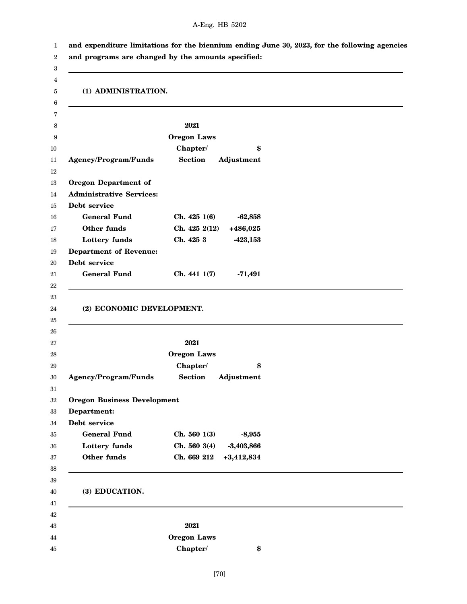| (1) ADMINISTRATION.                                                                       |                              |  |
|-------------------------------------------------------------------------------------------|------------------------------|--|
|                                                                                           | 2021                         |  |
|                                                                                           | <b>Oregon Laws</b>           |  |
|                                                                                           | Chapter/<br>\$               |  |
| Agency/Program/Funds                                                                      | <b>Section</b><br>Adjustment |  |
| <b>Oregon Department of</b>                                                               |                              |  |
| <b>Administrative Services:</b>                                                           |                              |  |
| Debt service                                                                              |                              |  |
| <b>General Fund</b>                                                                       | Ch. 425 1(6)<br>$-62,858$    |  |
| Other funds                                                                               | Ch. 425 2(12)<br>$+486,025$  |  |
| Lottery funds                                                                             | Ch. 425 3<br>$-423,153$      |  |
| <b>Department of Revenue:</b>                                                             |                              |  |
| Debt service                                                                              |                              |  |
| <b>General Fund</b>                                                                       | Ch. 441 1(7)<br>$-71,491$    |  |
|                                                                                           |                              |  |
| (2) ECONOMIC DEVELOPMENT.                                                                 |                              |  |
|                                                                                           | 2021                         |  |
|                                                                                           | <b>Oregon Laws</b>           |  |
|                                                                                           | Chapter/<br>\$               |  |
|                                                                                           | <b>Section</b><br>Adjustment |  |
|                                                                                           |                              |  |
|                                                                                           |                              |  |
|                                                                                           |                              |  |
| <b>General Fund</b>                                                                       | Ch. 5601(3)<br>$-8,955$      |  |
| Lottery funds                                                                             | Ch. 5603(4)<br>$-3,403,866$  |  |
| Other funds                                                                               | Ch. 669 212<br>$+3,412,834$  |  |
|                                                                                           |                              |  |
| (3) EDUCATION.                                                                            |                              |  |
|                                                                                           | 2021                         |  |
| Agency/Program/Funds<br><b>Oregon Business Development</b><br>Department:<br>Debt service | <b>Oregon Laws</b>           |  |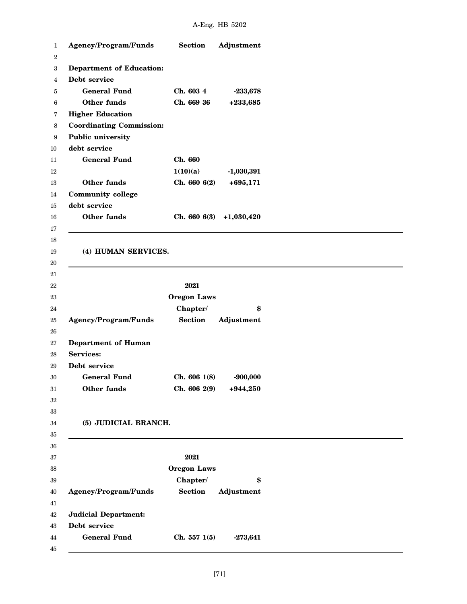| Agency/Program/Funds             | <b>Section</b>     | Adjustment   |
|----------------------------------|--------------------|--------------|
|                                  |                    |              |
| <b>Department of Education:</b>  |                    |              |
| Debt service                     |                    |              |
| <b>General Fund</b>              | Ch. 603 4          | $-233,678$   |
| Other funds                      | Ch. 669 36         | +233,685     |
| <b>Higher Education</b>          |                    |              |
| <b>Coordinating Commission:</b>  |                    |              |
| Public university                |                    |              |
| debt service                     |                    |              |
| <b>General Fund</b>              | Ch. 660            |              |
|                                  | 1(10)(a)           | $-1,030,391$ |
| <b>Other funds</b>               | Ch. 6606(2)        | $+695,171$   |
| <b>Community college</b>         |                    |              |
| debt service                     |                    |              |
| Other funds                      | Ch. 6606(3)        | $+1,030,420$ |
|                                  |                    |              |
|                                  |                    |              |
| (4) HUMAN SERVICES.              |                    |              |
|                                  |                    |              |
|                                  |                    |              |
|                                  | 2021               |              |
|                                  | <b>Oregon Laws</b> |              |
|                                  | Chapter/           | \$           |
| Agency/Program/Funds             | <b>Section</b>     | Adjustment   |
|                                  |                    |              |
| <b>Department of Human</b>       |                    |              |
| <b>Services:</b><br>Debt service |                    |              |
|                                  |                    |              |
| <b>General Fund</b>              | Ch. 606 1(8)       | $-900,000$   |
| Other funds                      | Ch. 606 2(9)       | $+944,250$   |
|                                  |                    |              |
|                                  |                    |              |
| (5) JUDICIAL BRANCH.             |                    |              |
|                                  |                    |              |
|                                  |                    |              |
|                                  | 2021               |              |
|                                  | <b>Oregon Laws</b> |              |
|                                  | Chapter/           | \$           |
| Agency/Program/Funds             | <b>Section</b>     | Adjustment   |
|                                  |                    |              |
| <b>Judicial Department:</b>      |                    |              |
| Debt service                     |                    |              |
| <b>General Fund</b>              | Ch. 5571(5)        | $-273,641$   |
|                                  |                    |              |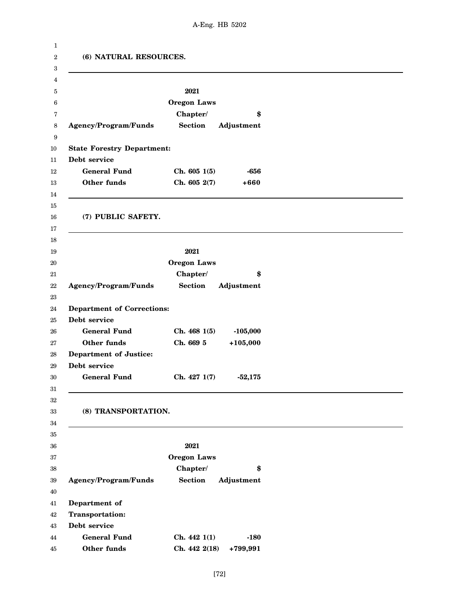| (6) NATURAL RESOURCES.            |                    |            |  |
|-----------------------------------|--------------------|------------|--|
|                                   | 2021               |            |  |
|                                   | <b>Oregon Laws</b> |            |  |
|                                   | Chapter/           | \$         |  |
| Agency/Program/Funds              | <b>Section</b>     | Adjustment |  |
| <b>State Forestry Department:</b> |                    |            |  |
| Debt service                      |                    |            |  |
| <b>General Fund</b>               | Ch. 6051(5)        | -656       |  |
| Other funds                       | Ch. 605 2(7)       | $+660$     |  |
| (7) PUBLIC SAFETY.                |                    |            |  |
|                                   | 2021               |            |  |
|                                   | <b>Oregon Laws</b> |            |  |
|                                   | Chapter/           | \$         |  |
| Agency/Program/Funds              | <b>Section</b>     | Adjustment |  |
| <b>Department of Corrections:</b> |                    |            |  |
| Debt service                      |                    |            |  |
| <b>General Fund</b>               | Ch. 4681(5)        | $-105,000$ |  |
| Other funds                       | Ch. 669 5          | $+105,000$ |  |
| <b>Department of Justice:</b>     |                    |            |  |
| Debt service                      |                    |            |  |
| <b>General Fund</b>               | Ch. 4271(7)        | $-52,175$  |  |
| (8) TRANSPORTATION.               |                    |            |  |
|                                   | 2021               |            |  |
|                                   | <b>Oregon Laws</b> |            |  |
|                                   | Chapter/           | \$         |  |
| Agency/Program/Funds              | <b>Section</b>     | Adjustment |  |
| Department of                     |                    |            |  |
| <b>Transportation:</b>            |                    |            |  |
| Debt service                      |                    |            |  |
| <b>General Fund</b>               | Ch. 4421(1)        | $-180$     |  |
| Other funds                       | Ch. 442 2(18)      | +799,991   |  |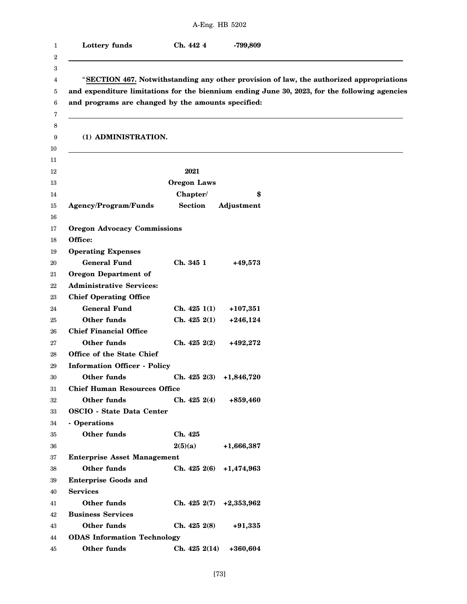|                                                          |                            | A-Eng. HB 5202 |                                                                                                                                                                                          |
|----------------------------------------------------------|----------------------------|----------------|------------------------------------------------------------------------------------------------------------------------------------------------------------------------------------------|
| Lottery funds                                            | Ch. 442 4                  | -799,809       |                                                                                                                                                                                          |
| and programs are changed by the amounts specified:       |                            |                | "SECTION 467. Notwithstanding any other provision of law, the authorized appropriations<br>and expenditure limitations for the biennium ending June 30, 2023, for the following agencies |
| (1) ADMINISTRATION.                                      |                            |                |                                                                                                                                                                                          |
|                                                          | 2021                       |                |                                                                                                                                                                                          |
|                                                          | <b>Oregon Laws</b>         |                |                                                                                                                                                                                          |
|                                                          | Chapter/                   | \$             |                                                                                                                                                                                          |
| <b>Agency/Program/Funds</b>                              | <b>Section</b>             | Adjustment     |                                                                                                                                                                                          |
| <b>Oregon Advocacy Commissions</b>                       |                            |                |                                                                                                                                                                                          |
| Office:                                                  |                            |                |                                                                                                                                                                                          |
| <b>Operating Expenses</b>                                |                            |                |                                                                                                                                                                                          |
| <b>General Fund</b>                                      | Ch. 345 1                  | $+49,573$      |                                                                                                                                                                                          |
| <b>Oregon Department of</b>                              |                            |                |                                                                                                                                                                                          |
| <b>Administrative Services:</b>                          |                            |                |                                                                                                                                                                                          |
| <b>Chief Operating Office</b>                            |                            |                |                                                                                                                                                                                          |
| <b>General Fund</b>                                      | Ch. 4251(1)                | $+107,351$     |                                                                                                                                                                                          |
| Other funds                                              | Ch. 4252(1)                | $+246,124$     |                                                                                                                                                                                          |
| <b>Chief Financial Office</b>                            |                            |                |                                                                                                                                                                                          |
| <b>Other funds</b>                                       | Ch. 425 2(2)               | +492,272       |                                                                                                                                                                                          |
| Office of the State Chief                                |                            |                |                                                                                                                                                                                          |
| <b>Information Officer - Policy</b>                      |                            |                |                                                                                                                                                                                          |
| Other funds                                              | Ch. $425\ 2(3)$ +1,846,720 |                |                                                                                                                                                                                          |
| <b>Chief Human Resources Office</b>                      |                            |                |                                                                                                                                                                                          |
| Other funds                                              | Ch. 4252(4)                | +859,460       |                                                                                                                                                                                          |
| <b>OSCIO - State Data Center</b>                         |                            |                |                                                                                                                                                                                          |
| - Operations                                             |                            |                |                                                                                                                                                                                          |
| Other funds                                              | Ch. 425                    |                |                                                                                                                                                                                          |
|                                                          | 2(5)(a)                    | $+1,666,387$   |                                                                                                                                                                                          |
| <b>Enterprise Asset Management</b><br><b>Other funds</b> |                            |                |                                                                                                                                                                                          |
| <b>Enterprise Goods and</b>                              | Ch. 4252(6)                | +1,474,963     |                                                                                                                                                                                          |
| <b>Services</b>                                          |                            |                |                                                                                                                                                                                          |
| Other funds                                              | Ch. 4252(7)                | $+2,353,962$   |                                                                                                                                                                                          |
| <b>Business Services</b>                                 |                            |                |                                                                                                                                                                                          |
| Other funds                                              | Ch. 4252(8)                | $+91,335$      |                                                                                                                                                                                          |
| <b>ODAS</b> Information Technology                       |                            |                |                                                                                                                                                                                          |
| Other funds                                              | Ch. 4252(14)               | +360,604       |                                                                                                                                                                                          |
|                                                          |                            |                |                                                                                                                                                                                          |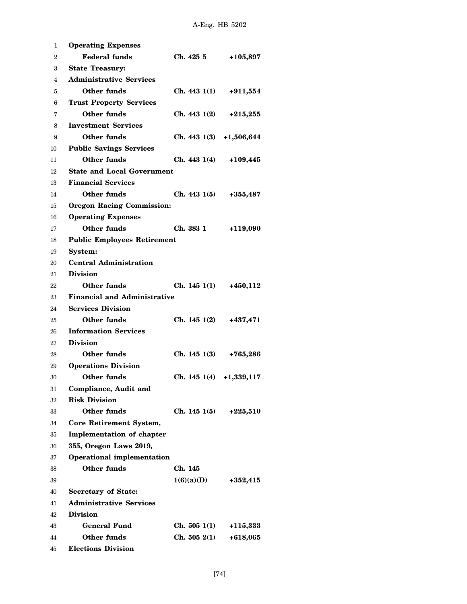| 1  | <b>Operating Expenses</b>           |                             |              |
|----|-------------------------------------|-----------------------------|--------------|
| 2  | <b>Federal funds</b>                | Ch. 425 5                   | $+105,897$   |
| 3  | <b>State Treasury:</b>              |                             |              |
| 4  | <b>Administrative Services</b>      |                             |              |
| 5  | Other funds                         | Ch. 4431(1)                 | $+911,554$   |
| 6  | <b>Trust Property Services</b>      |                             |              |
| 7  | Other funds                         | Ch. 443 1(2)                | $+215,255$   |
| 8  | <b>Investment Services</b>          |                             |              |
| 9  | Other funds                         | Ch. 4431(3)                 | $+1,506,644$ |
| 10 | <b>Public Savings Services</b>      |                             |              |
| 11 | Other funds                         | Ch. 4431(4)                 | $+109,445$   |
| 12 | <b>State and Local Government</b>   |                             |              |
| 13 | <b>Financial Services</b>           |                             |              |
| 14 | Other funds                         | Ch. 4431(5)                 | $+355,487$   |
| 15 | <b>Oregon Racing Commission:</b>    |                             |              |
| 16 | <b>Operating Expenses</b>           |                             |              |
| 17 | Other funds                         | Ch. 383 1                   | $+119,090$   |
| 18 | <b>Public Employees Retirement</b>  |                             |              |
| 19 | System:                             |                             |              |
| 20 | <b>Central Administration</b>       |                             |              |
| 21 | <b>Division</b>                     |                             |              |
| 22 | Other funds                         | Ch. $1451(1)$ +450,112      |              |
| 23 | <b>Financial and Administrative</b> |                             |              |
| 24 | <b>Services Division</b>            |                             |              |
| 25 | Other funds                         | Ch. 145 1(2)                | +437,471     |
| 26 | <b>Information Services</b>         |                             |              |
| 27 | <b>Division</b>                     |                             |              |
| 28 | Other funds                         | Ch. 1451(3)                 | $+765,286$   |
| 29 | <b>Operations Division</b>          |                             |              |
| 30 | Other funds                         | Ch. $145 \t1(4) +1,339,117$ |              |
| 31 | <b>Compliance, Audit and</b>        |                             |              |
| 32 | <b>Risk Division</b>                |                             |              |
| 33 | Other funds                         | Ch. 145 1(5)                | $+225,510$   |
| 34 | Core Retirement System,             |                             |              |
| 35 | <b>Implementation of chapter</b>    |                             |              |
| 36 | 355, Oregon Laws 2019,              |                             |              |
| 37 | <b>Operational implementation</b>   |                             |              |
| 38 | Other funds                         | Ch. 145                     |              |
| 39 |                                     | 1(6)(a)(D)                  | $+352,415$   |
| 40 | <b>Secretary of State:</b>          |                             |              |
| 41 | <b>Administrative Services</b>      |                             |              |
| 42 | <b>Division</b>                     |                             |              |
| 43 | General Fund                        | Ch. 5051(1)                 | $+115,333$   |
| 44 | Other funds                         | Ch. 5052(1)                 | $+618,065$   |
| 45 | <b>Elections Division</b>           |                             |              |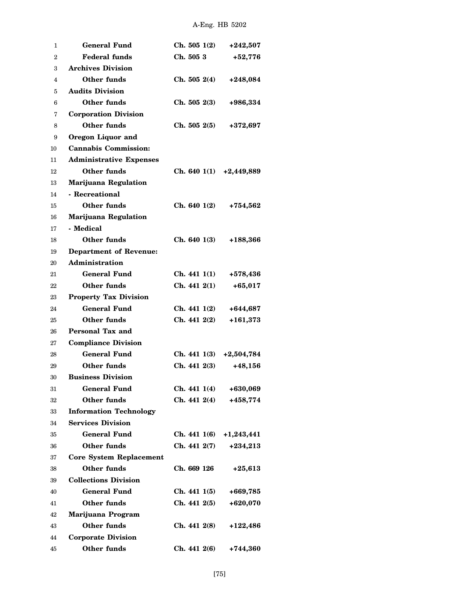| 1  | <b>General Fund</b>            | Ch. 5051(2)               | $+242,507$   |
|----|--------------------------------|---------------------------|--------------|
| 2  | <b>Federal funds</b>           | Ch. 505 3                 | $+52,776$    |
| 3  | <b>Archives Division</b>       |                           |              |
| 4  | <b>Other funds</b>             | Ch. 5052(4)               | $+248,084$   |
| 5  | <b>Audits Division</b>         |                           |              |
| 6  | <b>Other funds</b>             | Ch. 5052(3)               | +986,334     |
| 7  | <b>Corporation Division</b>    |                           |              |
| 8  | Other funds                    | Ch. 5052(5)               | +372,697     |
| 9  | Oregon Liquor and              |                           |              |
| 10 | <b>Cannabis Commission:</b>    |                           |              |
| 11 | <b>Administrative Expenses</b> |                           |              |
| 12 | Other funds                    | Ch. 640 $1(1)$ +2,449,889 |              |
| 13 | Marijuana Regulation           |                           |              |
| 14 | - Recreational                 |                           |              |
| 15 | <b>Other funds</b>             | Ch. 6401(2)               | +754,562     |
| 16 | Marijuana Regulation           |                           |              |
| 17 | - Medical                      |                           |              |
| 18 | Other funds                    | Ch. 6401(3)               | +188,366     |
| 19 | <b>Department of Revenue:</b>  |                           |              |
| 20 | Administration                 |                           |              |
| 21 | <b>General Fund</b>            | Ch. 4411(1)               | +578,436     |
| 22 | Other funds                    | Ch. 4412(1)               | $+65,017$    |
| 23 | <b>Property Tax Division</b>   |                           |              |
| 24 | <b>General Fund</b>            | Ch. 441 1(2)              | +644,687     |
| 25 | Other funds                    | Ch. 4412(2)               | $+161,373$   |
| 26 | Personal Tax and               |                           |              |
| 27 | <b>Compliance Division</b>     |                           |              |
| 28 | <b>General Fund</b>            | Ch. 4411(3)               | $+2,504,784$ |
| 29 | <b>Other funds</b>             | Ch. 4412(3)               | $+48,156$    |
| 30 | <b>Business Division</b>       |                           |              |
| 31 | <b>General Fund</b>            | Ch. 4411(4)               | +630,069     |
| 32 | <b>Other funds</b>             | Ch. 441 2(4)              | +458,774     |
| 33 | <b>Information Technology</b>  |                           |              |
| 34 | <b>Services Division</b>       |                           |              |
| 35 | <b>General Fund</b>            | Ch. 441 1(6)              | $+1,243,441$ |
| 36 | <b>Other funds</b>             | Ch. 441 2(7)              | $+234,213$   |
| 37 | <b>Core System Replacement</b> |                           |              |
| 38 | Other funds                    | Ch. 669 126               | $+25,613$    |
| 39 | <b>Collections Division</b>    |                           |              |
| 40 | <b>General Fund</b>            | Ch. 4411(5)               | +669,785     |
| 41 | Other funds                    | Ch. 4412(5)               | +620,070     |
| 42 | Marijuana Program              |                           |              |
| 43 | <b>Other funds</b>             | Ch. 441 2(8)              | +122,486     |
| 44 | <b>Corporate Division</b>      |                           |              |
| 45 | Other funds                    | Ch. 4412(6)               | +744,360     |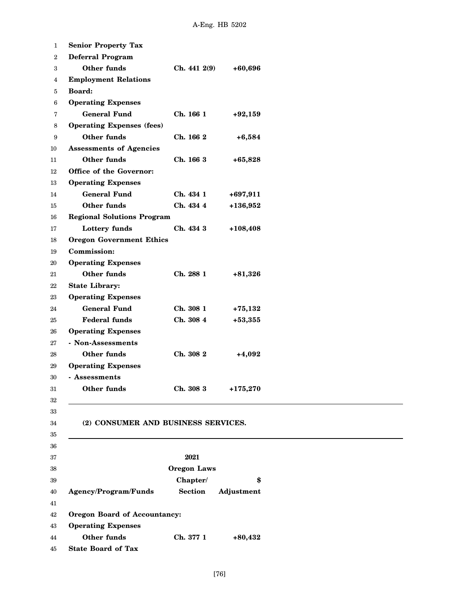| <b>Senior Property Tax</b>          |                    |            |
|-------------------------------------|--------------------|------------|
| <b>Deferral Program</b>             |                    |            |
| Other funds                         | Ch. 441 2(9)       | $+60,696$  |
| <b>Employment Relations</b>         |                    |            |
| Board:                              |                    |            |
| <b>Operating Expenses</b>           |                    |            |
| <b>General Fund</b>                 | Ch. 166 1          | $+92,159$  |
| <b>Operating Expenses (fees)</b>    |                    |            |
| <b>Other funds</b>                  | Ch. 166 2          | $+6,584$   |
| <b>Assessments of Agencies</b>      |                    |            |
| Other funds                         | Ch. 166 3          | $+65,828$  |
| Office of the Governor:             |                    |            |
| <b>Operating Expenses</b>           |                    |            |
| <b>General Fund</b>                 | Ch. 434 1          | $+697,911$ |
| Other funds                         | Ch. 434 4          | $+136,952$ |
| <b>Regional Solutions Program</b>   |                    |            |
| Lottery funds                       | Ch. 434 3          | $+108,408$ |
| <b>Oregon Government Ethics</b>     |                    |            |
| <b>Commission:</b>                  |                    |            |
| <b>Operating Expenses</b>           |                    |            |
| <b>Other funds</b>                  | Ch. 288 1          | $+81,326$  |
| <b>State Library:</b>               |                    |            |
| <b>Operating Expenses</b>           |                    |            |
| <b>General Fund</b>                 | Ch. 308 1          | $+75,132$  |
| <b>Federal funds</b>                | Ch. 308 4          | $+53,355$  |
| <b>Operating Expenses</b>           |                    |            |
| - Non-Assessments                   |                    |            |
| Other funds                         | Ch. 308 2          | $+4,092$   |
| <b>Operating Expenses</b>           |                    |            |
| - Assessments                       |                    |            |
| Other funds                         | Ch. 308 3          | $+175,270$ |
|                                     |                    |            |
| (2) CONSUMER AND BUSINESS SERVICES. |                    |            |
|                                     |                    |            |
|                                     | 2021               |            |
|                                     | <b>Oregon Laws</b> |            |
|                                     | Chapter/           | \$         |
| Agency/Program/Funds                | <b>Section</b>     | Adjustment |
| Oregon Board of Accountancy:        |                    |            |
| <b>Operating Expenses</b>           |                    |            |
| Other funds                         | Ch. 377 1          | $+80,432$  |
| <b>State Board of Tax</b>           |                    |            |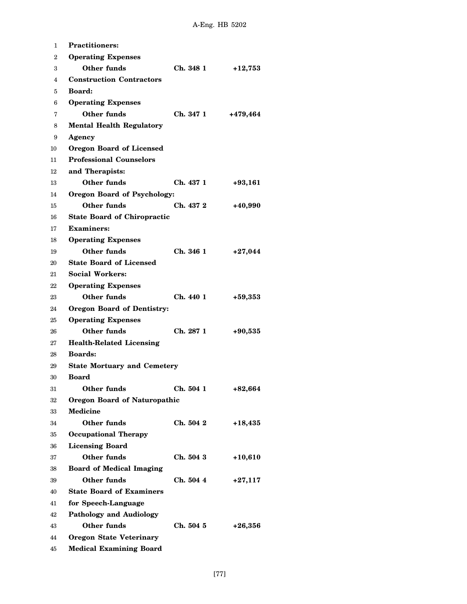| 1              | <b>Practitioners:</b>               |           |           |
|----------------|-------------------------------------|-----------|-----------|
| $\overline{2}$ | <b>Operating Expenses</b>           |           |           |
| 3              | Other funds                         | Ch. 348 1 | $+12,753$ |
| 4              | <b>Construction Contractors</b>     |           |           |
| 5              | <b>Board:</b>                       |           |           |
| 6              | <b>Operating Expenses</b>           |           |           |
| 7              | Other funds                         | Ch. 347 1 | +479,464  |
| 8              | <b>Mental Health Regulatory</b>     |           |           |
| 9              | Agency                              |           |           |
| 10             | <b>Oregon Board of Licensed</b>     |           |           |
| 11             | <b>Professional Counselors</b>      |           |           |
| 12             | and Therapists:                     |           |           |
| 13             | Other funds                         | Ch. 437 1 | $+93,161$ |
| 14             | <b>Oregon Board of Psychology:</b>  |           |           |
| 15             | Other funds                         | Ch. 437 2 | $+40,990$ |
| 16             | <b>State Board of Chiropractic</b>  |           |           |
| 17             | <b>Examiners:</b>                   |           |           |
| 18             | <b>Operating Expenses</b>           |           |           |
| 19             | Other funds                         | Ch. 346 1 | $+27,044$ |
| 20             | <b>State Board of Licensed</b>      |           |           |
| 21             | <b>Social Workers:</b>              |           |           |
| 22             | <b>Operating Expenses</b>           |           |           |
| 23             | Other funds                         | Ch. 440 1 | $+59,353$ |
| 24             | <b>Oregon Board of Dentistry:</b>   |           |           |
| 25             | <b>Operating Expenses</b>           |           |           |
| 26             | Other funds                         | Ch. 287 1 | $+90,535$ |
| 27             | <b>Health-Related Licensing</b>     |           |           |
| 28             | <b>Boards:</b>                      |           |           |
| 29             | <b>State Mortuary and Cemetery</b>  |           |           |
| 30             | <b>Board</b>                        |           |           |
| 31             | Other funds                         | Ch. 504 1 | $+82,664$ |
| 32             | <b>Oregon Board of Naturopathic</b> |           |           |
| 33             | <b>Medicine</b>                     |           |           |
| 34             | <b>Other funds</b>                  | Ch. 504 2 | $+18,435$ |
| 35             | <b>Occupational Therapy</b>         |           |           |
| 36             | <b>Licensing Board</b>              |           |           |
| 37             | Other funds                         | Ch. 504 3 | $+10,610$ |
| 38             | <b>Board of Medical Imaging</b>     |           |           |
| 39             | Other funds                         | Ch. 504 4 | $+27,117$ |
| 40             | <b>State Board of Examiners</b>     |           |           |
| 41             | for Speech-Language                 |           |           |
| 42             | <b>Pathology and Audiology</b>      |           |           |
| 43             | Other funds                         | Ch. 504 5 | $+26,356$ |
| 44             | <b>Oregon State Veterinary</b>      |           |           |
| 45             | <b>Medical Examining Board</b>      |           |           |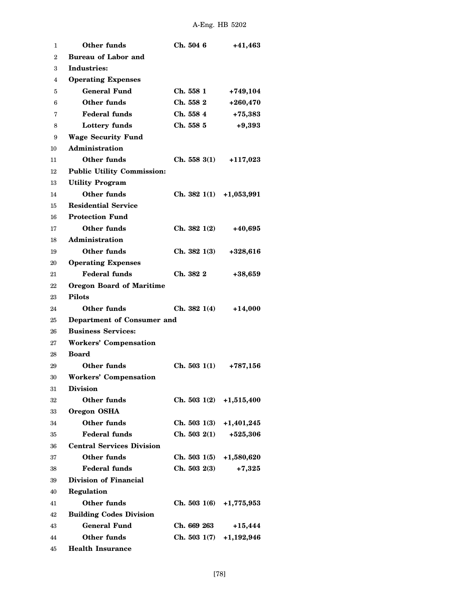| 1  | Other funds                       | Ch. 504 6                 | +41,463      |
|----|-----------------------------------|---------------------------|--------------|
| 2  | <b>Bureau of Labor and</b>        |                           |              |
| 3  | Industries:                       |                           |              |
| 4  | <b>Operating Expenses</b>         |                           |              |
| 5  | <b>General Fund</b>               | Ch. 558 1                 | $+749,104$   |
| 6  | Other funds                       | Ch. 558 2                 | $+260,470$   |
| 7  | <b>Federal funds</b>              | Ch. 558 4                 | $+75,383$    |
| 8  | Lottery funds                     | Ch. 558 5                 | $+9,393$     |
| 9  | <b>Wage Security Fund</b>         |                           |              |
| 10 | Administration                    |                           |              |
| 11 | Other funds                       | Ch. 5583(1)               | $+117,023$   |
| 12 | <b>Public Utility Commission:</b> |                           |              |
| 13 | <b>Utility Program</b>            |                           |              |
| 14 | <b>Other funds</b>                | Ch. 382 $1(1)$ +1,053,991 |              |
| 15 | <b>Residential Service</b>        |                           |              |
| 16 | <b>Protection Fund</b>            |                           |              |
| 17 | Other funds                       | Ch. 3821(2)               | +40,695      |
| 18 | Administration                    |                           |              |
| 19 | Other funds                       | Ch. 3821(3)               | $+328,616$   |
| 20 | <b>Operating Expenses</b>         |                           |              |
| 21 | <b>Federal funds</b>              | Ch. 382 2                 | $+38,659$    |
| 22 | <b>Oregon Board of Maritime</b>   |                           |              |
| 23 | <b>Pilots</b>                     |                           |              |
| 24 | Other funds                       | Ch. 3821(4)               | +14,000      |
| 25 | Department of Consumer and        |                           |              |
| 26 | <b>Business Services:</b>         |                           |              |
| 27 | <b>Workers' Compensation</b>      |                           |              |
| 28 | <b>Board</b>                      |                           |              |
| 29 | Other funds                       | Ch. 5031(1)               | +787,156     |
| 30 | <b>Workers' Compensation</b>      |                           |              |
| 31 | <b>Division</b>                   |                           |              |
| 32 | <b>Other funds</b>                | Ch. 503 $1(2)$ +1,515,400 |              |
| 33 | Oregon OSHA                       |                           |              |
| 34 | <b>Other funds</b>                | Ch. 5031(3)               | $+1,401,245$ |
| 35 | <b>Federal funds</b>              | Ch. 5032(1)               | $+525,306$   |
| 36 | <b>Central Services Division</b>  |                           |              |
| 37 | Other funds                       | Ch. 503 $1(5)$ +1,580,620 |              |
| 38 | <b>Federal funds</b>              | Ch. 5032(3)               | $+7,325$     |
| 39 | Division of Financial             |                           |              |
| 40 | Regulation                        |                           |              |
| 41 | Other funds                       | Ch. 503 $1(6)$ +1,775,953 |              |
| 42 | <b>Building Codes Division</b>    |                           |              |
| 43 | <b>General Fund</b>               | Ch. 669 263               | $+15,444$    |
| 44 | Other funds                       | Ch. 5031(7)               | $+1,192,946$ |
| 45 | <b>Health Insurance</b>           |                           |              |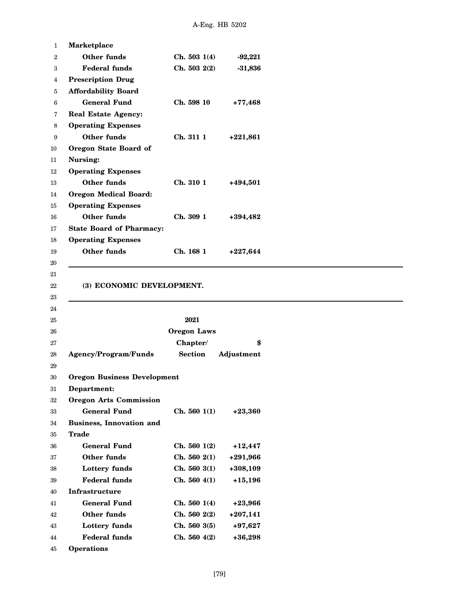| 1      | Marketplace                        |                    |            |  |
|--------|------------------------------------|--------------------|------------|--|
| $^{2}$ | Other funds                        | Ch. 5031(4)        | $-92,221$  |  |
| 3      | <b>Federal funds</b>               | Ch. 503 2(2)       | $-31,836$  |  |
| 4      | <b>Prescription Drug</b>           |                    |            |  |
| 5      | <b>Affordability Board</b>         |                    |            |  |
| 6      | <b>General Fund</b>                | Ch. 598 10         | $+77,468$  |  |
| 7      | <b>Real Estate Agency:</b>         |                    |            |  |
| 8      | <b>Operating Expenses</b>          |                    |            |  |
| 9      | Other funds                        | Ch. 311 1          | $+221,861$ |  |
| 10     | Oregon State Board of              |                    |            |  |
| 11     | Nursing:                           |                    |            |  |
| 12     | <b>Operating Expenses</b>          |                    |            |  |
| 13     | <b>Other funds</b>                 | Ch. 310 1          | +494,501   |  |
| 14     | <b>Oregon Medical Board:</b>       |                    |            |  |
| 15     | <b>Operating Expenses</b>          |                    |            |  |
| 16     | <b>Other funds</b>                 | Ch. 309 1          | +394,482   |  |
| 17     | <b>State Board of Pharmacy:</b>    |                    |            |  |
| 18     | <b>Operating Expenses</b>          |                    |            |  |
| 19     | Other funds                        | Ch. 168 1          | $+227,644$ |  |
| 20     |                                    |                    |            |  |
| 21     |                                    |                    |            |  |
| 22     | (3) ECONOMIC DEVELOPMENT.          |                    |            |  |
|        |                                    |                    |            |  |
| 23     |                                    |                    |            |  |
| 24     |                                    |                    |            |  |
| 25     |                                    | 2021               |            |  |
| 26     |                                    | <b>Oregon Laws</b> |            |  |
| 27     |                                    | Chapter/           | \$         |  |
| 28     | <b>Agency/Program/Funds</b>        | <b>Section</b>     | Adjustment |  |
| 29     |                                    |                    |            |  |
| 30     | <b>Oregon Business Development</b> |                    |            |  |
| 31     | Department:                        |                    |            |  |
| 32     | <b>Oregon Arts Commission</b>      |                    |            |  |
| 33     | <b>General Fund</b>                | Ch. 5601(1)        | $+23,360$  |  |
| 34     | <b>Business, Innovation and</b>    |                    |            |  |
| 35     | <b>Trade</b>                       |                    |            |  |
| 36     | <b>General Fund</b>                | Ch. 5601(2)        | $+12,447$  |  |
| 37     | Other funds                        | Ch. 5602(1)        | $+291,966$ |  |
| 38     | Lottery funds                      | Ch. 5603(1)        | $+308,109$ |  |
| 39     | <b>Federal funds</b>               | Ch. 5604(1)        | $+15,196$  |  |
| 40     | Infrastructure                     |                    |            |  |
| 41     | <b>General Fund</b>                | Ch. 5601(4)        | $+23,966$  |  |
| 42     | Other funds                        | Ch. 5602(2)        | $+207,141$ |  |
| 43     | Lottery funds                      | Ch. 5603(5)        | $+97,627$  |  |

45 **Operations**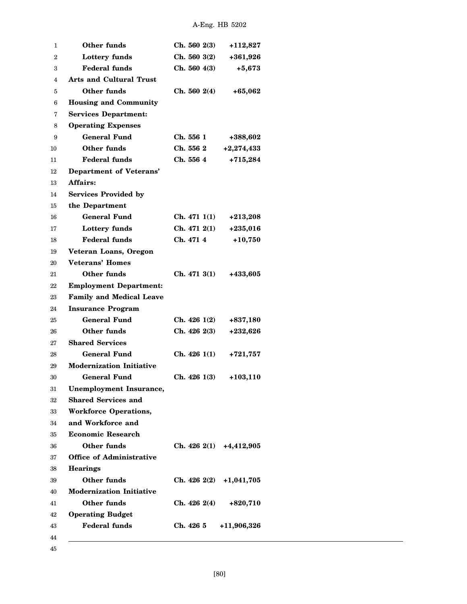| 1              | Other funds                     | Ch. 5602(3)                | +112,827     |
|----------------|---------------------------------|----------------------------|--------------|
| $\overline{2}$ | <b>Lottery funds</b>            | Ch. 5603(2)                | +361,926     |
| 3              | <b>Federal funds</b>            | Ch. 5604(3)                | $+5,673$     |
| 4              | <b>Arts and Cultural Trust</b>  |                            |              |
| 5              | Other funds                     | Ch. 5602(4)                | $+65,062$    |
| 6              | <b>Housing and Community</b>    |                            |              |
| 7              | <b>Services Department:</b>     |                            |              |
| 8              | <b>Operating Expenses</b>       |                            |              |
| 9              | <b>General Fund</b>             | Ch. 5561                   | +388,602     |
| 10             | Other funds                     | Ch. 556 2                  | $+2,274,433$ |
| 11             | <b>Federal funds</b>            | Ch. 556 4                  | $+715,284$   |
| 12             | Department of Veterans'         |                            |              |
| 13             | Affairs:                        |                            |              |
| 14             | <b>Services Provided by</b>     |                            |              |
| 15             | the Department                  |                            |              |
| 16             | <b>General Fund</b>             | Ch. 4711(1)                | $+213,208$   |
| 17             | Lottery funds                   | Ch. 4712(1)                | $+235,016$   |
| 18             | <b>Federal funds</b>            | Ch. 471 4                  | $+10,750$    |
| 19             | Veteran Loans, Oregon           |                            |              |
| 20             | Veterans' Homes                 |                            |              |
| 21             | Other funds                     | Ch. 4713(1)                | +433,605     |
| 22             | <b>Employment Department:</b>   |                            |              |
| 23             | <b>Family and Medical Leave</b> |                            |              |
| 24             | <b>Insurance Program</b>        |                            |              |
| 25             | General Fund                    | Ch. 426 1(2)               | +837,180     |
| 26             | Other funds                     | Ch. 4262(3)                | +232,626     |
| 27             | <b>Shared Services</b>          |                            |              |
| 28             | General Fund                    | Ch. 4261(1)                | $+721,757$   |
| 29             | <b>Modernization Initiative</b> |                            |              |
| 30             | <b>General Fund</b>             | Ch. 4261(3)                | +103,110     |
| 31             | <b>Unemployment Insurance,</b>  |                            |              |
| 32             | <b>Shared Services and</b>      |                            |              |
| 33             | <b>Workforce Operations,</b>    |                            |              |
| 34             | and Workforce and               |                            |              |
| 35             | <b>Economic Research</b>        |                            |              |
| 36             | Other funds                     | Ch. $426\ 2(1)$ +4,412,905 |              |
| 37             | <b>Office of Administrative</b> |                            |              |
| 38             | <b>Hearings</b>                 |                            |              |
| 39             | Other funds                     | Ch. 4262(2)                | $+1,041,705$ |
| 40             | <b>Modernization Initiative</b> |                            |              |
| 41             | Other funds                     | Ch. 426 2(4)               | $+820,710$   |
| 42             | <b>Operating Budget</b>         |                            |              |
| 43             | <b>Federal funds</b>            | Ch. 426 5                  | +11,906,326  |
| 44             |                                 |                            |              |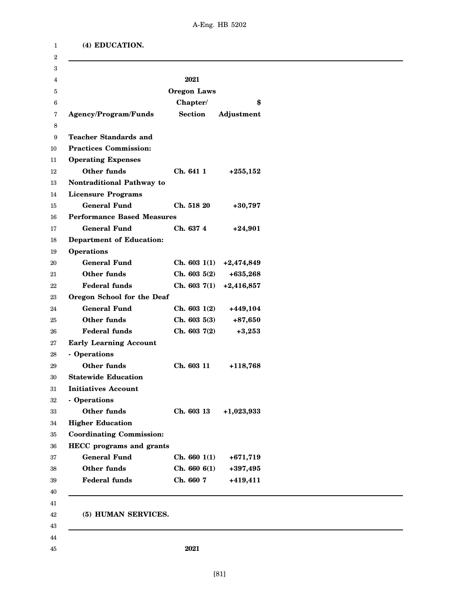|  | (4) EDUCATION. |
|--|----------------|
|--|----------------|

| 3  |                                   |                    |              |
|----|-----------------------------------|--------------------|--------------|
| 4  |                                   | 2021               |              |
| 5  |                                   | <b>Oregon Laws</b> |              |
| 6  |                                   | Chapter/           | \$           |
| 7  | <b>Agency/Program/Funds</b>       | <b>Section</b>     | Adjustment   |
| 8  |                                   |                    |              |
| 9  | <b>Teacher Standards and</b>      |                    |              |
| 10 | <b>Practices Commission:</b>      |                    |              |
| 11 | <b>Operating Expenses</b>         |                    |              |
| 12 | <b>Other funds</b>                | Ch. 641 1          | $+255,152$   |
| 13 | Nontraditional Pathway to         |                    |              |
| 14 | <b>Licensure Programs</b>         |                    |              |
| 15 | <b>General Fund</b>               | Ch. 518 20         | $+30,797$    |
| 16 | <b>Performance Based Measures</b> |                    |              |
| 17 | <b>General Fund</b>               | Ch. 637 4          | $+24,901$    |
| 18 | <b>Department of Education:</b>   |                    |              |
| 19 | <b>Operations</b>                 |                    |              |
| 20 | <b>General Fund</b>               | Ch. 6031(1)        | $+2,474,849$ |
| 21 | Other funds                       | Ch. 6035(2)        | $+635,268$   |
| 22 | <b>Federal funds</b>              | Ch. 6037(1)        | $+2,416,857$ |
| 23 | Oregon School for the Deaf        |                    |              |
| 24 | <b>General Fund</b>               | Ch. 6031(2)        | +449,104     |
| 25 | Other funds                       | Ch. 6035(3)        | $+87,650$    |
| 26 | <b>Federal funds</b>              | Ch. 6037(2)        | $+3,253$     |
| 27 | <b>Early Learning Account</b>     |                    |              |
| 28 | - Operations                      |                    |              |
| 29 | Other funds                       | Ch. 603 11         | +118,768     |
| 30 | <b>Statewide Education</b>        |                    |              |
| 31 | <b>Initiatives Account</b>        |                    |              |
| 32 | - Operations                      |                    |              |
| 33 | Other funds                       | Ch. 603 13         | $+1,023,933$ |
| 34 | <b>Higher Education</b>           |                    |              |
| 35 | <b>Coordinating Commission:</b>   |                    |              |
| 36 | <b>HECC</b> programs and grants   |                    |              |
| 37 | <b>General Fund</b>               | Ch. 6601(1)        | $+671,719$   |
| 38 | <b>Other funds</b>                | Ch. 660 6(1)       | +397,495     |
| 39 | <b>Federal funds</b>              | Ch. 660 7          | +419,411     |
| 40 |                                   |                    |              |
| 41 |                                   |                    |              |
| 42 | (5) HUMAN SERVICES.               |                    |              |
| 43 |                                   |                    |              |
| 44 |                                   |                    |              |
| 45 |                                   | 2021               |              |
|    |                                   |                    |              |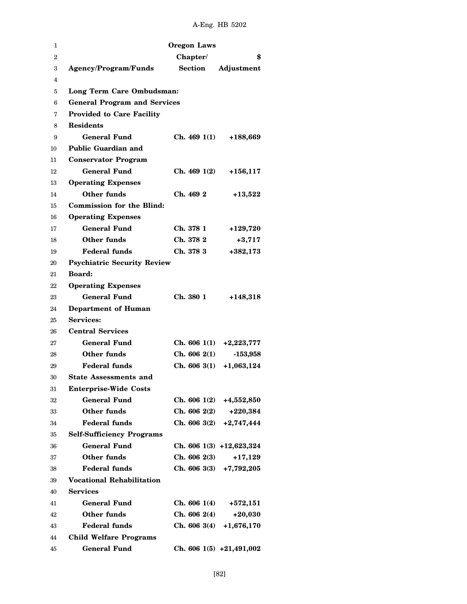| 1              |                                     | <b>Oregon Laws</b> |                            |
|----------------|-------------------------------------|--------------------|----------------------------|
| $\overline{2}$ |                                     | Chapter/           | \$                         |
| 3              | <b>Agency/Program/Funds</b>         | <b>Section</b>     | Adjustment                 |
| 4              |                                     |                    |                            |
| 5              | Long Term Care Ombudsman:           |                    |                            |
| 6              | <b>General Program and Services</b> |                    |                            |
| 7              | <b>Provided to Care Facility</b>    |                    |                            |
| 8              | <b>Residents</b>                    |                    |                            |
| 9              | General Fund                        | Ch. 4691(1)        | +188,669                   |
| 10             | <b>Public Guardian and</b>          |                    |                            |
| 11             | <b>Conservator Program</b>          |                    |                            |
| 12             | <b>General Fund</b>                 | Ch. 4691(2)        | $+156, 117$                |
| 13             | <b>Operating Expenses</b>           |                    |                            |
| 14             | Other funds                         | Ch. 469 2          | $+13,522$                  |
| 15             | <b>Commission for the Blind:</b>    |                    |                            |
| 16             | <b>Operating Expenses</b>           |                    |                            |
| 17             | <b>General Fund</b>                 | Ch. 378 1          | $+129,720$                 |
| 18             | Other funds                         | Ch. 378 2          | $+3,717$                   |
| 19             | <b>Federal funds</b>                | Ch. 378 3          | $+382,173$                 |
| 20             | <b>Psychiatric Security Review</b>  |                    |                            |
| 21             | <b>Board:</b>                       |                    |                            |
| 22             | <b>Operating Expenses</b>           |                    |                            |
| 23             | <b>General Fund</b>                 | Ch. 380 1          | $+148,318$                 |
| 24             | Department of Human                 |                    |                            |
| 25             | <b>Services:</b>                    |                    |                            |
| 26             | <b>Central Services</b>             |                    |                            |
| 27             | <b>General Fund</b>                 | Ch. 6061(1)        | $+2,223,777$               |
| 28             | Other funds                         | Ch. 6062(1)        | $-153,958$                 |
| 29             | <b>Federal funds</b>                | Ch. 6063(1)        | $+1,063,124$               |
| 30             | <b>State Assessments and</b>        |                    |                            |
| 31             | <b>Enterprise-Wide Costs</b>        |                    |                            |
| 32             | <b>General Fund</b>                 | Ch. 6061(2)        | +4,552,850                 |
| 33             | Other funds                         | Ch. 6062(2)        | $+220,384$                 |
| 34             | <b>Federal funds</b>                | Ch. 6063(2)        | $+2,747,444$               |
| 35             | <b>Self-Sufficiency Programs</b>    |                    |                            |
| 36             | <b>General Fund</b>                 |                    | Ch. 606 1(3) +12,623,324   |
| 37             | Other funds                         | Ch. 6062(3)        | $+17,129$                  |
| 38             | Federal funds                       |                    | Ch. 606 3(3) $+7,792,205$  |
| 39             | <b>Vocational Rehabilitation</b>    |                    |                            |
| 40             | <b>Services</b>                     |                    |                            |
| 41             | <b>General Fund</b>                 | Ch. 6061(4)        | $+572,151$                 |
| 42             | Other funds                         | Ch. 6062(4)        | $+20,030$                  |
| 43             | <b>Federal funds</b>                | Ch. 6063(4)        | $+1,676,170$               |
| 44             | <b>Child Welfare Programs</b>       |                    |                            |
| 45             | <b>General Fund</b>                 |                    | Ch. 606 $1(5) +21,491,002$ |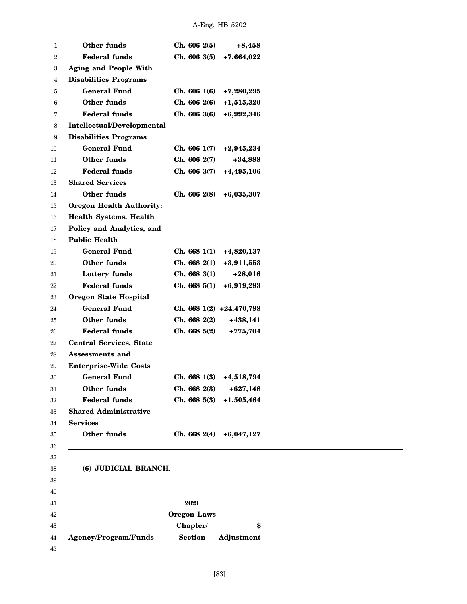| 1  | Other funds                     | Ch. 6062(5)        | $+8,458$                   |
|----|---------------------------------|--------------------|----------------------------|
| 2  | <b>Federal funds</b>            | Ch. 606 3(5)       | $+7,664,022$               |
| 3  | <b>Aging and People With</b>    |                    |                            |
| 4  | <b>Disabilities Programs</b>    |                    |                            |
| 5  | <b>General Fund</b>             | Ch. 6061(6)        | $+7,280,295$               |
| 6  | Other funds                     | Ch. 606 2(6)       | $+1,515,320$               |
| 7  | <b>Federal funds</b>            | Ch. 6063(6)        | +6,992,346                 |
| 8  | Intellectual/Developmental      |                    |                            |
| 9  | <b>Disabilities Programs</b>    |                    |                            |
| 10 | <b>General Fund</b>             | Ch. 6061(7)        | $+2,945,234$               |
| 11 | Other funds                     | Ch. 606 2(7)       | $+34,888$                  |
| 12 | <b>Federal funds</b>            | Ch. 606 3(7)       | +4,495,106                 |
| 13 | <b>Shared Services</b>          |                    |                            |
| 14 | Other funds                     | Ch. 606 2(8)       | $+6,035,307$               |
| 15 | <b>Oregon Health Authority:</b> |                    |                            |
| 16 | <b>Health Systems, Health</b>   |                    |                            |
| 17 | Policy and Analytics, and       |                    |                            |
| 18 | <b>Public Health</b>            |                    |                            |
| 19 | <b>General Fund</b>             | Ch. 6681(1)        | +4,820,137                 |
| 20 | Other funds                     | Ch. 668 2(1)       | $+3,911,553$               |
| 21 | Lottery funds                   | Ch. 6683(1)        | $+28,016$                  |
| 22 | <b>Federal funds</b>            | Ch. 6685(1)        | +6,919,293                 |
| 23 | <b>Oregon State Hospital</b>    |                    |                            |
| 24 | <b>General Fund</b>             |                    | Ch. 668 $1(2) +24,470,798$ |
| 25 | Other funds                     | Ch. 668 2(2)       | +438,141                   |
| 26 | <b>Federal funds</b>            | Ch. 6685(2)        | $+775,704$                 |
| 27 | <b>Central Services, State</b>  |                    |                            |
| 28 | Assessments and                 |                    |                            |
| 29 | <b>Enterprise-Wide Costs</b>    |                    |                            |
| 30 | <b>General Fund</b>             | Ch. 6681(3)        | +4,518,794                 |
| 31 | Other funds                     | Ch. 668 2(3)       | $+627,148$                 |
| 32 | <b>Federal funds</b>            | Ch. 6685(3)        | $+1,505,464$               |
| 33 | <b>Shared Administrative</b>    |                    |                            |
| 34 | <b>Services</b>                 |                    |                            |
| 35 | Other funds                     | Ch. 6682(4)        | $+6,047,127$               |
| 36 |                                 |                    |                            |
| 37 |                                 |                    |                            |
| 38 | (6) JUDICIAL BRANCH.            |                    |                            |
| 39 |                                 |                    |                            |
| 40 |                                 |                    |                            |
| 41 |                                 | 2021               |                            |
| 42 |                                 | <b>Oregon Laws</b> |                            |
| 43 |                                 | Chapter/           | \$                         |
| 44 | Agency/Program/Funds            | <b>Section</b>     | Adjustment                 |
| 45 |                                 |                    |                            |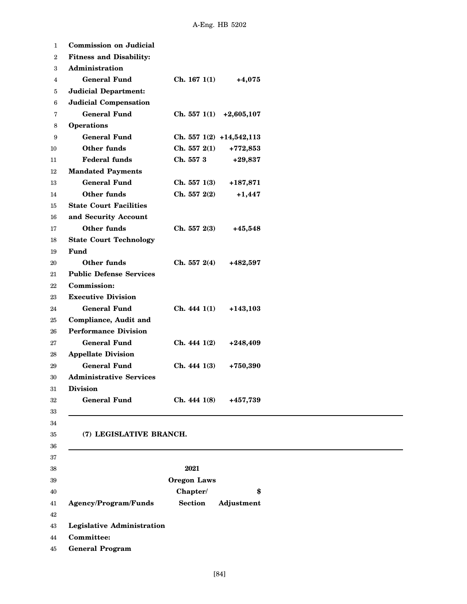| $\mathbf{1}$   | <b>Commission on Judicial</b>     |                            |              |
|----------------|-----------------------------------|----------------------------|--------------|
| 2              | <b>Fitness and Disability:</b>    |                            |              |
| 3              | Administration                    |                            |              |
| $\overline{4}$ | <b>General Fund</b>               | Ch. 1671(1)                | $+4,075$     |
| 5              | <b>Judicial Department:</b>       |                            |              |
| 6              | <b>Judicial Compensation</b>      |                            |              |
| 7              | <b>General Fund</b>               | Ch. 5571(1)                | $+2,605,107$ |
| 8              | <b>Operations</b>                 |                            |              |
| 9              | <b>General Fund</b>               | Ch. 557 $1(2) +14,542,113$ |              |
| 10             | Other funds                       | Ch. 557 2(1)               | $+772,853$   |
| 11             | <b>Federal funds</b>              | Ch. 557 3                  | $+29,837$    |
| 12             | <b>Mandated Payments</b>          |                            |              |
| 13             | <b>General Fund</b>               | Ch. 5571(3)                | $+187,871$   |
| 14             | Other funds                       | Ch. 557 2(2)               | $+1,447$     |
| 15             | <b>State Court Facilities</b>     |                            |              |
| 16             | and Security Account              |                            |              |
| 17             | Other funds                       | Ch. 557 2(3)               | $+45,548$    |
| 18             | <b>State Court Technology</b>     |                            |              |
| 19             | Fund                              |                            |              |
| 20             | <b>Other funds</b>                | Ch. 557 2(4)               | +482,597     |
| 21             | <b>Public Defense Services</b>    |                            |              |
| 22             | Commission:                       |                            |              |
| 23             | <b>Executive Division</b>         |                            |              |
| 24             | <b>General Fund</b>               | Ch. 4441(1)                | $+143,103$   |
| 25             | <b>Compliance, Audit and</b>      |                            |              |
| 26             | <b>Performance Division</b>       |                            |              |
| 27             | <b>General Fund</b>               | Ch. 4441(2)                | $+248,409$   |
| 28             | <b>Appellate Division</b>         |                            |              |
| 29             | <b>General Fund</b>               | Ch. 4441(3)                | +750,390     |
| 30             | <b>Administrative Services</b>    |                            |              |
| 31             | <b>Division</b>                   |                            |              |
| 32             | <b>General Fund</b>               | Ch. 4441(8)                | +457,739     |
| 33             |                                   |                            |              |
| 34             |                                   |                            |              |
| 35             | (7) LEGISLATIVE BRANCH.           |                            |              |
| 36             |                                   |                            |              |
| 37             |                                   |                            |              |
| 38             |                                   | 2021                       |              |
| 39             |                                   | <b>Oregon Laws</b>         |              |
| 40             |                                   | Chapter/                   | \$           |
| 41             | Agency/Program/Funds              | <b>Section</b>             | Adjustment   |
| 42             |                                   |                            |              |
| 43             | <b>Legislative Administration</b> |                            |              |
| 44             | Committee:                        |                            |              |
| 45             | <b>General Program</b>            |                            |              |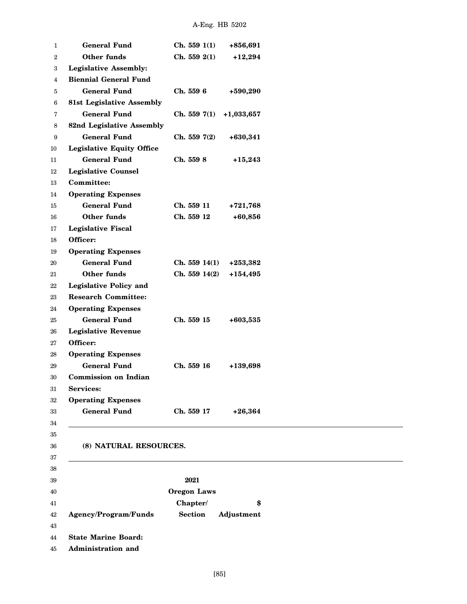| 1  | <b>General Fund</b>              | Ch. 5591(1)        | +856,691     |
|----|----------------------------------|--------------------|--------------|
| 2  | Other funds                      | Ch. 559 2(1)       | $+12,294$    |
| 3  | <b>Legislative Assembly:</b>     |                    |              |
| 4  | <b>Biennial General Fund</b>     |                    |              |
| 5  | <b>General Fund</b>              | Ch. 559 6          | +590,290     |
|    | <b>81st Legislative Assembly</b> |                    |              |
|    | <b>General Fund</b>              | Ch. 5597(1)        | $+1,033,657$ |
| 8  | 82nd Legislative Assembly        |                    |              |
| 9  | <b>General Fund</b>              | Ch. 5597(2)        | $+630,341$   |
| 10 | <b>Legislative Equity Office</b> |                    |              |
| 11 | <b>General Fund</b>              | Ch. 559 8          | $+15,243$    |
| 12 | <b>Legislative Counsel</b>       |                    |              |
| 13 | <b>Committee:</b>                |                    |              |
| 14 | <b>Operating Expenses</b>        |                    |              |
| 15 | <b>General Fund</b>              | Ch. 559 11         | $+721,768$   |
| 16 | Other funds                      | Ch. 559 12         | $+60,856$    |
| 17 | <b>Legislative Fiscal</b>        |                    |              |
| 18 | Officer:                         |                    |              |
| 19 | <b>Operating Expenses</b>        |                    |              |
| 20 | <b>General Fund</b>              | Ch. 559 14(1)      | $+253,382$   |
| 21 | Other funds                      | Ch. 559 14(2)      | $+154,495$   |
| 22 | <b>Legislative Policy and</b>    |                    |              |
| 23 | <b>Research Committee:</b>       |                    |              |
| 24 | <b>Operating Expenses</b>        |                    |              |
| 25 | <b>General Fund</b>              | Ch. 559 15         | $+603,535$   |
| 26 | <b>Legislative Revenue</b>       |                    |              |
| 27 | Officer:                         |                    |              |
| 28 | <b>Operating Expenses</b>        |                    |              |
| 29 | <b>General Fund</b>              | Ch. 559 16         | +139,698     |
| 30 | <b>Commission on Indian</b>      |                    |              |
| 31 | Services:                        |                    |              |
| 32 | <b>Operating Expenses</b>        |                    |              |
|    | <b>General Fund</b>              | Ch. 559 17         | $+26,364$    |
|    |                                  |                    |              |
|    |                                  |                    |              |
| 36 | (8) NATURAL RESOURCES.           |                    |              |
| 37 |                                  |                    |              |
| 38 |                                  |                    |              |
| 39 |                                  | 2021               |              |
| 40 |                                  | <b>Oregon Laws</b> |              |
| 41 |                                  | Chapter/           | \$           |
| 42 | Agency/Program/Funds             | <b>Section</b>     | Adjustment   |
| 43 |                                  |                    |              |
| 44 | <b>State Marine Board:</b>       |                    |              |
| 45 | Administration and               |                    |              |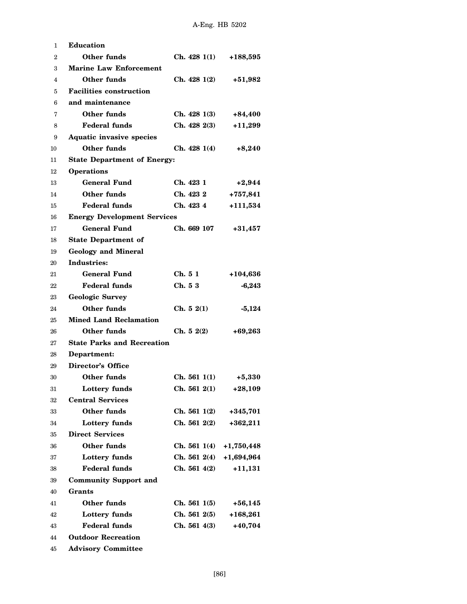| 1  | <b>Education</b>                   |              |              |  |  |  |  |  |
|----|------------------------------------|--------------|--------------|--|--|--|--|--|
| 2  | Other funds                        | Ch. 4281(1)  | $+188,595$   |  |  |  |  |  |
| 3  | <b>Marine Law Enforcement</b>      |              |              |  |  |  |  |  |
| 4  | Other funds                        | Ch. 4281(2)  | $+51,982$    |  |  |  |  |  |
| 5  | <b>Facilities construction</b>     |              |              |  |  |  |  |  |
| 6  | and maintenance                    |              |              |  |  |  |  |  |
| 7  | Other funds                        | Ch. 4281(3)  | $+84,400$    |  |  |  |  |  |
| 8  | <b>Federal funds</b>               | Ch. 4282(3)  | $+11,299$    |  |  |  |  |  |
| 9  | <b>Aquatic invasive species</b>    |              |              |  |  |  |  |  |
| 10 | Other funds                        | Ch. 4281(4)  | $+8,240$     |  |  |  |  |  |
| 11 | <b>State Department of Energy:</b> |              |              |  |  |  |  |  |
| 12 | <b>Operations</b>                  |              |              |  |  |  |  |  |
| 13 | General Fund                       | Ch. 423 1    | $+2,944$     |  |  |  |  |  |
| 14 | Other funds                        | Ch. 423 2    | $+757,841$   |  |  |  |  |  |
| 15 | <b>Federal funds</b>               | Ch. 423 4    | $+111,534$   |  |  |  |  |  |
| 16 | <b>Energy Development Services</b> |              |              |  |  |  |  |  |
| 17 | <b>General Fund</b>                | Ch. 669 107  | $+31,457$    |  |  |  |  |  |
| 18 | <b>State Department of</b>         |              |              |  |  |  |  |  |
| 19 | <b>Geology and Mineral</b>         |              |              |  |  |  |  |  |
| 20 | Industries:                        |              |              |  |  |  |  |  |
| 21 | General Fund                       | Ch. 5 1      | +104,636     |  |  |  |  |  |
| 22 | Federal funds                      | Ch. 53       | $-6,243$     |  |  |  |  |  |
| 23 | <b>Geologic Survey</b>             |              |              |  |  |  |  |  |
| 24 | Other funds                        | Ch. 52(1)    | $-5,124$     |  |  |  |  |  |
| 25 | <b>Mined Land Reclamation</b>      |              |              |  |  |  |  |  |
| 26 | Other funds                        | Ch. 52(2)    | $+69,263$    |  |  |  |  |  |
| 27 | <b>State Parks and Recreation</b>  |              |              |  |  |  |  |  |
| 28 | Department:                        |              |              |  |  |  |  |  |
| 29 | <b>Director's Office</b>           |              |              |  |  |  |  |  |
| 30 | Other funds                        | Ch. 5611(1)  | $+5,330$     |  |  |  |  |  |
| 31 | <b>Lottery funds</b>               | Ch. 561 2(1) | $+28,109$    |  |  |  |  |  |
| 32 | <b>Central Services</b>            |              |              |  |  |  |  |  |
| 33 | <b>Other funds</b>                 | Ch. 5611(2)  | $+345,701$   |  |  |  |  |  |
| 34 | Lottery funds                      | Ch. 561 2(2) | $+362,211$   |  |  |  |  |  |
| 35 | <b>Direct Services</b>             |              |              |  |  |  |  |  |
| 36 | Other funds                        | Ch. 5611(4)  | $+1,750,448$ |  |  |  |  |  |
| 37 | Lottery funds                      | Ch. 5612(4)  | $+1,694,964$ |  |  |  |  |  |
| 38 | <b>Federal funds</b>               | Ch. 5614(2)  | $+11,131$    |  |  |  |  |  |
| 39 | <b>Community Support and</b>       |              |              |  |  |  |  |  |
| 40 | Grants                             |              |              |  |  |  |  |  |
| 41 | Other funds                        | Ch. 5611(5)  | $+56,145$    |  |  |  |  |  |
| 42 | Lottery funds                      | Ch. 5612(5)  | $+168,261$   |  |  |  |  |  |
| 43 | <b>Federal funds</b>               | Ch. 5614(3)  | $+40,704$    |  |  |  |  |  |
| 44 | <b>Outdoor Recreation</b>          |              |              |  |  |  |  |  |

**Advisory Committee**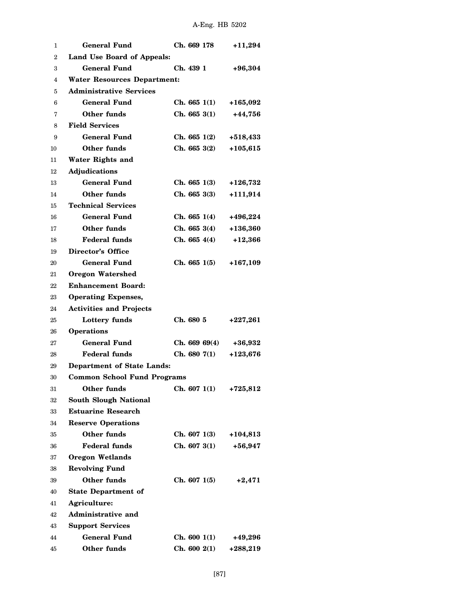| 1              | <b>General Fund</b>                | Ch. 669 178   | $+11,294$  |  |  |  |  |  |
|----------------|------------------------------------|---------------|------------|--|--|--|--|--|
| $\overline{2}$ | Land Use Board of Appeals:         |               |            |  |  |  |  |  |
| 3              | General Fund                       | Ch. 439 1     | $+96,304$  |  |  |  |  |  |
| 4              | <b>Water Resources Department:</b> |               |            |  |  |  |  |  |
| 5              | <b>Administrative Services</b>     |               |            |  |  |  |  |  |
| 6              | General Fund                       | Ch. 6651(1)   | +165,092   |  |  |  |  |  |
| 7              | Other funds                        | Ch. 6653(1)   | $+44,756$  |  |  |  |  |  |
| 8              | <b>Field Services</b>              |               |            |  |  |  |  |  |
| 9              | <b>General Fund</b>                | Ch. 6651(2)   | +518,433   |  |  |  |  |  |
| 10             | Other funds                        | Ch. 6653(2)   | $+105,615$ |  |  |  |  |  |
| 11             | Water Rights and                   |               |            |  |  |  |  |  |
| 12             | Adjudications                      |               |            |  |  |  |  |  |
| 13             | <b>General Fund</b>                | Ch. 6651(3)   | +126,732   |  |  |  |  |  |
| 14             | Other funds                        | Ch. 6653(3)   | $+111,914$ |  |  |  |  |  |
| 15             | <b>Technical Services</b>          |               |            |  |  |  |  |  |
| 16             | <b>General Fund</b>                | Ch. 6651(4)   | +496,224   |  |  |  |  |  |
| 17             | Other funds                        | Ch. 6653(4)   | +136,360   |  |  |  |  |  |
| 18             | <b>Federal funds</b>               | Ch. 6654(4)   | $+12,366$  |  |  |  |  |  |
| 19             | <b>Director's Office</b>           |               |            |  |  |  |  |  |
| 20             | <b>General Fund</b>                | Ch. 6651(5)   | $+167,109$ |  |  |  |  |  |
| 21             | <b>Oregon Watershed</b>            |               |            |  |  |  |  |  |
| 22             | <b>Enhancement Board:</b>          |               |            |  |  |  |  |  |
| 23             | <b>Operating Expenses,</b>         |               |            |  |  |  |  |  |
| 24             | <b>Activities and Projects</b>     |               |            |  |  |  |  |  |
| 25             | Lottery funds                      | Ch. 680 5     | $+227,261$ |  |  |  |  |  |
| 26             | <b>Operations</b>                  |               |            |  |  |  |  |  |
| 27             | <b>General Fund</b>                | Ch. 669 69(4) | +36,932    |  |  |  |  |  |
| 28             | <b>Federal funds</b>               | Ch. 6807(1)   | $+123,676$ |  |  |  |  |  |
| 29             | <b>Department of State Lands:</b>  |               |            |  |  |  |  |  |
| 30             | <b>Common School Fund Programs</b> |               |            |  |  |  |  |  |
| 31             | Other funds                        | Ch. 6071(1)   | +725,812   |  |  |  |  |  |
| 32             | <b>South Slough National</b>       |               |            |  |  |  |  |  |
| 33             | <b>Estuarine Research</b>          |               |            |  |  |  |  |  |
| 34             | <b>Reserve Operations</b>          |               |            |  |  |  |  |  |
| 35             | Other funds                        | Ch. 6071(3)   | +104,813   |  |  |  |  |  |
| 36             | <b>Federal funds</b>               | Ch. 6073(1)   | +56,947    |  |  |  |  |  |
| 37             | <b>Oregon Wetlands</b>             |               |            |  |  |  |  |  |
| 38             | <b>Revolving Fund</b>              |               |            |  |  |  |  |  |
| 39             | <b>Other funds</b>                 | Ch. 6071(5)   | $+2,471$   |  |  |  |  |  |
| 40             | <b>State Department of</b>         |               |            |  |  |  |  |  |
| 41             | Agriculture:                       |               |            |  |  |  |  |  |
| 42             | <b>Administrative and</b>          |               |            |  |  |  |  |  |
| 43             | <b>Support Services</b>            |               |            |  |  |  |  |  |
| 44             | <b>General Fund</b>                | Ch. 6001(1)   | +49,296    |  |  |  |  |  |
| 45             | Other funds                        | Ch. 6002(1)   | +288,219   |  |  |  |  |  |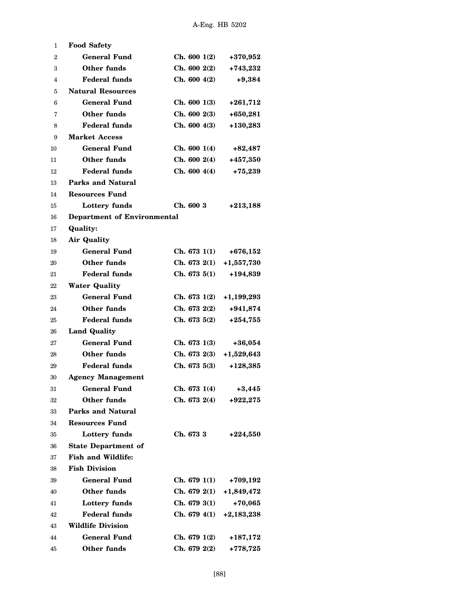| 1              | <b>Food Safety</b>                 |              |              |  |
|----------------|------------------------------------|--------------|--------------|--|
| $\overline{2}$ | <b>General Fund</b>                | Ch. 6001(2)  | +370,952     |  |
| 3              | Other funds                        | Ch. 6002(2)  | $+743,232$   |  |
| 4              | <b>Federal funds</b>               | Ch. 6004(2)  | $+9,384$     |  |
| 5              | <b>Natural Resources</b>           |              |              |  |
| 6              | <b>General Fund</b>                | Ch. 6001(3)  | $+261,712$   |  |
| 7              | Other funds                        | Ch. 6002(3)  | $+650,281$   |  |
| 8              | <b>Federal funds</b>               | Ch. 6004(3)  | $+130,283$   |  |
| 9              | <b>Market Access</b>               |              |              |  |
| 10             | General Fund                       | Ch. 6001(4)  | $+82,487$    |  |
| 11             | Other funds                        | Ch. 6002(4)  | +457,350     |  |
| 12             | <b>Federal funds</b>               | Ch. 6004(4)  | $+75,239$    |  |
| 13             | <b>Parks and Natural</b>           |              |              |  |
| 14             | Resources Fund                     |              |              |  |
| 15             | Lottery funds                      | Ch. 600 3    | $+213,188$   |  |
| 16             | <b>Department of Environmental</b> |              |              |  |
| 17             | <b>Quality:</b>                    |              |              |  |
| 18             | <b>Air Quality</b>                 |              |              |  |
| 19             | <b>General Fund</b>                | Ch. 6731(1)  | $+676,152$   |  |
| 20             | Other funds                        | Ch. 6732(1)  | $+1,557,730$ |  |
| 21             | <b>Federal funds</b>               | Ch. 6735(1)  | +194,839     |  |
| 22             | <b>Water Quality</b>               |              |              |  |
| 23             | <b>General Fund</b>                | Ch. 673 1(2) | $+1,199,293$ |  |
| 24             | Other funds                        | Ch. 6732(2)  | $+941,874$   |  |
| 25             | <b>Federal funds</b>               | Ch. 6735(2)  | $+254,755$   |  |
| 26             | <b>Land Quality</b>                |              |              |  |
| 27             | <b>General Fund</b>                | Ch. 6731(3)  | $+36,054$    |  |
| 28             | Other funds                        | Ch. 6732(3)  | $+1,529,643$ |  |
| 29             | <b>Federal funds</b>               | Ch. 6735(3)  | $+128,385$   |  |
| 30             | <b>Agency Management</b>           |              |              |  |
| 31             | <b>General Fund</b>                | Ch. 673 1(4) | $+3,445$     |  |
| 32             | Other funds                        | Ch. 6732(4)  | $+922,275$   |  |
| 33             | <b>Parks and Natural</b>           |              |              |  |
| 34             | <b>Resources Fund</b>              |              |              |  |
| 35             | Lottery funds                      | Ch. 673 3    | $+224,550$   |  |
| 36             | <b>State Department of</b>         |              |              |  |
| 37             | <b>Fish and Wildlife:</b>          |              |              |  |
| 38             | <b>Fish Division</b>               |              |              |  |
| 39             | <b>General Fund</b>                | Ch. 6791(1)  | +709,192     |  |
| 40             | Other funds                        | Ch. 6792(1)  | +1,849,472   |  |
| 41             | Lottery funds                      | Ch. 6793(1)  | $+70,065$    |  |
| 42             | <b>Federal funds</b>               | Ch. 679 4(1) | $+2,183,238$ |  |
| 43             | <b>Wildlife Division</b>           |              |              |  |
| 44             | <b>General Fund</b>                | Ch. 6791(2)  | +187,172     |  |
| 45             | Other funds                        | Ch. 6792(2)  | +778,725     |  |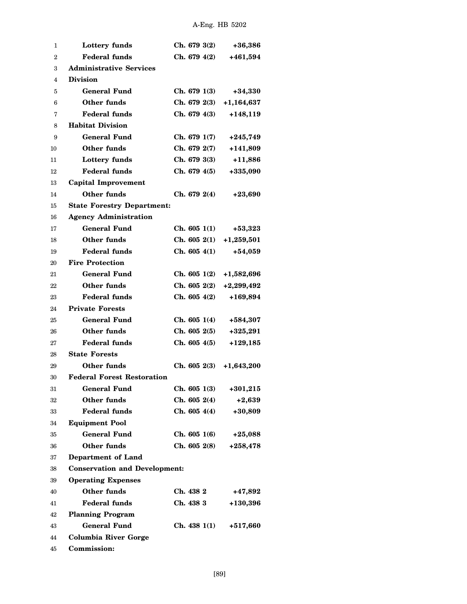| 1                | Lottery funds                        | Ch. 6793(2)  | $+36,386$    |  |  |  |  |
|------------------|--------------------------------------|--------------|--------------|--|--|--|--|
| $\boldsymbol{2}$ | <b>Federal funds</b>                 | Ch. 6794(2)  | +461,594     |  |  |  |  |
| 3                | <b>Administrative Services</b>       |              |              |  |  |  |  |
| 4                | <b>Division</b>                      |              |              |  |  |  |  |
| 5                | <b>General Fund</b>                  | Ch. 6791(3)  | $+34,330$    |  |  |  |  |
| 6                | <b>Other funds</b>                   | Ch. 6792(3)  | $+1,164,637$ |  |  |  |  |
| 7                | <b>Federal funds</b>                 | Ch. 6794(3)  | $+148,119$   |  |  |  |  |
| 8                | <b>Habitat Division</b>              |              |              |  |  |  |  |
| 9                | <b>General Fund</b>                  | Ch. 6791(7)  | $+245,749$   |  |  |  |  |
| 10               | Other funds                          | Ch. 6792(7)  | +141,809     |  |  |  |  |
| 11               | Lottery funds                        | Ch. 6793(3)  | $+11,886$    |  |  |  |  |
| 12               | <b>Federal funds</b>                 | Ch. 679 4(5) | +335,090     |  |  |  |  |
| 13               | Capital Improvement                  |              |              |  |  |  |  |
| 14               | <b>Other funds</b>                   | Ch. 6792(4)  | $+23,690$    |  |  |  |  |
| 15               | <b>State Forestry Department:</b>    |              |              |  |  |  |  |
| 16               | <b>Agency Administration</b>         |              |              |  |  |  |  |
| 17               | <b>General Fund</b>                  | Ch. 6051(1)  | $+53,323$    |  |  |  |  |
| 18               | <b>Other funds</b>                   | Ch. 6052(1)  | $+1,259,501$ |  |  |  |  |
| 19               | <b>Federal funds</b>                 | Ch. 605 4(1) | $+54,059$    |  |  |  |  |
| 20               | <b>Fire Protection</b>               |              |              |  |  |  |  |
| 21               | <b>General Fund</b>                  | Ch. 6051(2)  | +1,582,696   |  |  |  |  |
| 22               | <b>Other funds</b>                   | Ch. 6052(2)  | $+2,299,492$ |  |  |  |  |
| 23               | <b>Federal funds</b>                 | Ch. 6054(2)  | +169,894     |  |  |  |  |
| 24               | <b>Private Forests</b>               |              |              |  |  |  |  |
| 25               | <b>General Fund</b>                  | Ch. 6051(4)  | +584,307     |  |  |  |  |
| 26               | <b>Other funds</b>                   | Ch. 6052(5)  | $+325,291$   |  |  |  |  |
| 27               | <b>Federal funds</b>                 | Ch. 6054(5)  | $+129,185$   |  |  |  |  |
| 28               | <b>State Forests</b>                 |              |              |  |  |  |  |
| 29               | Other funds                          | Ch. 6052(3)  | $+1,643,200$ |  |  |  |  |
| 30               | <b>Federal Forest Restoration</b>    |              |              |  |  |  |  |
| 31               | <b>General Fund</b>                  | Ch. 6051(3)  | $+301,215$   |  |  |  |  |
| 32               | <b>Other funds</b>                   | Ch. 6052(4)  | $+2,639$     |  |  |  |  |
| 33               | <b>Federal funds</b>                 | Ch. 6054(4)  | $+30,809$    |  |  |  |  |
| 34               | <b>Equipment Pool</b>                |              |              |  |  |  |  |
| 35               | <b>General Fund</b>                  | Ch. 6051(6)  | $+25,088$    |  |  |  |  |
| 36               | <b>Other funds</b>                   | Ch. 6052(8)  | $+258,478$   |  |  |  |  |
| 37               | Department of Land                   |              |              |  |  |  |  |
| 38               | <b>Conservation and Development:</b> |              |              |  |  |  |  |
| 39               | <b>Operating Expenses</b>            |              |              |  |  |  |  |
| 40               | <b>Other funds</b>                   | Ch. 438 2    | +47,892      |  |  |  |  |
| 41               | <b>Federal funds</b>                 | Ch. 438 3    | $+130,396$   |  |  |  |  |
| 42               | <b>Planning Program</b>              |              |              |  |  |  |  |
| 43               | <b>General Fund</b>                  | Ch. 4381(1)  | +517,660     |  |  |  |  |
| 44               | <b>Columbia River Gorge</b>          |              |              |  |  |  |  |
| 45               | Commission:                          |              |              |  |  |  |  |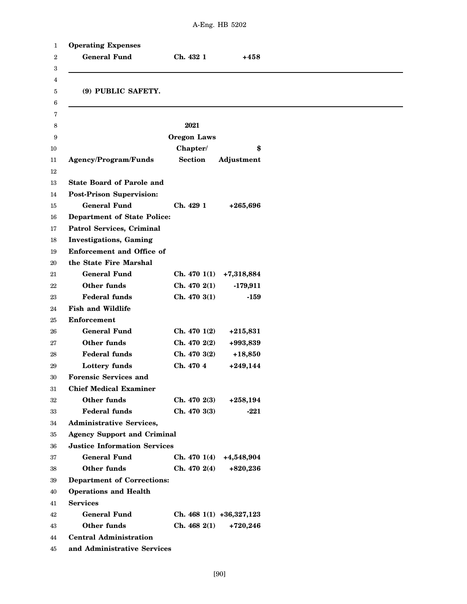| <b>Operating Expenses</b>           |                    |                            |
|-------------------------------------|--------------------|----------------------------|
| <b>General Fund</b>                 | Ch. 432 1          | +458                       |
|                                     |                    |                            |
| (9) PUBLIC SAFETY.                  |                    |                            |
|                                     |                    |                            |
|                                     |                    |                            |
|                                     | 2021               |                            |
|                                     | <b>Oregon Laws</b> |                            |
|                                     | Chapter/           | \$                         |
| Agency/Program/Funds                | <b>Section</b>     | Adjustment                 |
|                                     |                    |                            |
| <b>State Board of Parole and</b>    |                    |                            |
| <b>Post-Prison Supervision:</b>     |                    |                            |
| <b>General Fund</b>                 | Ch. 429 1          | $+265,696$                 |
| <b>Department of State Police:</b>  |                    |                            |
| Patrol Services, Criminal           |                    |                            |
| <b>Investigations</b> , Gaming      |                    |                            |
| <b>Enforcement and Office of</b>    |                    |                            |
| the State Fire Marshal              |                    |                            |
| <b>General Fund</b>                 | Ch. 4701(1)        | +7,318,884                 |
| Other funds                         | Ch. 4702(1)        | $-179,911$                 |
| <b>Federal funds</b>                | Ch. 4703(1)        | $-159$                     |
| <b>Fish and Wildlife</b>            |                    |                            |
| <b>Enforcement</b>                  |                    |                            |
| <b>General Fund</b>                 | Ch. 4701(2)        | $+215,831$                 |
| Other funds                         | Ch. 470 2(2)       | +993,839                   |
| <b>Federal funds</b>                | Ch. 470 3(2)       | $+18,850$                  |
| Lottery funds                       | Ch. 470 4          | $+249,144$                 |
| <b>Forensic Services and</b>        |                    |                            |
| <b>Chief Medical Examiner</b>       |                    |                            |
| Other funds                         | Ch. 4702(3)        | $+258,194$                 |
| <b>Federal funds</b>                | Ch. 470 3(3)       | -221                       |
| <b>Administrative Services,</b>     |                    |                            |
| <b>Agency Support and Criminal</b>  |                    |                            |
| <b>Justice Information Services</b> |                    |                            |
| <b>General Fund</b>                 | Ch. 4701(4)        | +4,548,904                 |
| Other funds                         | Ch. 4702(4)        | $+820,236$                 |
| <b>Department of Corrections:</b>   |                    |                            |
| <b>Operations and Health</b>        |                    |                            |
| <b>Services</b>                     |                    |                            |
| <b>General Fund</b>                 |                    | Ch. 468 $1(1) +36,327,123$ |
| Other funds                         | Ch. 4682(1)        | $+720,246$                 |
| <b>Central Administration</b>       |                    |                            |
| and Administrative Services         |                    |                            |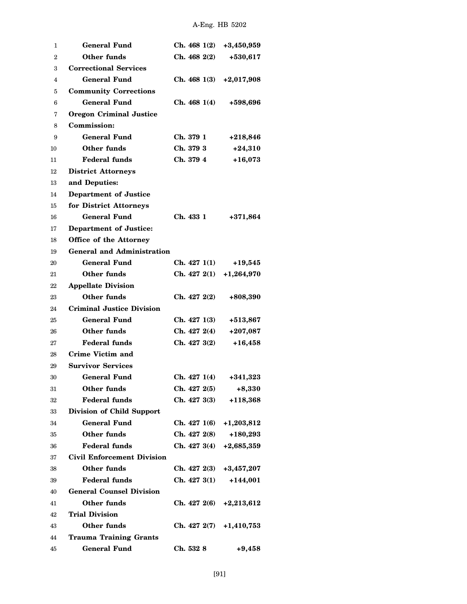| 1              | <b>General Fund</b>               | Ch. 4681(2)               | $+3,450,959$ |
|----------------|-----------------------------------|---------------------------|--------------|
| $\overline{2}$ | Other funds                       | Ch. 4682(2)               | $+530,617$   |
| 3              | <b>Correctional Services</b>      |                           |              |
| 4              | <b>General Fund</b>               | Ch. 4681(3)               | $+2,017,908$ |
| 5              | <b>Community Corrections</b>      |                           |              |
| 6              | <b>General Fund</b>               | Ch. 4681(4)               | +598,696     |
| 7              | <b>Oregon Criminal Justice</b>    |                           |              |
| 8              | Commission:                       |                           |              |
| 9              | <b>General Fund</b>               | Ch. 379 1                 | $+218,846$   |
| 10             | Other funds                       | Ch. 379 3                 | $+24,310$    |
| 11             | <b>Federal funds</b>              | Ch. 379 4                 | $+16,073$    |
| 12             | <b>District Attorneys</b>         |                           |              |
| 13             | and Deputies:                     |                           |              |
| 14             | <b>Department of Justice</b>      |                           |              |
| 15             | for District Attorneys            |                           |              |
| 16             | <b>General Fund</b>               | Ch. 433 1                 | $+371,864$   |
| 17             | <b>Department of Justice:</b>     |                           |              |
| 18             | Office of the Attorney            |                           |              |
| 19             | <b>General and Administration</b> |                           |              |
| 20             | <b>General Fund</b>               | Ch. 4271(1)               | $+19,545$    |
| 21             | <b>Other funds</b>                | Ch. 4272(1)               | $+1,264,970$ |
| 22             | <b>Appellate Division</b>         |                           |              |
| 23             | <b>Other funds</b>                | Ch. 4272(2)               | +808,390     |
| 24             | <b>Criminal Justice Division</b>  |                           |              |
| 25             | <b>General Fund</b>               | Ch. 4271(3)               | +513,867     |
| 26             | Other funds                       | Ch. 4272(4)               | $+207,087$   |
| 27             | <b>Federal funds</b>              | Ch. 4273(2)               | $+16,458$    |
| 28             | Crime Victim and                  |                           |              |
| 29             | <b>Survivor Services</b>          |                           |              |
| 30             | <b>General Fund</b>               | Ch. 4271(4)               | $+341,323$   |
| 31             | Other funds                       | Ch. 4272(5)               | $+8,330$     |
| 32             | <b>Federal funds</b>              | Ch. 4273(3)               | $+118,368$   |
| 33             | Division of Child Support         |                           |              |
| 34             | <b>General Fund</b>               | Ch. 4271(6)               | $+1,203,812$ |
| 35             | <b>Other funds</b>                | Ch. 427 2(8)              | $+180,293$   |
| 36             | Federal funds                     | Ch. 427 3(4) $+2,685,359$ |              |
| 37             | <b>Civil Enforcement Division</b> |                           |              |
| 38             | Other funds                       | Ch. 4272(3)               | $+3,457,207$ |
| 39             | <b>Federal funds</b>              | Ch. 4273(1)               | $+144,001$   |
| 40             | <b>General Counsel Division</b>   |                           |              |
| 41             | <b>Other funds</b>                | Ch. 427 2(6)              | $+2,213,612$ |
| 42             | Trial Division                    |                           |              |
| 43             | <b>Other funds</b>                | Ch. 427 2(7) $+1,410,753$ |              |
| 44             | <b>Trauma Training Grants</b>     |                           |              |
| 45             | <b>General Fund</b>               | Ch. 532 8                 | $+9,458$     |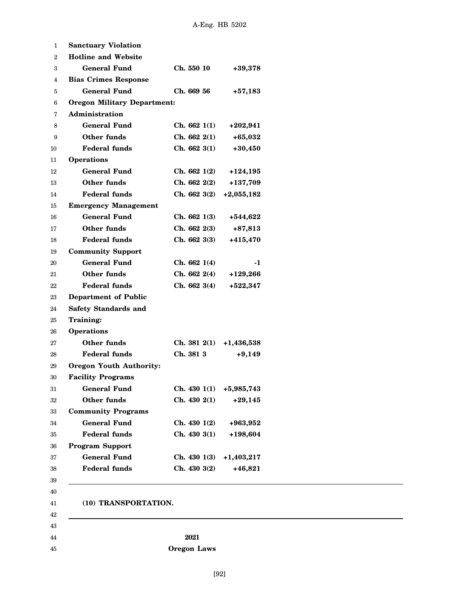| <b>Sanctuary Violation</b>         |                    |              |
|------------------------------------|--------------------|--------------|
| <b>Hotline and Website</b>         |                    |              |
| <b>General Fund</b>                | Ch. 550 10         | $+39,378$    |
| <b>Bias Crimes Response</b>        |                    |              |
| <b>General Fund</b>                | Ch. 669 56         | $+57,183$    |
| <b>Oregon Military Department:</b> |                    |              |
| Administration                     |                    |              |
| <b>General Fund</b>                | Ch. 6621(1)        | $+202,941$   |
| Other funds                        | Ch. 6622(1)        | $+65,032$    |
| <b>Federal funds</b>               | Ch. 6623(1)        | $+30,450$    |
| <b>Operations</b>                  |                    |              |
| <b>General Fund</b>                | Ch. 6621(2)        | +124,195     |
| Other funds                        | Ch. 6622(2)        | +137,709     |
| <b>Federal funds</b>               | Ch. 6623(2)        | $+2,055,182$ |
| <b>Emergency Management</b>        |                    |              |
| <b>General Fund</b>                | Ch. 6621(3)        | $+544,622$   |
| Other funds                        | Ch. 6622(3)        | $+87,813$    |
| <b>Federal funds</b>               | Ch. 6623(3)        | $+415,470$   |
| <b>Community Support</b>           |                    |              |
| <b>General Fund</b>                | Ch. 6621(4)        | -1           |
| Other funds                        | Ch. 6622(4)        | $+129,266$   |
| <b>Federal funds</b>               | Ch. 6623(4)        | $+522,347$   |
| <b>Department of Public</b>        |                    |              |
| <b>Safety Standards and</b>        |                    |              |
| Training:                          |                    |              |
| <b>Operations</b>                  |                    |              |
| Other funds                        | Ch. 381 2(1)       | $+1,436,538$ |
| <b>Federal funds</b>               | Ch. 381 3          | $+9,149$     |
| <b>Oregon Youth Authority:</b>     |                    |              |
| <b>Facility Programs</b>           |                    |              |
| <b>General Fund</b>                | Ch. 4301(1)        | +5,985,743   |
| Other funds                        | Ch. 4302(1)        | $+29,145$    |
| <b>Community Programs</b>          |                    |              |
| <b>General Fund</b>                | Ch. 4301(2)        | +963,952     |
| <b>Federal funds</b>               | Ch. 4303(1)        | +198,604     |
| <b>Program Support</b>             |                    |              |
| <b>General Fund</b>                | Ch. 4301(3)        | $+1,403,217$ |
| <b>Federal funds</b>               | Ch. 4303(2)        | $+46,821$    |
|                                    |                    |              |
| (10) TRANSPORTATION.               |                    |              |
|                                    |                    |              |
|                                    | 2021               |              |
|                                    | <b>Oregon Laws</b> |              |

[92]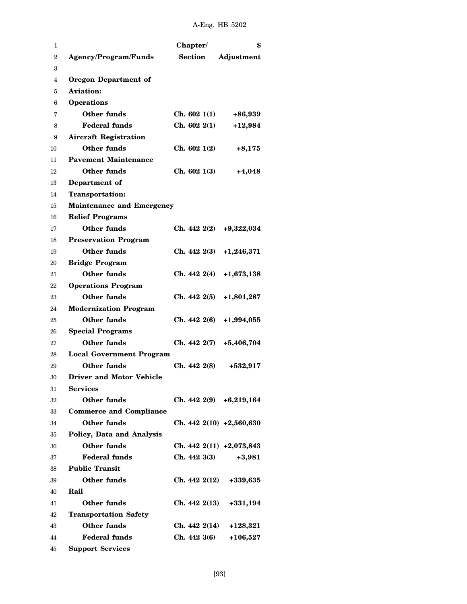| 1              |                                  | Chapter/       | \$                          |
|----------------|----------------------------------|----------------|-----------------------------|
| $\overline{2}$ | <b>Agency/Program/Funds</b>      | <b>Section</b> | Adjustment                  |
| 3              |                                  |                |                             |
| 4              | <b>Oregon Department of</b>      |                |                             |
| 5              | <b>Aviation:</b>                 |                |                             |
| 6              | <b>Operations</b>                |                |                             |
| 7              | Other funds                      | Ch. 6021(1)    | +86,939                     |
| 8              | <b>Federal funds</b>             | Ch. 6022(1)    | $+12,984$                   |
| 9              | <b>Aircraft Registration</b>     |                |                             |
| 10             | Other funds                      | Ch. 6021(2)    | $+8,175$                    |
| 11             | <b>Pavement Maintenance</b>      |                |                             |
| 12             | Other funds                      | Ch. 6021(3)    | $+4,048$                    |
| 13             | Department of                    |                |                             |
| 14             | <b>Transportation:</b>           |                |                             |
| 15             | <b>Maintenance and Emergency</b> |                |                             |
| 16             | <b>Relief Programs</b>           |                |                             |
| 17             | <b>Other funds</b>               | Ch. 4422(2)    | $+9,322,034$                |
| 18             | <b>Preservation Program</b>      |                |                             |
| 19             | Other funds                      | Ch. 4422(3)    | $+1,246,371$                |
| 20             | <b>Bridge Program</b>            |                |                             |
| 21             | <b>Other funds</b>               | Ch. 4422(4)    | $+1,673,138$                |
| 22             | <b>Operations Program</b>        |                |                             |
| 23             | Other funds                      | Ch. 4422(5)    | +1,801,287                  |
| 24             | <b>Modernization Program</b>     |                |                             |
| 25             | Other funds                      | Ch. 442 2(6)   | $+1,994,055$                |
| 26             | <b>Special Programs</b>          |                |                             |
| 27             | Other funds                      | Ch. 442 2(7)   | $+5,406,704$                |
| 28             | <b>Local Government Program</b>  |                |                             |
| 29             | Other funds                      | Ch. 4422(8)    | $+532,917$                  |
| 30             | <b>Driver and Motor Vehicle</b>  |                |                             |
| 31             | <b>Services</b>                  |                |                             |
| 32             | Other funds                      |                | Ch. $442\ 2(9)$ +6,219,164  |
| 33             | <b>Commerce and Compliance</b>   |                |                             |
| 34             | Other funds                      |                | Ch. $442\ 2(10)$ +2,560,630 |
| 35             | Policy, Data and Analysis        |                |                             |
| 36             | Other funds                      |                | Ch. 442 2(11) +2,073,843    |
| 37             | <b>Federal funds</b>             | Ch. 4423(3)    | $+3,981$                    |
| 38             | <b>Public Transit</b>            |                |                             |
| 39             | Other funds                      | Ch. 442 2(12)  | +339,635                    |
| 40             | Rail                             |                |                             |
| 41             | Other funds                      | Ch. 4422(13)   | +331,194                    |
| 42             | <b>Transportation Safety</b>     |                |                             |
| 43             | <b>Other funds</b>               | Ch. 4422(14)   | $+128,321$                  |
| 44             | <b>Federal funds</b>             | Ch. 4423(6)    | $+106,527$                  |
| 45             | <b>Support Services</b>          |                |                             |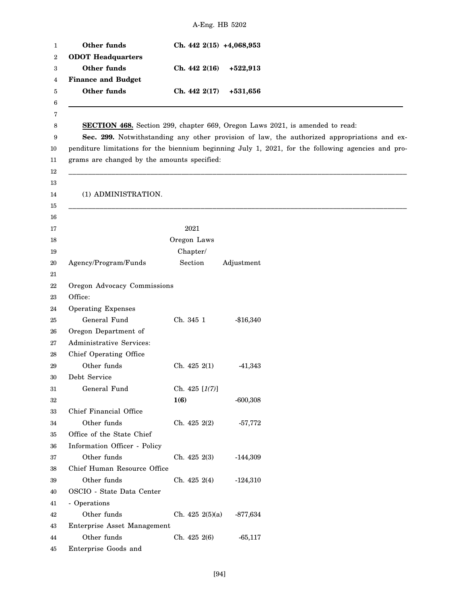| Other funds<br><b>ODOT</b> Headquarters     | Ch. $442\;2(15)$ +4,068,953 |                                                                                                                                                                                                                                                                                          |  |
|---------------------------------------------|-----------------------------|------------------------------------------------------------------------------------------------------------------------------------------------------------------------------------------------------------------------------------------------------------------------------------------|--|
| Other funds                                 | Ch. 442 2(16)               | $+522,913$                                                                                                                                                                                                                                                                               |  |
| <b>Finance and Budget</b>                   |                             |                                                                                                                                                                                                                                                                                          |  |
| Other funds                                 | Ch. 442 2(17)               | $+531,656$                                                                                                                                                                                                                                                                               |  |
| grams are changed by the amounts specified: |                             | <b>SECTION 468.</b> Section 299, chapter 669, Oregon Laws 2021, is amended to read:<br>Sec. 299. Notwithstanding any other provision of law, the authorized appropriations and ex-<br>penditure limitations for the biennium beginning July 1, 2021, for the following agencies and pro- |  |
| (1) ADMINISTRATION.                         |                             |                                                                                                                                                                                                                                                                                          |  |
|                                             | 2021                        |                                                                                                                                                                                                                                                                                          |  |
|                                             | Oregon Laws                 |                                                                                                                                                                                                                                                                                          |  |
|                                             | Chapter/                    |                                                                                                                                                                                                                                                                                          |  |
| Agency/Program/Funds                        | Section                     | Adjustment                                                                                                                                                                                                                                                                               |  |
|                                             |                             |                                                                                                                                                                                                                                                                                          |  |
| Oregon Advocacy Commissions                 |                             |                                                                                                                                                                                                                                                                                          |  |
| Office:                                     |                             |                                                                                                                                                                                                                                                                                          |  |
| <b>Operating Expenses</b>                   |                             |                                                                                                                                                                                                                                                                                          |  |
| General Fund                                | Ch. 345 1                   | $-$16,340$                                                                                                                                                                                                                                                                               |  |
| Oregon Department of                        |                             |                                                                                                                                                                                                                                                                                          |  |
| Administrative Services:                    |                             |                                                                                                                                                                                                                                                                                          |  |
| Chief Operating Office                      |                             |                                                                                                                                                                                                                                                                                          |  |
| Other funds                                 | Ch. 425 2(1)                | $-41,343$                                                                                                                                                                                                                                                                                |  |
| Debt Service                                |                             |                                                                                                                                                                                                                                                                                          |  |
| General Fund                                | Ch. 425 $[1(7)]$            |                                                                                                                                                                                                                                                                                          |  |
|                                             | 1(6)                        | $-600,308$                                                                                                                                                                                                                                                                               |  |
| Chief Financial Office                      |                             |                                                                                                                                                                                                                                                                                          |  |
| Other funds                                 | Ch. 425 2(2)                | $-57,772$                                                                                                                                                                                                                                                                                |  |
| Office of the State Chief                   |                             |                                                                                                                                                                                                                                                                                          |  |
| Information Officer - Policy                |                             |                                                                                                                                                                                                                                                                                          |  |
| Other funds                                 | Ch. $425\;2(3)$             | $-144,309$                                                                                                                                                                                                                                                                               |  |
| Chief Human Resource Office                 |                             |                                                                                                                                                                                                                                                                                          |  |
| Other funds                                 | Ch. $425\,2(4)$             | $-124,310$                                                                                                                                                                                                                                                                               |  |
| OSCIO - State Data Center                   |                             |                                                                                                                                                                                                                                                                                          |  |
| - Operations                                |                             |                                                                                                                                                                                                                                                                                          |  |
| Other funds                                 | Ch. $425 \frac{2(5)}{a}$    | $-877,634$                                                                                                                                                                                                                                                                               |  |
| Enterprise Asset Management                 |                             |                                                                                                                                                                                                                                                                                          |  |
| Other funds                                 | Ch. 425 2(6)                | $-65,117$                                                                                                                                                                                                                                                                                |  |
| Enterprise Goods and                        |                             |                                                                                                                                                                                                                                                                                          |  |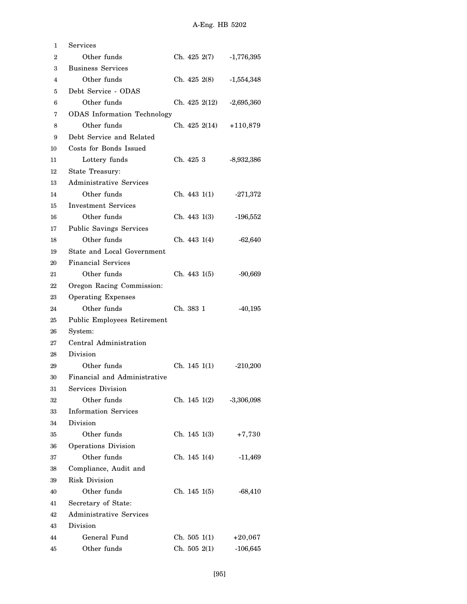| 1  | $\operatorname{Services}$          |              |               |              |
|----|------------------------------------|--------------|---------------|--------------|
| 2  | Other funds                        |              | Ch. 425 2(7)  | $-1,776,395$ |
| 3  | <b>Business Services</b>           |              |               |              |
| 4  | Other funds                        |              | Ch. 425 2(8)  | $-1,554,348$ |
| 5  | Debt Service - ODAS                |              |               |              |
| 6  | Other funds                        |              | Ch. 425 2(12) | $-2,695,360$ |
| 7  | <b>ODAS</b> Information Technology |              |               |              |
| 8  | Other funds                        |              | Ch. 425 2(14) | $+110,879$   |
| 9  | Debt Service and Related           |              |               |              |
| 10 | Costs for Bonds Issued             |              |               |              |
| 11 | Lottery funds                      | Ch. 425 3    |               | $-8,932,386$ |
| 12 | State Treasury:                    |              |               |              |
| 13 | Administrative Services            |              |               |              |
| 14 | Other funds                        |              | Ch. 443 1(1)  | $-271,372$   |
| 15 | <b>Investment Services</b>         |              |               |              |
| 16 | Other funds                        |              | Ch. 443 1(3)  | $-196,552$   |
| 17 | <b>Public Savings Services</b>     |              |               |              |
| 18 | Other funds                        | Ch. 443 1(4) |               | $-62,640$    |
| 19 | State and Local Government         |              |               |              |
| 20 | <b>Financial Services</b>          |              |               |              |
| 21 | Other funds                        | Ch. 4431(5)  |               | $-90,669$    |
| 22 | Oregon Racing Commission:          |              |               |              |
| 23 | <b>Operating Expenses</b>          |              |               |              |
| 24 | Other funds                        | Ch. 383 1    |               | $-40,195$    |
| 25 | Public Employees Retirement        |              |               |              |
| 26 | System:                            |              |               |              |
| 27 | Central Administration             |              |               |              |
| 28 | Division                           |              |               |              |
| 29 | Other funds                        | Ch. 145 1(1) |               | $-210,200$   |
| 30 | Financial and Administrative       |              |               |              |
| 31 | Services Division                  |              |               |              |
| 32 | Other funds                        |              | Ch. 145 1(2)  | $-3,306,098$ |
| 33 | <b>Information Services</b>        |              |               |              |
| 34 | Division                           |              |               |              |
| 35 | Other funds                        | Ch. 145 1(3) |               | $+7,730$     |
| 36 | Operations Division                |              |               |              |
| 37 | Other funds                        | Ch. 145 1(4) |               | $-11,469$    |
| 38 | Compliance, Audit and              |              |               |              |
| 39 | Risk Division                      |              |               |              |
| 40 | Other funds                        | Ch. 145 1(5) |               | $-68,410$    |
| 41 | Secretary of State:                |              |               |              |
| 42 | Administrative Services            |              |               |              |
| 43 | Division                           |              |               |              |
| 44 | General Fund                       | Ch. 505 1(1) |               | $+20,067$    |
| 45 | Other funds                        | Ch. 505 2(1) |               | $-106,645$   |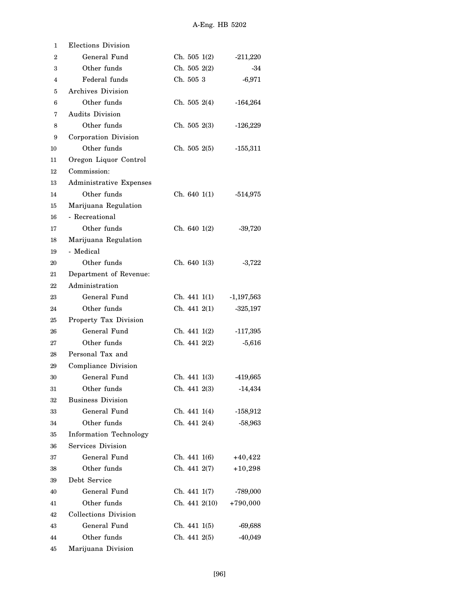| 1            | Elections Division            |               |              |
|--------------|-------------------------------|---------------|--------------|
| $\mathbf{2}$ | General Fund                  | Ch. 5051(2)   | $-211,220$   |
| 3            | Other funds                   | Ch. 505 2(2)  | -34          |
| 4            | Federal funds                 | Ch. 505 3     | $-6,971$     |
| 5            | Archives Division             |               |              |
| 6            | Other funds                   | Ch. 5052(4)   | $-164,264$   |
| 7            | Audits Division               |               |              |
| 8            | Other funds                   | Ch. 5052(3)   | $-126,229$   |
| 9            | Corporation Division          |               |              |
| 10           | Other funds                   | Ch. 5052(5)   | $-155,311$   |
| 11           | Oregon Liquor Control         |               |              |
| 12           | Commission:                   |               |              |
| 13           | Administrative Expenses       |               |              |
| 14           | Other funds                   | Ch. 640 1(1)  | $-514,975$   |
| 15           | Marijuana Regulation          |               |              |
| 16           | - Recreational                |               |              |
| 17           | Other funds                   | Ch. 6401(2)   | $-39,720$    |
| 18           | Marijuana Regulation          |               |              |
| 19           | - Medical                     |               |              |
| 20           | Other funds                   | Ch. 640 1(3)  | $-3,722$     |
| 21           | Department of Revenue:        |               |              |
| 22           | Administration                |               |              |
| 23           | General Fund                  | Ch. 441 1(1)  | $-1,197,563$ |
| 24           | Other funds                   | Ch. 441 2(1)  | $-325,197$   |
| 25           | Property Tax Division         |               |              |
| 26           | General Fund                  | Ch. 441 1(2)  | -117,395     |
| 27           | Other funds                   | Ch. 441 2(2)  | $-5,616$     |
| 28           | Personal Tax and              |               |              |
| 29           | Compliance Division           |               |              |
| 30           | General Fund                  | Ch. 441 1(3)  | -419,665     |
| $^{31}$      | Other funds                   | Ch. 441 2(3)  | $-14,434$    |
| 32           | <b>Business Division</b>      |               |              |
| 33           | General Fund                  | Ch. 441 1(4)  | $-158,912$   |
| 34           | Other funds                   | Ch. 4412(4)   | $-58,963$    |
| 35           | <b>Information Technology</b> |               |              |
| 36           | Services Division             |               |              |
| 37           | General Fund                  | Ch. 441 1(6)  | $+40,422$    |
| 38           | Other funds                   | Ch. 441 2(7)  | $+10,298$    |
| 39           | Debt Service                  |               |              |
| 40           | General Fund                  | Ch. 441 1(7)  | -789,000     |
| 41           | Other funds                   | Ch. 441 2(10) | $+790,000$   |
| 42           | <b>Collections Division</b>   |               |              |
| 43           | General Fund                  | Ch. 441 1(5)  | $-69,688$    |
| 44           | Other funds                   | Ch. 441 2(5)  | $-40,049$    |
| 45           | Marijuana Division            |               |              |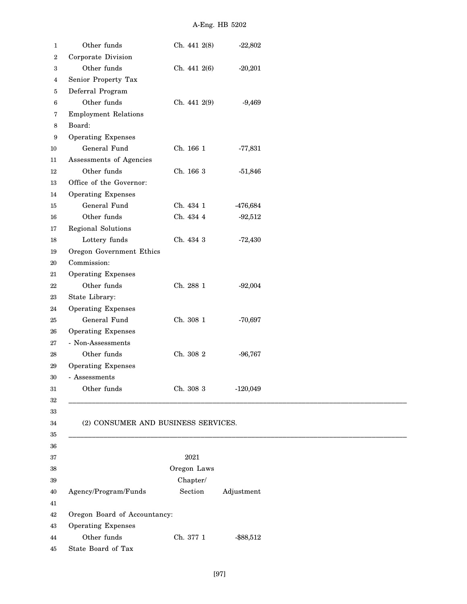| 1                | Other funds                         | Ch. 441 2(8) | $-22,802$    |
|------------------|-------------------------------------|--------------|--------------|
| $\boldsymbol{2}$ | Corporate Division                  |              |              |
| 3                | Other funds                         | Ch. 441 2(6) | $-20,201$    |
| 4                | Senior Property Tax                 |              |              |
| 5                | Deferral Program                    |              |              |
| 6                | Other funds                         | Ch. 441 2(9) | $-9,469$     |
| 7                | <b>Employment Relations</b>         |              |              |
| 8                | Board:                              |              |              |
| 9                | <b>Operating Expenses</b>           |              |              |
| 10               | General Fund                        | Ch. 166 1    | $-77,831$    |
| 11               | Assessments of Agencies             |              |              |
| 12               | Other funds                         | Ch. 166 3    | $-51,846$    |
| 13               | Office of the Governor:             |              |              |
| 14               | <b>Operating Expenses</b>           |              |              |
| 15               | General Fund                        | Ch. 434 1    | -476,684     |
| 16               | Other funds                         | Ch. 434 4    | $-92,512$    |
| 17               | Regional Solutions                  |              |              |
| 18               | Lottery funds                       | Ch. 434 3    | $-72,430$    |
| 19               | Oregon Government Ethics            |              |              |
| 20               | Commission:                         |              |              |
| 21               | <b>Operating Expenses</b>           |              |              |
| 22               | Other funds                         | Ch. 288 1    | $-92,004$    |
| 23               | State Library:                      |              |              |
| 24               | Operating Expenses                  |              |              |
| 25               | General Fund                        | Ch. 308 1    | $-70,697$    |
| 26               | <b>Operating Expenses</b>           |              |              |
| 27               | - Non-Assessments                   |              |              |
| 28               | Other funds                         | Ch. 308 2    | $-96,767$    |
| 29               | <b>Operating Expenses</b>           |              |              |
| $30\,$           | Assessments                         |              |              |
| 31               | Other funds                         | Ch. 308 3    | $-120,049$   |
| 32               |                                     |              |              |
| 33               |                                     |              |              |
| $34\,$           | (2) CONSUMER AND BUSINESS SERVICES. |              |              |
| 35               |                                     |              |              |
|                  |                                     |              |              |
| 36               |                                     | 2021         |              |
| 37               |                                     | Oregon Laws  |              |
| 38               |                                     |              |              |
| 39               |                                     | Chapter/     |              |
| 40               | Agency/Program/Funds                | Section      | Adjustment   |
| 41               |                                     |              |              |
| 42               | Oregon Board of Accountancy:        |              |              |
| 43               | <b>Operating Expenses</b>           |              |              |
| 44               | Other funds                         | Ch. 377 1    | $-$ \$88,512 |
| 45               | State Board of Tax                  |              |              |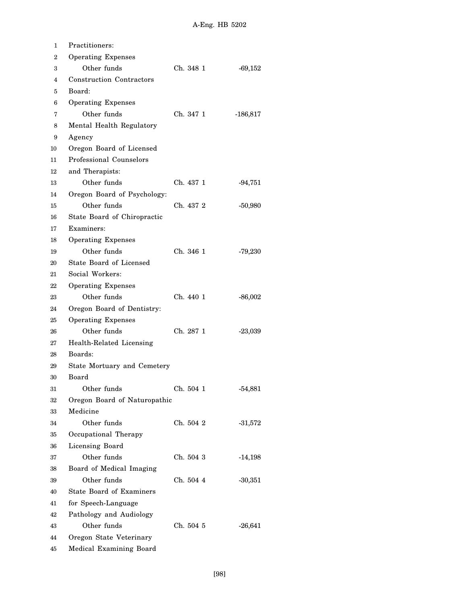| 1              | <b>Practitioners:</b>           |           |            |
|----------------|---------------------------------|-----------|------------|
| $\overline{2}$ | <b>Operating Expenses</b>       |           |            |
| 3              | Other funds                     | Ch. 348 1 | $-69,152$  |
| 4              | <b>Construction Contractors</b> |           |            |
| 5              | Board:                          |           |            |
| 6              | <b>Operating Expenses</b>       |           |            |
| 7              | Other funds                     | Ch. 347 1 | $-186,817$ |
| 8              | Mental Health Regulatory        |           |            |
| 9              | Agency                          |           |            |
| 10             | Oregon Board of Licensed        |           |            |
| 11             | Professional Counselors         |           |            |
| 12             | and Therapists:                 |           |            |
| 13             | Other funds                     | Ch. 437 1 | $-94,751$  |
| 14             | Oregon Board of Psychology:     |           |            |
| 15             | Other funds                     | Ch. 437-2 | $-50,980$  |
| 16             | State Board of Chiropractic     |           |            |
| 17             | Examiners:                      |           |            |
| 18             | <b>Operating Expenses</b>       |           |            |
| 19             | Other funds                     | Ch. 346 1 | $-79,230$  |
| 20             | State Board of Licensed         |           |            |
| 21             | Social Workers:                 |           |            |
| 22             | <b>Operating Expenses</b>       |           |            |
| 23             | Other funds                     | Ch. 440 1 | $-86,002$  |
| 24             | Oregon Board of Dentistry:      |           |            |
| 25             | <b>Operating Expenses</b>       |           |            |
| 26             | Other funds                     | Ch. 287 1 | $-23,039$  |
| 27             | Health-Related Licensing        |           |            |
| 28             | Boards:                         |           |            |
| 29             | State Mortuary and Cemetery     |           |            |
| 30             | Board                           |           |            |
| 31             | Other funds                     | Ch. 504 1 | $-54,881$  |
| 32             | Oregon Board of Naturopathic    |           |            |
| 33             | Medicine                        |           |            |
| 34             | Other funds                     | Ch. 504 2 | $-31,572$  |
| 35             | Occupational Therapy            |           |            |
| 36             | Licensing Board                 |           |            |
| 37             | Other funds                     | Ch. 504 3 | $-14,198$  |
| 38             | Board of Medical Imaging        |           |            |
| 39             | Other funds                     | Ch. 504 4 | $-30,351$  |
| 40             | <b>State Board of Examiners</b> |           |            |
| 41             | for Speech-Language             |           |            |
| 42             | Pathology and Audiology         |           |            |
| 43             | Other funds                     | Ch. 504 5 | $-26,641$  |
| 44             | Oregon State Veterinary         |           |            |
| 45             | Medical Examining Board         |           |            |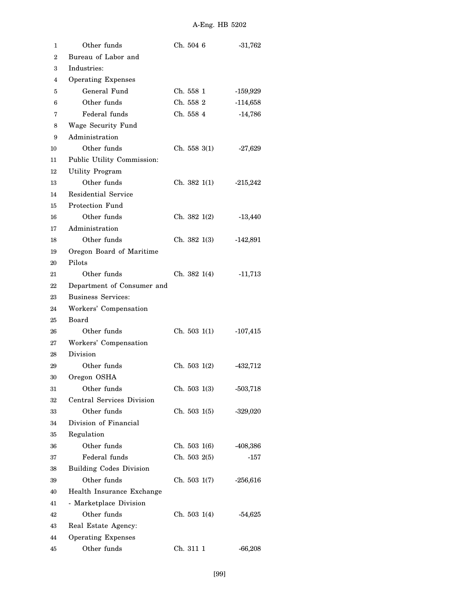| 1  | Other funds                    | Ch. 504 6    | $-31,762$  |  |  |
|----|--------------------------------|--------------|------------|--|--|
| 2  | Bureau of Labor and            |              |            |  |  |
| 3  | Industries:                    |              |            |  |  |
| 4  | <b>Operating Expenses</b>      |              |            |  |  |
| 5  | General Fund                   | Ch. 558 1    | $-159,929$ |  |  |
| 6  | Other funds                    | Ch. 558 2    | $-114,658$ |  |  |
| 7  | Federal funds                  | Ch. 558 4    | $-14,786$  |  |  |
| 8  | Wage Security Fund             |              |            |  |  |
| 9  | Administration                 |              |            |  |  |
| 10 | Other funds                    | Ch. 5583(1)  | $-27,629$  |  |  |
| 11 | Public Utility Commission:     |              |            |  |  |
| 12 | Utility Program                |              |            |  |  |
| 13 | Other funds                    | Ch. 382 1(1) | $-215,242$ |  |  |
| 14 | <b>Residential Service</b>     |              |            |  |  |
| 15 | Protection Fund                |              |            |  |  |
| 16 | Other funds                    | Ch. 3821(2)  | $-13,440$  |  |  |
| 17 | Administration                 |              |            |  |  |
| 18 | Other funds                    | Ch. 382 1(3) | $-142,891$ |  |  |
| 19 | Oregon Board of Maritime       |              |            |  |  |
| 20 | Pilots                         |              |            |  |  |
| 21 | Other funds                    | Ch. 382 1(4) | $-11,713$  |  |  |
| 22 | Department of Consumer and     |              |            |  |  |
| 23 | <b>Business Services:</b>      |              |            |  |  |
| 24 | Workers' Compensation          |              |            |  |  |
| 25 | Board                          |              |            |  |  |
| 26 | Other funds                    | Ch. 503 1(1) | $-107,415$ |  |  |
| 27 | Workers' Compensation          |              |            |  |  |
| 28 | Division                       |              |            |  |  |
| 29 | Other funds                    | Ch. 503 1(2) | -432,712   |  |  |
| 30 | Oregon OSHA                    |              |            |  |  |
| 31 | Other funds                    | Ch. 5031(3)  | $-503,718$ |  |  |
| 32 | Central Services Division      |              |            |  |  |
| 33 | Other funds                    | Ch. 5031(5)  | $-329,020$ |  |  |
| 34 | Division of Financial          |              |            |  |  |
| 35 | Regulation                     |              |            |  |  |
| 36 | Other funds                    | Ch. 503 1(6) | -408,386   |  |  |
| 37 | Federal funds                  | Ch. 503 2(5) | -157       |  |  |
| 38 | <b>Building Codes Division</b> |              |            |  |  |
| 39 | Other funds                    | Ch. 503 1(7) | $-256,616$ |  |  |
| 40 | Health Insurance Exchange      |              |            |  |  |
| 41 | - Marketplace Division         |              |            |  |  |
| 42 | Other funds                    | Ch. 503 1(4) | $-54,625$  |  |  |
| 43 | Real Estate Agency:            |              |            |  |  |
| 44 | <b>Operating Expenses</b>      |              |            |  |  |
| 45 | Other funds                    | Ch. 311 1    | $-66,208$  |  |  |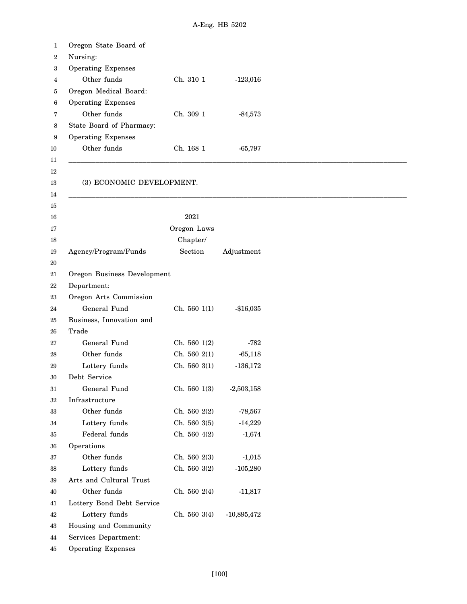| 1      | Oregon State Board of       |                   |               |
|--------|-----------------------------|-------------------|---------------|
| 2      | Nursing:                    |                   |               |
| 3      | <b>Operating Expenses</b>   |                   |               |
| 4      | Other funds                 | Ch. 310 1         | $-123,016$    |
| 5      | Oregon Medical Board:       |                   |               |
| 6      | <b>Operating Expenses</b>   |                   |               |
| 7      | Other funds                 | Ch. 309 1         | $-84,573$     |
| 8      | State Board of Pharmacy:    |                   |               |
| 9      | <b>Operating Expenses</b>   |                   |               |
| 10     | Other funds                 | Ch. 168 1         | $-65,797$     |
| 11     |                             |                   |               |
| $12\,$ |                             |                   |               |
| 13     | (3) ECONOMIC DEVELOPMENT.   |                   |               |
| 14     |                             |                   |               |
| 15     |                             |                   |               |
| 16     |                             | 2021              |               |
| 17     |                             | Oregon Laws       |               |
| 18     |                             | Chapter/          |               |
| 19     | Agency/Program/Funds        | Section           | Adjustment    |
| 20     |                             |                   |               |
| 21     | Oregon Business Development |                   |               |
| 22     | Department:                 |                   |               |
| 23     | Oregon Arts Commission      |                   |               |
| 24     | General Fund                | Ch. 5601(1)       | $-$16,035$    |
| 25     | Business, Innovation and    |                   |               |
| 26     | Trade                       |                   |               |
| 27     | General Fund                | Ch. $560 \; 1(2)$ | -782          |
| 28     | Other funds                 | Ch. $560\ 2(1)$   | $-65,118$     |
| 29     | Lottery funds               | Ch. 560 3(1)      | $-136,172$    |
| 30     | Debt Service                |                   |               |
| 31     | General Fund                | Ch. 560 1(3)      | $-2,503,158$  |
| $32\,$ | Infrastructure              |                   |               |
| 33     | Other funds                 | Ch. 560 2(2)      | $-78,567$     |
| 34     | Lottery funds               | Ch. 560 3(5)      | $-14,229$     |
| 35     | Federal funds               | Ch. 560 4(2)      | $-1,674$      |
| 36     | Operations                  |                   |               |
| 37     | Other funds                 | Ch. 560 2(3)      | $-1,015$      |
| $38\,$ | Lottery funds               | Ch. 560 3(2)      | $-105,280$    |
| 39     | Arts and Cultural Trust     |                   |               |
| 40     | Other funds                 | Ch. $560\,2(4)$   | $-11,817$     |
| 41     | Lottery Bond Debt Service   |                   |               |
| 42     | Lottery funds               | Ch. 560 3(4)      | $-10,895,472$ |
| 43     | Housing and Community       |                   |               |
| 44     | Services Department:        |                   |               |
| 45     | <b>Operating Expenses</b>   |                   |               |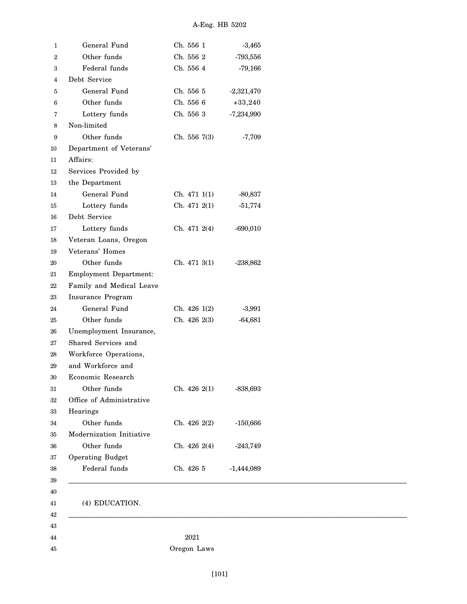| 1                | General Fund                  | Ch. 556 1    | $-3,465$     |
|------------------|-------------------------------|--------------|--------------|
| $\boldsymbol{2}$ | Other funds                   | Ch. 556 2    | $-793,556$   |
| 3                | Federal funds                 | Ch. 556 4    | $-79,166$    |
| 4                | Debt Service                  |              |              |
| $\bf 5$          | General Fund                  | Ch. 556 5    | $-2,321,470$ |
| 6                | Other funds                   | Ch. 556 6    | $+33,240$    |
| 7                | Lottery funds                 | Ch. 556 3    | $-7,234,990$ |
| 8                | Non-limited                   |              |              |
| 9                | Other funds                   | Ch. 556 7(3) | $-7,709$     |
| 10               | Department of Veterans'       |              |              |
| 11               | Affairs:                      |              |              |
| 12               | Services Provided by          |              |              |
| 13               | the Department                |              |              |
| 14               | General Fund                  | Ch. 471 1(1) | $-80,837$    |
| 15               | Lottery funds                 | Ch. 471 2(1) | $-51,774$    |
| 16               | Debt Service                  |              |              |
| 17               | Lottery funds                 | Ch. 471 2(4) | $-690,010$   |
| 18               | Veteran Loans, Oregon         |              |              |
| 19               | Veterans' Homes               |              |              |
| 20               | Other funds                   | Ch. 471 3(1) | $-238,862$   |
| 21               | <b>Employment Department:</b> |              |              |
| 22               | Family and Medical Leave      |              |              |
| 23               | Insurance Program             |              |              |
| 24               | General Fund                  | Ch. 426 1(2) | $-3,991$     |
| 25               | Other funds                   | Ch. 426 2(3) | $-64,681$    |
| 26               | Unemployment Insurance,       |              |              |
| 27               | Shared Services and           |              |              |
| 28               | Workforce Operations,         |              |              |
| 29               | and Workforce and             |              |              |
| 30               | Economic Research             |              |              |
| 31               | Other funds                   | Ch. 426 2(1) | $-838,693$   |
| 32               | Office of Administrative      |              |              |
| 33               | Hearings                      |              |              |
| 34               | Other funds                   | Ch. 426 2(2) | $-150,666$   |
| 35               | Modernization Initiative      |              |              |
| 36               | Other funds                   | Ch. 426 2(4) | $-243,749$   |
| 37               | Operating Budget              |              |              |
| 38               | Federal funds                 | Ch. 426 5    | $-1,444,089$ |
| 39               |                               |              |              |
| 40               |                               |              |              |
| 41               | (4) EDUCATION.                |              |              |
| 42               |                               |              |              |
| 43               |                               |              |              |
| 44               |                               | 2021         |              |
| 45               |                               | Oregon Laws  |              |
|                  |                               |              |              |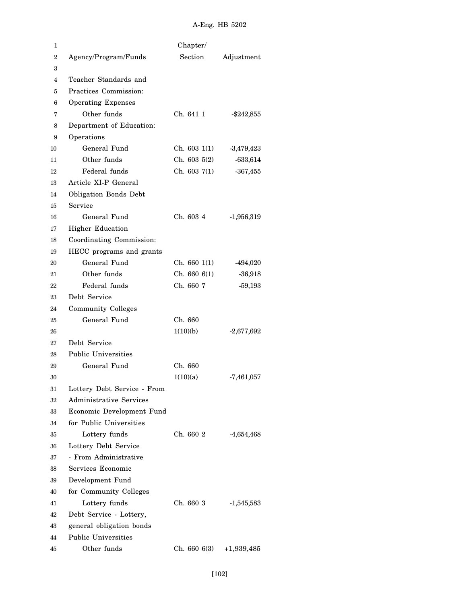| 1  |                                | Chapter/     |               |
|----|--------------------------------|--------------|---------------|
| 2  | Agency/Program/Funds           | Section      | Adjustment    |
| 3  |                                |              |               |
| 4  | Teacher Standards and          |              |               |
| 5  | Practices Commission:          |              |               |
| 6  | <b>Operating Expenses</b>      |              |               |
| 7  | Other funds                    | Ch. 641 1    | $-$ \$242,855 |
| 8  | Department of Education:       |              |               |
| 9  | Operations                     |              |               |
| 10 | General Fund                   | Ch. 6031(1)  | $-3,479,423$  |
| 11 | Other funds                    | Ch. 6035(2)  | $-633,614$    |
| 12 | Federal funds                  | Ch. 603 7(1) | $-367,455$    |
| 13 | Article XI-P General           |              |               |
| 14 | <b>Obligation Bonds Debt</b>   |              |               |
| 15 | Service                        |              |               |
| 16 | General Fund                   | Ch. 603 4    | $-1,956,319$  |
| 17 | Higher Education               |              |               |
| 18 | Coordinating Commission:       |              |               |
| 19 | HECC programs and grants       |              |               |
| 20 | General Fund                   | Ch. 6601(1)  | -494,020      |
| 21 | Other funds                    | Ch. 6606(1)  | $-36,918$     |
| 22 | Federal funds                  | Ch. 660 7    | $-59,193$     |
| 23 | Debt Service                   |              |               |
| 24 | <b>Community Colleges</b>      |              |               |
| 25 | General Fund                   | Ch. 660      |               |
| 26 |                                | 1(10)(b)     | $-2,677,692$  |
| 27 | Debt Service                   |              |               |
| 28 | <b>Public Universities</b>     |              |               |
| 29 | General Fund                   | Ch. 660      |               |
| 30 |                                | 1(10)(a)     | $-7,461,057$  |
| 31 | Lottery Debt Service - From    |              |               |
| 32 | <b>Administrative Services</b> |              |               |
| 33 | Economic Development Fund      |              |               |
| 34 | for Public Universities        |              |               |
| 35 | Lottery funds                  | Ch. 660 2    | $-4,654,468$  |
| 36 | Lottery Debt Service           |              |               |
| 37 | - From Administrative          |              |               |
| 38 | Services Economic              |              |               |
| 39 | Development Fund               |              |               |
| 40 | for Community Colleges         |              |               |
| 41 | Lottery funds                  | Ch. 660 3    | $-1,545,583$  |
| 42 | Debt Service - Lottery,        |              |               |
| 43 | general obligation bonds       |              |               |
| 44 | <b>Public Universities</b>     |              |               |
| 45 | Other funds                    | Ch. 6606(3)  | $+1,939,485$  |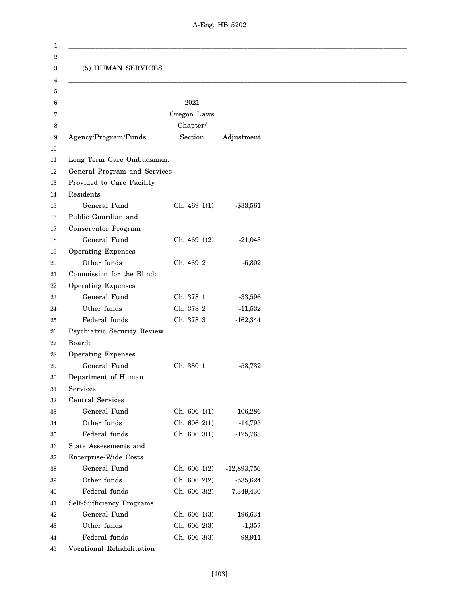| (5) HUMAN SERVICES.<br>2021<br>Oregon Laws<br>Chapter/<br>Section<br>Agency/Program/Funds<br>Adjustment<br>Long Term Care Ombudsman:<br>General Program and Services<br>Provided to Care Facility<br>Residents<br>General Fund<br>Ch. 469 1(1)<br>$- $33,561$<br>Public Guardian and<br>Conservator Program<br>General Fund<br>Ch. 469 1(2)<br>$-21,043$<br><b>Operating Expenses</b><br>Other funds<br>Ch. 469 2<br>$-5,302$<br>Commission for the Blind:<br><b>Operating Expenses</b><br>General Fund<br>Ch. 378 1<br>$-33,596$<br>Other funds<br>Ch. 378 2<br>$-11,532$<br>Federal funds<br>Ch. 378 3<br>$-162,344$<br>Psychiatric Security Review<br>Board:<br><b>Operating Expenses</b><br>General Fund<br>Ch. 380 1<br>$-53,732$<br>Department of Human<br>Services:<br>Central Services<br>General Fund<br>Ch. 606 1(1)<br>$-106,286$<br>Other funds<br>Ch. 606 2(1)<br>$-14,795$<br>Federal funds<br>Ch. 606 3(1)<br>$-125,763$<br>State Assessments and<br>Enterprise-Wide Costs<br>General Fund<br>Ch. 606 1(2)<br>$-12,893,756$<br>Other funds<br>Ch. 606 2(2)<br>$-535,624$<br>Federal funds<br>Ch. 606 3(2)<br>$-7,349,430$<br>Self-Sufficiency Programs<br>General Fund<br>Ch. 606 1(3)<br>$-196,634$<br>Other funds<br>Ch. 606 2(3)<br>$-1,357$<br>Federal funds<br>Ch. 606 3(3)<br>$-98,911$ |                           |  |
|--------------------------------------------------------------------------------------------------------------------------------------------------------------------------------------------------------------------------------------------------------------------------------------------------------------------------------------------------------------------------------------------------------------------------------------------------------------------------------------------------------------------------------------------------------------------------------------------------------------------------------------------------------------------------------------------------------------------------------------------------------------------------------------------------------------------------------------------------------------------------------------------------------------------------------------------------------------------------------------------------------------------------------------------------------------------------------------------------------------------------------------------------------------------------------------------------------------------------------------------------------------------------------------------------------------|---------------------------|--|
|                                                                                                                                                                                                                                                                                                                                                                                                                                                                                                                                                                                                                                                                                                                                                                                                                                                                                                                                                                                                                                                                                                                                                                                                                                                                                                              |                           |  |
|                                                                                                                                                                                                                                                                                                                                                                                                                                                                                                                                                                                                                                                                                                                                                                                                                                                                                                                                                                                                                                                                                                                                                                                                                                                                                                              |                           |  |
|                                                                                                                                                                                                                                                                                                                                                                                                                                                                                                                                                                                                                                                                                                                                                                                                                                                                                                                                                                                                                                                                                                                                                                                                                                                                                                              |                           |  |
|                                                                                                                                                                                                                                                                                                                                                                                                                                                                                                                                                                                                                                                                                                                                                                                                                                                                                                                                                                                                                                                                                                                                                                                                                                                                                                              |                           |  |
|                                                                                                                                                                                                                                                                                                                                                                                                                                                                                                                                                                                                                                                                                                                                                                                                                                                                                                                                                                                                                                                                                                                                                                                                                                                                                                              |                           |  |
|                                                                                                                                                                                                                                                                                                                                                                                                                                                                                                                                                                                                                                                                                                                                                                                                                                                                                                                                                                                                                                                                                                                                                                                                                                                                                                              |                           |  |
|                                                                                                                                                                                                                                                                                                                                                                                                                                                                                                                                                                                                                                                                                                                                                                                                                                                                                                                                                                                                                                                                                                                                                                                                                                                                                                              |                           |  |
|                                                                                                                                                                                                                                                                                                                                                                                                                                                                                                                                                                                                                                                                                                                                                                                                                                                                                                                                                                                                                                                                                                                                                                                                                                                                                                              |                           |  |
|                                                                                                                                                                                                                                                                                                                                                                                                                                                                                                                                                                                                                                                                                                                                                                                                                                                                                                                                                                                                                                                                                                                                                                                                                                                                                                              |                           |  |
|                                                                                                                                                                                                                                                                                                                                                                                                                                                                                                                                                                                                                                                                                                                                                                                                                                                                                                                                                                                                                                                                                                                                                                                                                                                                                                              |                           |  |
|                                                                                                                                                                                                                                                                                                                                                                                                                                                                                                                                                                                                                                                                                                                                                                                                                                                                                                                                                                                                                                                                                                                                                                                                                                                                                                              |                           |  |
|                                                                                                                                                                                                                                                                                                                                                                                                                                                                                                                                                                                                                                                                                                                                                                                                                                                                                                                                                                                                                                                                                                                                                                                                                                                                                                              |                           |  |
|                                                                                                                                                                                                                                                                                                                                                                                                                                                                                                                                                                                                                                                                                                                                                                                                                                                                                                                                                                                                                                                                                                                                                                                                                                                                                                              |                           |  |
|                                                                                                                                                                                                                                                                                                                                                                                                                                                                                                                                                                                                                                                                                                                                                                                                                                                                                                                                                                                                                                                                                                                                                                                                                                                                                                              |                           |  |
|                                                                                                                                                                                                                                                                                                                                                                                                                                                                                                                                                                                                                                                                                                                                                                                                                                                                                                                                                                                                                                                                                                                                                                                                                                                                                                              |                           |  |
|                                                                                                                                                                                                                                                                                                                                                                                                                                                                                                                                                                                                                                                                                                                                                                                                                                                                                                                                                                                                                                                                                                                                                                                                                                                                                                              |                           |  |
|                                                                                                                                                                                                                                                                                                                                                                                                                                                                                                                                                                                                                                                                                                                                                                                                                                                                                                                                                                                                                                                                                                                                                                                                                                                                                                              |                           |  |
|                                                                                                                                                                                                                                                                                                                                                                                                                                                                                                                                                                                                                                                                                                                                                                                                                                                                                                                                                                                                                                                                                                                                                                                                                                                                                                              |                           |  |
|                                                                                                                                                                                                                                                                                                                                                                                                                                                                                                                                                                                                                                                                                                                                                                                                                                                                                                                                                                                                                                                                                                                                                                                                                                                                                                              |                           |  |
|                                                                                                                                                                                                                                                                                                                                                                                                                                                                                                                                                                                                                                                                                                                                                                                                                                                                                                                                                                                                                                                                                                                                                                                                                                                                                                              |                           |  |
|                                                                                                                                                                                                                                                                                                                                                                                                                                                                                                                                                                                                                                                                                                                                                                                                                                                                                                                                                                                                                                                                                                                                                                                                                                                                                                              |                           |  |
|                                                                                                                                                                                                                                                                                                                                                                                                                                                                                                                                                                                                                                                                                                                                                                                                                                                                                                                                                                                                                                                                                                                                                                                                                                                                                                              |                           |  |
|                                                                                                                                                                                                                                                                                                                                                                                                                                                                                                                                                                                                                                                                                                                                                                                                                                                                                                                                                                                                                                                                                                                                                                                                                                                                                                              |                           |  |
|                                                                                                                                                                                                                                                                                                                                                                                                                                                                                                                                                                                                                                                                                                                                                                                                                                                                                                                                                                                                                                                                                                                                                                                                                                                                                                              |                           |  |
|                                                                                                                                                                                                                                                                                                                                                                                                                                                                                                                                                                                                                                                                                                                                                                                                                                                                                                                                                                                                                                                                                                                                                                                                                                                                                                              |                           |  |
|                                                                                                                                                                                                                                                                                                                                                                                                                                                                                                                                                                                                                                                                                                                                                                                                                                                                                                                                                                                                                                                                                                                                                                                                                                                                                                              |                           |  |
|                                                                                                                                                                                                                                                                                                                                                                                                                                                                                                                                                                                                                                                                                                                                                                                                                                                                                                                                                                                                                                                                                                                                                                                                                                                                                                              |                           |  |
|                                                                                                                                                                                                                                                                                                                                                                                                                                                                                                                                                                                                                                                                                                                                                                                                                                                                                                                                                                                                                                                                                                                                                                                                                                                                                                              |                           |  |
|                                                                                                                                                                                                                                                                                                                                                                                                                                                                                                                                                                                                                                                                                                                                                                                                                                                                                                                                                                                                                                                                                                                                                                                                                                                                                                              |                           |  |
|                                                                                                                                                                                                                                                                                                                                                                                                                                                                                                                                                                                                                                                                                                                                                                                                                                                                                                                                                                                                                                                                                                                                                                                                                                                                                                              |                           |  |
|                                                                                                                                                                                                                                                                                                                                                                                                                                                                                                                                                                                                                                                                                                                                                                                                                                                                                                                                                                                                                                                                                                                                                                                                                                                                                                              |                           |  |
|                                                                                                                                                                                                                                                                                                                                                                                                                                                                                                                                                                                                                                                                                                                                                                                                                                                                                                                                                                                                                                                                                                                                                                                                                                                                                                              |                           |  |
|                                                                                                                                                                                                                                                                                                                                                                                                                                                                                                                                                                                                                                                                                                                                                                                                                                                                                                                                                                                                                                                                                                                                                                                                                                                                                                              |                           |  |
|                                                                                                                                                                                                                                                                                                                                                                                                                                                                                                                                                                                                                                                                                                                                                                                                                                                                                                                                                                                                                                                                                                                                                                                                                                                                                                              |                           |  |
|                                                                                                                                                                                                                                                                                                                                                                                                                                                                                                                                                                                                                                                                                                                                                                                                                                                                                                                                                                                                                                                                                                                                                                                                                                                                                                              |                           |  |
|                                                                                                                                                                                                                                                                                                                                                                                                                                                                                                                                                                                                                                                                                                                                                                                                                                                                                                                                                                                                                                                                                                                                                                                                                                                                                                              |                           |  |
|                                                                                                                                                                                                                                                                                                                                                                                                                                                                                                                                                                                                                                                                                                                                                                                                                                                                                                                                                                                                                                                                                                                                                                                                                                                                                                              |                           |  |
|                                                                                                                                                                                                                                                                                                                                                                                                                                                                                                                                                                                                                                                                                                                                                                                                                                                                                                                                                                                                                                                                                                                                                                                                                                                                                                              |                           |  |
|                                                                                                                                                                                                                                                                                                                                                                                                                                                                                                                                                                                                                                                                                                                                                                                                                                                                                                                                                                                                                                                                                                                                                                                                                                                                                                              |                           |  |
|                                                                                                                                                                                                                                                                                                                                                                                                                                                                                                                                                                                                                                                                                                                                                                                                                                                                                                                                                                                                                                                                                                                                                                                                                                                                                                              |                           |  |
|                                                                                                                                                                                                                                                                                                                                                                                                                                                                                                                                                                                                                                                                                                                                                                                                                                                                                                                                                                                                                                                                                                                                                                                                                                                                                                              | Vocational Rehabilitation |  |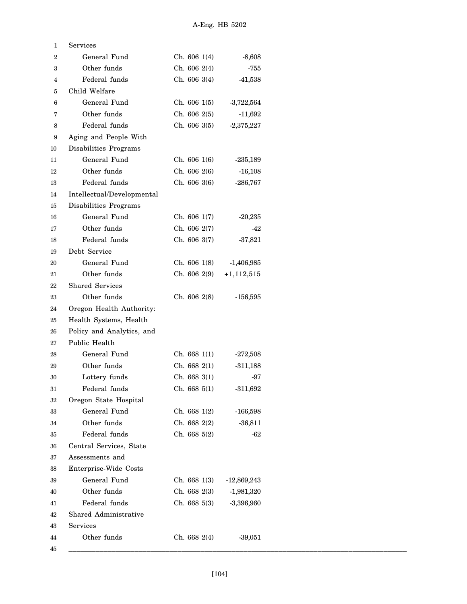| 1      | Services                   |              |               |
|--------|----------------------------|--------------|---------------|
| 2      | General Fund               | Ch. 606 1(4) | $-8,608$      |
| 3      | Other funds                | Ch. 606 2(4) | $-755$        |
| 4      | Federal funds              | Ch. 606 3(4) | $-41,538$     |
| 5      | Child Welfare              |              |               |
| 6      | General Fund               | Ch. 606 1(5) | $-3,722,564$  |
| 7      | Other funds                | Ch. 606 2(5) | $-11,692$     |
| 8      | Federal funds              | Ch. 606 3(5) | $-2,375,227$  |
| 9      | Aging and People With      |              |               |
| 10     | Disabilities Programs      |              |               |
| 11     | General Fund               | Ch. 606 1(6) | $-235,189$    |
| 12     | Other funds                | Ch. 606 2(6) | $-16,108$     |
| 13     | Federal funds              | Ch. 606 3(6) | $-286,767$    |
| 14     | Intellectual/Developmental |              |               |
| 15     | Disabilities Programs      |              |               |
| 16     | General Fund               | Ch. 606 1(7) | $-20,235$     |
| 17     | Other funds                | Ch. 606 2(7) | $-42$         |
| 18     | Federal funds              | Ch. 606 3(7) | $-37,821$     |
| 19     | Debt Service               |              |               |
| 20     | General Fund               | Ch. 606 1(8) | $-1,406,985$  |
| 21     | Other funds                | Ch. 606 2(9) | $+1,112,515$  |
| 22     | <b>Shared Services</b>     |              |               |
| 23     | Other funds                | Ch. 606 2(8) | $-156,595$    |
| 24     | Oregon Health Authority:   |              |               |
| 25     | Health Systems, Health     |              |               |
| 26     | Policy and Analytics, and  |              |               |
| 27     | Public Health              |              |               |
| 28     | General Fund               | Ch. 668 1(1) | $-272,508$    |
| 29     | Other funds                | Ch. 668 2(1) | $-311,188$    |
| 30     | Lottery funds              | Ch. 668 3(1) | $-97$         |
| $31\,$ | Federal funds              | Ch. 668 5(1) | $-311,692$    |
| 32     | Oregon State Hospital      |              |               |
| 33     | General Fund               | Ch. 668 1(2) | $-166,598$    |
| 34     | Other funds                | Ch. 668 2(2) | $-36,811$     |
| 35     | Federal funds              | Ch. 668 5(2) | $-62$         |
| 36     | Central Services, State    |              |               |
| 37     | Assessments and            |              |               |
| 38     | Enterprise-Wide Costs      |              |               |
| 39     | General Fund               | Ch. 668 1(3) | $-12,869,243$ |
| 40     | Other funds                | Ch. 668 2(3) | $-1,981,320$  |
| 41     | Federal funds              | Ch. 668 5(3) | $-3,396,960$  |
| 42     | Shared Administrative      |              |               |
| 43     | Services                   |              |               |
| 44     | Other funds                | Ch. 668 2(4) | $-39,051$     |
| 45     |                            |              |               |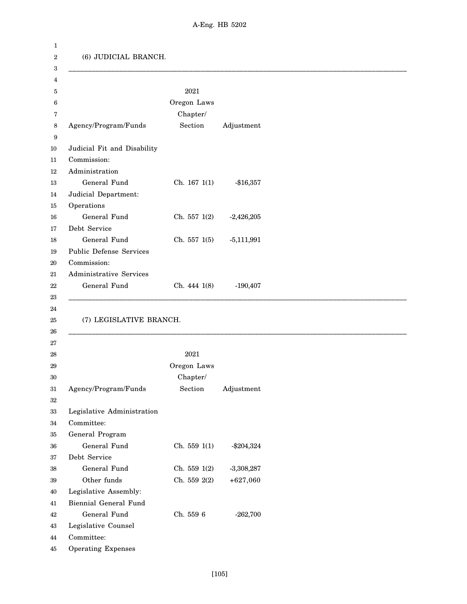| (6) JUDICIAL BRANCH.           |              |              |
|--------------------------------|--------------|--------------|
|                                | 2021         |              |
|                                | Oregon Laws  |              |
|                                | Chapter/     |              |
| Agency/Program/Funds           | Section      | Adjustment   |
|                                |              |              |
| Judicial Fit and Disability    |              |              |
| Commission:                    |              |              |
| Administration                 |              |              |
| General Fund                   | Ch. 167 1(1) | $-$16,357$   |
| Judicial Department:           |              |              |
| Operations                     |              |              |
| General Fund                   | Ch. 557 1(2) | $-2,426,205$ |
| Debt Service                   |              |              |
| General Fund                   | Ch. 557 1(5) | $-5,111,991$ |
| <b>Public Defense Services</b> |              |              |
| Commission:                    |              |              |
| Administrative Services        |              |              |
| General Fund                   | Ch. 444 1(8) | $-190,407$   |
|                                |              |              |
| (7) LEGISLATIVE BRANCH.        |              |              |
|                                |              |              |
|                                | $\,2021$     |              |
|                                | Oregon Laws  |              |
|                                | Chapter/     |              |
| Agency/Program/Funds           | Section      | Adjustment   |
|                                |              |              |
| Legislative Administration     |              |              |
| Committee:                     |              |              |
| General Program                |              |              |
| General Fund                   | Ch. 559 1(1) | $- $204,324$ |
| Debt Service                   |              |              |
| General Fund                   | Ch. 559 1(2) | $-3,308,287$ |
| Other funds                    | Ch. 559 2(2) | $+627,060$   |
| Legislative Assembly:          |              |              |
| Biennial General Fund          |              |              |
| General Fund                   | Ch. 559 6    | $-262,700$   |
| Legislative Counsel            |              |              |
| Committee:                     |              |              |
| <b>Operating Expenses</b>      |              |              |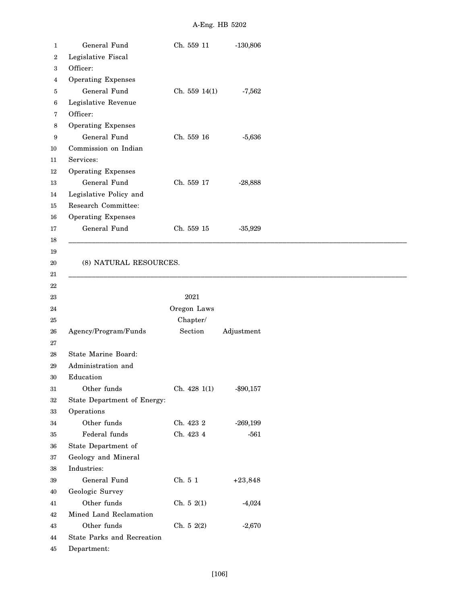| 1                | General Fund                | Ch. 559 11    | $-130,806$ |
|------------------|-----------------------------|---------------|------------|
| $\boldsymbol{2}$ | Legislative Fiscal          |               |            |
| 3                | Officer:                    |               |            |
| 4                | <b>Operating Expenses</b>   |               |            |
| 5                | General Fund                | Ch. 559 14(1) | $-7,562$   |
| 6                | Legislative Revenue         |               |            |
| 7                | Officer:                    |               |            |
| 8                | <b>Operating Expenses</b>   |               |            |
| 9                | General Fund                | Ch. 559 16    | $-5,636$   |
| 10               | Commission on Indian        |               |            |
| 11               | Services:                   |               |            |
| 12               | <b>Operating Expenses</b>   |               |            |
| 13               | General Fund                | Ch. 559 17    | $-28,888$  |
| 14               | Legislative Policy and      |               |            |
| 15               | Research Committee:         |               |            |
| 16               | <b>Operating Expenses</b>   |               |            |
| 17               | General Fund                | Ch. 559 15    | $-35,929$  |
| 18               |                             |               |            |
| 19               |                             |               |            |
| 20               | (8) NATURAL RESOURCES.      |               |            |
| 21               |                             |               |            |
| 22               |                             |               |            |
| 23               |                             | 2021          |            |
| 24               |                             | Oregon Laws   |            |
| 25               |                             | Chapter/      |            |
| $26\,$           | Agency/Program/Funds        | Section       | Adjustment |
| 27               |                             |               |            |
| 28               | State Marine Board:         |               |            |
| 29               | Administration and          |               |            |
| 30               | Education                   |               |            |
| 31               | Other funds                 | Ch. 428 1(1)  | $-$90,157$ |
| 32               | State Department of Energy: |               |            |
| 33               | Operations                  |               |            |
| 34               | Other funds                 | Ch. 423 2     | $-269,199$ |
| 35               | Federal funds               | Ch. 423 4     | $-561$     |
| 36               | State Department of         |               |            |
| 37               | Geology and Mineral         |               |            |
| 38               | Industries:                 |               |            |
| 39               | General Fund                | Ch. 5 1       | $+23,848$  |
| 40               | Geologic Survey             |               |            |
| 41               | Other funds                 | Ch. 52(1)     | $-4,024$   |
| 42               | Mined Land Reclamation      |               |            |
| 43               | Other funds                 | Ch. 5 2(2)    | $-2,670$   |
| 44               | State Parks and Recreation  |               |            |
| 45               | Department:                 |               |            |
|                  |                             |               |            |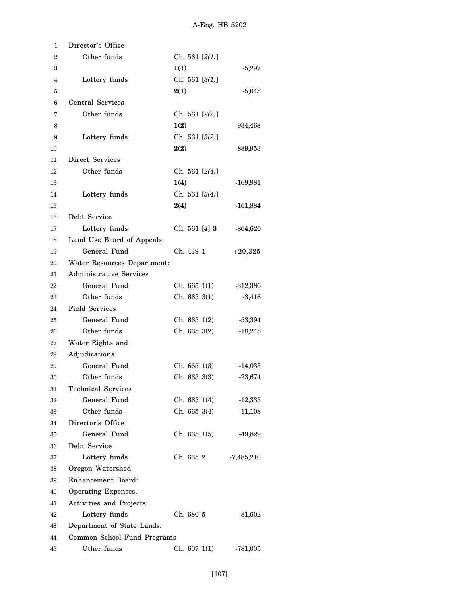| 1              | Director's Office           |                  |              |
|----------------|-----------------------------|------------------|--------------|
| $\overline{2}$ | Other funds                 | Ch. 561 $[2(1)]$ |              |
| 3              |                             | 1(1)             | $-5,297$     |
| 4              | Lottery funds               | Ch. 561 $[3(1)]$ |              |
| 5              |                             | 2(1)             | $-5,045$     |
| 6              | Central Services            |                  |              |
| 7              | Other funds                 | Ch. 561 $[2(2)]$ |              |
| 8              |                             | 1(2)             | $-934,468$   |
| 9              | Lottery funds               | Ch. 561 $[3(2)]$ |              |
| 10             |                             | 2(2)             | -889,953     |
| 11             | Direct Services             |                  |              |
| 12             | Other funds                 | Ch. 561 $[2(4)]$ |              |
| 13             |                             | 1(4)             | $-169,981$   |
| 14             | Lottery funds               | Ch. 561 [3(4)]   |              |
| 15             |                             | 2(4)             | $-161,884$   |
| 16             | Debt Service                |                  |              |
| 17             | Lottery funds               | Ch. 561 $[4]$ 3  | $-864,620$   |
| 18             | Land Use Board of Appeals:  |                  |              |
| 19             | General Fund                | Ch. 439 1        | $+20,325$    |
| 20             | Water Resources Department: |                  |              |
| 21             | Administrative Services     |                  |              |
| 22             | General Fund                | Ch. 6651(1)      | $-312,386$   |
| 23             | Other funds                 | Ch. 6653(1)      | $-3,416$     |
| 24             | <b>Field Services</b>       |                  |              |
| 25             | General Fund                | Ch. 665 1(2)     | $-53,394$    |
| 26             | Other funds                 | Ch. 6653(2)      | $-18,248$    |
| 27             | Water Rights and            |                  |              |
| 28             | Adjudications               |                  |              |
| 29             | General Fund                | Ch. 665 1(3)     | $-14,033$    |
| 30             | Other funds                 | Ch. 6653(3)      | $-23,674$    |
| 31             | <b>Technical Services</b>   |                  |              |
| 32             | General Fund                | Ch. 665 1(4)     | $-12,335$    |
| 33             | Other funds                 | Ch. 665 3(4)     | $-11,108$    |
| 34             | Director's Office           |                  |              |
| 35             | General Fund                | Ch. 665 1(5)     | $-49,829$    |
| 36             | Debt Service                |                  |              |
| 37             | Lottery funds               | Ch. 665 2        | $-7,485,210$ |
| 38             | Oregon Watershed            |                  |              |
| 39             | Enhancement Board:          |                  |              |
| 40             | Operating Expenses,         |                  |              |
| 41             | Activities and Projects     |                  |              |
| 42             | Lottery funds               | Ch. 680 5        | $-81,602$    |
| 43             | Department of State Lands:  |                  |              |
| 44             | Common School Fund Programs |                  |              |
| 45             | Other funds                 | Ch. 607 1(1)     | $-781,005$   |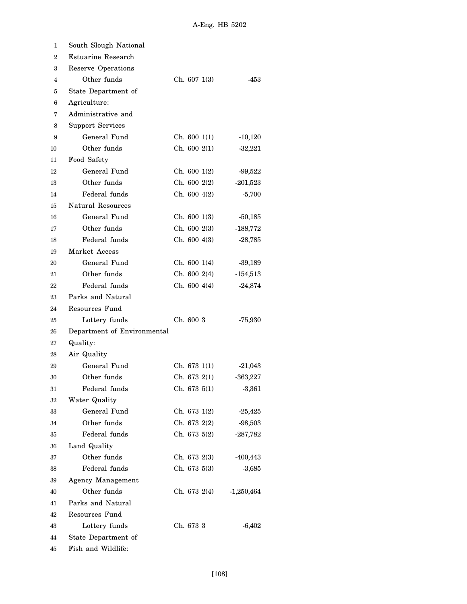| 1                | South Slough National       |                 |              |
|------------------|-----------------------------|-----------------|--------------|
| $\boldsymbol{2}$ | Estuarine Research          |                 |              |
| 3                | Reserve Operations          |                 |              |
| 4                | Other funds                 | Ch. 6071(3)     | -453         |
| 5                | State Department of         |                 |              |
| 6                | Agriculture:                |                 |              |
| 7                | Administrative and          |                 |              |
| 8                | <b>Support Services</b>     |                 |              |
| 9                | General Fund                | Ch. 6001(1)     | $-10,120$    |
| 10               | Other funds                 | Ch. 6002(1)     | $-32,221$    |
| 11               | Food Safety                 |                 |              |
| 12               | General Fund                | Ch. 6001(2)     | $-99,522$    |
| 13               | Other funds                 | Ch. 6002(2)     | $-201,523$   |
| 14               | Federal funds               | Ch. 6004(2)     | $-5,700$     |
| 15               | Natural Resources           |                 |              |
| 16               | General Fund                | Ch. 6001(3)     | $-50,185$    |
| 17               | Other funds                 | Ch. 600 2(3)    | $-188,772$   |
| 18               | Federal funds               | Ch. 6004(3)     | $-28,785$    |
| 19               | Market Access               |                 |              |
| 20               | General Fund                | Ch. 6001(4)     | $-39,189$    |
| 21               | Other funds                 | Ch. $600\;2(4)$ | $-154,513$   |
| 22               | Federal funds               | Ch. 6004(4)     | $-24,874$    |
| 23               | Parks and Natural           |                 |              |
| 24               | Resources Fund              |                 |              |
| 25               | Lottery funds               | Ch. 600 3       | $-75,930$    |
| 26               | Department of Environmental |                 |              |
| 27               | Quality:                    |                 |              |
| 28               | Air Quality                 |                 |              |
| 29               | General Fund                | Ch. 6731(1)     | $-21,043$    |
| 30               | Other funds                 | Ch. 6732(1)     | $-363,227$   |
| 31               | Federal funds               | Ch. 673 5(1)    | $-3,361$     |
| 32               | Water Quality               |                 |              |
| 33               | General Fund                | Ch. 673 1(2)    | $-25,425$    |
| 34               | Other funds                 | Ch. 673 2(2)    | $-98,503$    |
| 35               | Federal funds               | Ch. 673 5(2)    | $-287,782$   |
| 36               | Land Quality                |                 |              |
| 37               | Other funds                 | Ch. 673 2(3)    | $-400, 443$  |
| 38               | Federal funds               | Ch. 673 5(3)    | $-3,685$     |
| 39               | Agency Management           |                 |              |
| 40               | Other funds                 | Ch. 673 2(4)    | $-1,250,464$ |
| 41               | Parks and Natural           |                 |              |
| 42               | Resources Fund              |                 |              |
| 43               | Lottery funds               | Ch. 673 3       | $-6,402$     |
| 44               | State Department of         |                 |              |
| 45               | Fish and Wildlife:          |                 |              |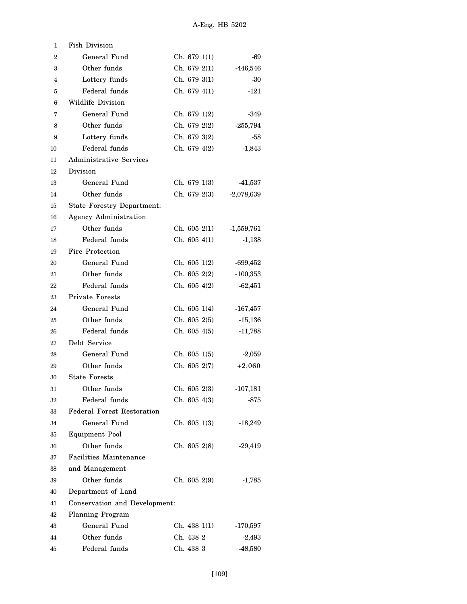| 1              | <b>Fish Division</b>              |                 |              |
|----------------|-----------------------------------|-----------------|--------------|
| $\overline{2}$ | General Fund                      | Ch. 6791(1)     | -69          |
| 3              | Other funds                       | Ch. 6792(1)     | $-446,546$   |
| 4              | Lottery funds                     | Ch. 6793(1)     | -30          |
| 5              | Federal funds                     | Ch. 679 4(1)    | $-121$       |
| 6              | Wildlife Division                 |                 |              |
| 7              | General Fund                      | Ch. 6791(2)     | $-349$       |
| 8              | Other funds                       | Ch. 679 $2(2)$  | $-255,794$   |
| 9              | Lottery funds                     | Ch. 679 3(2)    | -58          |
| 10             | Federal funds                     | Ch. 6794(2)     | $-1,843$     |
| 11             | <b>Administrative Services</b>    |                 |              |
| 12             | Division                          |                 |              |
| 13             | General Fund                      | Ch. 679 1(3)    | $-41,537$    |
| 14             | Other funds                       | Ch. 679 2(3)    | $-2,078,639$ |
| 15             | <b>State Forestry Department:</b> |                 |              |
| 16             | Agency Administration             |                 |              |
| 17             | Other funds                       | Ch. 6052(1)     | $-1,559,761$ |
| 18             | Federal funds                     | Ch. 605 4(1)    | $-1,138$     |
| 19             | Fire Protection                   |                 |              |
| 20             | General Fund                      | Ch. 6051(2)     | $-699,452$   |
| 21             | Other funds                       | Ch. $605\;2(2)$ | $-100,353$   |
| 22             | Federal funds                     | Ch. 6054(2)     | $-62,451$    |
| 23             | <b>Private Forests</b>            |                 |              |
| 24             | General Fund                      | Ch. 6051(4)     | $-167,457$   |
| 25             | Other funds                       | Ch. 6052(5)     | $-15,136$    |
| 26             | Federal funds                     | Ch. 6054(5)     | $-11,788$    |
| 27             | Debt Service                      |                 |              |
| 28             | General Fund                      | Ch. 6051(5)     | $-2,059$     |
| 29             | Other funds                       | Ch. 605 2(7)    | $+2,060$     |
| 30             | <b>State Forests</b>              |                 |              |
| 31             | Other funds                       | Ch. 605 2(3)    | $-107,181$   |
| 32             | Federal funds                     | Ch. 605 4(3)    | $-875$       |
| 33             | <b>Federal Forest Restoration</b> |                 |              |
| 34             | General Fund                      | Ch. 605 1(3)    | $-18,249$    |
| 35             | <b>Equipment Pool</b>             |                 |              |
| 36             | Other funds                       | Ch. 605 2(8)    | $-29,419$    |
| 37             | Facilities Maintenance            |                 |              |
| 38             | and Management                    |                 |              |
| 39             | Other funds                       | Ch. 605 2(9)    | $-1,785$     |
| 40             | Department of Land                |                 |              |
| 41             | Conservation and Development:     |                 |              |
| 42             | Planning Program                  |                 |              |
| 43             | General Fund                      | Ch. 4381(1)     | $-170,597$   |
| 44             | Other funds                       | Ch. 438 2       | $-2,493$     |
| 45             | Federal funds                     | Ch. 438 3       | $-48,580$    |
|                |                                   |                 |              |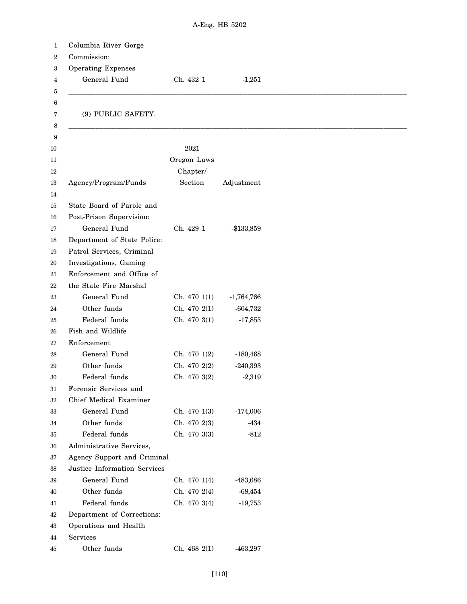| Columbia River Gorge                                |              |              |
|-----------------------------------------------------|--------------|--------------|
| Commission:                                         |              |              |
| <b>Operating Expenses</b>                           |              |              |
| General Fund                                        | Ch. 432 1    | $-1,251$     |
|                                                     |              |              |
| (9) PUBLIC SAFETY.                                  |              |              |
|                                                     |              |              |
|                                                     | 2021         |              |
|                                                     | Oregon Laws  |              |
|                                                     | Chapter/     |              |
| Agency/Program/Funds                                | Section      | Adjustment   |
|                                                     |              |              |
| State Board of Parole and                           |              |              |
| Post-Prison Supervision:<br>General Fund            | Ch. 429 1    |              |
| Department of State Police:                         |              | -\$133,859   |
| Patrol Services, Criminal                           |              |              |
|                                                     |              |              |
| Investigations, Gaming<br>Enforcement and Office of |              |              |
| the State Fire Marshal                              |              |              |
| General Fund                                        | Ch. 470 1(1) | $-1,764,766$ |
| Other funds                                         | Ch. 470 2(1) | $-604,732$   |
| Federal funds                                       | Ch. 470 3(1) | $-17,855$    |
| Fish and Wildlife                                   |              |              |
| Enforcement                                         |              |              |
| General Fund                                        | Ch. 470 1(2) | $-180,468$   |
| Other funds                                         | Ch. 470 2(2) | $-240,393$   |
| Federal funds                                       | Ch. 470 3(2) | $-2,319$     |
| Forensic Services and                               |              |              |
| Chief Medical Examiner                              |              |              |
| General Fund                                        | Ch. 470 1(3) | $-174,006$   |
| Other funds                                         | Ch. 470 2(3) | $-434$       |
| Federal funds                                       | Ch. 470 3(3) | $-812$       |
| Administrative Services,                            |              |              |
| Agency Support and Criminal                         |              |              |
| Justice Information Services                        |              |              |
| General Fund                                        | Ch. 470 1(4) | -483,686     |
| Other funds                                         | Ch. 470 2(4) | $-68,454$    |
| Federal funds                                       | Ch. 470 3(4) | $-19,753$    |
| Department of Corrections:                          |              |              |
| Operations and Health                               |              |              |
| Services                                            |              |              |
| Other funds                                         | Ch. 468 2(1) | $-463,297$   |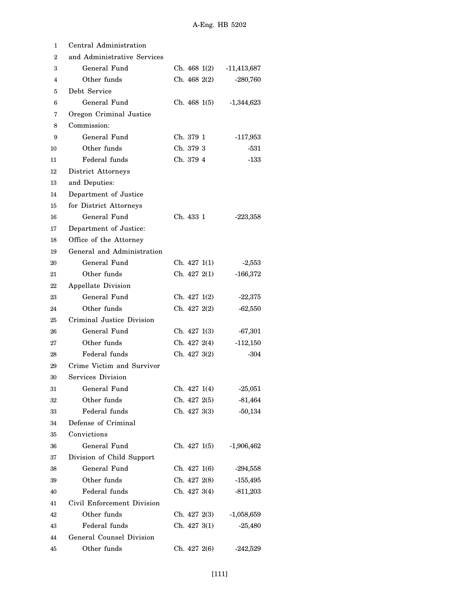| 1              | Central Administration      |              |               |  |
|----------------|-----------------------------|--------------|---------------|--|
| $\overline{2}$ | and Administrative Services |              |               |  |
| з              | General Fund                | Ch. 468 1(2) | $-11,413,687$ |  |
| 4              | Other funds                 | Ch. 468 2(2) | $-280,760$    |  |
| 5              | Debt Service                |              |               |  |
| 6              | General Fund                | Ch. 468 1(5) | $-1,344,623$  |  |
| 7              | Oregon Criminal Justice     |              |               |  |
| 8              | Commission:                 |              |               |  |
| 9              | General Fund                | Ch. 379 1    | $-117,953$    |  |
| 10             | Other funds                 | Ch. 379 3    | -531          |  |
| 11             | Federal funds               | Ch. 379 4    | $-133$        |  |
| 12             | District Attorneys          |              |               |  |
| 13             | and Deputies:               |              |               |  |
| 14             | Department of Justice       |              |               |  |
| 15             | for District Attorneys      |              |               |  |
| 16             | General Fund                | Ch. 433 1    | $-223,358$    |  |
| 17             | Department of Justice:      |              |               |  |
| 18             | Office of the Attorney      |              |               |  |
| 19             | General and Administration  |              |               |  |
| 20             | General Fund                | Ch. 427 1(1) | $-2,553$      |  |
| 21             | Other funds                 | Ch. 427 2(1) | $-166,372$    |  |
| 22             | Appellate Division          |              |               |  |
| 23             | General Fund                | Ch. 427 1(2) | $-22,375$     |  |
| 24             | Other funds                 | Ch. 427 2(2) | $-62,550$     |  |
| 25             | Criminal Justice Division   |              |               |  |
| 26             | General Fund                | Ch. 427 1(3) | $-67,301$     |  |
| 27             | Other funds                 | Ch. 427 2(4) | $-112,150$    |  |
| 28             | Federal funds               | Ch. 4273(2)  | $-304$        |  |
| 29             | Crime Victim and Survivor   |              |               |  |
| 30             | Services Division           |              |               |  |
| 31             | General Fund                | Ch. 427 1(4) | $-25,051$     |  |
| 32             | Other funds                 | Ch. 427 2(5) | $-81,464$     |  |
| 33             | Federal funds               | Ch. 427 3(3) | $-50,134$     |  |
| 34             | Defense of Criminal         |              |               |  |
| 35             | Convictions                 |              |               |  |
| 36             | General Fund                | Ch. 427 1(5) | $-1,906,462$  |  |
| 37             | Division of Child Support   |              |               |  |
| 38             | General Fund                | Ch. 427 1(6) | $-294,558$    |  |
| 39             | Other funds                 | Ch. 427 2(8) | $-155,495$    |  |
| 40             | Federal funds               | Ch. 427 3(4) | $-811,203$    |  |
| 41             | Civil Enforcement Division  |              |               |  |
| 42             | Other funds                 | Ch. 427 2(3) | $-1,058,659$  |  |
| 43             | Federal funds               | Ch. 427 3(1) | $-25,480$     |  |
| 44             | General Counsel Division    |              |               |  |
| 45             | Other funds                 | Ch. 427 2(6) | $-242,529$    |  |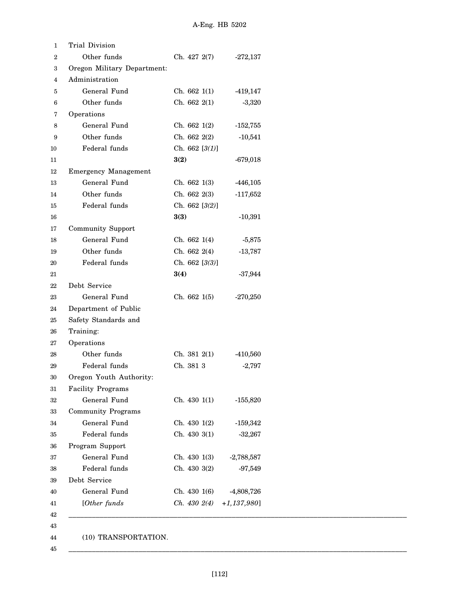| 1  | Trial Division              |                  |                |
|----|-----------------------------|------------------|----------------|
| 2  | Other funds                 | Ch. 427 2(7)     | $-272,137$     |
| 3  | Oregon Military Department: |                  |                |
| 4  | Administration              |                  |                |
| 5  | General Fund                | Ch. 662 1(1)     | $-419,147$     |
| 6  | Other funds                 | Ch. 662 2(1)     | $-3,320$       |
| 7  | Operations                  |                  |                |
| 8  | General Fund                | Ch. 662 1(2)     | $-152,755$     |
| 9  | Other funds                 | Ch. 662 2(2)     | $-10,541$      |
| 10 | Federal funds               | Ch. 662 $[3(1)]$ |                |
| 11 |                             | 3(2)             | $-679,018$     |
| 12 | <b>Emergency Management</b> |                  |                |
| 13 | General Fund                | Ch. 662 1(3)     | $-446,105$     |
| 14 | Other funds                 | Ch. 662 2(3)     | $-117,652$     |
| 15 | Federal funds               | Ch. 662 [3(2)]   |                |
| 16 |                             | 3(3)             | $-10,391$      |
| 17 | Community Support           |                  |                |
| 18 | General Fund                | Ch. 662 1(4)     | $-5,875$       |
| 19 | Other funds                 | Ch. 662 2(4)     | $-13,787$      |
| 20 | Federal funds               | Ch. 662 [3(3)]   |                |
| 21 |                             | 3(4)             | $-37,944$      |
| 22 | Debt Service                |                  |                |
| 23 | General Fund                | Ch. 662 1(5)     | $-270,250$     |
| 24 | Department of Public        |                  |                |
| 25 | Safety Standards and        |                  |                |
| 26 | Training:                   |                  |                |
| 27 | Operations                  |                  |                |
| 28 | Other funds                 | Ch. 381 2(1)     | $-410,560$     |
| 29 | Federal funds               | Ch. 381 3        | $-2,797$       |
| 30 | Oregon Youth Authority:     |                  |                |
| 31 | <b>Facility Programs</b>    |                  |                |
| 32 | General Fund                | Ch. 430 1(1)     | $-155,820$     |
| 33 | <b>Community Programs</b>   |                  |                |
| 34 | General Fund                | Ch. 430 1(2)     | $-159,342$     |
| 35 | Federal funds               | Ch. 430 3(1)     | $-32,267$      |
| 36 | Program Support             |                  |                |
| 37 | General Fund                | Ch. 430 1(3)     | $-2,788,587$   |
| 38 | Federal funds               | Ch. 430 3(2)     | $-97,549$      |
| 39 | Debt Service                |                  |                |
| 40 | General Fund                | Ch. 430 1(6)     | $-4,808,726$   |
| 41 | [Other funds                | Ch. 4302(4)      | $+1,137,980$ ] |
|    |                             |                  |                |

45

\_\_\_\_\_\_\_\_\_\_\_\_\_\_\_\_\_\_\_\_\_\_\_\_\_\_\_\_\_\_\_\_\_\_\_\_\_\_\_\_\_\_\_\_\_\_\_\_\_\_\_\_\_\_\_\_\_\_\_\_\_\_\_\_\_\_\_\_\_\_\_\_\_\_\_\_\_\_\_\_\_\_\_\_\_\_\_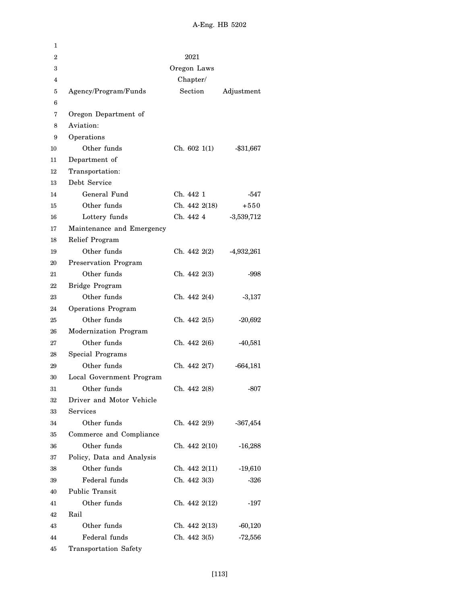| 1            |                             |               |              |
|--------------|-----------------------------|---------------|--------------|
| $\mathbf{2}$ |                             | 2021          |              |
| 3            |                             | Oregon Laws   |              |
| 4            |                             | Chapter/      |              |
| 5            | Agency/Program/Funds        | Section       | Adjustment   |
| 6            |                             |               |              |
| 7            | Oregon Department of        |               |              |
| 8            | Aviation:                   |               |              |
| 9            | Operations                  |               |              |
| 10           | Other funds                 | Ch. 6021(1)   | $-$ \$31,667 |
| 11           | Department of               |               |              |
| 12           | Transportation:             |               |              |
| 13           | Debt Service                |               |              |
| 14           | General Fund                | Ch. 442 1     | -547         |
| 15           | Other funds                 | Ch. 442 2(18) | $+550$       |
| 16           | Lottery funds               | Ch. 442 4     | $-3,539,712$ |
| 17           | Maintenance and Emergency   |               |              |
| 18           | Relief Program              |               |              |
| 19           | Other funds                 | Ch. 442 2(2)  | $-4,932,261$ |
| 20           | <b>Preservation Program</b> |               |              |
| 21           | Other funds                 | Ch. 442 2(3)  | -998         |
| 22           | Bridge Program              |               |              |
| 23           | Other funds                 | Ch. 442 2(4)  | $-3,137$     |
| 24           | Operations Program          |               |              |
| 25           | Other funds                 | Ch. 442 2(5)  | $-20,692$    |
| 26           | Modernization Program       |               |              |
| 27           | Other funds                 | Ch. 442 2(6)  | $-40,581$    |
| 28           | Special Programs            |               |              |
| 29           | Other funds                 | Ch. 442 2(7)  | $-664,181$   |
| 30           | Local Government Program    |               |              |
| 31           | Other funds                 | Ch. 442 2(8)  | -807         |
| 32           | Driver and Motor Vehicle    |               |              |
| 33           | Services                    |               |              |
| 34           | Other funds                 | Ch. 442 2(9)  | $-367,454$   |
| 35           | Commerce and Compliance     |               |              |
| 36           | Other funds                 | Ch. 442 2(10) | $-16,288$    |
| 37           | Policy, Data and Analysis   |               |              |
| 38           | Other funds                 | Ch. 442 2(11) | $-19,610$    |
| 39           | Federal funds               | Ch. 442 3(3)  | -326         |
| 40           | Public Transit              |               |              |
| 41           | Other funds                 | Ch. 442 2(12) | -197         |
| 42           | Rail                        |               |              |
| 43           | Other funds                 | Ch. 442 2(13) | $-60,120$    |
| 44           | Federal funds               | Ch. 442 3(5)  | $-72,556$    |
| 45           | Transportation Safety       |               |              |